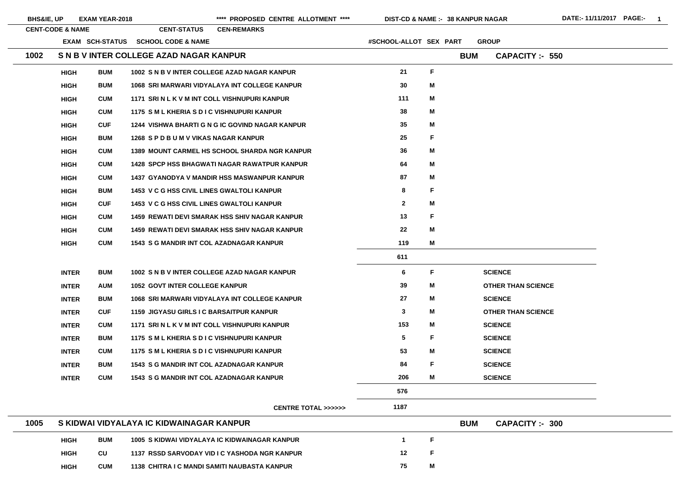| <b>BHS&amp;IE, UP</b> |                             | <b>EXAM YEAR-2018</b> |                                                 | **** PROPOSED CENTRE ALLOTMENT ****                  | DIST-CD & NAME :- 38 KANPUR NAGAR |             |            |                           | DATE:- 11/11/2017 PAGE:- | $\blacksquare$ |
|-----------------------|-----------------------------|-----------------------|-------------------------------------------------|------------------------------------------------------|-----------------------------------|-------------|------------|---------------------------|--------------------------|----------------|
|                       | <b>CENT-CODE &amp; NAME</b> |                       | <b>CENT-STATUS</b>                              | <b>CEN-REMARKS</b>                                   |                                   |             |            |                           |                          |                |
|                       |                             |                       | EXAM SCH-STATUS SCHOOL CODE & NAME              |                                                      | #SCHOOL-ALLOT SEX PART            |             |            | <b>GROUP</b>              |                          |                |
| 1002                  |                             |                       | S N B V INTER COLLEGE AZAD NAGAR KANPUR         |                                                      |                                   |             | <b>BUM</b> | <b>CAPACITY: - 550</b>    |                          |                |
|                       | <b>HIGH</b>                 | <b>BUM</b>            |                                                 | 1002 S N B V INTER COLLEGE AZAD NAGAR KANPUR         | 21                                | F           |            |                           |                          |                |
|                       | <b>HIGH</b>                 | <b>BUM</b>            |                                                 | 1068 SRI MARWARI VIDYALAYA INT COLLEGE KANPUR        | 30 <sub>o</sub>                   | M           |            |                           |                          |                |
|                       | <b>HIGH</b>                 | <b>CUM</b>            | 1171 SRI N L K V M INT COLL VISHNUPURI KANPUR   |                                                      | 111                               | M           |            |                           |                          |                |
|                       | <b>HIGH</b>                 | <b>CUM</b>            | 1175 SM L KHERIA S D I C VISHNUPURI KANPUR      |                                                      | 38                                | M           |            |                           |                          |                |
|                       | <b>HIGH</b>                 | <b>CUF</b>            |                                                 | 1244 VISHWA BHARTI G N G IC GOVIND NAGAR KANPUR      | 35                                | M           |            |                           |                          |                |
|                       | <b>HIGH</b>                 | <b>BUM</b>            | 1268 SPD BUM V VIKAS NAGAR KANPUR               |                                                      | 25                                | F           |            |                           |                          |                |
|                       | <b>HIGH</b>                 | <b>CUM</b>            |                                                 | <b>1389 MOUNT CARMEL HS SCHOOL SHARDA NGR KANPUR</b> | 36                                | M           |            |                           |                          |                |
|                       | <b>HIGH</b>                 | <b>CUM</b>            |                                                 | <b>1428 SPCP HSS BHAGWATI NAGAR RAWATPUR KANPUR</b>  | 64                                | M           |            |                           |                          |                |
|                       | <b>HIGH</b>                 | <b>CUM</b>            |                                                 | 1437 GYANODYA V MANDIR HSS MASWANPUR KANPUR          | 87                                | M           |            |                           |                          |                |
|                       | <b>HIGH</b>                 | <b>BUM</b>            | 1453 V C G HSS CIVIL LINES GWALTOLI KANPUR      |                                                      | 8                                 | F           |            |                           |                          |                |
|                       | <b>HIGH</b>                 | <b>CUF</b>            | 1453 V C G HSS CIVIL LINES GWALTOLI KANPUR      |                                                      | $\mathbf{2}$                      | M           |            |                           |                          |                |
|                       | <b>HIGH</b>                 | <b>CUM</b>            |                                                 | <b>1459 REWATI DEVI SMARAK HSS SHIV NAGAR KANPUR</b> | 13                                | F           |            |                           |                          |                |
|                       | <b>HIGH</b>                 | <b>CUM</b>            |                                                 | <b>1459 REWATI DEVI SMARAK HSS SHIV NAGAR KANPUR</b> | $22 \,$                           | M           |            |                           |                          |                |
|                       | <b>HIGH</b>                 | <b>CUM</b>            | <b>1543 S G MANDIR INT COL AZADNAGAR KANPUR</b> |                                                      | 119                               | M           |            |                           |                          |                |
|                       |                             |                       |                                                 |                                                      | 611                               |             |            |                           |                          |                |
|                       | <b>INTER</b>                | <b>BUM</b>            |                                                 | 1002 S N B V INTER COLLEGE AZAD NAGAR KANPUR         | 6                                 | F.          |            | <b>SCIENCE</b>            |                          |                |
|                       | <b>INTER</b>                | <b>AUM</b>            | <b>1052 GOVT INTER COLLEGE KANPUR</b>           |                                                      | 39                                | M           |            | <b>OTHER THAN SCIENCE</b> |                          |                |
|                       | <b>INTER</b>                | <b>BUM</b>            |                                                 | 1068 SRI MARWARI VIDYALAYA INT COLLEGE KANPUR        | 27                                | M           |            | <b>SCIENCE</b>            |                          |                |
|                       | <b>INTER</b>                | <b>CUF</b>            | <b>1159 JIGYASU GIRLS I C BARSAITPUR KANPUR</b> |                                                      | 3                                 | M           |            | <b>OTHER THAN SCIENCE</b> |                          |                |
|                       | <b>INTER</b>                | <b>CUM</b>            | 1171 SRI N L K V M INT COLL VISHNUPURI KANPUR   |                                                      | 153                               | M           |            | <b>SCIENCE</b>            |                          |                |
|                       | <b>INTER</b>                | <b>BUM</b>            | 1175 SM L KHERIA S D I C VISHNUPURI KANPUR      |                                                      | 5                                 | $\mathsf F$ |            | <b>SCIENCE</b>            |                          |                |
|                       | <b>INTER</b>                | <b>CUM</b>            | 1175 SM L KHERIA S D I C VISHNUPURI KANPUR      |                                                      | 53                                | M           |            | <b>SCIENCE</b>            |                          |                |
|                       | <b>INTER</b>                | <b>BUM</b>            | <b>1543 S G MANDIR INT COL AZADNAGAR KANPUR</b> |                                                      | 84                                | F           |            | <b>SCIENCE</b>            |                          |                |
|                       | <b>INTER</b>                | <b>CUM</b>            | <b>1543 S G MANDIR INT COL AZADNAGAR KANPUR</b> |                                                      | 206                               | M           |            | <b>SCIENCE</b>            |                          |                |
|                       |                             |                       |                                                 |                                                      | 576                               |             |            |                           |                          |                |
|                       |                             |                       |                                                 | <b>CENTRE TOTAL &gt;&gt;&gt;&gt;&gt;&gt;</b>         | 1187                              |             |            |                           |                          |                |
| 1005                  |                             |                       | S KIDWAI VIDYALAYA IC KIDWAINAGAR KANPUR        |                                                      |                                   |             | <b>BUM</b> | <b>CAPACITY:- 300</b>     |                          |                |
|                       | <b>HIGH</b>                 | <b>BUM</b>            |                                                 | 1005 S KIDWAI VIDYALAYA IC KIDWAINAGAR KANPUR        |                                   | $\mathsf F$ |            |                           |                          |                |
|                       | <b>HIGH</b>                 | CU                    |                                                 | 1137 RSSD SARVODAY VID I C YASHODA NGR KANPUR        | 12                                | F           |            |                           |                          |                |

|  | <b>HIGH</b> | <b>CUM</b> | 1138 CHITRA I C MANDI SAMITI NAUBASTA KANPUR | 75 |
|--|-------------|------------|----------------------------------------------|----|
|--|-------------|------------|----------------------------------------------|----|

## CE  $CE$ E. E.

**M**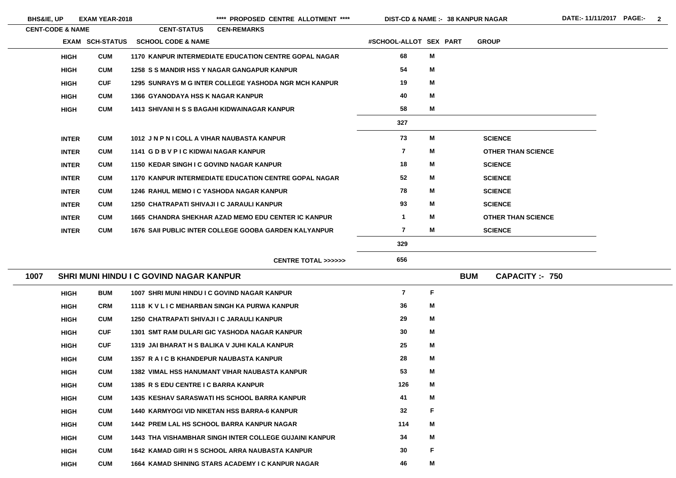**BHS&IE, UP EXAM YEAR-2018 \*\*\*\* PROPOSED CENTRE ALLOTMENT \*\*\*\* DIST-CD & NAME :- DATE:- 11/11/2017 PAGE:- 2**

| <b>CENT-CODE &amp; NAME</b> |                        | <b>CENT-STATUS</b>                       | <b>CEN-REMARKS</b>                                           |                                              |                         |   |                           |
|-----------------------------|------------------------|------------------------------------------|--------------------------------------------------------------|----------------------------------------------|-------------------------|---|---------------------------|
|                             | <b>EXAM SCH-STATUS</b> | <b>SCHOOL CODE &amp; NAME</b>            |                                                              |                                              | #SCHOOL-ALLOT SEX PART  |   | <b>GROUP</b>              |
| <b>HIGH</b>                 | <b>CUM</b>             |                                          | <b>1170 KANPUR INTERMEDIATE EDUCATION CENTRE GOPAL NAGAR</b> |                                              | 68                      | M |                           |
| <b>HIGH</b>                 | <b>CUM</b>             |                                          | <b>1258 S S MANDIR HSS Y NAGAR GANGAPUR KANPUR</b>           |                                              | 54                      | M |                           |
| <b>HIGH</b>                 | <b>CUF</b>             |                                          | <b>1295 SUNRAYS M G INTER COLLEGE YASHODA NGR MCH KANPUR</b> |                                              | 19                      | M |                           |
| <b>HIGH</b>                 | <b>CUM</b>             | <b>1366 GYANODAYA HSS K NAGAR KANPUR</b> |                                                              |                                              | 40                      | M |                           |
| <b>HIGH</b>                 | <b>CUM</b>             |                                          | <b>1413 SHIVANI H S S BAGAHI KIDWAINAGAR KANPUR</b>          |                                              | 58                      | M |                           |
|                             |                        |                                          |                                                              |                                              | 327                     |   |                           |
| <b>INTER</b>                | <b>CUM</b>             |                                          | 1012 JN P N I COLL A VIHAR NAUBASTA KANPUR                   |                                              | 73                      | M | <b>SCIENCE</b>            |
| <b>INTER</b>                | <b>CUM</b>             | 1141 G D B V P I C KIDWAI NAGAR KANPUR   |                                                              |                                              | $\overline{\mathbf{7}}$ | M | <b>OTHER THAN SCIENCE</b> |
| <b>INTER</b>                | <b>CUM</b>             |                                          | 1150 KEDAR SINGH I C GOVIND NAGAR KANPUR                     |                                              | 18                      | M | <b>SCIENCE</b>            |
| <b>INTER</b>                | <b>CUM</b>             |                                          | <b>1170 KANPUR INTERMEDIATE EDUCATION CENTRE GOPAL NAGAR</b> |                                              | 52                      | M | <b>SCIENCE</b>            |
| <b>INTER</b>                | <b>CUM</b>             |                                          | <b>1246 RAHUL MEMO I C YASHODA NAGAR KANPUR</b>              |                                              | 78                      | M | <b>SCIENCE</b>            |
| <b>INTER</b>                | <b>CUM</b>             |                                          | <b>1250 CHATRAPATI SHIVAJI I C JARAULI KANPUR</b>            |                                              | 93                      | M | <b>SCIENCE</b>            |
| <b>INTER</b>                | <b>CUM</b>             |                                          | <b>1665 CHANDRA SHEKHAR AZAD MEMO EDU CENTER IC KANPUR</b>   |                                              | 1                       | M | <b>OTHER THAN SCIENCE</b> |
| <b>INTER</b>                | <b>CUM</b>             |                                          | 1676 SAII PUBLIC INTER COLLEGE GOOBA GARDEN KALYANPUR        |                                              | $\overline{\mathbf{r}}$ | Μ | <b>SCIENCE</b>            |
|                             |                        |                                          |                                                              |                                              | 329                     |   |                           |
|                             |                        |                                          |                                                              | <b>CENTRE TOTAL &gt;&gt;&gt;&gt;&gt;&gt;</b> | 656                     |   |                           |
|                             |                        |                                          |                                                              |                                              |                         |   |                           |

| 1007 |             |            | SHRI MUNI HINDU I C GOVIND NAGAR KANPUR                             | <b>BUM</b> | <b>CAPACITY :- 750</b> |
|------|-------------|------------|---------------------------------------------------------------------|------------|------------------------|
|      | <b>HIGH</b> | <b>BUM</b> | $\overline{7}$<br>1007 SHRI MUNI HINDU I C GOVIND NAGAR KANPUR      | F          |                        |
|      | <b>HIGH</b> | <b>CRM</b> | 36<br>1118 K V L I C MEHARBAN SINGH KA PURWA KANPUR                 | M          |                        |
|      | <b>HIGH</b> | <b>CUM</b> | 29<br>1250 CHATRAPATI SHIVAJI I C JARAULI KANPUR                    | M          |                        |
|      | <b>HIGH</b> | <b>CUF</b> | 30<br>1301 SMT RAM DULARI GIC YASHODA NAGAR KANPUR                  | M          |                        |
|      | <b>HIGH</b> | <b>CUF</b> | 25<br>1319 JAI BHARAT H S BALIKA V JUHI KALA KANPUR                 | M          |                        |
|      | <b>HIGH</b> | <b>CUM</b> | 28<br>1357 R A I C B KHANDEPUR NAUBASTA KANPUR                      | M          |                        |
|      | <b>HIGH</b> | <b>CUM</b> | 53<br>1382 VIMAL HSS HANUMANT VIHAR NAUBASTA KANPUR                 | M          |                        |
|      | <b>HIGH</b> | <b>CUM</b> | 126<br>1385 R S EDU CENTRE I C BARRA KANPUR                         | М          |                        |
|      | <b>HIGH</b> | <b>CUM</b> | 41<br><b>1435 KESHAV SARASWATI HS SCHOOL BARRA KANPUR</b>           | М          |                        |
|      | <b>HIGH</b> | <b>CUM</b> | 32<br><b>1440 KARMYOGI VID NIKETAN HSS BARRA-6 KANPUR</b>           | F          |                        |
|      | <b>HIGH</b> | <b>CUM</b> | 114<br><b>1442 PREM LAL HS SCHOOL BARRA KANPUR NAGAR</b>            | М          |                        |
|      | <b>HIGH</b> | <b>CUM</b> | 34<br><b>1443 THA VISHAMBHAR SINGH INTER COLLEGE GUJAINI KANPUR</b> | M          |                        |
|      | <b>HIGH</b> | <b>CUM</b> | 30<br>1642 KAMAD GIRI H S SCHOOL ARRA NAUBASTA KANPUR               | F          |                        |
|      | <b>HIGH</b> | <b>CUM</b> | 46<br>1664 KAMAD SHINING STARS ACADEMY I C KANPUR NAGAR             | M          |                        |
|      |             |            |                                                                     |            |                        |

- 
- 
- 
- 
- 
-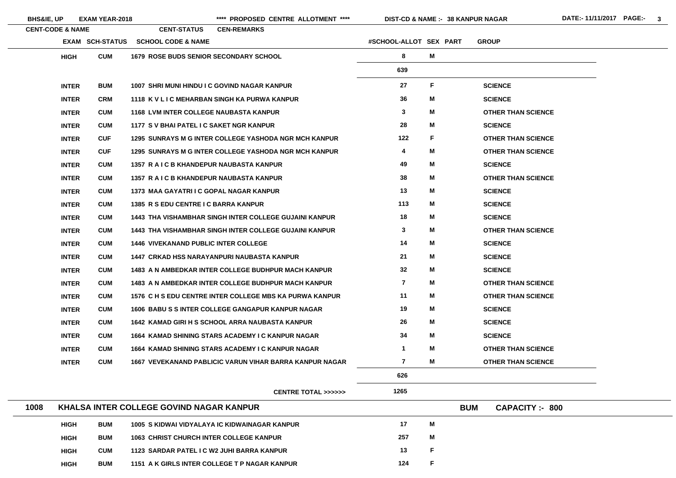|      | <b>BHS&amp;IE, UP</b>       | <b>EXAM YEAR-2018</b>  |                                                 | **** PROPOSED CENTRE ALLOTMENT ****                            |                        | <b>DIST-CD &amp; NAME :- 38 KANPUR NAGAR</b> |                                      | DATE:-11/11/2017 PAGE:- 3 |  |
|------|-----------------------------|------------------------|-------------------------------------------------|----------------------------------------------------------------|------------------------|----------------------------------------------|--------------------------------------|---------------------------|--|
|      | <b>CENT-CODE &amp; NAME</b> |                        | <b>CENT-STATUS</b>                              | <b>CEN-REMARKS</b>                                             |                        |                                              |                                      |                           |  |
|      |                             | <b>EXAM SCH-STATUS</b> | <b>SCHOOL CODE &amp; NAME</b>                   |                                                                | #SCHOOL-ALLOT SEX PART |                                              | <b>GROUP</b>                         |                           |  |
|      | <b>HIGH</b>                 | <b>CUM</b>             | <b>1679 ROSE BUDS SENIOR SECONDARY SCHOOL</b>   |                                                                | 8                      | M                                            |                                      |                           |  |
|      |                             |                        |                                                 |                                                                | 639                    |                                              |                                      |                           |  |
|      | <b>INTER</b>                | <b>BUM</b>             | 1007 SHRI MUNI HINDU I C GOVIND NAGAR KANPUR    |                                                                | 27                     | F.                                           | <b>SCIENCE</b>                       |                           |  |
|      | <b>INTER</b>                | <b>CRM</b>             |                                                 | 1118 K V L I C MEHARBAN SINGH KA PURWA KANPUR                  | 36                     | M                                            | <b>SCIENCE</b>                       |                           |  |
|      | <b>INTER</b>                | <b>CUM</b>             | <b>1168 LVM INTER COLLEGE NAUBASTA KANPUR</b>   |                                                                | 3                      | M                                            | <b>OTHER THAN SCIENCE</b>            |                           |  |
|      | <b>INTER</b>                | <b>CUM</b>             | 1177 S V BHAI PATEL I C SAKET NGR KANPUR        |                                                                | 28                     | M                                            | <b>SCIENCE</b>                       |                           |  |
|      | <b>INTER</b>                | <b>CUF</b>             |                                                 | <b>1295 SUNRAYS M G INTER COLLEGE YASHODA NGR MCH KANPUR</b>   | 122                    | F.                                           | <b>OTHER THAN SCIENCE</b>            |                           |  |
|      | <b>INTER</b>                | <b>CUF</b>             |                                                 | 1295 SUNRAYS M G INTER COLLEGE YASHODA NGR MCH KANPUR          | 4                      | M                                            | <b>OTHER THAN SCIENCE</b>            |                           |  |
|      | <b>INTER</b>                | <b>CUM</b>             | 1357 R A I C B KHANDEPUR NAUBASTA KANPUR        |                                                                | 49                     | M                                            | <b>SCIENCE</b>                       |                           |  |
|      | <b>INTER</b>                | <b>CUM</b>             | 1357 R A I C B KHANDEPUR NAUBASTA KANPUR        |                                                                | 38                     | M                                            | <b>OTHER THAN SCIENCE</b>            |                           |  |
|      | <b>INTER</b>                | <b>CUM</b>             | 1373 MAA GAYATRI I C GOPAL NAGAR KANPUR         |                                                                | 13                     | M                                            | <b>SCIENCE</b>                       |                           |  |
|      | <b>INTER</b>                | <b>CUM</b>             | 1385 R S EDU CENTRE I C BARRA KANPUR            |                                                                | 113                    | M                                            | <b>SCIENCE</b>                       |                           |  |
|      | <b>INTER</b>                | <b>CUM</b>             |                                                 | <b>1443 THA VISHAMBHAR SINGH INTER COLLEGE GUJAINI KANPUR</b>  | 18                     | M                                            | <b>SCIENCE</b>                       |                           |  |
|      | <b>INTER</b>                | <b>CUM</b>             |                                                 | <b>1443 THA VISHAMBHAR SINGH INTER COLLEGE GUJAINI KANPUR</b>  | 3                      | M                                            | <b>OTHER THAN SCIENCE</b>            |                           |  |
|      | <b>INTER</b>                | <b>CUM</b>             | <b>1446 VIVEKANAND PUBLIC INTER COLLEGE</b>     |                                                                | 14                     | M                                            | <b>SCIENCE</b>                       |                           |  |
|      | <b>INTER</b>                | <b>CUM</b>             |                                                 | <b>1447 CRKAD HSS NARAYANPURI NAUBASTA KANPUR</b>              | 21                     | M                                            | <b>SCIENCE</b>                       |                           |  |
|      | <b>INTER</b>                | <b>CUM</b>             |                                                 | 1483 A N AMBEDKAR INTER COLLEGE BUDHPUR MACH KANPUR            | 32                     | M                                            | <b>SCIENCE</b>                       |                           |  |
|      | <b>INTER</b>                | <b>CUM</b>             |                                                 | 1483 A N AMBEDKAR INTER COLLEGE BUDHPUR MACH KANPUR            |                        | M                                            | <b>OTHER THAN SCIENCE</b>            |                           |  |
|      | <b>INTER</b>                | <b>CUM</b>             |                                                 | 1576 C H S EDU CENTRE INTER COLLEGE MBS KA PURWA KANPUR        | 11                     | M                                            | <b>OTHER THAN SCIENCE</b>            |                           |  |
|      | <b>INTER</b>                | <b>CUM</b>             |                                                 | 1606 BABU S S INTER COLLEGE GANGAPUR KANPUR NAGAR              | 19                     | M                                            | <b>SCIENCE</b>                       |                           |  |
|      | <b>INTER</b>                | <b>CUM</b>             |                                                 | 1642 KAMAD GIRI H S SCHOOL ARRA NAUBASTA KANPUR                | 26                     | M                                            | <b>SCIENCE</b>                       |                           |  |
|      | <b>INTER</b>                | <b>CUM</b>             |                                                 | 1664 KAMAD SHINING STARS ACADEMY I C KANPUR NAGAR              | 34                     | M                                            | <b>SCIENCE</b>                       |                           |  |
|      | <b>INTER</b>                | <b>CUM</b>             |                                                 | 1664 KAMAD SHINING STARS ACADEMY I C KANPUR NAGAR              |                        | M                                            | <b>OTHER THAN SCIENCE</b>            |                           |  |
|      | <b>INTER</b>                | <b>CUM</b>             |                                                 | <b>1667 VEVEKANAND PABLICIC VARUN VIHAR BARRA KANPUR NAGAR</b> | $\mathbf{7}$           | M                                            | <b>OTHER THAN SCIENCE</b>            |                           |  |
|      |                             |                        |                                                 |                                                                | 626                    |                                              |                                      |                           |  |
|      |                             |                        |                                                 | <b>CENTRE TOTAL &gt;&gt;&gt;&gt;&gt;&gt;</b>                   | 1265                   |                                              |                                      |                           |  |
| 1008 |                             |                        | <b>KHALSA INTER COLLEGE GOVIND NAGAR KANPUR</b> |                                                                |                        |                                              | <b>BUM</b><br><b>CAPACITY :- 800</b> |                           |  |
|      | <b>HIGH</b>                 | <b>BUM</b>             |                                                 | 1005 S KIDWAI VIDYALAYA IC KIDWAINAGAR KANPUR                  | 17                     | M                                            |                                      |                           |  |
|      | <b>HIGH</b>                 | <b>BUM</b>             | <b>1063 CHRIST CHURCH INTER COLLEGE KANPUR</b>  |                                                                | 257                    | M                                            |                                      |                           |  |

**HIGH CUM 1123 SARDAR PATEL I C W2 JUHI BARRA KANPUR 13 HIGHBUM 1151 A K GIRLS INTER COLLEGE T P NAGAR KANPUR 124** 

**F**

**F**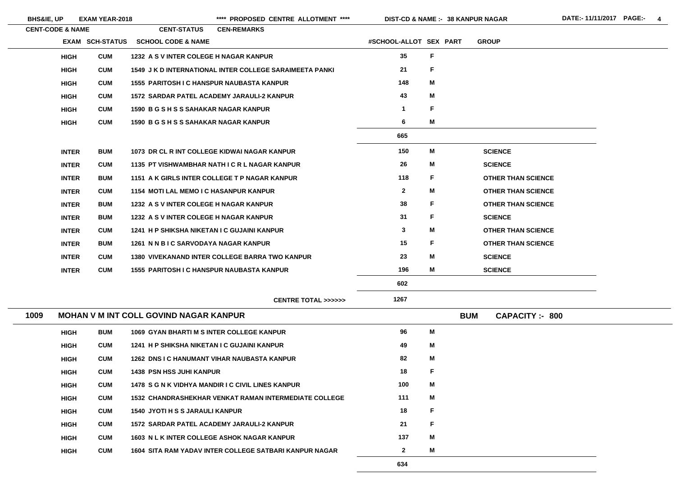$\sim$ 

\*\*\*\* PROPOSED CENTRE ALLOTMENT \*\*\*\* DIST-CD & NAME :- 38 KANPUR NAGAR DATE:- 11/11/2017 PAGE:- 4

|      | <b>CENT-CODE &amp; NAME</b> |                        | <b>CENT-STATUS</b>                               | <b>CEN-REMARKS</b>                                             |                        |   |            |                |                           |
|------|-----------------------------|------------------------|--------------------------------------------------|----------------------------------------------------------------|------------------------|---|------------|----------------|---------------------------|
|      |                             | <b>EXAM SCH-STATUS</b> | <b>SCHOOL CODE &amp; NAME</b>                    |                                                                | #SCHOOL-ALLOT SEX PART |   |            | <b>GROUP</b>   |                           |
|      | <b>HIGH</b>                 | <b>CUM</b>             | 1232 A S V INTER COLEGE H NAGAR KANPUR           |                                                                | 35                     | F |            |                |                           |
|      | <b>HIGH</b>                 | <b>CUM</b>             |                                                  | <b>1549 J K D INTERNATIONAL INTER COLLEGE SARAIMEETA PANKI</b> | 21                     | F |            |                |                           |
|      | <b>HIGH</b>                 | <b>CUM</b>             | <b>1555 PARITOSH I C HANSPUR NAUBASTA KANPUR</b> |                                                                | 148                    | M |            |                |                           |
|      | <b>HIGH</b>                 | <b>CUM</b>             |                                                  | <b>1572 SARDAR PATEL ACADEMY JARAULI-2 KANPUR</b>              | 43                     | M |            |                |                           |
|      | <b>HIGH</b>                 | <b>CUM</b>             | 1590 B G S H S S SAHAKAR NAGAR KANPUR            |                                                                | $\mathbf 1$            | F |            |                |                           |
|      | <b>HIGH</b>                 | <b>CUM</b>             | 1590 B G S H S S SAHAKAR NAGAR KANPUR            |                                                                | 6                      | M |            |                |                           |
|      |                             |                        |                                                  |                                                                | 665                    |   |            |                |                           |
|      | <b>INTER</b>                | <b>BUM</b>             |                                                  | 1073 DR CL R INT COLLEGE KIDWAI NAGAR KANPUR                   | 150                    | M |            | <b>SCIENCE</b> |                           |
|      | <b>INTER</b>                | <b>CUM</b>             |                                                  | 1135 PT VISHWAMBHAR NATH I C R L NAGAR KANPUR                  | 26                     | M |            | <b>SCIENCE</b> |                           |
|      | <b>INTER</b>                | <b>BUM</b>             |                                                  | 1151 A K GIRLS INTER COLLEGE T P NAGAR KANPUR                  | 118                    | F |            |                | <b>OTHER THAN SCIENCE</b> |
|      | <b>INTER</b>                | <b>CUM</b>             | <b>1154 MOTI LAL MEMO I C HASANPUR KANPUR</b>    |                                                                | $\mathbf{2}$           | M |            |                | <b>OTHER THAN SCIENCE</b> |
|      | <b>INTER</b>                | <b>BUM</b>             | 1232 A S V INTER COLEGE H NAGAR KANPUR           |                                                                | 38                     | F |            |                | <b>OTHER THAN SCIENCE</b> |
|      | <b>INTER</b>                | <b>BUM</b>             | 1232 A S V INTER COLEGE H NAGAR KANPUR           |                                                                | 31                     | F |            | <b>SCIENCE</b> |                           |
|      | <b>INTER</b>                | <b>CUM</b>             | 1241 H P SHIKSHA NIKETAN I C GUJAINI KANPUR      |                                                                | $\mathbf{3}$           | M |            |                | <b>OTHER THAN SCIENCE</b> |
|      | <b>INTER</b>                | <b>BUM</b>             | 1261 N N B I C SARVODAYA NAGAR KANPUR            |                                                                | 15                     | F |            |                | <b>OTHER THAN SCIENCE</b> |
|      | <b>INTER</b>                | <b>CUM</b>             |                                                  | <b>1380 VIVEKANAND INTER COLLEGE BARRA TWO KANPUR</b>          | 23                     | M |            | <b>SCIENCE</b> |                           |
|      | <b>INTER</b>                | <b>CUM</b>             | <b>1555 PARITOSH I C HANSPUR NAUBASTA KANPUR</b> |                                                                | 196                    | M |            | <b>SCIENCE</b> |                           |
|      |                             |                        |                                                  |                                                                | 602                    |   |            |                |                           |
|      |                             |                        |                                                  | <b>CENTRE TOTAL &gt;&gt;&gt;&gt;&gt;&gt;</b>                   | 1267                   |   |            |                |                           |
| 1009 |                             |                        | <b>MOHAN V M INT COLL GOVIND NAGAR KANPUR</b>    |                                                                |                        |   | <b>BUM</b> |                | <b>CAPACITY: - 800</b>    |
|      | <b>HIGH</b>                 | <b>BUM</b>             | <b>1069 GYAN BHARTI M S INTER COLLEGE KANPUR</b> |                                                                | 96                     | M |            |                |                           |
|      | <b>HIGH</b>                 | <b>CUM</b>             | 1241 H P SHIKSHA NIKETAN I C GUJAINI KANPUR      |                                                                | 49                     | М |            |                |                           |
|      | <b>HIGH</b>                 | <b>CUM</b>             |                                                  | <b>1262 DNS I C HANUMANT VIHAR NAUBASTA KANPUR</b>             | 82                     | М |            |                |                           |
|      | <b>HIGH</b>                 | <b>CUM</b>             | <b>1438 PSN HSS JUHI KANPUR</b>                  |                                                                | 18                     | F |            |                |                           |
|      | <b>HIGH</b>                 | <b>CUM</b>             |                                                  | 1478 S G N K VIDHYA MANDIR I C CIVIL LINES KANPUR              | 100                    | М |            |                |                           |
|      | <b>HIGH</b>                 | <b>CUM</b>             |                                                  | <b>1532 CHANDRASHEKHAR VENKAT RAMAN INTERMEDIATE COLLEGE</b>   | 111                    | М |            |                |                           |
|      | <b>HIGH</b>                 | <b>CUM</b>             | <b>1540 JYOTI H S S JARAULI KANPUR</b>           |                                                                | 18                     | F |            |                |                           |
|      | <b>HIGH</b>                 | <b>CUM</b>             |                                                  | <b>1572 SARDAR PATEL ACADEMY JARAULI-2 KANPUR</b>              | 21                     | F |            |                |                           |
|      | <b>HIGH</b>                 | <b>CUM</b>             |                                                  | <b>1603 N L K INTER COLLEGE ASHOK NAGAR KANPUR</b>             | 137                    | М |            |                |                           |
|      | <b>HIGH</b>                 | <b>CUM</b>             |                                                  | 1604 SITA RAM YADAV INTER COLLEGE SATBARI KANPUR NAGAR         | $\mathbf{2}$           | M |            |                |                           |
|      |                             |                        |                                                  |                                                                | 634                    |   |            |                |                           |

| Ē                  |
|--------------------|
| Ī                  |
| <b>HAN SCIENCE</b> |
| <b>HAN SCIENCE</b> |
| <b>HAN SCIENCE</b> |
| Ī                  |
| <b>HAN SCIENCE</b> |
| <b>HAN SCIENCE</b> |
| Ē                  |
| Ē                  |
|                    |
|                    |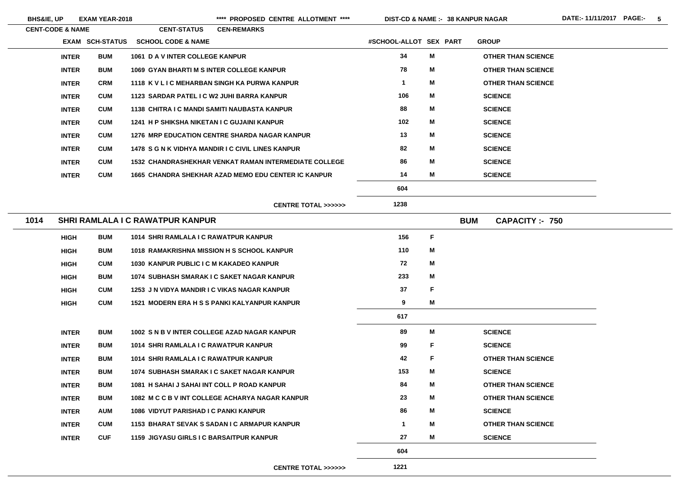**BHS&IE, UP EXAM YEAR-2018 \*\*\*\* PROPOSED CENTRE ALLOTMENT \*\*\*\* DIST-CD & NAME :- DATE:- 11/11/2017 PAGE:- 5**

|      | <b>CENT-CODE &amp; NAME</b> |                        | <b>CENT-STATUS</b>                                | <b>CEN-REMARKS</b> |                                                              |                        |             |            |                           |
|------|-----------------------------|------------------------|---------------------------------------------------|--------------------|--------------------------------------------------------------|------------------------|-------------|------------|---------------------------|
|      |                             | <b>EXAM SCH-STATUS</b> | <b>SCHOOL CODE &amp; NAME</b>                     |                    |                                                              | #SCHOOL-ALLOT SEX PART |             |            | <b>GROUP</b>              |
|      | <b>INTER</b>                | <b>BUM</b>             | 1061 D A V INTER COLLEGE KANPUR                   |                    |                                                              | 34                     | M           |            | <b>OTHER THAN SCIENCE</b> |
|      | <b>INTER</b>                | <b>BUM</b>             | <b>1069 GYAN BHARTI M S INTER COLLEGE KANPUR</b>  |                    |                                                              | 78                     | M           |            | <b>OTHER THAN SCIENCE</b> |
|      | <b>INTER</b>                | <b>CRM</b>             | 1118 K V L I C MEHARBAN SINGH KA PURWA KANPUR     |                    |                                                              | $\mathbf 1$            | М           |            | <b>OTHER THAN SCIENCE</b> |
|      | <b>INTER</b>                | <b>CUM</b>             | 1123 SARDAR PATEL I C W2 JUHI BARRA KANPUR        |                    |                                                              | 106                    | M           |            | <b>SCIENCE</b>            |
|      | <b>INTER</b>                | <b>CUM</b>             | 1138 CHITRA I C MANDI SAMITI NAUBASTA KANPUR      |                    |                                                              | 88                     | M           |            | <b>SCIENCE</b>            |
|      | <b>INTER</b>                | <b>CUM</b>             | 1241 H P SHIKSHA NIKETAN I C GUJAINI KANPUR       |                    |                                                              | 102                    | M           |            | <b>SCIENCE</b>            |
|      | <b>INTER</b>                | <b>CUM</b>             |                                                   |                    | <b>1276 MRP EDUCATION CENTRE SHARDA NAGAR KANPUR</b>         | 13                     | M           |            | <b>SCIENCE</b>            |
|      | <b>INTER</b>                | <b>CUM</b>             | 1478 S G N K VIDHYA MANDIR I C CIVIL LINES KANPUR |                    |                                                              | 82                     | M           |            | <b>SCIENCE</b>            |
|      | <b>INTER</b>                | <b>CUM</b>             |                                                   |                    | <b>1532 CHANDRASHEKHAR VENKAT RAMAN INTERMEDIATE COLLEGE</b> | 86                     | M           |            | <b>SCIENCE</b>            |
|      | <b>INTER</b>                | <b>CUM</b>             |                                                   |                    | <b>1665 CHANDRA SHEKHAR AZAD MEMO EDU CENTER IC KANPUR</b>   | 14                     | М           |            | <b>SCIENCE</b>            |
|      |                             |                        |                                                   |                    |                                                              | 604                    |             |            |                           |
|      |                             |                        |                                                   |                    | <b>CENTRE TOTAL &gt;&gt;&gt;&gt;&gt;&gt;</b>                 | 1238                   |             |            |                           |
| 1014 |                             |                        | <b>SHRI RAMLALA I C RAWATPUR KANPUR</b>           |                    |                                                              |                        |             | <b>BUM</b> | <b>CAPACITY :- 750</b>    |
|      | <b>HIGH</b>                 | <b>BUM</b>             | 1014 SHRI RAMLALA I C RAWATPUR KANPUR             |                    |                                                              | 156                    | $\mathsf F$ |            |                           |
|      | <b>HIGH</b>                 | <b>BUM</b>             | 1018 RAMAKRISHNA MISSION H S SCHOOL KANPUR        |                    |                                                              | 110                    | M           |            |                           |
|      | <b>HIGH</b>                 | <b>CUM</b>             | 1030 KANPUR PUBLIC I C M KAKADEO KANPUR           |                    |                                                              | 72                     | M           |            |                           |
|      | <b>HIGH</b>                 | <b>BUM</b>             | 1074 SUBHASH SMARAK I C SAKET NAGAR KANPUR        |                    |                                                              | 233                    | Μ           |            |                           |
|      | <b>HIGH</b>                 | <b>CUM</b>             | 1253 J N VIDYA MANDIR I C VIKAS NAGAR KANPUR      |                    |                                                              | 37                     | F           |            |                           |
|      | <b>HIGH</b>                 | <b>CUM</b>             | 1521 MODERN ERA H S S PANKI KALYANPUR KANPUR      |                    |                                                              | 9                      | M           |            |                           |
|      |                             |                        |                                                   |                    |                                                              | 617                    |             |            |                           |
|      | <b>INTER</b>                | <b>BUM</b>             | 1002 S N B V INTER COLLEGE AZAD NAGAR KANPUR      |                    |                                                              | 89                     | M           |            | <b>SCIENCE</b>            |
|      | <b>INTER</b>                | <b>BUM</b>             | 1014 SHRI RAMLALA I C RAWATPUR KANPUR             |                    |                                                              | 99                     | F           |            | <b>SCIENCE</b>            |
|      | <b>INTER</b>                | <b>BUM</b>             | 1014 SHRI RAMLALA I C RAWATPUR KANPUR             |                    |                                                              | 42                     | F           |            | <b>OTHER THAN SCIENCE</b> |
|      | <b>INTER</b>                | <b>BUM</b>             | 1074 SUBHASH SMARAK I C SAKET NAGAR KANPUR        |                    |                                                              | 153                    | M           |            | <b>SCIENCE</b>            |
|      | <b>INTER</b>                | <b>BUM</b>             | 1081 H SAHAI J SAHAI INT COLL P ROAD KANPUR       |                    |                                                              | 84                     | M           |            | <b>OTHER THAN SCIENCE</b> |
|      | <b>INTER</b>                | <b>BUM</b>             |                                                   |                    | 1082 M C C B V INT COLLEGE ACHARYA NAGAR KANPUR              | 23                     | M           |            | <b>OTHER THAN SCIENCE</b> |
|      | <b>INTER</b>                | <b>AUM</b>             | <b>1086 VIDYUT PARISHAD I C PANKI KANPUR</b>      |                    |                                                              | 86                     | M           |            | <b>SCIENCE</b>            |
|      | <b>INTER</b>                | <b>CUM</b>             | 1153 BHARAT SEVAK S SADAN I C ARMAPUR KANPUR      |                    |                                                              | $\mathbf 1$            | M           |            | <b>OTHER THAN SCIENCE</b> |
|      | <b>INTER</b>                | <b>CUF</b>             | 1159 JIGYASU GIRLS I C BARSAITPUR KANPUR          |                    |                                                              | 27                     | M           |            | <b>SCIENCE</b>            |
|      |                             |                        |                                                   |                    |                                                              | 604                    |             |            |                           |
|      |                             |                        |                                                   |                    |                                                              |                        |             |            |                           |

**CENTRE TOTAL >>>>>>**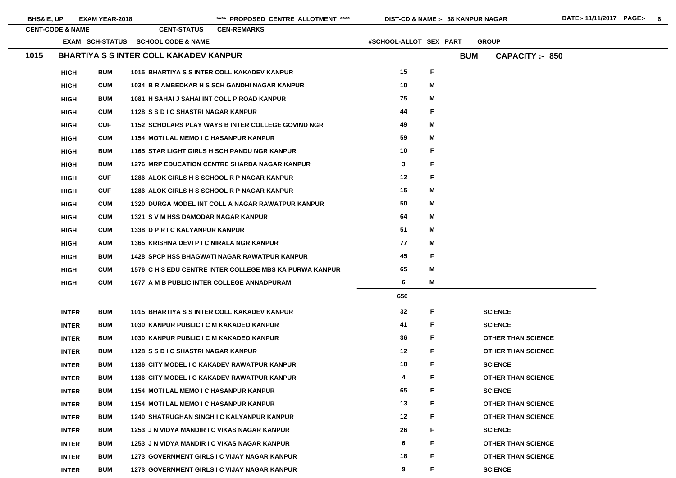| <b>BHS&amp;IE, UP</b> |                             | <b>EXAM YEAR-2018</b> |                                               | **** PROPOSED CENTRE ALLOTMENT ****                     | DIST-CD & NAME :- 38 KANPUR NAGAR |              |            |                           |
|-----------------------|-----------------------------|-----------------------|-----------------------------------------------|---------------------------------------------------------|-----------------------------------|--------------|------------|---------------------------|
|                       | <b>CENT-CODE &amp; NAME</b> |                       | <b>CENT-STATUS</b>                            | <b>CEN-REMARKS</b>                                      |                                   |              |            |                           |
|                       |                             |                       | <b>EXAM SCH-STATUS SCHOOL CODE &amp; NAME</b> |                                                         | #SCHOOL-ALLOT SEX PART            |              |            | <b>GROUP</b>              |
| 1015                  |                             |                       | <b>BHARTIYA S S INTER COLL KAKADEV KANPUR</b> |                                                         |                                   |              | <b>BUM</b> | <b>CAPACITY: 850</b>      |
|                       | <b>HIGH</b>                 | <b>BUM</b>            |                                               | 1015 BHARTIYA S S INTER COLL KAKADEV KANPUR             | 15                                | F            |            |                           |
|                       | <b>HIGH</b>                 | <b>CUM</b>            |                                               | 1034 B R AMBEDKAR H S SCH GANDHI NAGAR KANPUR           | 10                                | M            |            |                           |
|                       | <b>HIGH</b>                 | <b>BUM</b>            |                                               | 1081 H SAHAI J SAHAI INT COLL P ROAD KANPUR             | 75                                | M            |            |                           |
|                       | <b>HIGH</b>                 | <b>CUM</b>            | 1128 S S D I C SHASTRI NAGAR KANPUR           |                                                         | 44                                | F            |            |                           |
|                       | <b>HIGH</b>                 | <b>CUF</b>            |                                               | 1152 SCHOLARS PLAY WAYS B INTER COLLEGE GOVIND NGR      | 49                                | Μ            |            |                           |
|                       | <b>HIGH</b>                 | <b>CUM</b>            | <b>1154 MOTI LAL MEMO I C HASANPUR KANPUR</b> |                                                         | 59                                | M            |            |                           |
|                       | <b>HIGH</b>                 | <b>BUM</b>            |                                               | 1165 STAR LIGHT GIRLS H SCH PANDU NGR KANPUR            | 10                                | F            |            |                           |
|                       | <b>HIGH</b>                 | <b>BUM</b>            |                                               | 1276 MRP EDUCATION CENTRE SHARDA NAGAR KANPUR           | $\mathbf{3}$                      | F            |            |                           |
|                       | <b>HIGH</b>                 | <b>CUF</b>            |                                               | 1286 ALOK GIRLS H S SCHOOL R P NAGAR KANPUR             | 12                                | F            |            |                           |
|                       | <b>HIGH</b>                 | <b>CUF</b>            |                                               | 1286 ALOK GIRLS H S SCHOOL R P NAGAR KANPUR             | 15                                | M            |            |                           |
|                       | <b>HIGH</b>                 | <b>CUM</b>            |                                               | 1320 DURGA MODEL INT COLL A NAGAR RAWATPUR KANPUR       | 50                                | M            |            |                           |
|                       | <b>HIGH</b>                 | <b>CUM</b>            | 1321 S V M HSS DAMODAR NAGAR KANPUR           |                                                         | 64                                | M            |            |                           |
|                       | <b>HIGH</b>                 | <b>CUM</b>            | 1338 D P R I C KALYANPUR KANPUR               |                                                         | 51                                | M            |            |                           |
|                       | <b>HIGH</b>                 | <b>AUM</b>            | 1365 KRISHNA DEVI P I C NIRALA NGR KANPUR     |                                                         | 77                                | M            |            |                           |
|                       | <b>HIGH</b>                 | <b>BUM</b>            |                                               | <b>1428 SPCP HSS BHAGWATI NAGAR RAWATPUR KANPUR</b>     | 45                                | F            |            |                           |
|                       | <b>HIGH</b>                 | <b>CUM</b>            |                                               | 1576 C H S EDU CENTRE INTER COLLEGE MBS KA PURWA KANPUR | 65                                | Μ            |            |                           |
|                       | <b>HIGH</b>                 | <b>CUM</b>            |                                               | 1677 A M B PUBLIC INTER COLLEGE ANNADPURAM              | 6                                 | M            |            |                           |
|                       |                             |                       |                                               |                                                         | 650                               |              |            |                           |
|                       | <b>INTER</b>                | <b>BUM</b>            |                                               | 1015 BHARTIYA S S INTER COLL KAKADEV KANPUR             | 32                                | F            |            | <b>SCIENCE</b>            |
|                       | <b>INTER</b>                | <b>BUM</b>            | 1030 KANPUR PUBLIC I C M KAKADEO KANPUR       |                                                         | 41                                | F            |            | <b>SCIENCE</b>            |
|                       | <b>INTER</b>                | <b>BUM</b>            | 1030 KANPUR PUBLIC I C M KAKADEO KANPUR       |                                                         | 36                                | $\mathsf{F}$ |            | <b>OTHER THAN SCIENCE</b> |
|                       | <b>INTER</b>                | <b>BUM</b>            | 1128 S S D I C SHASTRI NAGAR KANPUR           |                                                         | 12                                | F            |            | <b>OTHER THAN SCIENCE</b> |
|                       | <b>INTER</b>                | <b>BUM</b>            |                                               | 1136 CITY MODEL I C KAKADEV RAWATPUR KANPUR             | 18                                | F            |            | <b>SCIENCE</b>            |
|                       | <b>INTER</b>                | <b>BUM</b>            |                                               | 1136 CITY MODEL I C KAKADEV RAWATPUR KANPUR             | 4                                 | F            |            | <b>OTHER THAN SCIENCE</b> |
|                       | <b>INTER</b>                | <b>BUM</b>            | 1154 MOTI LAL MEMO I C HASANPUR KANPUR        |                                                         | 65                                | F            |            | <b>SCIENCE</b>            |
|                       | <b>INTER</b>                | <b>BUM</b>            | <b>1154 MOTI LAL MEMO I C HASANPUR KANPUR</b> |                                                         | 13                                | F            |            | <b>OTHER THAN SCIENCE</b> |
|                       | <b>INTER</b>                | <b>BUM</b>            |                                               | <b>1240 SHATRUGHAN SINGH I C KALYANPUR KANPUR</b>       | 12                                | F            |            | <b>OTHER THAN SCIENCE</b> |
|                       | <b>INTER</b>                | <b>BUM</b>            |                                               | 1253 J N VIDYA MANDIR I C VIKAS NAGAR KANPUR            | 26                                | F            |            | <b>SCIENCE</b>            |
|                       | <b>INTER</b>                | <b>BUM</b>            |                                               | 1253 J N VIDYA MANDIR I C VIKAS NAGAR KANPUR            | 6                                 | F            |            | <b>OTHER THAN SCIENCE</b> |
|                       | <b>INTER</b>                | <b>BUM</b>            |                                               | 1273 GOVERNMENT GIRLS I C VIJAY NAGAR KANPUR            | 18                                | F            |            | <b>OTHER THAN SCIENCE</b> |
|                       | <b>INTER</b>                | <b>BUM</b>            |                                               | 1273 GOVERNMENT GIRLS I C VIJAY NAGAR KANPUR            | 9                                 | F            |            | <b>SCIENCE</b>            |

E. E. CE<br>C E. CE.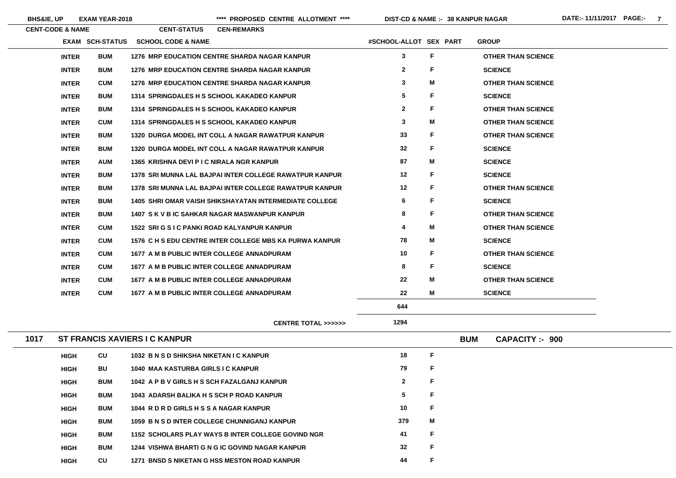**BHS&IE, UP EXAM YEAR-2018 \*\*\*\* PROPOSED CENTRE ALLOTMENT \*\*\*\* DIST-CD & NAME :- DATE:- 11/11/2017 PAGE:- 7**

**38 KANPUR NAGAR**

| <b>CENT-CODE &amp; NAME</b> |                        | <b>CENT-STATUS</b>                                   | <b>CEN-REMARKS</b> |                                                               |                        |    |                           |
|-----------------------------|------------------------|------------------------------------------------------|--------------------|---------------------------------------------------------------|------------------------|----|---------------------------|
|                             | <b>EXAM SCH-STATUS</b> | <b>SCHOOL CODE &amp; NAME</b>                        |                    |                                                               | #SCHOOL-ALLOT SEX PART |    | <b>GROUP</b>              |
| <b>INTER</b>                | <b>BUM</b>             | <b>1276 MRP EDUCATION CENTRE SHARDA NAGAR KANPUR</b> |                    |                                                               | $\mathbf{3}$           | F  | <b>OTHER THAN SCIENCE</b> |
| <b>INTER</b>                | <b>BUM</b>             | <b>1276 MRP EDUCATION CENTRE SHARDA NAGAR KANPUR</b> |                    |                                                               | $\mathbf{2}$           | F  | <b>SCIENCE</b>            |
| <b>INTER</b>                | <b>CUM</b>             | <b>1276 MRP EDUCATION CENTRE SHARDA NAGAR KANPUR</b> |                    |                                                               | $\mathbf{3}$           | М  | <b>OTHER THAN SCIENCE</b> |
| <b>INTER</b>                | <b>BUM</b>             | 1314 SPRINGDALES H S SCHOOL KAKADEO KANPUR           |                    |                                                               | $5\overline{)}$        | F  | <b>SCIENCE</b>            |
| <b>INTER</b>                | <b>BUM</b>             | 1314 SPRINGDALES H S SCHOOL KAKADEO KANPUR           |                    |                                                               | 2 <sup>1</sup>         | F  | <b>OTHER THAN SCIENCE</b> |
| <b>INTER</b>                | <b>CUM</b>             | 1314 SPRINGDALES H S SCHOOL KAKADEO KANPUR           |                    |                                                               | $\mathbf{3}$           | M  | <b>OTHER THAN SCIENCE</b> |
| <b>INTER</b>                | <b>BUM</b>             |                                                      |                    | 1320 DURGA MODEL INT COLL A NAGAR RAWATPUR KANPUR             | 33                     | F. | <b>OTHER THAN SCIENCE</b> |
| <b>INTER</b>                | <b>BUM</b>             |                                                      |                    | 1320 DURGA MODEL INT COLL A NAGAR RAWATPUR KANPUR             | 32                     | F. | <b>SCIENCE</b>            |
| <b>INTER</b>                | <b>AUM</b>             | 1365 KRISHNA DEVI P I C NIRALA NGR KANPUR            |                    |                                                               | 87                     | M  | <b>SCIENCE</b>            |
| <b>INTER</b>                | <b>BUM</b>             |                                                      |                    | 1378 SRI MUNNA LAL BAJPAI INTER COLLEGE RAWATPUR KANPUR       | 12                     | F  | <b>SCIENCE</b>            |
| <b>INTER</b>                | <b>BUM</b>             |                                                      |                    | 1378 SRI MUNNA LAL BAJPAI INTER COLLEGE RAWATPUR KANPUR       | 12                     | F  | <b>OTHER THAN SCIENCE</b> |
| <b>INTER</b>                | <b>BUM</b>             |                                                      |                    | <b>1405 SHRI OMAR VAISH SHIKSHAYATAN INTERMEDIATE COLLEGE</b> | 6                      | F  | <b>SCIENCE</b>            |
| <b>INTER</b>                | <b>BUM</b>             | 1407 S K V B IC SAHKAR NAGAR MASWANPUR KANPUR        |                    |                                                               | 8                      | F  | <b>OTHER THAN SCIENCE</b> |
| <b>INTER</b>                | <b>CUM</b>             | 1522 SRI G S I C PANKI ROAD KALYANPUR KANPUR         |                    |                                                               | 4                      | M  | <b>OTHER THAN SCIENCE</b> |
| <b>INTER</b>                | <b>CUM</b>             |                                                      |                    | 1576 C H S EDU CENTRE INTER COLLEGE MBS KA PURWA KANPUR       | 78                     | М  | <b>SCIENCE</b>            |
| <b>INTER</b>                | <b>CUM</b>             | 1677 A M B PUBLIC INTER COLLEGE ANNADPURAM           |                    |                                                               | 10                     | F  | <b>OTHER THAN SCIENCE</b> |
| <b>INTER</b>                | <b>CUM</b>             | 1677 A M B PUBLIC INTER COLLEGE ANNADPURAM           |                    |                                                               | 8                      | F  | <b>SCIENCE</b>            |
| <b>INTER</b>                | <b>CUM</b>             | 1677 A M B PUBLIC INTER COLLEGE ANNADPURAM           |                    |                                                               | 22                     | М  | <b>OTHER THAN SCIENCE</b> |
| <b>INTER</b>                | <b>CUM</b>             | 1677 A M B PUBLIC INTER COLLEGE ANNADPURAM           |                    |                                                               | 22                     | M  | <b>SCIENCE</b>            |
|                             |                        |                                                      |                    |                                                               | 644                    |    |                           |
|                             |                        |                                                      |                    |                                                               |                        |    |                           |

**CENTRE TOTAL >>>>>>**

| 1017 | <b>ST FRANCIS XAVIERS I C KANPUR</b> | <b>BUM</b> | <b>CAPACITY: - 900</b>                                    |                |   |  |  |
|------|--------------------------------------|------------|-----------------------------------------------------------|----------------|---|--|--|
|      | <b>HIGH</b>                          | CU         | 1032 B N S D SHIKSHA NIKETAN I C KANPUR                   | 18             | F |  |  |
|      | <b>HIGH</b>                          | <b>BU</b>  | 1040 MAA KASTURBA GIRLS I C KANPUR                        | 79             | F |  |  |
|      | <b>HIGH</b>                          | <b>BUM</b> | 1042 A P B V GIRLS H S SCH FAZALGANJ KANPUR               | $\overline{2}$ | F |  |  |
|      | <b>HIGH</b>                          | <b>BUM</b> | 1043 ADARSH BALIKA H S SCH P ROAD KANPUR                  | 5              | F |  |  |
|      | <b>HIGH</b>                          | <b>BUM</b> | 1044 R D R D GIRLS H S S A NAGAR KANPUR                   | 10             | F |  |  |
|      | <b>HIGH</b>                          | <b>BUM</b> | 1059 B N S D INTER COLLEGE CHUNNIGANJ KANPUR              | 379            | M |  |  |
|      | <b>HIGH</b>                          | <b>BUM</b> | <b>1152 SCHOLARS PLAY WAYS B INTER COLLEGE GOVIND NGR</b> | 41             | F |  |  |
|      | <b>HIGH</b>                          | <b>BUM</b> | 1244 VISHWA BHARTI G N G IC GOVIND NAGAR KANPUR           | 32             | F |  |  |
|      | <b>HIGH</b>                          | <b>CU</b>  | <b>BNSD S NIKETAN G HSS MESTON ROAD KANPUR</b><br>1271    | 44             | F |  |  |

| <b>'HAN SCIENCE</b>      |
|--------------------------|
| Ī                        |
| <b>HAN SCIENCE</b>       |
| $\overline{\phantom{a}}$ |
| <b>HAN SCIENCE</b>       |
| <b>HAN SCIENCE</b>       |
| <b>HAN SCIENCE</b>       |
| Ξ                        |
| Ξ                        |
| $\overline{\phantom{a}}$ |
| <b>HAN SCIENCE</b>       |
| Ē                        |
| <b>HAN SCIENCE</b>       |
| <b>HAN SCIENCE</b>       |
| Ē                        |
| <b>HAN SCIENCE</b>       |
| $\overline{\phantom{a}}$ |
| <b>HAN SCIENCE</b>       |
| Ξ                        |
|                          |
|                          |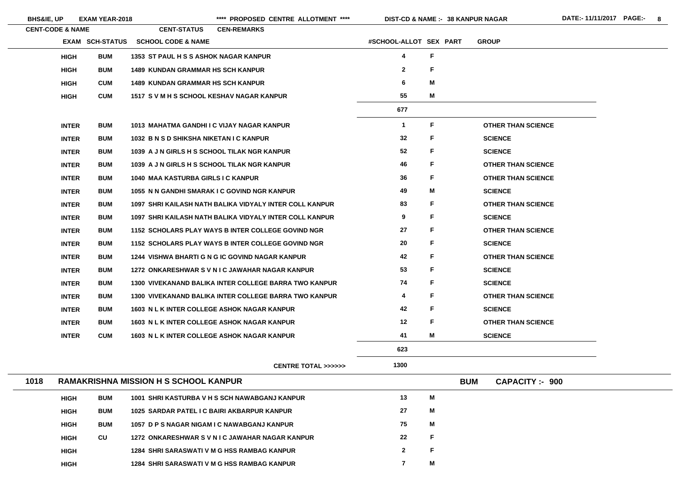|      | <b>CENT-CODE &amp; NAME</b> |                        | <b>CENT-STATUS</b>                           | <b>CEN-REMARKS</b>                                      |                        |    |            |                           |
|------|-----------------------------|------------------------|----------------------------------------------|---------------------------------------------------------|------------------------|----|------------|---------------------------|
|      |                             | <b>EXAM SCH-STATUS</b> | <b>SCHOOL CODE &amp; NAME</b>                |                                                         | #SCHOOL-ALLOT SEX PART |    |            | <b>GROUP</b>              |
|      | <b>HIGH</b>                 | <b>BUM</b>             | <b>1353 ST PAUL H S S ASHOK NAGAR KANPUR</b> |                                                         | 4                      | F  |            |                           |
|      | <b>HIGH</b>                 | <b>BUM</b>             | <b>1489 KUNDAN GRAMMAR HS SCH KANPUR</b>     |                                                         | $\mathbf{2}$           | F  |            |                           |
|      | <b>HIGH</b>                 | <b>CUM</b>             | <b>1489 KUNDAN GRAMMAR HS SCH KANPUR</b>     |                                                         | 6                      | M  |            |                           |
|      | <b>HIGH</b>                 | <b>CUM</b>             | 1517 S V M H S SCHOOL KESHAV NAGAR KANPUR    |                                                         | 55                     | M  |            |                           |
|      |                             |                        |                                              |                                                         | 677                    |    |            |                           |
|      | <b>INTER</b>                | <b>BUM</b>             | 1013 MAHATMA GANDHI I C VIJAY NAGAR KANPUR   |                                                         | $\mathbf 1$            | F  |            | <b>OTHER THAN SCIENCE</b> |
|      | <b>INTER</b>                | <b>BUM</b>             | 1032 B N S D SHIKSHA NIKETAN I C KANPUR      |                                                         | 32                     | F  |            | <b>SCIENCE</b>            |
|      | <b>INTER</b>                | <b>BUM</b>             | 1039 A J N GIRLS H S SCHOOL TILAK NGR KANPUR |                                                         | 52                     | F  |            | <b>SCIENCE</b>            |
|      | <b>INTER</b>                | <b>BUM</b>             | 1039 A J N GIRLS H S SCHOOL TILAK NGR KANPUR |                                                         | 46                     | F  |            | <b>OTHER THAN SCIENCE</b> |
|      | <b>INTER</b>                | <b>BUM</b>             | 1040 MAA KASTURBA GIRLS I C KANPUR           |                                                         | 36                     | F  |            | <b>OTHER THAN SCIENCE</b> |
|      | <b>INTER</b>                | <b>BUM</b>             |                                              | 1055 N N GANDHI SMARAK I C GOVIND NGR KANPUR            | 49                     | М  |            | <b>SCIENCE</b>            |
|      | <b>INTER</b>                | <b>BUM</b>             |                                              | 1097 SHRI KAILASH NATH BALIKA VIDYALY INTER COLL KANPUR | 83                     | F  |            | <b>OTHER THAN SCIENCE</b> |
|      | <b>INTER</b>                | <b>BUM</b>             |                                              | 1097 SHRI KAILASH NATH BALIKA VIDYALY INTER COLL KANPUR | 9                      | F  |            | <b>SCIENCE</b>            |
|      | <b>INTER</b>                | <b>BUM</b>             |                                              | 1152 SCHOLARS PLAY WAYS B INTER COLLEGE GOVIND NGR      | 27                     | F  |            | <b>OTHER THAN SCIENCE</b> |
|      | <b>INTER</b>                | <b>BUM</b>             |                                              | 1152 SCHOLARS PLAY WAYS B INTER COLLEGE GOVIND NGR      | 20                     | F  |            | <b>SCIENCE</b>            |
|      | <b>INTER</b>                | <b>BUM</b>             |                                              | 1244 VISHWA BHARTI G N G IC GOVIND NAGAR KANPUR         | 42                     | F  |            | <b>OTHER THAN SCIENCE</b> |
|      | <b>INTER</b>                | <b>BUM</b>             |                                              | 1272 ONKARESHWAR SVNIC JAWAHAR NAGAR KANPUR             | 53                     | F. |            | <b>SCIENCE</b>            |
|      | <b>INTER</b>                | <b>BUM</b>             |                                              | 1300 VIVEKANAND BALIKA INTER COLLEGE BARRA TWO KANPUR   | 74                     | F  |            | <b>SCIENCE</b>            |
|      | <b>INTER</b>                | <b>BUM</b>             |                                              | 1300 VIVEKANAND BALIKA INTER COLLEGE BARRA TWO KANPUR   | 4                      | F  |            | <b>OTHER THAN SCIENCE</b> |
|      | <b>INTER</b>                | <b>BUM</b>             |                                              | 1603 N L K INTER COLLEGE ASHOK NAGAR KANPUR             | 42                     | F  |            | <b>SCIENCE</b>            |
|      | <b>INTER</b>                | <b>BUM</b>             |                                              | 1603 N L K INTER COLLEGE ASHOK NAGAR KANPUR             | 12                     | F  |            | <b>OTHER THAN SCIENCE</b> |
|      | <b>INTER</b>                | <b>CUM</b>             |                                              | <b>1603 N L K INTER COLLEGE ASHOK NAGAR KANPUR</b>      | 41                     | М  |            | <b>SCIENCE</b>            |
|      |                             |                        |                                              |                                                         | 623                    |    |            |                           |
|      |                             |                        |                                              | <b>CENTRE TOTAL &gt;&gt;&gt;&gt;&gt;&gt;</b>            | 1300                   |    |            |                           |
| 1018 |                             |                        | <b>RAMAKRISHNA MISSION H S SCHOOL KANPUR</b> |                                                         |                        |    | <b>BUM</b> | <b>CAPACITY :- 900</b>    |
|      | <b>LUALL</b>                | <b>DIIM</b>            |                                              | <b>4004 CUDI KACTIIDDA V U C CCU NAWADCAN I KANDUD</b>  | 12                     | NЛ |            |                           |

| <b>HIGH</b> | <b>BUM</b> | 1001 SHRI KASTURBA V H S SCH NAWABGANJ KANPUR      | 13           | M |
|-------------|------------|----------------------------------------------------|--------------|---|
| <b>HIGH</b> | <b>BUM</b> | 1025 SARDAR PATEL I C BAIRI AKBARPUR KANPUR        | 27           | M |
| <b>HIGH</b> | <b>BUM</b> | 1057 D P S NAGAR NIGAM I C NAWABGANJ KANPUR        | 75           | M |
| <b>HIGH</b> | <b>CU</b>  | 1272 ONKARESHWAR S V N I C JAWAHAR NAGAR KANPUR    | 22           | F |
| <b>HIGH</b> |            | 1284 SHRI SARASWATI V M G HSS RAMBAG KANPUR        | $\mathbf{2}$ | F |
| <b>HIGH</b> |            | <b>1284 SHRI SARASWATI V M G HSS RAMBAG KANPUR</b> |              | M |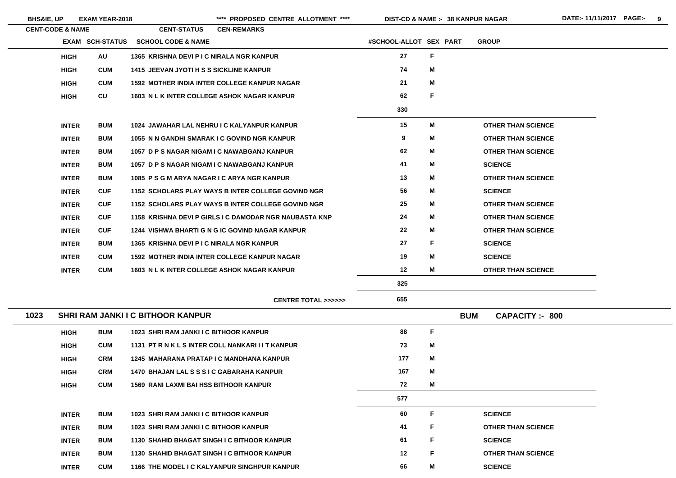\*\*\*\* PROPOSED CENTRE ALLOTMENT \*\*\*\* DIST-CD & NAME :- 38 KANPUR NAGAR DATE:- 11/11/2017 PAGE:- 9

|      | <b>CENT-CODE &amp; NAME</b> |                        | <b>CENT-STATUS</b>                | <b>CEN-REMARKS</b>                                     |                        |              |                                      |  |
|------|-----------------------------|------------------------|-----------------------------------|--------------------------------------------------------|------------------------|--------------|--------------------------------------|--|
|      |                             | <b>EXAM SCH-STATUS</b> | <b>SCHOOL CODE &amp; NAME</b>     |                                                        | #SCHOOL-ALLOT SEX PART |              | <b>GROUP</b>                         |  |
|      | <b>HIGH</b>                 | <b>AU</b>              |                                   | 1365 KRISHNA DEVI P I C NIRALA NGR KANPUR              | 27                     | $\mathsf F$  |                                      |  |
|      | <b>HIGH</b>                 | <b>CUM</b>             |                                   | 1415 JEEVAN JYOTI H S S SICKLINE KANPUR                | 74                     | M            |                                      |  |
|      | <b>HIGH</b>                 | <b>CUM</b>             |                                   | <b>1592 MOTHER INDIA INTER COLLEGE KANPUR NAGAR</b>    | 21                     | M            |                                      |  |
|      | <b>HIGH</b>                 | CU                     |                                   | 1603 N L K INTER COLLEGE ASHOK NAGAR KANPUR            | 62                     | F            |                                      |  |
|      |                             |                        |                                   |                                                        | 330                    |              |                                      |  |
|      | <b>INTER</b>                | <b>BUM</b>             |                                   | 1024 JAWAHAR LAL NEHRU I C KALYANPUR KANPUR            | 15                     | M            | <b>OTHER THAN SCIENCE</b>            |  |
|      | <b>INTER</b>                | <b>BUM</b>             |                                   | 1055 N N GANDHI SMARAK I C GOVIND NGR KANPUR           | $\boldsymbol{9}$       | M            | <b>OTHER THAN SCIENCE</b>            |  |
|      | <b>INTER</b>                | <b>BUM</b>             |                                   | 1057 D P S NAGAR NIGAM I C NAWABGANJ KANPUR            | 62                     | M            | <b>OTHER THAN SCIENCE</b>            |  |
|      | <b>INTER</b>                | <b>BUM</b>             |                                   | 1057 D P S NAGAR NIGAM I C NAWABGANJ KANPUR            | 41                     | M            | <b>SCIENCE</b>                       |  |
|      | <b>INTER</b>                | <b>BUM</b>             |                                   | 1085 P S G M ARYA NAGAR I C ARYA NGR KANPUR            | 13                     | M            | <b>OTHER THAN SCIENCE</b>            |  |
|      | <b>INTER</b>                | <b>CUF</b>             |                                   | 1152 SCHOLARS PLAY WAYS B INTER COLLEGE GOVIND NGR     | 56                     | M            | <b>SCIENCE</b>                       |  |
|      | <b>INTER</b>                | <b>CUF</b>             |                                   | 1152 SCHOLARS PLAY WAYS B INTER COLLEGE GOVIND NGR     | 25                     | M            | <b>OTHER THAN SCIENCE</b>            |  |
|      | <b>INTER</b>                | <b>CUF</b>             |                                   | 1158 KRISHNA DEVI P GIRLS I C DAMODAR NGR NAUBASTA KNP | 24                     | M            | <b>OTHER THAN SCIENCE</b>            |  |
|      | <b>INTER</b>                | <b>CUF</b>             |                                   | 1244 VISHWA BHARTI G N G IC GOVIND NAGAR KANPUR        | 22                     | M            | <b>OTHER THAN SCIENCE</b>            |  |
|      | <b>INTER</b>                | <b>BUM</b>             |                                   | 1365 KRISHNA DEVI P I C NIRALA NGR KANPUR              | 27                     | $\mathsf F$  | <b>SCIENCE</b>                       |  |
|      | <b>INTER</b>                | <b>CUM</b>             |                                   | <b>1592 MOTHER INDIA INTER COLLEGE KANPUR NAGAR</b>    | 19                     | M            | <b>SCIENCE</b>                       |  |
|      | <b>INTER</b>                | <b>CUM</b>             |                                   | <b>1603 N L K INTER COLLEGE ASHOK NAGAR KANPUR</b>     | 12                     | M            | <b>OTHER THAN SCIENCE</b>            |  |
|      |                             |                        |                                   |                                                        | 325                    |              |                                      |  |
|      |                             |                        |                                   | <b>CENTRE TOTAL &gt;&gt;&gt;&gt;&gt;&gt;</b>           | 655                    |              |                                      |  |
| 1023 |                             |                        | SHRI RAM JANKI I C BITHOOR KANPUR |                                                        |                        |              | <b>BUM</b><br><b>CAPACITY: - 800</b> |  |
|      | <b>HIGH</b>                 | <b>BUM</b>             |                                   | 1023 SHRI RAM JANKI I C BITHOOR KANPUR                 | 88                     | $\mathsf{F}$ |                                      |  |
|      | <b>HIGH</b>                 | <b>CUM</b>             |                                   | 1131 PT R N K L S INTER COLL NANKARI I I T KANPUR      | 73                     | M            |                                      |  |
|      | <b>HIGH</b>                 | <b>CRM</b>             |                                   | 1245 MAHARANA PRATAP I C MANDHANA KANPUR               | 177                    | M            |                                      |  |
|      | <b>HIGH</b>                 | <b>CRM</b>             |                                   | <b>1470 BHAJAN LAL S S S I C GABARAHA KANPUR</b>       | 167                    | M            |                                      |  |
|      | <b>HIGH</b>                 | <b>CUM</b>             |                                   | <b>1569 RANI LAXMI BAI HSS BITHOOR KANPUR</b>          | 72                     | M            |                                      |  |
|      |                             |                        |                                   |                                                        | 577                    |              |                                      |  |
|      | <b>INTER</b>                | <b>BUM</b>             |                                   | 1023 SHRI RAM JANKI I C BITHOOR KANPUR                 | 60                     | F            | <b>SCIENCE</b>                       |  |
|      | <b>INTER</b>                | <b>BUM</b>             |                                   | 1023 SHRI RAM JANKI I C BITHOOR KANPUR                 | 41                     | F            | <b>OTHER THAN SCIENCE</b>            |  |
|      | <b>INTER</b>                | <b>BUM</b>             |                                   | <b>1130 SHAHID BHAGAT SINGH I C BITHOOR KANPUR</b>     | 61                     | F            | <b>SCIENCE</b>                       |  |
|      | <b>INTER</b>                | <b>BUM</b>             |                                   | 1130 SHAHID BHAGAT SINGH I C BITHOOR KANPUR            | 12                     | F            | <b>OTHER THAN SCIENCE</b>            |  |
|      | <b>INTER</b>                | <b>CUM</b>             |                                   | 1166 THE MODEL I C KALYANPUR SINGHPUR KANPUR           | 66                     | М            | <b>SCIENCE</b>                       |  |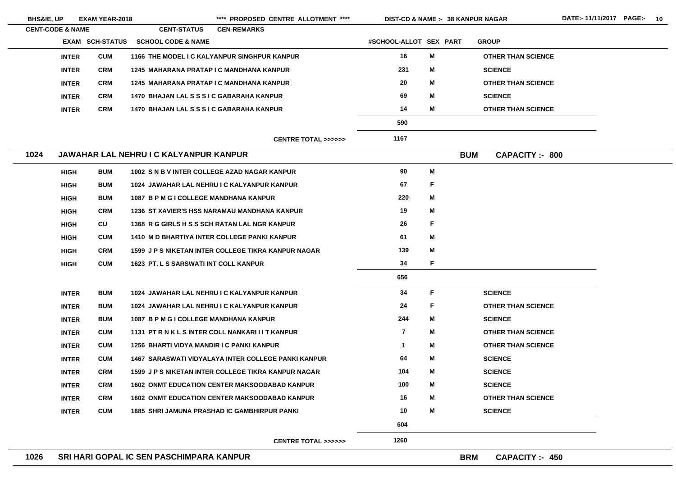| <b>BHS&amp;IE, UP</b>       | <b>EXAM YEAR-2018</b>  |                                               | **** PROPOSED CENTRE ALLOTMENT ****                        | <b>DIST-CD &amp; NAME :- 38 KANPUR NAGAR</b> |    |            |                           |
|-----------------------------|------------------------|-----------------------------------------------|------------------------------------------------------------|----------------------------------------------|----|------------|---------------------------|
| <b>CENT-CODE &amp; NAME</b> |                        | <b>CENT-STATUS</b>                            | <b>CEN-REMARKS</b>                                         |                                              |    |            |                           |
|                             | <b>EXAM SCH-STATUS</b> | <b>SCHOOL CODE &amp; NAME</b>                 |                                                            | #SCHOOL-ALLOT SEX PART                       |    |            | <b>GROUP</b>              |
| <b>INTER</b>                | <b>CUM</b>             |                                               | 1166 THE MODEL I C KALYANPUR SINGHPUR KANPUR               | 16                                           | M  |            | <b>OTHER THAN SCIENCE</b> |
| <b>INTER</b>                | <b>CRM</b>             | 1245 MAHARANA PRATAP I C MANDHANA KANPUR      |                                                            | 231                                          | M  |            | <b>SCIENCE</b>            |
| <b>INTER</b>                | <b>CRM</b>             | 1245 MAHARANA PRATAP I C MANDHANA KANPUR      |                                                            | 20                                           | M  |            | <b>OTHER THAN SCIENCE</b> |
| <b>INTER</b>                | <b>CRM</b>             | 1470 BHAJAN LAL S S S I C GABARAHA KANPUR     |                                                            | 69                                           | M  |            | <b>SCIENCE</b>            |
| <b>INTER</b>                | <b>CRM</b>             | 1470 BHAJAN LAL S S S I C GABARAHA KANPUR     |                                                            | 14                                           | M  |            | <b>OTHER THAN SCIENCE</b> |
|                             |                        |                                               |                                                            | 590                                          |    |            |                           |
|                             |                        |                                               | CENTRE TOTAL >>>>>>                                        | 1167                                         |    |            |                           |
| 1024                        |                        | <b>JAWAHAR LAL NEHRU I C KALYANPUR KANPUR</b> |                                                            |                                              |    | <b>BUM</b> | <b>CAPACITY: - 800</b>    |
| <b>HIGH</b>                 | <b>BUM</b>             |                                               | 1002 S N B V INTER COLLEGE AZAD NAGAR KANPUR               | 90                                           | M  |            |                           |
| <b>HIGH</b>                 | <b>BUM</b>             |                                               | 1024 JAWAHAR LAL NEHRU I C KALYANPUR KANPUR                | 67                                           | F  |            |                           |
| <b>HIGH</b>                 | <b>BUM</b>             | 1087 B P M G I COLLEGE MANDHANA KANPUR        |                                                            | 220                                          | M  |            |                           |
| <b>HIGH</b>                 | <b>CRM</b>             |                                               | 1236 ST XAVIER'S HSS NARAMAU MANDHANA KANPUR               | 19                                           | M  |            |                           |
| <b>HIGH</b>                 | CU                     |                                               | 1368 R G GIRLS H S S SCH RATAN LAL NGR KANPUR              | 26                                           | F  |            |                           |
| <b>HIGH</b>                 | <b>CUM</b>             |                                               | <b>1410 M D BHARTIYA INTER COLLEGE PANKI KANPUR</b>        | 61                                           | Μ  |            |                           |
| <b>HIGH</b>                 | <b>CRM</b>             |                                               | <b>1599 J P S NIKETAN INTER COLLEGE TIKRA KANPUR NAGAR</b> | 139                                          | M  |            |                           |
| <b>HIGH</b>                 | <b>CUM</b>             | <b>1623 PT. L S SARSWATI INT COLL KANPUR</b>  |                                                            | 34                                           | F  |            |                           |
|                             |                        |                                               |                                                            | 656                                          |    |            |                           |
| <b>INTER</b>                | <b>BUM</b>             |                                               | 1024 JAWAHAR LAL NEHRU I C KALYANPUR KANPUR                | 34                                           | F. |            | <b>SCIENCE</b>            |
| <b>INTER</b>                | <b>BUM</b>             |                                               | 1024 JAWAHAR LAL NEHRU I C KALYANPUR KANPUR                | 24                                           | F  |            | <b>OTHER THAN SCIENCE</b> |
| <b>INTER</b>                | <b>BUM</b>             | 1087 B P M G I COLLEGE MANDHANA KANPUR        |                                                            | 244                                          | M  |            | <b>SCIENCE</b>            |
| <b>INTER</b>                | <b>CUM</b>             |                                               | 1131 PT R N K L S INTER COLL NANKARI I I T KANPUR          | $\overline{\mathbf{r}}$                      | Μ  |            | <b>OTHER THAN SCIENCE</b> |
| <b>INTER</b>                | <b>CUM</b>             | 1256 BHARTI VIDYA MANDIR I C PANKI KANPUR     |                                                            | $\mathbf 1$                                  | M  |            | <b>OTHER THAN SCIENCE</b> |
| <b>INTER</b>                | <b>CUM</b>             |                                               | <b>1467 SARASWATI VIDYALAYA INTER COLLEGE PANKI KANPUR</b> | 64                                           | M  |            | <b>SCIENCE</b>            |
| <b>INTER</b>                | <b>CRM</b>             |                                               | <b>1599 J P S NIKETAN INTER COLLEGE TIKRA KANPUR NAGAR</b> | 104                                          | M  |            | <b>SCIENCE</b>            |
| <b>INTER</b>                | <b>CRM</b>             |                                               | <b>1602 ONMT EDUCATION CENTER MAKSOODABAD KANPUR</b>       | 100                                          | M  |            | <b>SCIENCE</b>            |
| <b>INTER</b>                | <b>CRM</b>             |                                               | <b>1602 ONMT EDUCATION CENTER MAKSOODABAD KANPUR</b>       | 16                                           | M  |            | <b>OTHER THAN SCIENCE</b> |
| <b>INTER</b>                | <b>CUM</b>             |                                               | <b>1685 SHRI JAMUNA PRASHAD IC GAMBHIRPUR PANKI</b>        | 10                                           | Μ  |            | <b>SCIENCE</b>            |
|                             |                        |                                               |                                                            | 604                                          |    |            |                           |
|                             |                        |                                               | CENTRE TOTAL >>>>>>                                        | 1260                                         |    |            |                           |

E.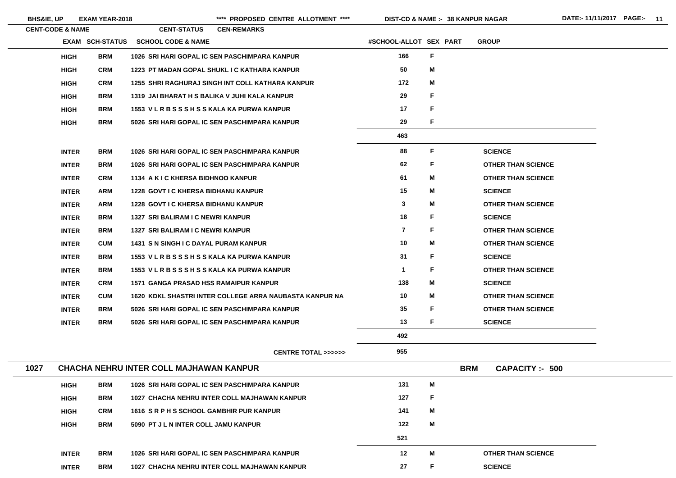\*\*\*\* PROPOSED CENTRE ALLOTMENT \*\*\*\* DIST-CD & NAME :- 38 KANPUR NAGAR DATE:- 11/11/2017 PAGE:- 11

|      | <b>CENT-CODE &amp; NAME</b> |                        | <b>CENT-STATUS</b>                             | <b>CEN-REMARKS</b>                                      |                         |    |            |                           |
|------|-----------------------------|------------------------|------------------------------------------------|---------------------------------------------------------|-------------------------|----|------------|---------------------------|
|      |                             | <b>EXAM SCH-STATUS</b> | <b>SCHOOL CODE &amp; NAME</b>                  |                                                         | #SCHOOL-ALLOT SEX PART  |    |            | <b>GROUP</b>              |
|      | <b>HIGH</b>                 | <b>BRM</b>             |                                                | 1026 SRI HARI GOPAL IC SEN PASCHIMPARA KANPUR           | 166                     | F. |            |                           |
|      | <b>HIGH</b>                 | <b>CRM</b>             |                                                | 1223 PT MADAN GOPAL SHUKL I C KATHARA KANPUR            | 50                      | M  |            |                           |
|      | <b>HIGH</b>                 | <b>CRM</b>             |                                                | 1255 SHRI RAGHURAJ SINGH INT COLL KATHARA KANPUR        | 172                     | M  |            |                           |
|      | <b>HIGH</b>                 | <b>BRM</b>             |                                                | 1319 JAI BHARAT H S BALIKA V JUHI KALA KANPUR           | 29                      | F  |            |                           |
|      | <b>HIGH</b>                 | <b>BRM</b>             | 1553 V L R B S S S H S S KALA KA PURWA KANPUR  |                                                         | 17                      | F. |            |                           |
|      | <b>HIGH</b>                 | <b>BRM</b>             |                                                | 5026 SRI HARI GOPAL IC SEN PASCHIMPARA KANPUR           | 29                      | F. |            |                           |
|      |                             |                        |                                                |                                                         | 463                     |    |            |                           |
|      | <b>INTER</b>                | <b>BRM</b>             |                                                | 1026 SRI HARI GOPAL IC SEN PASCHIMPARA KANPUR           | 88                      | F. |            | <b>SCIENCE</b>            |
|      | <b>INTER</b>                | <b>BRM</b>             |                                                | 1026 SRI HARI GOPAL IC SEN PASCHIMPARA KANPUR           | 62                      | F. |            | <b>OTHER THAN SCIENCE</b> |
|      | <b>INTER</b>                | <b>CRM</b>             | 1134 A K I C KHERSA BIDHNOO KANPUR             |                                                         | 61                      | M  |            | <b>OTHER THAN SCIENCE</b> |
|      | <b>INTER</b>                | <b>ARM</b>             | <b>1228 GOVT I C KHERSA BIDHANU KANPUR</b>     |                                                         | 15                      | M  |            | <b>SCIENCE</b>            |
|      | <b>INTER</b>                | <b>ARM</b>             | <b>1228 GOVT I C KHERSA BIDHANU KANPUR</b>     |                                                         | $\mathbf{3}$            | M  |            | <b>OTHER THAN SCIENCE</b> |
|      | <b>INTER</b>                | <b>BRM</b>             | 1327 SRI BALIRAM I C NEWRI KANPUR              |                                                         | 18                      | F. |            | <b>SCIENCE</b>            |
|      | <b>INTER</b>                | <b>BRM</b>             | 1327 SRI BALIRAM I C NEWRI KANPUR              |                                                         | $\overline{\mathbf{7}}$ | F  |            | <b>OTHER THAN SCIENCE</b> |
|      | <b>INTER</b>                | <b>CUM</b>             | <b>1431 S N SINGH I C DAYAL PURAM KANPUR</b>   |                                                         | 10                      | M  |            | <b>OTHER THAN SCIENCE</b> |
|      | <b>INTER</b>                | <b>BRM</b>             | 1553 VLRBSSSHSSKALA KA PURWA KANPUR            |                                                         | 31                      | F. |            | <b>SCIENCE</b>            |
|      | <b>INTER</b>                | <b>BRM</b>             | 1553 V L R B S S S H S S KALA KA PURWA KANPUR  |                                                         | $\mathbf 1$             | F  |            | <b>OTHER THAN SCIENCE</b> |
|      | <b>INTER</b>                | <b>CRM</b>             | <b>1571 GANGA PRASAD HSS RAMAIPUR KANPUR</b>   |                                                         | 138                     | M  |            | <b>SCIENCE</b>            |
|      | <b>INTER</b>                | <b>CUM</b>             |                                                | 1620 KDKL SHASTRI INTER COLLEGE ARRA NAUBASTA KANPUR NA | 10                      | M  |            | <b>OTHER THAN SCIENCE</b> |
|      | <b>INTER</b>                | <b>BRM</b>             |                                                | 5026 SRI HARI GOPAL IC SEN PASCHIMPARA KANPUR           | 35                      | F  |            | <b>OTHER THAN SCIENCE</b> |
|      | <b>INTER</b>                | <b>BRM</b>             |                                                | 5026 SRI HARI GOPAL IC SEN PASCHIMPARA KANPUR           | 13                      | F. |            | <b>SCIENCE</b>            |
|      |                             |                        |                                                |                                                         | 492                     |    |            |                           |
|      |                             |                        |                                                | <b>CENTRE TOTAL &gt;&gt;&gt;&gt;&gt;&gt;</b>            | 955                     |    |            |                           |
| 1027 |                             |                        | <b>CHACHA NEHRU INTER COLL MAJHAWAN KANPUR</b> |                                                         |                         |    | <b>BRM</b> | <b>CAPACITY :- 500</b>    |
|      | <b>HIGH</b>                 | <b>BRM</b>             |                                                | 1026 SRI HARI GOPAL IC SEN PASCHIMPARA KANPUR           | 131                     | M  |            |                           |
|      | <b>HIGH</b>                 | <b>BRM</b>             |                                                | 1027 CHACHA NEHRU INTER COLL MAJHAWAN KANPUR            | 127                     | F  |            |                           |
|      | <b>HIGH</b>                 | <b>CRM</b>             | 1616 SRPHSSCHOOL GAMBHIR PUR KANPUR            |                                                         | 141                     | M  |            |                           |
|      | <b>HIGH</b>                 | <b>BRM</b>             | 5090 PT J L N INTER COLL JAMU KANPUR           |                                                         | 122                     | M  |            |                           |
|      |                             |                        |                                                |                                                         | 521                     |    |            |                           |
|      | <b>INTER</b>                | <b>BRM</b>             |                                                | 1026 SRI HARI GOPAL IC SEN PASCHIMPARA KANPUR           | 12                      | M  |            | <b>OTHER THAN SCIENCE</b> |
|      | <b>INTER</b>                | <b>BRM</b>             |                                                | 1027 CHACHA NEHRU INTER COLL MAJHAWAN KANPUR            | 27                      | F. |            | <b>SCIENCE</b>            |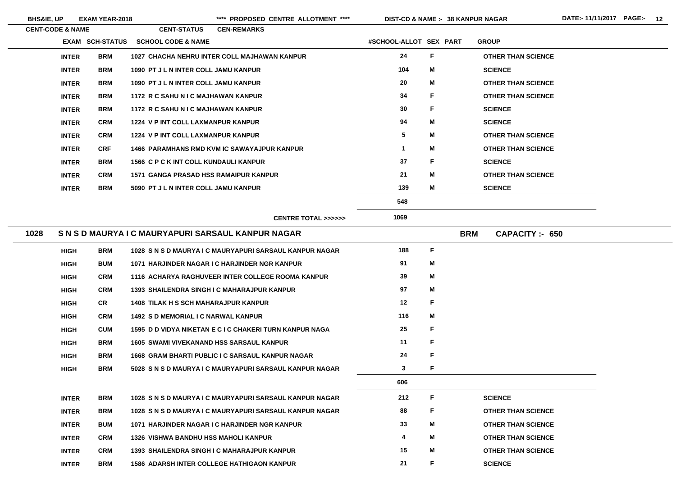| <b>CENT-CODE &amp; NAME</b> |              |                 | <b>CENT-STATUS</b>            | <b>CEN-REMARKS</b>                                 |                                                         |                        |              |            |                           |
|-----------------------------|--------------|-----------------|-------------------------------|----------------------------------------------------|---------------------------------------------------------|------------------------|--------------|------------|---------------------------|
|                             |              | EXAM SCH-STATUS | <b>SCHOOL CODE &amp; NAME</b> |                                                    |                                                         | #SCHOOL-ALLOT SEX PART |              |            | <b>GROUP</b>              |
|                             | <b>INTER</b> | <b>BRM</b>      |                               | 1027 CHACHA NEHRU INTER COLL MAJHAWAN KANPUR       |                                                         | 24                     | F            |            | <b>OTHER THAN SCIENCE</b> |
|                             | <b>INTER</b> | <b>BRM</b>      |                               | 1090 PT J L N INTER COLL JAMU KANPUR               |                                                         | 104                    | M            |            | <b>SCIENCE</b>            |
|                             | <b>INTER</b> | <b>BRM</b>      |                               | 1090 PT J L N INTER COLL JAMU KANPUR               |                                                         | 20                     | M            |            | <b>OTHER THAN SCIENCE</b> |
|                             | <b>INTER</b> | <b>BRM</b>      |                               | 1172 R C SAHU N I C MAJHAWAN KANPUR                |                                                         | 34                     | F            |            | <b>OTHER THAN SCIENCE</b> |
|                             | <b>INTER</b> | <b>BRM</b>      |                               | 1172 R C SAHU N I C MAJHAWAN KANPUR                |                                                         | 30                     | F            |            | <b>SCIENCE</b>            |
|                             | <b>INTER</b> | <b>CRM</b>      |                               | 1224 V P INT COLL LAXMANPUR KANPUR                 |                                                         | 94                     | M            |            | <b>SCIENCE</b>            |
|                             | <b>INTER</b> | <b>CRM</b>      |                               | 1224 V P INT COLL LAXMANPUR KANPUR                 |                                                         | 5                      | M            |            | <b>OTHER THAN SCIENCE</b> |
|                             | <b>INTER</b> | <b>CRF</b>      |                               | <b>1466 PARAMHANS RMD KVM IC SAWAYAJPUR KANPUR</b> |                                                         | $\mathbf 1$            | М            |            | <b>OTHER THAN SCIENCE</b> |
|                             | <b>INTER</b> | <b>BRM</b>      |                               | 1566 C P C K INT COLL KUNDAULI KANPUR              |                                                         | 37                     | F            |            | <b>SCIENCE</b>            |
|                             | <b>INTER</b> | <b>CRM</b>      |                               | <b>1571 GANGA PRASAD HSS RAMAIPUR KANPUR</b>       |                                                         | 21                     | M            |            | <b>OTHER THAN SCIENCE</b> |
|                             | <b>INTER</b> | <b>BRM</b>      |                               | 5090 PT J L N INTER COLL JAMU KANPUR               |                                                         | 139                    | M            |            | <b>SCIENCE</b>            |
|                             |              |                 |                               |                                                    |                                                         | 548                    |              |            |                           |
|                             |              |                 |                               |                                                    | <b>CENTRE TOTAL &gt;&gt;&gt;&gt;&gt;&gt;</b>            | 1069                   |              |            |                           |
| 1028                        |              |                 |                               | S N S D MAURYA I C MAURYAPURI SARSAUL KANPUR NAGAR |                                                         |                        |              | <b>BRM</b> | <b>CAPACITY: 650</b>      |
|                             | <b>HIGH</b>  | <b>BRM</b>      |                               |                                                    | 1028 S N S D MAURYA I C MAURYAPURI SARSAUL KANPUR NAGAR | 188                    | $\mathsf F$  |            |                           |
|                             | <b>HIGH</b>  | <b>BUM</b>      |                               | 1071 HARJINDER NAGAR I C HARJINDER NGR KANPUR      |                                                         | 91                     | M            |            |                           |
|                             | <b>HIGH</b>  | <b>CRM</b>      |                               |                                                    | 1116 ACHARYA RAGHUVEER INTER COLLEGE ROOMA KANPUR       | 39                     | M            |            |                           |
|                             | <b>HIGH</b>  | <b>CRM</b>      |                               | <b>1393 SHAILENDRA SINGH I C MAHARAJPUR KANPUR</b> |                                                         | 97                     | M            |            |                           |
|                             | <b>HIGH</b>  | <b>CR</b>       |                               | <b>1408 TILAK H S SCH MAHARAJPUR KANPUR</b>        |                                                         | 12                     | F            |            |                           |
|                             | <b>HIGH</b>  | <b>CRM</b>      |                               | <b>1492 S D MEMORIAL I C NARWAL KANPUR</b>         |                                                         | 116                    | M            |            |                           |
|                             | <b>HIGH</b>  | <b>CUM</b>      |                               |                                                    | 1595 D D VIDYA NIKETAN E C I C CHAKERI TURN KANPUR NAGA | 25                     | F            |            |                           |
|                             | <b>HIGH</b>  | <b>BRM</b>      |                               | <b>1605 SWAMI VIVEKANAND HSS SARSAUL KANPUR</b>    |                                                         | 11                     | F            |            |                           |
|                             | <b>HIGH</b>  | <b>BRM</b>      |                               | 1668 GRAM BHARTI PUBLIC I C SARSAUL KANPUR NAGAR   |                                                         | 24                     | F            |            |                           |
|                             | <b>HIGH</b>  | <b>BRM</b>      |                               |                                                    | 5028 S N S D MAURYA I C MAURYAPURI SARSAUL KANPUR NAGAR | $\mathbf{3}$           | $\mathsf{F}$ |            |                           |
|                             |              |                 |                               |                                                    |                                                         | 606                    |              |            |                           |
|                             | <b>INTER</b> | <b>BRM</b>      |                               |                                                    | 1028 S N S D MAURYA I C MAURYAPURI SARSAUL KANPUR NAGAR | 212                    | F            |            | <b>SCIENCE</b>            |
|                             | <b>INTER</b> | <b>BRM</b>      |                               |                                                    | 1028 S N S D MAURYA I C MAURYAPURI SARSAUL KANPUR NAGAR | 88                     | F            |            | <b>OTHER THAN SCIENCE</b> |
|                             | <b>INTER</b> | <b>BUM</b>      |                               | 1071 HARJINDER NAGAR I C HARJINDER NGR KANPUR      |                                                         | 33                     | M            |            | <b>OTHER THAN SCIENCE</b> |
|                             | <b>INTER</b> | <b>CRM</b>      |                               | <b>1326 VISHWA BANDHU HSS MAHOLI KANPUR</b>        |                                                         | 4                      | M            |            | <b>OTHER THAN SCIENCE</b> |
|                             | <b>INTER</b> | <b>CRM</b>      |                               | <b>1393 SHAILENDRA SINGH I C MAHARAJPUR KANPUR</b> |                                                         | 15                     | M            |            | <b>OTHER THAN SCIENCE</b> |
|                             | <b>INTER</b> | <b>BRM</b>      |                               | <b>1586 ADARSH INTER COLLEGE HATHIGAON KANPUR</b>  |                                                         | 21                     | F            |            | <b>SCIENCE</b>            |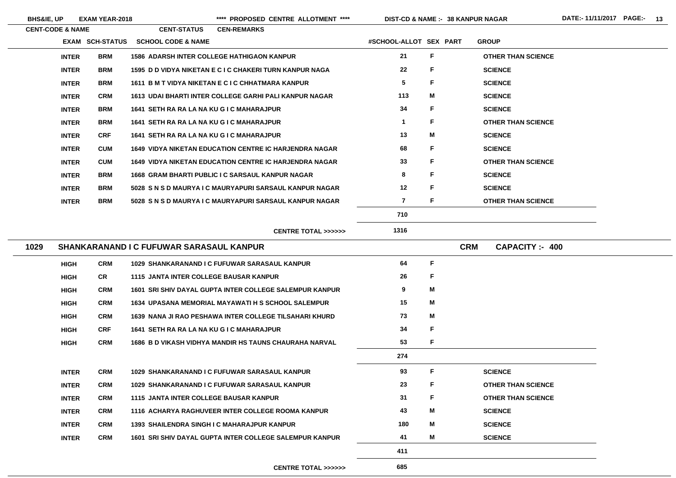**BHS&IE, UP EXAM YEAR-2018 \*\*\*\* PROPOSED CENTRE ALLOTMENT \*\*\*\* DIST-CD & NAME :- DATE:- 11/11/2017 PAGE:- 13**

| <b>CENT-CODE &amp; NAME</b> |                        | <b>CENT-STATUS</b>                              | <b>CEN-REMARKS</b>                                            |                        |              |                                    |
|-----------------------------|------------------------|-------------------------------------------------|---------------------------------------------------------------|------------------------|--------------|------------------------------------|
|                             | <b>EXAM SCH-STATUS</b> | <b>SCHOOL CODE &amp; NAME</b>                   |                                                               | #SCHOOL-ALLOT SEX PART |              | <b>GROUP</b>                       |
| <b>INTER</b>                | <b>BRM</b>             |                                                 | <b>1586 ADARSH INTER COLLEGE HATHIGAON KANPUR</b>             | 21                     | F            | <b>OTHER THAN SCIENCE</b>          |
| <b>INTER</b>                | <b>BRM</b>             |                                                 | 1595 D D VIDYA NIKETAN E C I C CHAKERI TURN KANPUR NAGA       | 22                     | F            | <b>SCIENCE</b>                     |
| <b>INTER</b>                | <b>BRM</b>             |                                                 | 1611 B M T VIDYA NIKETAN E C I C CHHATMARA KANPUR             | $5\phantom{.0}$        | F            | <b>SCIENCE</b>                     |
| <b>INTER</b>                | <b>CRM</b>             |                                                 | 1613 UDAI BHARTI INTER COLLEGE GARHI PALI KANPUR NAGAR        | 113                    | M            | <b>SCIENCE</b>                     |
| <b>INTER</b>                | <b>BRM</b>             | 1641 SETH RA RA LA NA KU G I C MAHARAJPUR       |                                                               | 34                     | F            | <b>SCIENCE</b>                     |
| <b>INTER</b>                | <b>BRM</b>             | 1641 SETH RA RA LA NA KU G I C MAHARAJPUR       |                                                               | $\mathbf 1$            | F            | <b>OTHER THAN SCIENCE</b>          |
| <b>INTER</b>                | <b>CRF</b>             | 1641 SETH RA RA LA NA KU G I C MAHARAJPUR       |                                                               | 13                     | М            | <b>SCIENCE</b>                     |
| <b>INTER</b>                | <b>CUM</b>             |                                                 | <b>1649 VIDYA NIKETAN EDUCATION CENTRE IC HARJENDRA NAGAR</b> | 68                     | F            | <b>SCIENCE</b>                     |
| <b>INTER</b>                | <b>CUM</b>             |                                                 | <b>1649 VIDYA NIKETAN EDUCATION CENTRE IC HARJENDRA NAGAR</b> | 33                     | F            | <b>OTHER THAN SCIENCE</b>          |
| <b>INTER</b>                | <b>BRM</b>             |                                                 | <b>1668 GRAM BHARTI PUBLIC I C SARSAUL KANPUR NAGAR</b>       | 8                      | F            | <b>SCIENCE</b>                     |
| <b>INTER</b>                | <b>BRM</b>             |                                                 | 5028 S N S D MAURYA I C MAURYAPURI SARSAUL KANPUR NAGAR       | 12                     | F            | <b>SCIENCE</b>                     |
| <b>INTER</b>                | <b>BRM</b>             |                                                 | 5028 S N S D MAURYA I C MAURYAPURI SARSAUL KANPUR NAGAR       | $\overline{7}$         | F            | <b>OTHER THAN SCIENCE</b>          |
|                             |                        |                                                 |                                                               | 710                    |              |                                    |
|                             |                        |                                                 | <b>CENTRE TOTAL &gt;&gt;&gt;&gt;&gt;&gt;</b>                  | 1316                   |              |                                    |
| 1029                        |                        | <b>SHANKARANAND I C FUFUWAR SARASAUL KANPUR</b> |                                                               |                        |              | <b>CRM</b><br><b>CAPACITY: 400</b> |
| <b>HIGH</b>                 | <b>CRM</b>             |                                                 | 1029 SHANKARANAND I C FUFUWAR SARASAUL KANPUR                 | 64                     | $\mathsf F$  |                                    |
| <b>HIGH</b>                 | <b>CR</b>              | <b>1115 JANTA INTER COLLEGE BAUSAR KANPUR</b>   |                                                               | 26                     | F            |                                    |
| <b>HIGH</b>                 | <b>CRM</b>             |                                                 | 1601 SRI SHIV DAYAL GUPTA INTER COLLEGE SALEMPUR KANPUR       | 9                      | M            |                                    |
| <b>HIGH</b>                 | <b>CRM</b>             |                                                 | <b>1634 UPASANA MEMORIAL MAYAWATI H S SCHOOL SALEMPUR</b>     | 15                     | M            |                                    |
| <b>HIGH</b>                 | <b>CRM</b>             |                                                 | 1639 NANA JI RAO PESHAWA INTER COLLEGE TILSAHARI KHURD        | 73                     | M            |                                    |
| <b>HIGH</b>                 | <b>CRF</b>             | 1641 SETH RA RA LA NA KU G I C MAHARAJPUR       |                                                               | 34                     | F            |                                    |
| <b>HIGH</b>                 | <b>CRM</b>             |                                                 | <b>1686 B D VIKASH VIDHYA MANDIR HS TAUNS CHAURAHA NARVAL</b> | 53                     | F            |                                    |
|                             |                        |                                                 |                                                               | 274                    |              |                                    |
| <b>INTER</b>                | <b>CRM</b>             |                                                 | 1029 SHANKARANAND I C FUFUWAR SARASAUL KANPUR                 | 93                     | $\mathsf{F}$ | <b>SCIENCE</b>                     |
| <b>INTER</b>                | <b>CRM</b>             |                                                 | 1029 SHANKARANAND I C FUFUWAR SARASAUL KANPUR                 | 23                     | F            | <b>OTHER THAN SCIENCE</b>          |
| <b>INTER</b>                | <b>CRM</b>             | <b>1115 JANTA INTER COLLEGE BAUSAR KANPUR</b>   |                                                               | 31                     | F            | <b>OTHER THAN SCIENCE</b>          |
| <b>INTER</b>                | <b>CRM</b>             |                                                 | 1116 ACHARYA RAGHUVEER INTER COLLEGE ROOMA KANPUR             | 43                     | М            | <b>SCIENCE</b>                     |
| <b>INTER</b>                | <b>CRM</b>             |                                                 | 1393 SHAILENDRA SINGH I C MAHARAJPUR KANPUR                   | 180                    | M            | <b>SCIENCE</b>                     |
| <b>INTER</b>                | <b>CRM</b>             |                                                 | 1601 SRI SHIV DAYAL GUPTA INTER COLLEGE SALEMPUR KANPUR       | 41                     | M            | <b>SCIENCE</b>                     |
|                             |                        |                                                 |                                                               | 411                    |              |                                    |
|                             |                        |                                                 | <b>CENTRE TOTAL &gt;&gt;&gt;&gt;&gt;&gt;</b>                  | 685                    |              |                                    |

- 
- 
- 
- 
- 

- 
- 
- 

- 
- 
- 

- 
- 
- 
-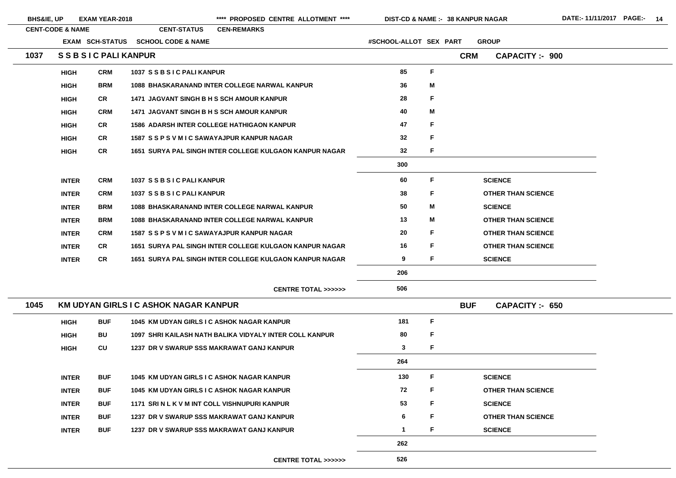BHS&IE, UP EXAM YEAR-2018 \*\*\*\* PROPOSED CENTRE ALLOTMENT \*\*\*\* DIST-CD & NAME :- 38 KANPUR NAGAR DATE:- 11/11/2017 PAGE:- 14

| <b>CENT-CODE &amp; NAME</b><br><b>CENT-STATUS</b><br><b>CEN-REMARKS</b>              |                        |             |            |                           |
|--------------------------------------------------------------------------------------|------------------------|-------------|------------|---------------------------|
| <b>EXAM SCH-STATUS</b><br><b>SCHOOL CODE &amp; NAME</b>                              | #SCHOOL-ALLOT SEX PART |             |            | <b>GROUP</b>              |
| <b>SSBSIC PALI KANPUR</b><br>1037                                                    |                        |             | <b>CRM</b> | <b>CAPACITY: - 900</b>    |
| <b>CRM</b><br>1037 SSBSIC PALI KANPUR<br><b>HIGH</b>                                 | 85                     | F           |            |                           |
| <b>BRM</b><br><b>1088 BHASKARANAND INTER COLLEGE NARWAL KANPUR</b><br><b>HIGH</b>    | 36                     | M           |            |                           |
| <b>CR</b><br>1471 JAGVANT SINGH B H S SCH AMOUR KANPUR<br><b>HIGH</b>                | 28                     | F           |            |                           |
| <b>CRM</b><br>1471 JAGVANT SINGH B H S SCH AMOUR KANPUR<br><b>HIGH</b>               | 40                     | M           |            |                           |
| <b>CR</b><br><b>1586 ADARSH INTER COLLEGE HATHIGAON KANPUR</b><br><b>HIGH</b>        | 47                     | F           |            |                           |
| <b>CR</b><br>1587 SSPSVMIC SAWAYAJPUR KANPUR NAGAR<br><b>HIGH</b>                    | 32                     | F           |            |                           |
| <b>CR</b><br>1651 SURYA PAL SINGH INTER COLLEGE KULGAON KANPUR NAGAR<br><b>HIGH</b>  | 32                     | F           |            |                           |
|                                                                                      | 300                    |             |            |                           |
| <b>CRM</b><br>1037 SSBSIC PALI KANPUR<br><b>INTER</b>                                | 60                     | F           |            | <b>SCIENCE</b>            |
| <b>CRM</b><br>1037 SSBSIC PALI KANPUR<br><b>INTER</b>                                | 38                     | F           |            | <b>OTHER THAN SCIENCE</b> |
| <b>BRM</b><br>1088 BHASKARANAND INTER COLLEGE NARWAL KANPUR<br><b>INTER</b>          | 50                     | M           |            | <b>SCIENCE</b>            |
| <b>BRM</b><br>1088 BHASKARANAND INTER COLLEGE NARWAL KANPUR<br><b>INTER</b>          | 13                     | M           |            | <b>OTHER THAN SCIENCE</b> |
| <b>INTER</b><br><b>CRM</b><br>1587 SSPSVMIC SAWAYAJPUR KANPUR NAGAR                  | 20                     | F           |            | <b>OTHER THAN SCIENCE</b> |
| <b>CR</b><br>1651 SURYA PAL SINGH INTER COLLEGE KULGAON KANPUR NAGAR<br><b>INTER</b> | 16                     | F           |            | <b>OTHER THAN SCIENCE</b> |
| <b>CR</b><br>1651 SURYA PAL SINGH INTER COLLEGE KULGAON KANPUR NAGAR<br><b>INTER</b> | 9                      | F           |            | <b>SCIENCE</b>            |
|                                                                                      | 206                    |             |            |                           |
| <b>CENTRE TOTAL &gt;&gt;&gt;&gt;&gt;&gt;</b>                                         | 506                    |             |            |                           |
| 1045<br>KM UDYAN GIRLS I C ASHOK NAGAR KANPUR                                        |                        |             | <b>BUF</b> | CAPACITY: 650             |
| <b>BUF</b><br>1045 KM UDYAN GIRLS I C ASHOK NAGAR KANPUR<br><b>HIGH</b>              | 181                    | $\mathsf F$ |            |                           |
| <b>BU</b><br>1097 SHRI KAILASH NATH BALIKA VIDYALY INTER COLL KANPUR<br><b>HIGH</b>  | 80                     | F           |            |                           |
| CU<br>1237 DR V SWARUP SSS MAKRAWAT GANJ KANPUR<br><b>HIGH</b>                       | $\mathbf{3}$           | F           |            |                           |
|                                                                                      | 264                    |             |            |                           |
| <b>BUF</b><br>1045 KM UDYAN GIRLS I C ASHOK NAGAR KANPUR<br><b>INTER</b>             | 130                    | F           |            | <b>SCIENCE</b>            |
| <b>BUF</b><br>1045 KM UDYAN GIRLS I C ASHOK NAGAR KANPUR<br><b>INTER</b>             | 72                     | F           |            | <b>OTHER THAN SCIENCE</b> |
| <b>BUF</b><br>1171 SRI N L K V M INT COLL VISHNUPURI KANPUR<br><b>INTER</b>          | 53                     | F           |            | <b>SCIENCE</b>            |
| <b>BUF</b><br><b>1237 DR V SWARUP SSS MAKRAWAT GANJ KANPUR</b><br><b>INTER</b>       | 6                      | F           |            | <b>OTHER THAN SCIENCE</b> |
| <b>BUF</b><br><b>1237 DR V SWARUP SSS MAKRAWAT GANJ KANPUR</b><br><b>INTER</b>       | $\mathbf 1$            | F           |            | <b>SCIENCE</b>            |
|                                                                                      | 262                    |             |            |                           |
| <b>CENTRE TOTAL &gt;&gt;&gt;&gt;&gt;&gt;</b>                                         | 526                    |             |            |                           |

<u> 1989 - Johann Barn, amerikansk politiker (</u>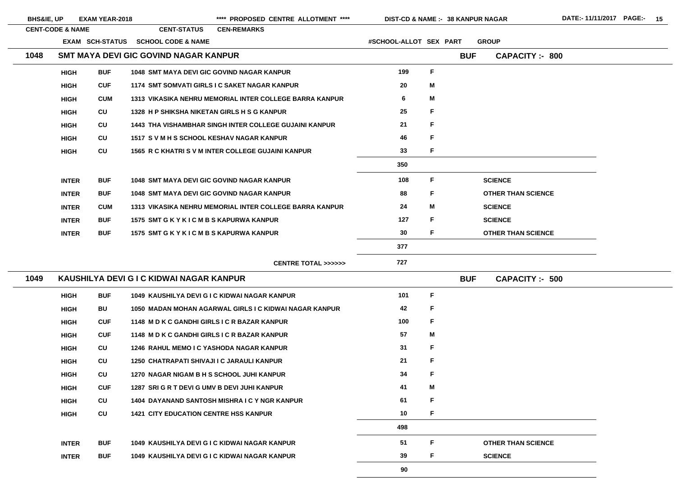**CUF 1287 SRI G R T DEVI G UMV B DEVI JUHI KANPUR 41 CU 1404 DAYANAND SANTOSH MISHRA I C Y NGR KANPUR 61 CU 1421 CITY EDUCATION CENTRE HSS KANPUR 10** 

| <b>BHS&amp;IE, UP</b> |                             | <b>EXAM YEAR-2018</b> |                                                   | ****<br><b>PROPOSED CENTRE ALLOTMENT ****</b>                 | DIST-CD & NAME :- 38 KANPUR NAGAR |   |            |                           |
|-----------------------|-----------------------------|-----------------------|---------------------------------------------------|---------------------------------------------------------------|-----------------------------------|---|------------|---------------------------|
|                       | <b>CENT-CODE &amp; NAME</b> |                       | <b>CENT-STATUS</b>                                | <b>CEN-REMARKS</b>                                            |                                   |   |            |                           |
|                       |                             | EXAM SCH-STATUS       | <b>SCHOOL CODE &amp; NAME</b>                     |                                                               | #SCHOOL-ALLOT SEX PART            |   |            | <b>GROUP</b>              |
| 1048                  |                             |                       | SMT MAYA DEVI GIC GOVIND NAGAR KANPUR             |                                                               |                                   |   | <b>BUF</b> | <b>CAPACITY: - 800</b>    |
|                       | <b>HIGH</b>                 | <b>BUF</b>            | <b>1048 SMT MAYA DEVI GIC GOVIND NAGAR KANPUR</b> |                                                               | 199                               | F |            |                           |
|                       | <b>HIGH</b>                 | <b>CUF</b>            |                                                   | 1174 SMT SOMVATI GIRLS I C SAKET NAGAR KANPUR                 | 20                                | M |            |                           |
|                       | <b>HIGH</b>                 | <b>CUM</b>            |                                                   | 1313 VIKASIKA NEHRU MEMORIAL INTER COLLEGE BARRA KANPUR       | 6                                 | M |            |                           |
|                       | <b>HIGH</b>                 | CU                    | 1328 H P SHIKSHA NIKETAN GIRLS H S G KANPUR       |                                                               | 25                                | F |            |                           |
|                       | <b>HIGH</b>                 | CU                    |                                                   | <b>1443 THA VISHAMBHAR SINGH INTER COLLEGE GUJAINI KANPUR</b> | 21                                | F |            |                           |
|                       | <b>HIGH</b>                 | CU                    | 1517 S V M H S SCHOOL KESHAV NAGAR KANPUR         |                                                               | 46                                | F |            |                           |
|                       | <b>HIGH</b>                 | CU                    |                                                   | 1565 R C KHATRI S V M INTER COLLEGE GUJAINI KANPUR            | 33                                | F |            |                           |
|                       |                             |                       |                                                   |                                                               | 350                               |   |            |                           |
|                       | <b>INTER</b>                | <b>BUF</b>            | <b>1048 SMT MAYA DEVI GIC GOVIND NAGAR KANPUR</b> |                                                               | 108                               | F |            | <b>SCIENCE</b>            |
|                       | <b>INTER</b>                | <b>BUF</b>            | <b>1048 SMT MAYA DEVI GIC GOVIND NAGAR KANPUR</b> |                                                               | 88                                | F |            | <b>OTHER THAN SCIENCE</b> |
|                       | <b>INTER</b>                | <b>CUM</b>            |                                                   | 1313 VIKASIKA NEHRU MEMORIAL INTER COLLEGE BARRA KANPUR       | 24                                | M |            | <b>SCIENCE</b>            |
|                       | <b>INTER</b>                | <b>BUF</b>            | 1575 SMT G K Y K I C M B S KAPURWA KANPUR         |                                                               | 127                               | F |            | <b>SCIENCE</b>            |
|                       | <b>INTER</b>                | <b>BUF</b>            | 1575 SMT G K Y K I C M B S KAPURWA KANPUR         |                                                               | 30                                | F |            | <b>OTHER THAN SCIENCE</b> |
|                       |                             |                       |                                                   |                                                               | 377                               |   |            |                           |
|                       |                             |                       |                                                   | <b>CENTRE TOTAL &gt;&gt;&gt;&gt;&gt;&gt;</b>                  | 727                               |   |            |                           |
| 1049                  |                             |                       | KAUSHILYA DEVI G I C KIDWAI NAGAR KANPUR          |                                                               |                                   |   | <b>BUF</b> | <b>CAPACITY :- 500</b>    |
|                       | <b>HIGH</b>                 | <b>BUF</b>            |                                                   | 1049 KAUSHILYA DEVI G I C KIDWAI NAGAR KANPUR                 | 101                               | F |            |                           |
|                       | <b>HIGH</b>                 | BU                    |                                                   | 1050 MADAN MOHAN AGARWAL GIRLS I C KIDWAI NAGAR KANPUR        | 42                                | F |            |                           |
|                       | <b>HIGH</b>                 | <b>CUF</b>            | 1148 M D K C GANDHI GIRLS I C R BAZAR KANPUR      |                                                               | 100                               | F |            |                           |
|                       | <b>HIGH</b>                 | <b>CUF</b>            | 1148 M D K C GANDHI GIRLS I C R BAZAR KANPUR      |                                                               | 57                                | M |            |                           |
|                       | <b>HIGH</b>                 | CU                    | <b>1246 RAHUL MEMO I C YASHODA NAGAR KANPUR</b>   |                                                               | 31                                | F |            |                           |
|                       | <b>HIGH</b>                 | CU                    | 1250 CHATRAPATI SHIVAJI I C JARAULI KANPUR        |                                                               | 21                                | F |            |                           |
|                       | <b>HIGH</b>                 | <b>CU</b>             | 1270 NAGAR NIGAM B H S SCHOOL JUHI KANPUR         |                                                               | 34                                | F |            |                           |
|                       | <b>HIGH</b>                 | <b>CUF</b>            | 1287 SRI G R T DEVI G UMV B DEVI JUHI KANPUR      |                                                               | 41                                | Μ |            |                           |

**HIGH**

 $\overline{\phantom{a}}$ 

 $\sim$ 

**F**

**HIGH**

**F**

**498**

**F**

**INTER BUF 1049 KAUSHILYA DEVI G I C KIDWAI NAGAR KANPUR 51 INTERBUF 1049 KAUSHILYA DEVI G I C KIDWAI NAGAR KANPUR 39**

### **OTHER THAN SCIENCE**

**F**

**SCIENCE**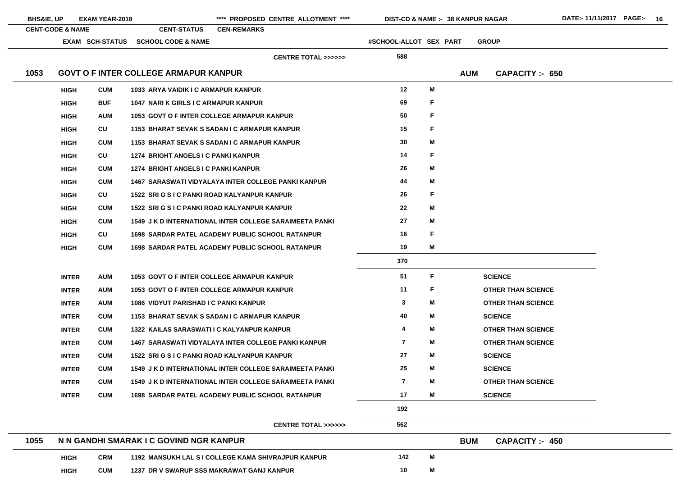|      | <b>CENT-CODE &amp; NAME</b> |                        | <b>CENT-STATUS</b>                           | <b>CEN-REMARKS</b>                                  |                                                                |                        |   |              |                           |
|------|-----------------------------|------------------------|----------------------------------------------|-----------------------------------------------------|----------------------------------------------------------------|------------------------|---|--------------|---------------------------|
|      |                             | <b>EXAM SCH-STATUS</b> | <b>SCHOOL CODE &amp; NAME</b>                |                                                     |                                                                | #SCHOOL-ALLOT SEX PART |   | <b>GROUP</b> |                           |
|      |                             |                        |                                              |                                                     | <b>CENTRE TOTAL &gt;&gt;&gt;&gt;&gt;&gt;</b>                   | 588                    |   |              |                           |
| 1053 |                             |                        | <b>GOVT O F INTER COLLEGE ARMAPUR KANPUR</b> |                                                     |                                                                |                        |   | <b>AUM</b>   | CAPACITY :- 650           |
|      | <b>HIGH</b>                 | <b>CUM</b>             |                                              | 1033 ARYA VAIDIK I C ARMAPUR KANPUR                 |                                                                | 12                     | M |              |                           |
|      | <b>HIGH</b>                 | <b>BUF</b>             |                                              | <b>1047 NARI K GIRLS I C ARMAPUR KANPUR</b>         |                                                                | 69                     | F |              |                           |
|      | <b>HIGH</b>                 | <b>AUM</b>             |                                              | <b>1053 GOVT O F INTER COLLEGE ARMAPUR KANPUR</b>   |                                                                | 50                     | F |              |                           |
|      | <b>HIGH</b>                 | CU                     |                                              | 1153 BHARAT SEVAK S SADAN I C ARMAPUR KANPUR        |                                                                | 15                     | F |              |                           |
|      | <b>HIGH</b>                 | <b>CUM</b>             |                                              | 1153 BHARAT SEVAK S SADAN I C ARMAPUR KANPUR        |                                                                | 30                     | Μ |              |                           |
|      | <b>HIGH</b>                 | CU                     |                                              | 1274 BRIGHT ANGELS I C PANKI KANPUR                 |                                                                | 14                     | F |              |                           |
|      | <b>HIGH</b>                 | <b>CUM</b>             |                                              | 1274 BRIGHT ANGELS I C PANKI KANPUR                 |                                                                | 26                     | M |              |                           |
|      | <b>HIGH</b>                 | <b>CUM</b>             |                                              |                                                     | <b>1467 SARASWATI VIDYALAYA INTER COLLEGE PANKI KANPUR</b>     | 44                     | M |              |                           |
|      | <b>HIGH</b>                 | CU                     |                                              | 1522 SRI G S I C PANKI ROAD KALYANPUR KANPUR        |                                                                | 26                     | F |              |                           |
|      | <b>HIGH</b>                 | <b>CUM</b>             |                                              | 1522 SRI G S I C PANKI ROAD KALYANPUR KANPUR        |                                                                | 22                     | M |              |                           |
|      | <b>HIGH</b>                 | <b>CUM</b>             |                                              |                                                     | <b>1549 J K D INTERNATIONAL INTER COLLEGE SARAIMEETA PANKI</b> | 27                     | M |              |                           |
|      | <b>HIGH</b>                 | CU                     |                                              |                                                     | <b>1698 SARDAR PATEL ACADEMY PUBLIC SCHOOL RATANPUR</b>        | 16                     | F |              |                           |
|      | <b>HIGH</b>                 | <b>CUM</b>             |                                              |                                                     | <b>1698 SARDAR PATEL ACADEMY PUBLIC SCHOOL RATANPUR</b>        | 19                     | M |              |                           |
|      |                             |                        |                                              |                                                     |                                                                | 370                    |   |              |                           |
|      | <b>INTER</b>                | <b>AUM</b>             |                                              | 1053 GOVT O F INTER COLLEGE ARMAPUR KANPUR          |                                                                | 51                     | F |              | <b>SCIENCE</b>            |
|      | <b>INTER</b>                | <b>AUM</b>             |                                              | <b>1053 GOVT O F INTER COLLEGE ARMAPUR KANPUR</b>   |                                                                | 11                     | F |              | <b>OTHER THAN SCIENCE</b> |
|      | <b>INTER</b>                | <b>AUM</b>             |                                              | <b>1086 VIDYUT PARISHAD I C PANKI KANPUR</b>        |                                                                | 3                      | M |              | <b>OTHER THAN SCIENCE</b> |
|      | <b>INTER</b>                | <b>CUM</b>             |                                              | <b>1153 BHARAT SEVAK S SADAN I C ARMAPUR KANPUR</b> |                                                                | 40                     | M |              | <b>SCIENCE</b>            |
|      | <b>INTER</b>                | <b>CUM</b>             |                                              | <b>1322 KAILAS SARASWATI I C KALYANPUR KANPUR</b>   |                                                                | 4                      | M |              | <b>OTHER THAN SCIENCE</b> |
|      | <b>INTER</b>                | <b>CUM</b>             |                                              |                                                     | <b>1467 SARASWATI VIDYALAYA INTER COLLEGE PANKI KANPUR</b>     | $\overline{7}$         | M |              | <b>OTHER THAN SCIENCE</b> |
|      | <b>INTER</b>                | <b>CUM</b>             |                                              | 1522 SRI G S I C PANKI ROAD KALYANPUR KANPUR        |                                                                | 27                     | М |              | <b>SCIENCE</b>            |
|      | <b>INTER</b>                | <b>CUM</b>             |                                              |                                                     | <b>1549 J K D INTERNATIONAL INTER COLLEGE SARAIMEETA PANKI</b> | 25                     | M |              | <b>SCIENCE</b>            |
|      | <b>INTER</b>                | <b>CUM</b>             |                                              |                                                     | 1549 J K D INTERNATIONAL INTER COLLEGE SARAIMEETA PANKI        | $\overline{7}$         | M |              | <b>OTHER THAN SCIENCE</b> |
|      | <b>INTER</b>                | <b>CUM</b>             |                                              |                                                     | <b>1698 SARDAR PATEL ACADEMY PUBLIC SCHOOL RATANPUR</b>        | 17                     | M |              | <b>SCIENCE</b>            |
|      |                             |                        |                                              |                                                     |                                                                | 192                    |   |              |                           |
|      |                             |                        |                                              |                                                     | <b>CENTRE TOTAL &gt;&gt;&gt;&gt;&gt;&gt;</b>                   | 562                    |   |              |                           |
| 1055 |                             |                        | N N GANDHI SMARAK I C GOVIND NGR KANPUR      |                                                     |                                                                |                        |   | <b>BUM</b>   | <b>CAPACITY: 450</b>      |

| . |             |            |                                                     |     |            | --- | $\mathbf{v}$ |
|---|-------------|------------|-----------------------------------------------------|-----|------------|-----|--------------|
|   | <b>HIGH</b> | CRM        | 1192 MANSUKH LAL S I COLLEGE KAMA SHIVRAJPUR KANPUR | 142 | M          |     |              |
|   | <b>HIGH</b> | <b>CUM</b> | 1237 DR V SWARUP SSS MAKRAWAT GANJ KANPUR           | 10  | <b>IVI</b> |     |              |

# E. E. E.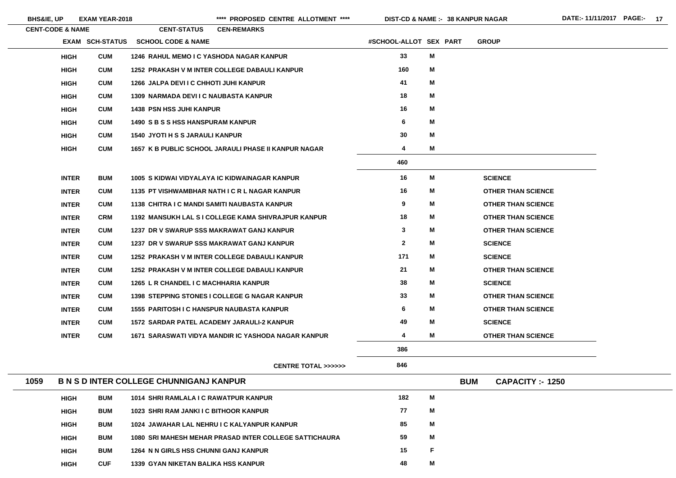**BHS&IE, UP EXAM YEAR-2018 \*\*\*\* PROPOSED CENTRE ALLOTMENT \*\*\*\* DIST-CD & NAME :- DATE:- 11/11/2017 PAGE:- 17**

**38 KANPUR NAGAR**

|      | <b>CENT-CODE &amp; NAME</b> |                 | <b>CENT-STATUS</b>                             | <b>CEN-REMARKS</b>                                          |                        |   |            |                           |
|------|-----------------------------|-----------------|------------------------------------------------|-------------------------------------------------------------|------------------------|---|------------|---------------------------|
|      |                             | EXAM SCH-STATUS | <b>SCHOOL CODE &amp; NAME</b>                  |                                                             | #SCHOOL-ALLOT SEX PART |   |            | <b>GROUP</b>              |
|      | <b>HIGH</b>                 | <b>CUM</b>      |                                                | <b>1246 RAHUL MEMO I C YASHODA NAGAR KANPUR</b>             | 33                     | M |            |                           |
|      | <b>HIGH</b>                 | <b>CUM</b>      |                                                | 1252 PRAKASH V M INTER COLLEGE DABAULI KANPUR               | 160                    | M |            |                           |
|      | <b>HIGH</b>                 | <b>CUM</b>      | 1266 JALPA DEVI I C CHHOTI JUHI KANPUR         |                                                             | 41                     | M |            |                           |
|      | <b>HIGH</b>                 | <b>CUM</b>      | <b>1309 NARMADA DEVI I C NAUBASTA KANPUR</b>   |                                                             | 18                     | M |            |                           |
|      | <b>HIGH</b>                 | <b>CUM</b>      | <b>1438 PSN HSS JUHI KANPUR</b>                |                                                             | 16                     | M |            |                           |
|      | <b>HIGH</b>                 | <b>CUM</b>      | 1490 S B S S HSS HANSPURAM KANPUR              |                                                             | 6                      | M |            |                           |
|      | <b>HIGH</b>                 | <b>CUM</b>      | <b>1540 JYOTI H S S JARAULI KANPUR</b>         |                                                             | 30                     | M |            |                           |
|      | <b>HIGH</b>                 | <b>CUM</b>      |                                                | <b>1657 K B PUBLIC SCHOOL JARAULI PHASE II KANPUR NAGAR</b> | 4                      | M |            |                           |
|      |                             |                 |                                                |                                                             | 460                    |   |            |                           |
|      | <b>INTER</b>                | <b>BUM</b>      |                                                | 1005 S KIDWAI VIDYALAYA IC KIDWAINAGAR KANPUR               | 16                     | M |            | <b>SCIENCE</b>            |
|      | <b>INTER</b>                | <b>CUM</b>      |                                                | 1135 PT VISHWAMBHAR NATH I C R L NAGAR KANPUR               | 16                     | M |            | <b>OTHER THAN SCIENCE</b> |
|      | <b>INTER</b>                | <b>CUM</b>      |                                                | 1138 CHITRA I C MANDI SAMITI NAUBASTA KANPUR                | 9                      | M |            | <b>OTHER THAN SCIENCE</b> |
|      | <b>INTER</b>                | <b>CRM</b>      |                                                | 1192 MANSUKH LAL S I COLLEGE KAMA SHIVRAJPUR KANPUR         | 18                     | M |            | <b>OTHER THAN SCIENCE</b> |
|      | <b>INTER</b>                | <b>CUM</b>      |                                                | 1237 DR V SWARUP SSS MAKRAWAT GANJ KANPUR                   | $\mathbf{3}$           | M |            | <b>OTHER THAN SCIENCE</b> |
|      | <b>INTER</b>                | <b>CUM</b>      |                                                | 1237 DR V SWARUP SSS MAKRAWAT GANJ KANPUR                   | $\mathbf{2}$           | M |            | <b>SCIENCE</b>            |
|      | <b>INTER</b>                | <b>CUM</b>      |                                                | 1252 PRAKASH V M INTER COLLEGE DABAULI KANPUR               | 171                    | M |            | <b>SCIENCE</b>            |
|      | <b>INTER</b>                | <b>CUM</b>      |                                                | <b>1252 PRAKASH V M INTER COLLEGE DABAULI KANPUR</b>        | 21                     | M |            | <b>OTHER THAN SCIENCE</b> |
|      | <b>INTER</b>                | <b>CUM</b>      | 1265 L R CHANDEL I C MACHHARIA KANPUR          |                                                             | 38                     | M |            | <b>SCIENCE</b>            |
|      | <b>INTER</b>                | <b>CUM</b>      |                                                | <b>1398 STEPPING STONES I COLLEGE G NAGAR KANPUR</b>        | 33                     | M |            | <b>OTHER THAN SCIENCE</b> |
|      | <b>INTER</b>                | <b>CUM</b>      |                                                | <b>1555 PARITOSH I C HANSPUR NAUBASTA KANPUR</b>            | 6                      | M |            | <b>OTHER THAN SCIENCE</b> |
|      | <b>INTER</b>                | <b>CUM</b>      |                                                | <b>1572 SARDAR PATEL ACADEMY JARAULI-2 KANPUR</b>           | 49                     | M |            | <b>SCIENCE</b>            |
|      | <b>INTER</b>                | <b>CUM</b>      |                                                | 1671 SARASWATI VIDYA MANDIR IC YASHODA NAGAR KANPUR         | 4                      | M |            | <b>OTHER THAN SCIENCE</b> |
|      |                             |                 |                                                |                                                             | 386                    |   |            |                           |
|      |                             |                 |                                                | <b>CENTRE TOTAL &gt;&gt;&gt;&gt;&gt;&gt;</b>                | 846                    |   |            |                           |
| 1059 |                             |                 | <b>B N S D INTER COLLEGE CHUNNIGANJ KANPUR</b> |                                                             |                        |   | <b>BUM</b> | <b>CAPACITY :- 1250</b>   |
|      | <b>HIGH</b>                 | <b>BUM</b>      | 1014 SHRI RAMLALA I C RAWATPUR KANPUR          |                                                             | 182                    | M |            |                           |
|      | <b>HIGH</b>                 | <b>BUM</b>      | 1023 SHRI RAM JANKI I C BITHOOR KANPUR         |                                                             | 77                     | M |            |                           |
|      | <b>HIGH</b>                 | <b>BUM</b>      |                                                | 1024 JAWAHAR LAL NEHRU I C KALYANPUR KANPUR                 | 85                     | M |            |                           |
|      | <b>HIGH</b>                 | <b>BUM</b>      |                                                | 1080 SRI MAHESH MEHAR PRASAD INTER COLLEGE SATTICHAURA      | 59                     | M |            |                           |
|      | <b>HIGH</b>                 | <b>BUM</b>      | 1264 N N GIRLS HSS CHUNNI GANJ KANPUR          |                                                             | 15                     | F |            |                           |
|      |                             |                 |                                                |                                                             |                        |   |            |                           |

**HIGH**

**CUF 1339 GYAN NIKETAN BALIKA HSS KANPUR 48**

**M**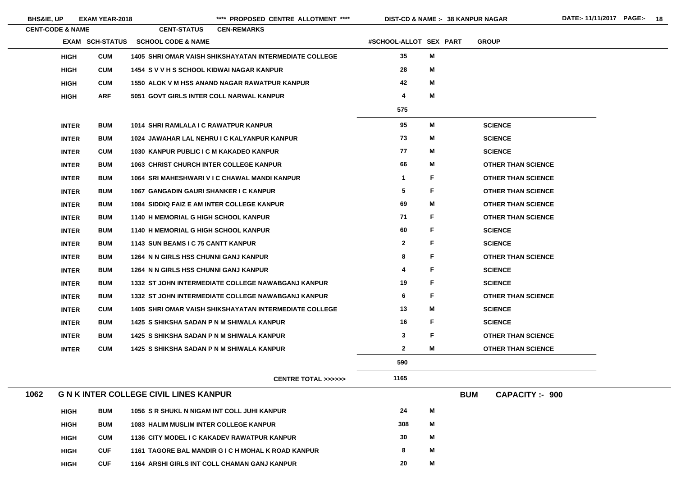$\sim$ 

**38 KANPUR NAGAR**

| <b>CENT-CODE &amp; NAME</b> |                        | <b>CENT-STATUS</b>                                | <b>CEN-REMARKS</b>                                            |                        |   |              |                           |
|-----------------------------|------------------------|---------------------------------------------------|---------------------------------------------------------------|------------------------|---|--------------|---------------------------|
|                             | <b>EXAM SCH-STATUS</b> | <b>SCHOOL CODE &amp; NAME</b>                     |                                                               | #SCHOOL-ALLOT SEX PART |   | <b>GROUP</b> |                           |
| <b>HIGH</b>                 | <b>CUM</b>             |                                                   | <b>1405 SHRI OMAR VAISH SHIKSHAYATAN INTERMEDIATE COLLEGE</b> | 35                     | M |              |                           |
| <b>HIGH</b>                 | <b>CUM</b>             | 1454 S V V H S SCHOOL KIDWAI NAGAR KANPUR         |                                                               | 28                     | M |              |                           |
| <b>HIGH</b>                 | <b>CUM</b>             |                                                   | 1550 ALOK V M HSS ANAND NAGAR RAWATPUR KANPUR                 | 42                     | M |              |                           |
| <b>HIGH</b>                 | <b>ARF</b>             | 5051 GOVT GIRLS INTER COLL NARWAL KANPUR          |                                                               | 4                      | M |              |                           |
|                             |                        |                                                   |                                                               | 575                    |   |              |                           |
| <b>INTER</b>                | <b>BUM</b>             | 1014 SHRI RAMLALA I C RAWATPUR KANPUR             |                                                               | 95                     | M |              | <b>SCIENCE</b>            |
| <b>INTER</b>                | <b>BUM</b>             |                                                   | 1024 JAWAHAR LAL NEHRU I C KALYANPUR KANPUR                   | 73                     | М |              | <b>SCIENCE</b>            |
| <b>INTER</b>                | <b>CUM</b>             | 1030 KANPUR PUBLIC I C M KAKADEO KANPUR           |                                                               | 77                     | М |              | <b>SCIENCE</b>            |
| <b>INTER</b>                | <b>BUM</b>             | <b>1063 CHRIST CHURCH INTER COLLEGE KANPUR</b>    |                                                               | 66                     | M |              | <b>OTHER THAN SCIENCE</b> |
| <b>INTER</b>                | <b>BUM</b>             |                                                   | 1064 SRI MAHESHWARI V I C CHAWAL MANDI KANPUR                 | $\mathbf 1$            | F |              | <b>OTHER THAN SCIENCE</b> |
| <b>INTER</b>                | <b>BUM</b>             | 1067 GANGADIN GAURI SHANKER I C KANPUR            |                                                               | 5                      | F |              | <b>OTHER THAN SCIENCE</b> |
| <b>INTER</b>                | <b>BUM</b>             | <b>1084 SIDDIQ FAIZ E AM INTER COLLEGE KANPUR</b> |                                                               | 69                     | M |              | <b>OTHER THAN SCIENCE</b> |
| <b>INTER</b>                | <b>BUM</b>             | 1140 H MEMORIAL G HIGH SCHOOL KANPUR              |                                                               | 71                     | F |              | <b>OTHER THAN SCIENCE</b> |
| <b>INTER</b>                | <b>BUM</b>             | <b>1140 H MEMORIAL G HIGH SCHOOL KANPUR</b>       |                                                               | 60                     | F |              | <b>SCIENCE</b>            |
| <b>INTER</b>                | <b>BUM</b>             | 1143 SUN BEAMS I C 75 CANTT KANPUR                |                                                               | $\mathbf{2}$           | F |              | <b>SCIENCE</b>            |
| <b>INTER</b>                | <b>BUM</b>             | 1264 N N GIRLS HSS CHUNNI GANJ KANPUR             |                                                               | 8                      | F |              | <b>OTHER THAN SCIENCE</b> |
| <b>INTER</b>                | <b>BUM</b>             | 1264 N N GIRLS HSS CHUNNI GANJ KANPUR             |                                                               | 4                      | F |              | <b>SCIENCE</b>            |
| <b>INTER</b>                | <b>BUM</b>             |                                                   | 1332 ST JOHN INTERMEDIATE COLLEGE NAWABGANJ KANPUR            | 19                     | F |              | <b>SCIENCE</b>            |
| <b>INTER</b>                | <b>BUM</b>             |                                                   | 1332 ST JOHN INTERMEDIATE COLLEGE NAWABGANJ KANPUR            | 6                      | F |              | <b>OTHER THAN SCIENCE</b> |
| <b>INTER</b>                | <b>CUM</b>             |                                                   | <b>1405 SHRI OMAR VAISH SHIKSHAYATAN INTERMEDIATE COLLEGE</b> | 13                     | Μ |              | <b>SCIENCE</b>            |
| <b>INTER</b>                | <b>BUM</b>             | 1425 S SHIKSHA SADAN P N M SHIWALA KANPUR         |                                                               | 16                     | F |              | <b>SCIENCE</b>            |
| <b>INTER</b>                | <b>BUM</b>             | 1425 S SHIKSHA SADAN P N M SHIWALA KANPUR         |                                                               | 3                      | F |              | <b>OTHER THAN SCIENCE</b> |
| <b>INTER</b>                | <b>CUM</b>             | 1425 S SHIKSHA SADAN P N M SHIWALA KANPUR         |                                                               | $\mathbf{2}$           | Μ |              | <b>OTHER THAN SCIENCE</b> |
|                             |                        |                                                   |                                                               | 590                    |   |              |                           |
|                             |                        |                                                   | <b>CENTRE TOTAL &gt;&gt;&gt;&gt;&gt;&gt;</b>                  | 1165                   |   |              |                           |
| 1062                        |                        | <b>G N K INTER COLLEGE CIVIL LINES KANPUR</b>     |                                                               |                        |   | <b>BUM</b>   | <b>CAPACITY:- 900</b>     |
| <b>HIGH</b>                 | <b>BUM</b>             | 1056 S R SHUKL N NIGAM INT COLL JUHI KANPUR       |                                                               | 24                     | M |              |                           |
| <b>HIGH</b>                 | <b>BUM</b>             | <b>1083 HALIM MUSLIM INTER COLLEGE KANPUR</b>     |                                                               | 308                    | М |              |                           |
| <b>HIGH</b>                 | <b>CUM</b>             |                                                   | 1136 CITY MODEL I C KAKADEV RAWATPUR KANPUR                   | 30                     | М |              |                           |
| <b>HIGH</b>                 | <b>CUF</b>             |                                                   | 1161 TAGORE BAL MANDIR GIC H MOHAL K ROAD KANPUR              | 8                      | M |              |                           |
|                             |                        |                                                   |                                                               |                        |   |              |                           |

**HIGH**

**CUF 1164 ARSHI GIRLS INT COLL CHAMAN GANJ KANPUR 20**

**M**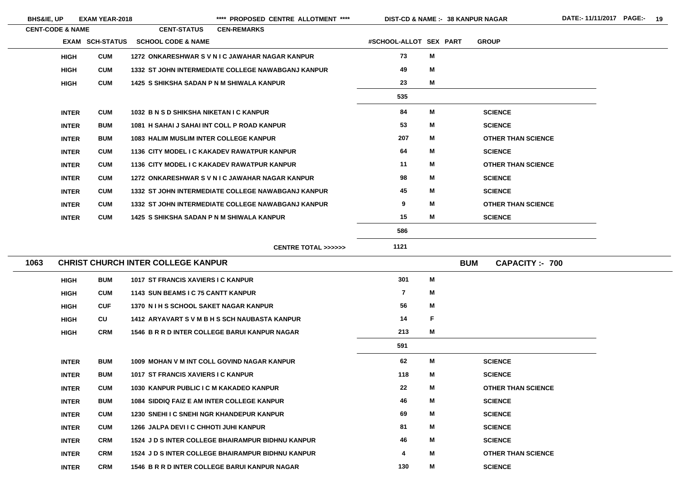| <b>BHS&amp;IE, UP</b> |                             | <b>EXAM YEAR-2018</b>  |                                               | **** PROPOSED CENTRE ALLOTMENT ****                |                        |   | <b>DIST-CD &amp; NAME :- 38 KANPUR NAGAR</b> |
|-----------------------|-----------------------------|------------------------|-----------------------------------------------|----------------------------------------------------|------------------------|---|----------------------------------------------|
|                       | <b>CENT-CODE &amp; NAME</b> |                        | <b>CENT-STATUS</b>                            | <b>CEN-REMARKS</b>                                 |                        |   |                                              |
|                       |                             | <b>EXAM SCH-STATUS</b> | <b>SCHOOL CODE &amp; NAME</b>                 |                                                    | #SCHOOL-ALLOT SEX PART |   | <b>GROUP</b>                                 |
|                       | <b>HIGH</b>                 | <b>CUM</b>             |                                               | 1272 ONKARESHWAR SVNIC JAWAHAR NAGAR KANPUR        | 73                     | M |                                              |
|                       | <b>HIGH</b>                 | <b>CUM</b>             |                                               | 1332 ST JOHN INTERMEDIATE COLLEGE NAWABGANJ KANPUR | 49                     | M |                                              |
|                       | <b>HIGH</b>                 | <b>CUM</b>             | 1425 S SHIKSHA SADAN P N M SHIWALA KANPUR     |                                                    | 23                     | M |                                              |
|                       |                             |                        |                                               |                                                    | 535                    |   |                                              |
|                       | <b>INTER</b>                | <b>CUM</b>             | 1032 B N S D SHIKSHA NIKETAN I C KANPUR       |                                                    | 84                     | M | <b>SCIENCE</b>                               |
|                       | <b>INTER</b>                | <b>BUM</b>             | 1081 H SAHAI J SAHAI INT COLL P ROAD KANPUR   |                                                    | 53                     | M | <b>SCIENCE</b>                               |
|                       | <b>INTER</b>                | <b>BUM</b>             | <b>1083 HALIM MUSLIM INTER COLLEGE KANPUR</b> |                                                    | 207                    | M | <b>OTHER THAN SCIENCE</b>                    |
|                       | <b>INTER</b>                | <b>CUM</b>             |                                               | 1136 CITY MODEL I C KAKADEV RAWATPUR KANPUR        | 64                     | M | <b>SCIENCE</b>                               |
|                       | <b>INTER</b>                | <b>CUM</b>             |                                               | 1136 CITY MODEL I C KAKADEV RAWATPUR KANPUR        | 11                     | M | <b>OTHER THAN SCIENCE</b>                    |
|                       | <b>INTER</b>                | <b>CUM</b>             |                                               | 1272 ONKARESHWAR SVNIC JAWAHAR NAGAR KANPUR        | 98                     | M | <b>SCIENCE</b>                               |
|                       | <b>INTER</b>                | <b>CUM</b>             |                                               | 1332 ST JOHN INTERMEDIATE COLLEGE NAWABGANJ KANPUR | 45                     | M | <b>SCIENCE</b>                               |
|                       | <b>INTER</b>                | <b>CUM</b>             |                                               | 1332 ST JOHN INTERMEDIATE COLLEGE NAWABGANJ KANPUR | 9                      | M | <b>OTHER THAN SCIENCE</b>                    |
|                       | <b>INTER</b>                | <b>CUM</b>             | 1425 S SHIKSHA SADAN P N M SHIWALA KANPUR     |                                                    | 15                     | M | <b>SCIENCE</b>                               |
|                       |                             |                        |                                               |                                                    | 586                    |   |                                              |
|                       |                             |                        |                                               | <b>CENTRE TOTAL &gt;&gt;&gt;&gt;&gt;&gt;</b>       | 1121                   |   |                                              |
| 1063                  |                             |                        | <b>CHRIST CHURCH INTER COLLEGE KANPUR</b>     |                                                    |                        |   | <b>BUM</b><br><b>CAPACITY:- 700</b>          |
|                       | <b>HIGH</b>                 | <b>BUM</b>             | 1017 ST FRANCIS XAVIERS I C KANPUR            |                                                    | 301                    | M |                                              |
|                       | <b>HIGH</b>                 | <b>CUM</b>             | 1143 SUN BEAMS I C 75 CANTT KANPUR            |                                                    | $\overline{7}$         | M |                                              |
|                       | <b>HIGH</b>                 | <b>CUF</b>             | 1370 N I H S SCHOOL SAKET NAGAR KANPUR        |                                                    | 56                     | M |                                              |
|                       | <b>HIGH</b>                 | CU                     |                                               | 1412 ARYAVART S V M B H S SCH NAUBASTA KANPUR      | 14                     | F |                                              |
|                       | <b>HIGH</b>                 | <b>CRM</b>             |                                               | 1546 B R R D INTER COLLEGE BARUI KANPUR NAGAR      | 213                    | M |                                              |
|                       |                             |                        |                                               |                                                    | 591                    |   |                                              |
|                       | <b>INTER</b>                | <b>BUM</b>             |                                               | 1009 MOHAN V M INT COLL GOVIND NAGAR KANPUR        | 62                     | M | <b>SCIENCE</b>                               |
|                       |                             |                        |                                               |                                                    |                        |   |                                              |

| <b>INTER</b> | <b>BUM</b> | 1009 MOHAN V M INT COLL GOVIND NAGAR KANPUR              | 62  | M | <b>SCIENCE</b>            |
|--------------|------------|----------------------------------------------------------|-----|---|---------------------------|
| <b>INTER</b> | <b>BUM</b> | 1017 ST FRANCIS XAVIERS I C KANPUR                       | 118 | M | <b>SCIENCE</b>            |
| <b>INTER</b> | <b>CUM</b> | 1030 KANPUR PUBLIC I C M KAKADEO KANPUR                  | 22  | M | <b>OTHER THAN SCIENCE</b> |
| <b>INTER</b> | <b>BUM</b> | 1084 SIDDIQ FAIZ E AM INTER COLLEGE KANPUR               | 46  | M | <b>SCIENCE</b>            |
| <b>INTER</b> | <b>CUM</b> | 1230 SNEHI I C SNEHI NGR KHANDEPUR KANPUR                | 69  | M | <b>SCIENCE</b>            |
| <b>INTER</b> | <b>CUM</b> | 1266 JALPA DEVI I C CHHOTI JUHI KANPUR                   | 81  | M | <b>SCIENCE</b>            |
| <b>INTER</b> | <b>CRM</b> | <b>1524 J D S INTER COLLEGE BHAIRAMPUR BIDHNU KANPUR</b> | 46  | M | <b>SCIENCE</b>            |
| <b>INTER</b> | <b>CRM</b> | <b>1524 J D S INTER COLLEGE BHAIRAMPUR BIDHNU KANPUR</b> | 4   | M | <b>OTHER THAN SCIENCE</b> |
| <b>INTER</b> | <b>CRM</b> | 1546 B R R D INTER COLLEGE BARUI KANPUR NAGAR            | 130 | M | <b>SCIENCE</b>            |

E.

 $\mathcal{L} = \{ \mathcal{L} \mid \mathcal{L} \in \mathcal{L} \}$ 

the control of the control of the control of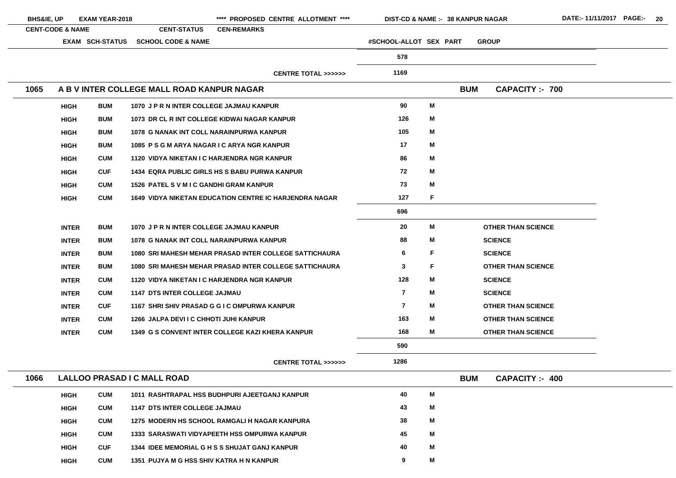| <b>BHS&amp;IE, UP</b> |                             | <b>EXAM YEAR-2018</b> |                                                 | **** PROPOSED CENTRE ALLOTMENT ****                           |                         |    | DIST-CD & NAME :- 38 KANPUR NAGAR   | DATE:- 11/11/2017 PAGE:- 20 |  |
|-----------------------|-----------------------------|-----------------------|-------------------------------------------------|---------------------------------------------------------------|-------------------------|----|-------------------------------------|-----------------------------|--|
|                       | <b>CENT-CODE &amp; NAME</b> |                       | <b>CENT-STATUS</b>                              | <b>CEN-REMARKS</b>                                            |                         |    |                                     |                             |  |
|                       |                             | EXAM SCH-STATUS       | <b>SCHOOL CODE &amp; NAME</b>                   |                                                               | #SCHOOL-ALLOT SEX PART  |    | <b>GROUP</b>                        |                             |  |
|                       |                             |                       |                                                 |                                                               | 578                     |    |                                     |                             |  |
|                       |                             |                       |                                                 | <b>CENTRE TOTAL &gt;&gt;&gt;&gt;&gt;&gt;</b>                  | 1169                    |    |                                     |                             |  |
| 1065                  |                             |                       | A B V INTER COLLEGE MALL ROAD KANPUR NAGAR      |                                                               |                         |    | <b>BUM</b><br><b>CAPACITY:- 700</b> |                             |  |
|                       | <b>HIGH</b>                 | <b>BUM</b>            | 1070 J P R N INTER COLLEGE JAJMAU KANPUR        |                                                               | 90                      | M  |                                     |                             |  |
|                       | <b>HIGH</b>                 | <b>BUM</b>            |                                                 | 1073 DR CL R INT COLLEGE KIDWAI NAGAR KANPUR                  | 126                     | M  |                                     |                             |  |
|                       | <b>HIGH</b>                 | <b>BUM</b>            | <b>1078 G NANAK INT COLL NARAINPURWA KANPUR</b> |                                                               | 105                     | M  |                                     |                             |  |
|                       | <b>HIGH</b>                 | <b>BUM</b>            | 1085 PSGM ARYA NAGAR I CARYA NGR KANPUR         |                                                               | 17                      | M  |                                     |                             |  |
|                       | <b>HIGH</b>                 | <b>CUM</b>            | 1120 VIDYA NIKETAN I C HARJENDRA NGR KANPUR     |                                                               | 86                      | M  |                                     |                             |  |
|                       | <b>HIGH</b>                 | <b>CUF</b>            |                                                 | <b>1434 EQRA PUBLIC GIRLS HS S BABU PURWA KANPUR</b>          | 72                      | M  |                                     |                             |  |
|                       | <b>HIGH</b>                 | <b>CUM</b>            | <b>1526 PATEL S V M I C GANDHI GRAM KANPUR</b>  |                                                               | 73                      | M  |                                     |                             |  |
|                       | <b>HIGH</b>                 | <b>CUM</b>            |                                                 | <b>1649 VIDYA NIKETAN EDUCATION CENTRE IC HARJENDRA NAGAR</b> | 127                     | F  |                                     |                             |  |
|                       |                             |                       |                                                 |                                                               | 696                     |    |                                     |                             |  |
|                       | <b>INTER</b>                | <b>BUM</b>            | 1070 J P R N INTER COLLEGE JAJMAU KANPUR        |                                                               | 20                      | M  | <b>OTHER THAN SCIENCE</b>           |                             |  |
|                       | <b>INTER</b>                | <b>BUM</b>            | 1078 G NANAK INT COLL NARAINPURWA KANPUR        |                                                               | 88                      | M  | <b>SCIENCE</b>                      |                             |  |
|                       | <b>INTER</b>                | <b>BUM</b>            |                                                 | 1080 SRI MAHESH MEHAR PRASAD INTER COLLEGE SATTICHAURA        | 6                       | F  | <b>SCIENCE</b>                      |                             |  |
|                       | <b>INTER</b>                | <b>BUM</b>            |                                                 | 1080 SRI MAHESH MEHAR PRASAD INTER COLLEGE SATTICHAURA        | 3                       | F. | <b>OTHER THAN SCIENCE</b>           |                             |  |
|                       | <b>INTER</b>                | <b>CUM</b>            | 1120 VIDYA NIKETAN I C HARJENDRA NGR KANPUR     |                                                               | 128                     | M  | <b>SCIENCE</b>                      |                             |  |
|                       | <b>INTER</b>                | <b>CUM</b>            | <b>1147 DTS INTER COLLEGE JAJMAU</b>            |                                                               | $\overline{\mathbf{r}}$ | M  | <b>SCIENCE</b>                      |                             |  |
|                       | <b>INTER</b>                | <b>CUF</b>            |                                                 | 1167 SHRI SHIV PRASAD G G I C OMPURWA KANPUR                  | 7                       | M  | <b>OTHER THAN SCIENCE</b>           |                             |  |
|                       | <b>INTER</b>                | <b>CUM</b>            | 1266 JALPA DEVI I C CHHOTI JUHI KANPUR          |                                                               | 163                     | M  | <b>OTHER THAN SCIENCE</b>           |                             |  |
|                       | <b>INTER</b>                | <b>CUM</b>            |                                                 | 1349 G S CONVENT INTER COLLEGE KAZI KHERA KANPUR              | 168                     | M  | <b>OTHER THAN SCIENCE</b>           |                             |  |
|                       |                             |                       |                                                 |                                                               | 590                     |    |                                     |                             |  |
|                       |                             |                       |                                                 | <b>CENTRE TOTAL &gt;&gt;&gt;&gt;&gt;&gt;</b>                  | 1286                    |    |                                     |                             |  |
| 1066                  |                             |                       | LALLOO PRASAD I C MALL ROAD                     |                                                               |                         |    | <b>BUM</b><br><b>CAPACITY:- 400</b> |                             |  |
|                       | <b>HIGH</b>                 | <b>CUM</b>            |                                                 | 1011 RASHTRAPAL HSS BUDHPURI AJEETGANJ KANPUR                 | 40                      | M  |                                     |                             |  |
|                       | <b>HIGH</b>                 | <b>CUM</b>            | <b>1147 DTS INTER COLLEGE JAJMAU</b>            |                                                               | 43                      | M  |                                     |                             |  |
|                       | <b>HIGH</b>                 | <b>CUM</b>            |                                                 | 1275 MODERN HS SCHOOL RAMGALI H NAGAR KANPURA                 | 38                      | M  |                                     |                             |  |
|                       | <b>HIGH</b>                 | <b>CUM</b>            |                                                 | <b>1333 SARASWATI VIDYAPEETH HSS OMPURWA KANPUR</b>           | 45                      | M  |                                     |                             |  |
|                       | <b>HIGH</b>                 | <b>CUF</b>            |                                                 | 1344 IDEE MEMORIAL G H S S SHUJAT GANJ KANPUR                 | 40                      | M  |                                     |                             |  |
|                       | <b>HIGH</b>                 | <b>CUM</b>            | 1351 PUJYA M G HSS SHIV KATRA H N KANPUR        |                                                               | 9                       | M  |                                     |                             |  |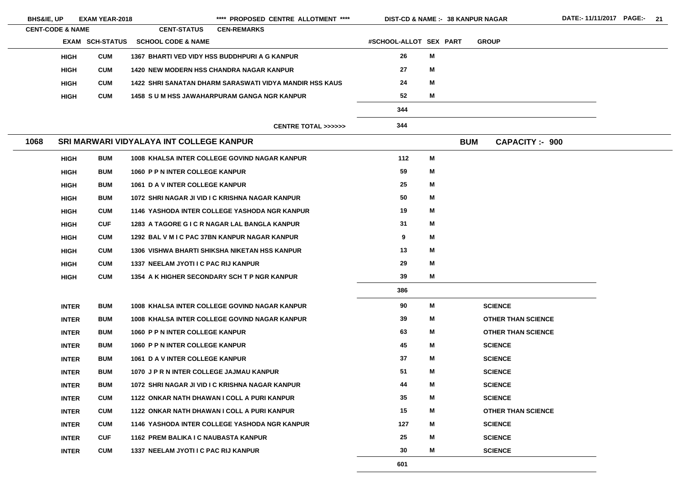| <b>BHS&amp;IE, UP</b>       |              | <b>EXAM YEAR-2018</b> |                                                         |                    | **** PROPOSED CENTRE ALLOTMENT ****          | <b>DIST-CD &amp; NAME :- 38 KANPUR NAGAR</b> |   |            |                           |  |
|-----------------------------|--------------|-----------------------|---------------------------------------------------------|--------------------|----------------------------------------------|----------------------------------------------|---|------------|---------------------------|--|
| <b>CENT-CODE &amp; NAME</b> |              |                       | <b>CENT-STATUS</b>                                      | <b>CEN-REMARKS</b> |                                              |                                              |   |            |                           |  |
|                             |              | EXAM SCH-STATUS       | <b>SCHOOL CODE &amp; NAME</b>                           |                    |                                              | #SCHOOL-ALLOT SEX PART                       |   |            | <b>GROUP</b>              |  |
|                             | <b>HIGH</b>  | <b>CUM</b>            | 1367 BHARTI VED VIDY HSS BUDDHPURI A G KANPUR           |                    |                                              | 26                                           | M |            |                           |  |
|                             | <b>HIGH</b>  | <b>CUM</b>            | <b>1420 NEW MODERN HSS CHANDRA NAGAR KANPUR</b>         |                    |                                              | 27                                           | M |            |                           |  |
|                             | <b>HIGH</b>  | <b>CUM</b>            | 1422 SHRI SANATAN DHARM SARASWATI VIDYA MANDIR HSS KAUS |                    |                                              | 24                                           | M |            |                           |  |
|                             | <b>HIGH</b>  | <b>CUM</b>            | <b>1458 SUM HSS JAWAHARPURAM GANGA NGR KANPUR</b>       |                    |                                              | 52                                           | M |            |                           |  |
|                             |              |                       |                                                         |                    |                                              | 344                                          |   |            |                           |  |
|                             |              |                       |                                                         |                    | <b>CENTRE TOTAL &gt;&gt;&gt;&gt;&gt;&gt;</b> | 344                                          |   |            |                           |  |
| 1068                        |              |                       | SRI MARWARI VIDYALAYA INT COLLEGE KANPUR                |                    |                                              |                                              |   | <b>BUM</b> | <b>CAPACITY:- 900</b>     |  |
|                             | <b>HIGH</b>  | <b>BUM</b>            | 1008 KHALSA INTER COLLEGE GOVIND NAGAR KANPUR           |                    |                                              | 112                                          | M |            |                           |  |
|                             | <b>HIGH</b>  | <b>BUM</b>            | 1060 P P N INTER COLLEGE KANPUR                         |                    |                                              | 59                                           | M |            |                           |  |
|                             | <b>HIGH</b>  | <b>BUM</b>            | 1061 D A V INTER COLLEGE KANPUR                         |                    |                                              | 25                                           | M |            |                           |  |
|                             | <b>HIGH</b>  | <b>BUM</b>            | 1072 SHRI NAGAR JI VID I C KRISHNA NAGAR KANPUR         |                    |                                              | 50                                           | M |            |                           |  |
|                             | <b>HIGH</b>  | <b>CUM</b>            | 1146 YASHODA INTER COLLEGE YASHODA NGR KANPUR           |                    |                                              | 19                                           | M |            |                           |  |
|                             | <b>HIGH</b>  | <b>CUF</b>            | 1283 A TAGORE G I C R NAGAR LAL BANGLA KANPUR           |                    |                                              | 31                                           | M |            |                           |  |
|                             | <b>HIGH</b>  | <b>CUM</b>            | 1292 BAL V M I C PAC 37BN KANPUR NAGAR KANPUR           |                    |                                              | 9                                            | M |            |                           |  |
|                             | <b>HIGH</b>  | <b>CUM</b>            | 1306 VISHWA BHARTI SHIKSHA NIKETAN HSS KANPUR           |                    |                                              | 13                                           | M |            |                           |  |
|                             | <b>HIGH</b>  | <b>CUM</b>            | 1337 NEELAM JYOTI I C PAC RIJ KANPUR                    |                    |                                              | 29                                           | M |            |                           |  |
|                             | <b>HIGH</b>  | <b>CUM</b>            | 1354 A K HIGHER SECONDARY SCH T P NGR KANPUR            |                    |                                              | 39                                           | M |            |                           |  |
|                             |              |                       |                                                         |                    |                                              | 386                                          |   |            |                           |  |
|                             | <b>INTER</b> | <b>BUM</b>            | 1008 KHALSA INTER COLLEGE GOVIND NAGAR KANPUR           |                    |                                              | 90                                           | M |            | <b>SCIENCE</b>            |  |
|                             | <b>INTER</b> | <b>BUM</b>            | 1008 KHALSA INTER COLLEGE GOVIND NAGAR KANPUR           |                    |                                              | 39                                           | M |            | <b>OTHER THAN SCIENCE</b> |  |
|                             | <b>INTER</b> | <b>BUM</b>            | 1060 P P N INTER COLLEGE KANPUR                         |                    |                                              | 63                                           | M |            | <b>OTHER THAN SCIENCE</b> |  |
|                             | <b>INTER</b> | <b>BUM</b>            | 1060 P P N INTER COLLEGE KANPUR                         |                    |                                              | 45                                           | M |            | <b>SCIENCE</b>            |  |
|                             | <b>INTER</b> | <b>BUM</b>            | 1061 D A V INTER COLLEGE KANPUR                         |                    |                                              | 37                                           | M |            | <b>SCIENCE</b>            |  |
|                             | <b>INTER</b> | <b>BUM</b>            | 1070 J P R N INTER COLLEGE JAJMAU KANPUR                |                    |                                              | 51                                           | M |            | <b>SCIENCE</b>            |  |
|                             | <b>INTER</b> | <b>BUM</b>            | 1072 SHRI NAGAR JI VID I C KRISHNA NAGAR KANPUR         |                    |                                              | 44                                           | M |            | <b>SCIENCE</b>            |  |
|                             | <b>INTER</b> | <b>CUM</b>            | 1122 ONKAR NATH DHAWAN I COLL A PURI KANPUR             |                    |                                              | 35                                           | M |            | <b>SCIENCE</b>            |  |
|                             | <b>INTER</b> | <b>CUM</b>            | 1122 ONKAR NATH DHAWAN I COLL A PURI KANPUR             |                    |                                              | 15                                           | M |            | <b>OTHER THAN SCIENCE</b> |  |
|                             | <b>INTER</b> | <b>CUM</b>            | 1146 YASHODA INTER COLLEGE YASHODA NGR KANPUR           |                    |                                              | 127                                          | M |            | <b>SCIENCE</b>            |  |
|                             | <b>INTER</b> | <b>CUF</b>            | 1162 PREM BALIKA I C NAUBASTA KANPUR                    |                    |                                              | 25                                           | M |            | <b>SCIENCE</b>            |  |
|                             | <b>INTER</b> | <b>CUM</b>            | 1337 NEELAM JYOTI I C PAC RIJ KANPUR                    |                    |                                              | 30                                           | M |            | <b>SCIENCE</b>            |  |
|                             |              |                       |                                                         |                    |                                              | 601                                          |   |            |                           |  |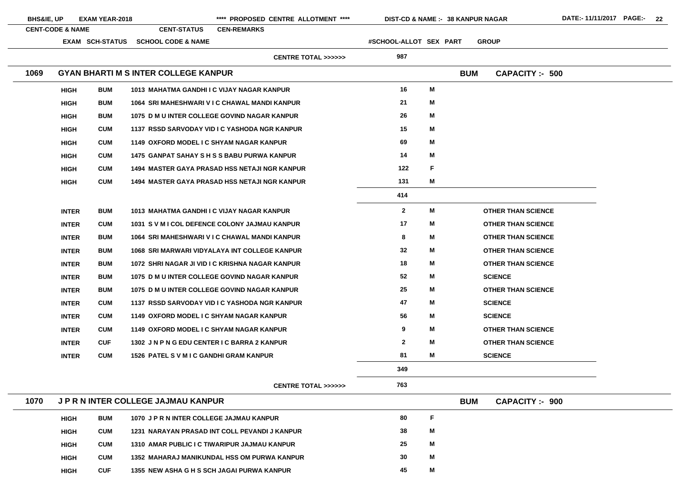| <b>BHS&amp;IE, UP</b> |                             | <b>EXAM YEAR-2018</b>  |                                                     | **** PROPOSED CENTRE ALLOTMENT ****                  | DIST-CD & NAME :- 38 KANPUR NAGAR |   |            |                           |
|-----------------------|-----------------------------|------------------------|-----------------------------------------------------|------------------------------------------------------|-----------------------------------|---|------------|---------------------------|
|                       | <b>CENT-CODE &amp; NAME</b> | <b>EXAM SCH-STATUS</b> | <b>CENT-STATUS</b><br><b>SCHOOL CODE &amp; NAME</b> | <b>CEN-REMARKS</b>                                   | #SCHOOL-ALLOT SEX PART            |   |            | <b>GROUP</b>              |
|                       |                             |                        |                                                     | <b>CENTRE TOTAL &gt;&gt;&gt;&gt;&gt;&gt;</b>         | 987                               |   |            |                           |
| 1069                  |                             |                        | <b>GYAN BHARTI M S INTER COLLEGE KANPUR</b>         |                                                      |                                   |   | <b>BUM</b> | <b>CAPACITY: - 500</b>    |
|                       | <b>HIGH</b>                 | <b>BUM</b>             | 1013 MAHATMA GANDHI I C VIJAY NAGAR KANPUR          |                                                      | 16                                | M |            |                           |
|                       | <b>HIGH</b>                 | <b>BUM</b>             |                                                     | 1064 SRI MAHESHWARI V I C CHAWAL MANDI KANPUR        | 21                                | M |            |                           |
|                       | <b>HIGH</b>                 | <b>BUM</b>             |                                                     | 1075 D M U INTER COLLEGE GOVIND NAGAR KANPUR         | 26                                | M |            |                           |
|                       | <b>HIGH</b>                 | <b>CUM</b>             |                                                     | 1137 RSSD SARVODAY VID I C YASHODA NGR KANPUR        | 15                                | M |            |                           |
|                       | <b>HIGH</b>                 | <b>CUM</b>             | 1149 OXFORD MODEL I C SHYAM NAGAR KANPUR            |                                                      | 69                                | M |            |                           |
|                       | <b>HIGH</b>                 | <b>CUM</b>             |                                                     | <b>1475 GANPAT SAHAY S H S S BABU PURWA KANPUR</b>   | 14                                | M |            |                           |
|                       | <b>HIGH</b>                 | <b>CUM</b>             |                                                     | <b>1494 MASTER GAYA PRASAD HSS NETAJI NGR KANPUR</b> | 122                               | F |            |                           |
|                       | <b>HIGH</b>                 | <b>CUM</b>             |                                                     | <b>1494 MASTER GAYA PRASAD HSS NETAJI NGR KANPUR</b> | 131                               | M |            |                           |
|                       |                             |                        |                                                     |                                                      | 414                               |   |            |                           |
|                       | <b>INTER</b>                | <b>BUM</b>             | 1013 MAHATMA GANDHI I C VIJAY NAGAR KANPUR          |                                                      | $\overline{2}$                    | M |            | <b>OTHER THAN SCIENCE</b> |
|                       | <b>INTER</b>                | <b>CUM</b>             |                                                     | 1031 S V M I COL DEFENCE COLONY JAJMAU KANPUR        | 17                                | M |            | <b>OTHER THAN SCIENCE</b> |
|                       | <b>INTER</b>                | <b>BUM</b>             |                                                     | 1064 SRI MAHESHWARI V I C CHAWAL MANDI KANPUR        | 8                                 | M |            | <b>OTHER THAN SCIENCE</b> |
|                       | <b>INTER</b>                | <b>BUM</b>             |                                                     | 1068 SRI MARWARI VIDYALAYA INT COLLEGE KANPUR        | 32                                | M |            | <b>OTHER THAN SCIENCE</b> |
|                       | <b>INTER</b>                | <b>BUM</b>             |                                                     | 1072 SHRI NAGAR JI VID I C KRISHNA NAGAR KANPUR      | 18                                | Μ |            | <b>OTHER THAN SCIENCE</b> |
|                       | <b>INTER</b>                | <b>BUM</b>             |                                                     | 1075 D M U INTER COLLEGE GOVIND NAGAR KANPUR         | 52                                | M |            | <b>SCIENCE</b>            |
|                       | <b>INTER</b>                | <b>BUM</b>             |                                                     | 1075 D M U INTER COLLEGE GOVIND NAGAR KANPUR         | 25                                | M |            | <b>OTHER THAN SCIENCE</b> |
|                       | <b>INTER</b>                | <b>CUM</b>             |                                                     | 1137 RSSD SARVODAY VID I C YASHODA NGR KANPUR        | 47                                | M |            | <b>SCIENCE</b>            |
|                       | <b>INTER</b>                | <b>CUM</b>             | 1149 OXFORD MODEL I C SHYAM NAGAR KANPUR            |                                                      | 56                                | M |            | <b>SCIENCE</b>            |
|                       | <b>INTER</b>                | <b>CUM</b>             | 1149 OXFORD MODEL I C SHYAM NAGAR KANPUR            |                                                      | 9                                 | M |            | <b>OTHER THAN SCIENCE</b> |
|                       | <b>INTER</b>                | <b>CUF</b>             | 1302 JN PN G EDU CENTER I C BARRA 2 KANPUR          |                                                      | $\mathbf{2}$                      | M |            | <b>OTHER THAN SCIENCE</b> |
|                       | <b>INTER</b>                | <b>CUM</b>             | <b>1526 PATEL S V M I C GANDHI GRAM KANPUR</b>      |                                                      | 81                                | M |            | <b>SCIENCE</b>            |
|                       |                             |                        |                                                     |                                                      | 349                               |   |            |                           |
|                       |                             |                        |                                                     | <b>CENTRE TOTAL &gt;&gt;&gt;&gt;&gt;&gt;</b>         | 763                               |   |            |                           |

| 1070 |             | J P R N INTER COLLEGE JAJMAU KANPUR | <b>BUM</b>                                    | <b>CAPACITY:- 900</b> |   |  |  |
|------|-------------|-------------------------------------|-----------------------------------------------|-----------------------|---|--|--|
|      | <b>HIGH</b> | <b>BUM</b>                          | 1070 J P R N INTER COLLEGE JAJMAU KANPUR      | 80                    |   |  |  |
|      | <b>HIGH</b> | <b>CUM</b>                          | 1231 NARAYAN PRASAD INT COLL PEVANDI J KANPUR | 38                    | Μ |  |  |
|      | <b>HIGH</b> | <b>CUM</b>                          | 1310 AMAR PUBLIC I C TIWARIPUR JAJMAU KANPUR  | 25                    | M |  |  |
|      | <b>HIGH</b> | <b>CUM</b>                          | 1352 MAHARAJ MANIKUNDAL HSS OM PURWA KANPUR   | 30                    | Μ |  |  |
|      | <b>HIGH</b> | <b>CUF</b>                          | 1355 NEW ASHA G H S SCH JAGAI PURWA KANPUR    | 45                    | M |  |  |

- 
- 
- 
- 
- 
- 
- 
- 
- 
- 
- 
-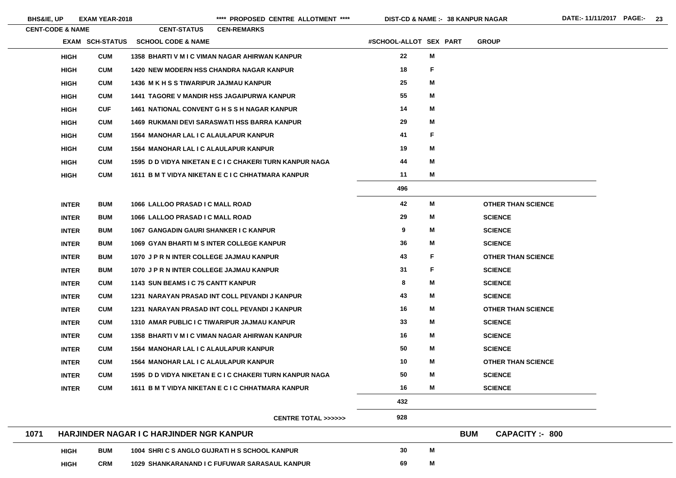**BHS&IE, UP EXAM YEAR-2018 \*\*\*\* PROPOSED CENTRE ALLOTMENT \*\*\*\* DIST-CD & NAME :- DATE:- 11/11/2017 PAGE:- 23**

|      | <b>CENT-CODE &amp; NAME</b> |                        | <b>CENT-STATUS</b>                               | <b>CEN-REMARKS</b>                                      |                        |              |                                      |
|------|-----------------------------|------------------------|--------------------------------------------------|---------------------------------------------------------|------------------------|--------------|--------------------------------------|
|      |                             | <b>EXAM SCH-STATUS</b> | <b>SCHOOL CODE &amp; NAME</b>                    |                                                         | #SCHOOL-ALLOT SEX PART |              | <b>GROUP</b>                         |
|      | <b>HIGH</b>                 | <b>CUM</b>             |                                                  | 1358 BHARTI V M I C VIMAN NAGAR AHIRWAN KANPUR          | 22                     | M            |                                      |
|      | <b>HIGH</b>                 | <b>CUM</b>             |                                                  | <b>1420 NEW MODERN HSS CHANDRA NAGAR KANPUR</b>         | 18                     | $\mathsf F$  |                                      |
|      | <b>HIGH</b>                 | <b>CUM</b>             | <b>1436 M K H S S TIWARIPUR JAJMAU KANPUR</b>    |                                                         | 25                     | M            |                                      |
|      | <b>HIGH</b>                 | <b>CUM</b>             |                                                  | <b>1441 TAGORE V MANDIR HSS JAGAIPURWA KANPUR</b>       | 55                     | M            |                                      |
|      | <b>HIGH</b>                 | <b>CUF</b>             |                                                  | 1461 NATIONAL CONVENT G H S S H NAGAR KANPUR            | 14                     | M            |                                      |
|      | <b>HIGH</b>                 | <b>CUM</b>             |                                                  | <b>1469 RUKMANI DEVI SARASWATI HSS BARRA KANPUR</b>     | 29                     | M            |                                      |
|      | <b>HIGH</b>                 | <b>CUM</b>             | <b>1564 MANOHAR LAL I C ALAULAPUR KANPUR</b>     |                                                         | 41                     | $\mathsf{F}$ |                                      |
|      | <b>HIGH</b>                 | <b>CUM</b>             | <b>1564 MANOHAR LAL I C ALAULAPUR KANPUR</b>     |                                                         | 19                     | M            |                                      |
|      | <b>HIGH</b>                 | <b>CUM</b>             |                                                  | 1595 D D VIDYA NIKETAN E C I C CHAKERI TURN KANPUR NAGA | 44                     | M            |                                      |
|      | <b>HIGH</b>                 | <b>CUM</b>             |                                                  | 1611 B M T VIDYA NIKETAN E C I C CHHATMARA KANPUR       | 11                     | M            |                                      |
|      |                             |                        |                                                  |                                                         | 496                    |              |                                      |
|      | <b>INTER</b>                | <b>BUM</b>             | 1066 LALLOO PRASAD I C MALL ROAD                 |                                                         | 42                     | M            | <b>OTHER THAN SCIENCE</b>            |
|      | <b>INTER</b>                | <b>BUM</b>             | 1066 LALLOO PRASAD I C MALL ROAD                 |                                                         | 29                     | M            | <b>SCIENCE</b>                       |
|      | <b>INTER</b>                | <b>BUM</b>             | 1067 GANGADIN GAURI SHANKER I C KANPUR           |                                                         | $\boldsymbol{9}$       | M            | <b>SCIENCE</b>                       |
|      | <b>INTER</b>                | <b>BUM</b>             | <b>1069 GYAN BHARTI M S INTER COLLEGE KANPUR</b> |                                                         | 36                     | M            | <b>SCIENCE</b>                       |
|      | <b>INTER</b>                | <b>BUM</b>             | 1070 J P R N INTER COLLEGE JAJMAU KANPUR         |                                                         | 43                     | F            | <b>OTHER THAN SCIENCE</b>            |
|      | <b>INTER</b>                | <b>BUM</b>             | 1070 JPR N INTER COLLEGE JAJMAU KANPUR           |                                                         | 31                     | F            | <b>SCIENCE</b>                       |
|      | <b>INTER</b>                | <b>CUM</b>             | 1143 SUN BEAMS I C 75 CANTT KANPUR               |                                                         | 8                      | M            | <b>SCIENCE</b>                       |
|      | <b>INTER</b>                | <b>CUM</b>             |                                                  | 1231 NARAYAN PRASAD INT COLL PEVANDI J KANPUR           | 43                     | M            | <b>SCIENCE</b>                       |
|      | <b>INTER</b>                | <b>CUM</b>             |                                                  | 1231 NARAYAN PRASAD INT COLL PEVANDI J KANPUR           | 16                     | M            | <b>OTHER THAN SCIENCE</b>            |
|      | <b>INTER</b>                | <b>CUM</b>             |                                                  | 1310 AMAR PUBLIC I C TIWARIPUR JAJMAU KANPUR            | 33                     | M            | <b>SCIENCE</b>                       |
|      | <b>INTER</b>                | <b>CUM</b>             |                                                  | 1358 BHARTI V M I C VIMAN NAGAR AHIRWAN KANPUR          | 16                     | M            | <b>SCIENCE</b>                       |
|      | <b>INTER</b>                | <b>CUM</b>             | <b>1564 MANOHAR LAL I C ALAULAPUR KANPUR</b>     |                                                         | 50                     | M            | <b>SCIENCE</b>                       |
|      | <b>INTER</b>                | <b>CUM</b>             | <b>1564 MANOHAR LAL I C ALAULAPUR KANPUR</b>     |                                                         | 10                     | M            | <b>OTHER THAN SCIENCE</b>            |
|      | <b>INTER</b>                | <b>CUM</b>             |                                                  | 1595 D D VIDYA NIKETAN E C I C CHAKERI TURN KANPUR NAGA | 50                     | M            | <b>SCIENCE</b>                       |
|      | <b>INTER</b>                | <b>CUM</b>             |                                                  | 1611 B M T VIDYA NIKETAN E C I C CHHATMARA KANPUR       | 16                     | Μ            | <b>SCIENCE</b>                       |
|      |                             |                        |                                                  |                                                         | 432                    |              |                                      |
|      |                             |                        |                                                  | <b>CENTRE TOTAL &gt;&gt;&gt;&gt;&gt;&gt;</b>            | 928                    |              |                                      |
| 1071 |                             |                        | <b>HARJINDER NAGAR I C HARJINDER NGR KANPUR</b>  |                                                         |                        |              | <b>BUM</b><br><b>CAPACITY: - 800</b> |
|      | <b>HIGH</b>                 | <b>BUM</b>             |                                                  | 1004 SHRI C S ANGLO GUJRATI H S SCHOOL KANPUR           | 30                     | M            |                                      |
|      | <b>HIGH</b>                 | <b>CRM</b>             |                                                  | 1029 SHANKARANAND I C FUFUWAR SARASAUL KANPUR           | 69                     | M            |                                      |

- 
- 
- 
- 

- 
- 
- 
- 

- 
- 
- 
- 
- 

- 
- 
- 
-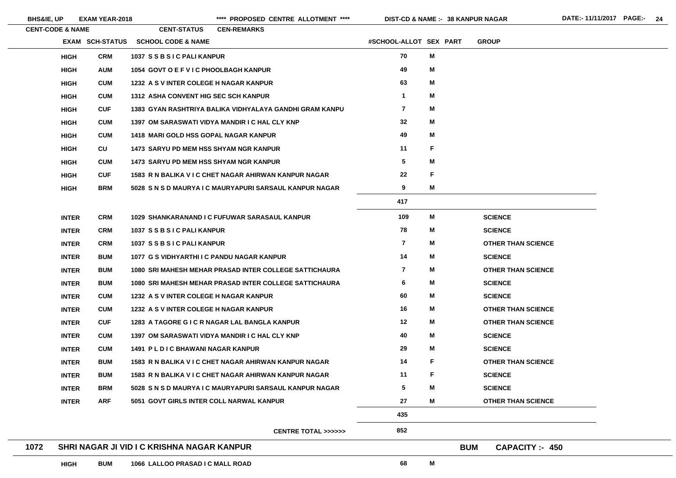BHS&IE, UP EXAM YEAR-2018 **\*\*\*\*\*** PROPOSED CENTRE ALLOTMENT \*\*\*\* DIST-CD & NAME :- 38 KANPUR NAGAR DATE:- 11/11/2017 PAGE:- 24

| <b>CENT-CODE &amp; NAME</b> |                        | <b>CENT-STATUS</b>                            | <b>CEN-REMARKS</b>                                      |                         |             |                                    |  |
|-----------------------------|------------------------|-----------------------------------------------|---------------------------------------------------------|-------------------------|-------------|------------------------------------|--|
|                             | <b>EXAM SCH-STATUS</b> | <b>SCHOOL CODE &amp; NAME</b>                 |                                                         | #SCHOOL-ALLOT SEX PART  |             | <b>GROUP</b>                       |  |
| <b>HIGH</b>                 | <b>CRM</b>             | 1037 SSBSIC PALI KANPUR                       |                                                         | 70                      | M           |                                    |  |
| <b>HIGH</b>                 | <b>AUM</b>             | 1054 GOVT O E F V I C PHOOLBAGH KANPUR        |                                                         | 49                      | M           |                                    |  |
| <b>HIGH</b>                 | <b>CUM</b>             | 1232 A S V INTER COLEGE H NAGAR KANPUR        |                                                         | 63                      | M           |                                    |  |
| <b>HIGH</b>                 | <b>CUM</b>             | <b>1312 ASHA CONVENT HIG SEC SCH KANPUR</b>   |                                                         | $\mathbf 1$             | M           |                                    |  |
| <b>HIGH</b>                 | <b>CUF</b>             |                                               | 1383 GYAN RASHTRIYA BALIKA VIDHYALAYA GANDHI GRAM KANPU | $\overline{\mathbf{7}}$ | M           |                                    |  |
| <b>HIGH</b>                 | <b>CUM</b>             |                                               | 1397 OM SARASWATI VIDYA MANDIR I C HAL CLY KNP          | 32                      | M           |                                    |  |
| <b>HIGH</b>                 | <b>CUM</b>             | <b>1418 MARI GOLD HSS GOPAL NAGAR KANPUR</b>  |                                                         | 49                      | Μ           |                                    |  |
| <b>HIGH</b>                 | CU                     | <b>1473 SARYU PD MEM HSS SHYAM NGR KANPUR</b> |                                                         | 11                      | F           |                                    |  |
| <b>HIGH</b>                 | <b>CUM</b>             | <b>1473 SARYU PD MEM HSS SHYAM NGR KANPUR</b> |                                                         | $\overline{\mathbf{5}}$ | Μ           |                                    |  |
| <b>HIGH</b>                 | <b>CUF</b>             |                                               | 1583 R N BALIKA V I C CHET NAGAR AHIRWAN KANPUR NAGAR   | 22                      | $\mathsf F$ |                                    |  |
| <b>HIGH</b>                 | <b>BRM</b>             |                                               | 5028 S N S D MAURYA I C MAURYAPURI SARSAUL KANPUR NAGAR | 9                       | M           |                                    |  |
|                             |                        |                                               |                                                         | 417                     |             |                                    |  |
| <b>INTER</b>                | <b>CRM</b>             |                                               | 1029 SHANKARANAND I C FUFUWAR SARASAUL KANPUR           | 109                     | M           | <b>SCIENCE</b>                     |  |
| <b>INTER</b>                | <b>CRM</b>             | 1037 SSBSIC PALI KANPUR                       |                                                         | 78                      | M           | <b>SCIENCE</b>                     |  |
| <b>INTER</b>                | <b>CRM</b>             | 1037 SSBSIC PALI KANPUR                       |                                                         | $\overline{\mathbf{7}}$ | M           | <b>OTHER THAN SCIENCE</b>          |  |
| <b>INTER</b>                | <b>BUM</b>             | 1077 G S VIDHYARTHI I C PANDU NAGAR KANPUR    |                                                         | 14                      | M           | <b>SCIENCE</b>                     |  |
| <b>INTER</b>                | <b>BUM</b>             |                                               | 1080 SRI MAHESH MEHAR PRASAD INTER COLLEGE SATTICHAURA  | $\overline{\mathbf{7}}$ | M           | <b>OTHER THAN SCIENCE</b>          |  |
| <b>INTER</b>                | <b>BUM</b>             |                                               | 1080 SRI MAHESH MEHAR PRASAD INTER COLLEGE SATTICHAURA  | 6                       | M           | <b>SCIENCE</b>                     |  |
| <b>INTER</b>                | <b>CUM</b>             | 1232 A S V INTER COLEGE H NAGAR KANPUR        |                                                         | 60                      | M           | <b>SCIENCE</b>                     |  |
| <b>INTER</b>                | <b>CUM</b>             | 1232 A S V INTER COLEGE H NAGAR KANPUR        |                                                         | 16                      | M           | <b>OTHER THAN SCIENCE</b>          |  |
| <b>INTER</b>                | <b>CUF</b>             |                                               | 1283 A TAGORE G I C R NAGAR LAL BANGLA KANPUR           | 12                      | M           | <b>OTHER THAN SCIENCE</b>          |  |
| <b>INTER</b>                | <b>CUM</b>             |                                               | 1397 OM SARASWATI VIDYA MANDIR I C HAL CLY KNP          | 40                      | M           | <b>SCIENCE</b>                     |  |
| <b>INTER</b>                | <b>CUM</b>             | <b>1491 PLDIC BHAWANI NAGAR KANPUR</b>        |                                                         | 29                      | M           | <b>SCIENCE</b>                     |  |
| <b>INTER</b>                | <b>BUM</b>             |                                               | 1583 R N BALIKA V I C CHET NAGAR AHIRWAN KANPUR NAGAR   | 14                      | F           | <b>OTHER THAN SCIENCE</b>          |  |
| <b>INTER</b>                | <b>BUM</b>             |                                               | 1583 R N BALIKA V I C CHET NAGAR AHIRWAN KANPUR NAGAR   | 11                      | F           | <b>SCIENCE</b>                     |  |
| <b>INTER</b>                | <b>BRM</b>             |                                               | 5028 S N S D MAURYA I C MAURYAPURI SARSAUL KANPUR NAGAR | $5\phantom{.0}$         | M           | <b>SCIENCE</b>                     |  |
| <b>INTER</b>                | <b>ARF</b>             | 5051 GOVT GIRLS INTER COLL NARWAL KANPUR      |                                                         | 27                      | M           | <b>OTHER THAN SCIENCE</b>          |  |
|                             |                        |                                               |                                                         | 435                     |             |                                    |  |
|                             |                        |                                               | <b>CENTRE TOTAL &gt;&gt;&gt;&gt;&gt;&gt;</b>            | 852                     |             |                                    |  |
| 1072                        |                        | SHRI NAGAR JI VID I C KRISHNA NAGAR KANPUR    |                                                         |                         |             | <b>BUM</b><br><b>CAPACITY: 450</b> |  |
| <b>HIGH</b>                 | <b>BUM</b>             | 1066 LALLOO PRASAD I C MALL ROAD              |                                                         | 68                      | M           |                                    |  |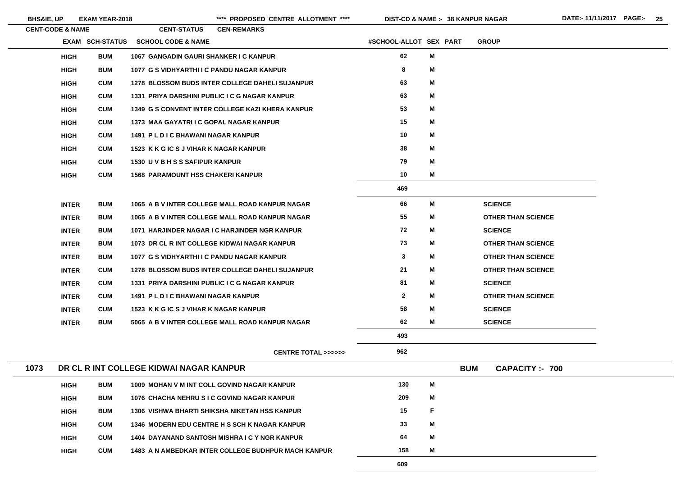**BHS&IE, UP EXAM YEAR-2018 \*\*\*\* PROPOSED CENTRE ALLOTMENT \*\*\*\* DIST-CD & NAME :- DATE:- 11/11/2017 PAGE:- 25**

|      | <b>CENT-CODE &amp; NAME</b> |                 | <b>CENT-STATUS</b>                                     | <b>CEN-REMARKS</b> |                                                            |                        |   |            |                           |
|------|-----------------------------|-----------------|--------------------------------------------------------|--------------------|------------------------------------------------------------|------------------------|---|------------|---------------------------|
|      |                             | EXAM SCH-STATUS | <b>SCHOOL CODE &amp; NAME</b>                          |                    |                                                            | #SCHOOL-ALLOT SEX PART |   |            | <b>GROUP</b>              |
|      | <b>HIGH</b>                 | <b>BUM</b>      | 1067 GANGADIN GAURI SHANKER I C KANPUR                 |                    |                                                            | 62                     | M |            |                           |
|      | <b>HIGH</b>                 | <b>BUM</b>      | 1077 G S VIDHYARTHI I C PANDU NAGAR KANPUR             |                    |                                                            | 8                      | Μ |            |                           |
|      | <b>HIGH</b>                 | <b>CUM</b>      | <b>1278 BLOSSOM BUDS INTER COLLEGE DAHELI SUJANPUR</b> |                    |                                                            | 63                     | M |            |                           |
|      | <b>HIGH</b>                 | <b>CUM</b>      | 1331 PRIYA DARSHINI PUBLIC I C G NAGAR KANPUR          |                    |                                                            | 63                     | M |            |                           |
|      | <b>HIGH</b>                 | <b>CUM</b>      | 1349 G S CONVENT INTER COLLEGE KAZI KHERA KANPUR       |                    |                                                            | 53                     | M |            |                           |
|      | <b>HIGH</b>                 | <b>CUM</b>      | 1373 MAA GAYATRI I C GOPAL NAGAR KANPUR                |                    |                                                            | 15                     | M |            |                           |
|      | <b>HIGH</b>                 | <b>CUM</b>      | 1491 PL D I C BHAWANI NAGAR KANPUR                     |                    |                                                            | 10                     | M |            |                           |
|      | <b>HIGH</b>                 | <b>CUM</b>      | 1523 K K G IC S J VIHAR K NAGAR KANPUR                 |                    |                                                            | 38                     | M |            |                           |
|      | <b>HIGH</b>                 | <b>CUM</b>      | 1530 U V B H S S SAFIPUR KANPUR                        |                    |                                                            | 79                     | M |            |                           |
|      | <b>HIGH</b>                 | <b>CUM</b>      | <b>1568 PARAMOUNT HSS CHAKERI KANPUR</b>               |                    |                                                            | 10                     | M |            |                           |
|      |                             |                 |                                                        |                    |                                                            | 469                    |   |            |                           |
|      | <b>INTER</b>                | <b>BUM</b>      | 1065 A B V INTER COLLEGE MALL ROAD KANPUR NAGAR        |                    |                                                            | 66                     | M |            | <b>SCIENCE</b>            |
|      | <b>INTER</b>                | <b>BUM</b>      | 1065 A B V INTER COLLEGE MALL ROAD KANPUR NAGAR        |                    |                                                            | 55                     | M |            | <b>OTHER THAN SCIENCE</b> |
|      | <b>INTER</b>                | <b>BUM</b>      | 1071 HARJINDER NAGAR I C HARJINDER NGR KANPUR          |                    |                                                            | 72                     | M |            | <b>SCIENCE</b>            |
|      | <b>INTER</b>                | <b>BUM</b>      | 1073 DR CL R INT COLLEGE KIDWAI NAGAR KANPUR           |                    |                                                            | 73                     | M |            | <b>OTHER THAN SCIENCE</b> |
|      | <b>INTER</b>                | <b>BUM</b>      | 1077 G S VIDHYARTHI I C PANDU NAGAR KANPUR             |                    |                                                            | $\mathbf{3}$           | M |            | <b>OTHER THAN SCIENCE</b> |
|      | <b>INTER</b>                | <b>CUM</b>      | <b>1278 BLOSSOM BUDS INTER COLLEGE DAHELI SUJANPUR</b> |                    |                                                            | 21                     | M |            | <b>OTHER THAN SCIENCE</b> |
|      | <b>INTER</b>                | <b>CUM</b>      | 1331 PRIYA DARSHINI PUBLIC I C G NAGAR KANPUR          |                    |                                                            | 81                     | M |            | <b>SCIENCE</b>            |
|      | <b>INTER</b>                | <b>CUM</b>      | <b>1491 PLDIC BHAWANI NAGAR KANPUR</b>                 |                    |                                                            | $\mathbf{2}$           | M |            | <b>OTHER THAN SCIENCE</b> |
|      | <b>INTER</b>                | <b>CUM</b>      | 1523 K K G IC S J VIHAR K NAGAR KANPUR                 |                    |                                                            | 58                     | Μ |            | <b>SCIENCE</b>            |
|      | <b>INTER</b>                | <b>BUM</b>      | 5065 A B V INTER COLLEGE MALL ROAD KANPUR NAGAR        |                    |                                                            | 62                     | M |            | <b>SCIENCE</b>            |
|      |                             |                 |                                                        |                    |                                                            | 493                    |   |            |                           |
|      |                             |                 |                                                        |                    | CENTRE TOTAL >>>>>>                                        | 962                    |   |            |                           |
| 1073 |                             |                 | DR CL R INT COLLEGE KIDWAI NAGAR KANPUR                |                    |                                                            |                        |   | <b>BUM</b> | <b>CAPACITY :- 700</b>    |
|      | <b>HIGH</b>                 | <b>BUM</b>      | 1009 MOHAN V M INT COLL GOVIND NAGAR KANPUR            |                    |                                                            | 130                    | M |            |                           |
|      | <b>HIGH</b>                 | <b>BUM</b>      | 1076 CHACHA NEHRU SIC GOVIND NAGAR KANPUR              |                    |                                                            | 209                    | M |            |                           |
|      | <b>HIGH</b>                 | <b>BUM</b>      | 1306 VISHWA BHARTI SHIKSHA NIKETAN HSS KANPUR          |                    |                                                            | 15                     | F |            |                           |
|      | <b>HIGH</b>                 | <b>CUM</b>      | 1346 MODERN EDU CENTRE H S SCH K NAGAR KANPUR          |                    |                                                            | 33                     | M |            |                           |
|      | <b>HIGH</b>                 | <b>CUM</b>      | 1404 DAYANAND SANTOSH MISHRA I C Y NGR KANPUR          |                    |                                                            | 64                     | Μ |            |                           |
|      | <b>HIGH</b>                 | <b>CUM</b>      |                                                        |                    | <b>1483 A N AMBEDKAR INTER COLLEGE BUDHPUR MACH KANPUR</b> | 158                    | M |            |                           |
|      |                             |                 |                                                        |                    |                                                            | 609                    |   |            |                           |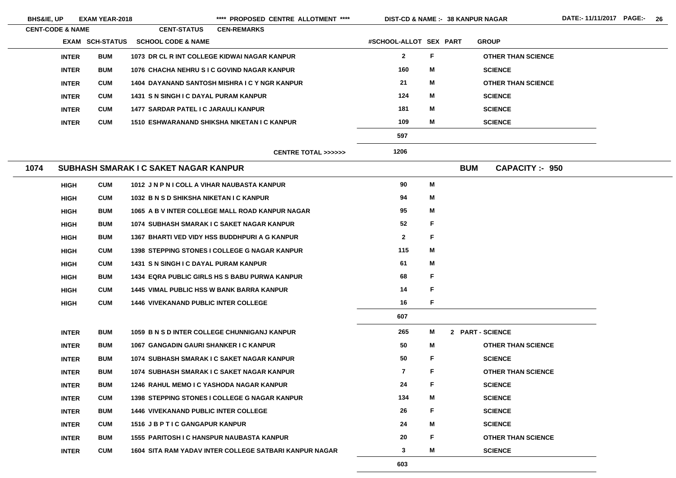| <b>BHS&amp;IE, UP</b>       |              | <b>EXAM YEAR-2018</b>  |                                                  | **** PROPOSED CENTRE ALLOTMENT ****                    | <b>DIST-CD &amp; NAME :- 38 KANPUR NAGAR</b> |    |                  |                           |  |
|-----------------------------|--------------|------------------------|--------------------------------------------------|--------------------------------------------------------|----------------------------------------------|----|------------------|---------------------------|--|
| <b>CENT-CODE &amp; NAME</b> |              |                        | <b>CENT-STATUS</b>                               | <b>CEN-REMARKS</b>                                     |                                              |    |                  |                           |  |
|                             |              | <b>EXAM SCH-STATUS</b> | <b>SCHOOL CODE &amp; NAME</b>                    |                                                        | #SCHOOL-ALLOT SEX PART                       |    |                  | <b>GROUP</b>              |  |
|                             | <b>INTER</b> | <b>BUM</b>             |                                                  | 1073 DR CL R INT COLLEGE KIDWAI NAGAR KANPUR           | $\mathbf{2}$                                 | F. |                  | <b>OTHER THAN SCIENCE</b> |  |
|                             | <b>INTER</b> | <b>BUM</b>             |                                                  | 1076 CHACHA NEHRU SIC GOVIND NAGAR KANPUR              | 160                                          | M  |                  | <b>SCIENCE</b>            |  |
|                             | <b>INTER</b> | <b>CUM</b>             |                                                  | 1404 DAYANAND SANTOSH MISHRA I C Y NGR KANPUR          | 21                                           | M  |                  | <b>OTHER THAN SCIENCE</b> |  |
|                             | <b>INTER</b> | <b>CUM</b>             | 1431 S N SINGH I C DAYAL PURAM KANPUR            |                                                        | 124                                          | M  |                  | <b>SCIENCE</b>            |  |
|                             | <b>INTER</b> | <b>CUM</b>             | 1477 SARDAR PATEL I C JARAULI KANPUR             |                                                        | 181                                          | M  |                  | <b>SCIENCE</b>            |  |
|                             | <b>INTER</b> | <b>CUM</b>             |                                                  | 1510 ESHWARANAND SHIKSHA NIKETAN I C KANPUR            | 109                                          | M  |                  | <b>SCIENCE</b>            |  |
|                             |              |                        |                                                  |                                                        | 597                                          |    |                  |                           |  |
|                             |              |                        |                                                  | <b>CENTRE TOTAL &gt;&gt;&gt;&gt;&gt;&gt;</b>           | 1206                                         |    |                  |                           |  |
| 1074                        |              |                        | SUBHASH SMARAK I C SAKET NAGAR KANPUR            |                                                        |                                              |    | <b>BUM</b>       | <b>CAPACITY:- 950</b>     |  |
|                             | <b>HIGH</b>  | <b>CUM</b>             | 1012 JN P N I COLL A VIHAR NAUBASTA KANPUR       |                                                        | 90                                           | M  |                  |                           |  |
|                             | <b>HIGH</b>  | <b>CUM</b>             | 1032 B N S D SHIKSHA NIKETAN I C KANPUR          |                                                        | 94                                           | M  |                  |                           |  |
|                             | <b>HIGH</b>  | <b>BUM</b>             |                                                  | 1065 A B V INTER COLLEGE MALL ROAD KANPUR NAGAR        | 95                                           | M  |                  |                           |  |
|                             | <b>HIGH</b>  | <b>BUM</b>             |                                                  | 1074 SUBHASH SMARAK I C SAKET NAGAR KANPUR             | 52                                           | F  |                  |                           |  |
|                             | <b>HIGH</b>  | <b>BUM</b>             |                                                  | 1367 BHARTI VED VIDY HSS BUDDHPURI A G KANPUR          | $\mathbf{2}$                                 | F. |                  |                           |  |
|                             | <b>HIGH</b>  | <b>CUM</b>             |                                                  | <b>1398 STEPPING STONES I COLLEGE G NAGAR KANPUR</b>   | 115                                          | M  |                  |                           |  |
|                             | <b>HIGH</b>  | <b>CUM</b>             | 1431 S N SINGH I C DAYAL PURAM KANPUR            |                                                        | 61                                           | M  |                  |                           |  |
|                             | <b>HIGH</b>  | <b>BUM</b>             |                                                  | <b>1434 EQRA PUBLIC GIRLS HS S BABU PURWA KANPUR</b>   | 68                                           | F  |                  |                           |  |
|                             | <b>HIGH</b>  | <b>CUM</b>             | <b>1445 VIMAL PUBLIC HSS W BANK BARRA KANPUR</b> |                                                        | 14                                           | F  |                  |                           |  |
|                             | <b>HIGH</b>  | <b>CUM</b>             | <b>1446 VIVEKANAND PUBLIC INTER COLLEGE</b>      |                                                        | 16                                           | F. |                  |                           |  |
|                             |              |                        |                                                  |                                                        | 607                                          |    |                  |                           |  |
|                             | <b>INTER</b> | <b>BUM</b>             |                                                  | 1059 B N S D INTER COLLEGE CHUNNIGANJ KANPUR           | 265                                          | M  | 2 PART - SCIENCE |                           |  |
|                             | <b>INTER</b> | <b>BUM</b>             | 1067 GANGADIN GAURI SHANKER I C KANPUR           |                                                        | 50                                           | M  |                  | <b>OTHER THAN SCIENCE</b> |  |
|                             | <b>INTER</b> | <b>BUM</b>             |                                                  | 1074 SUBHASH SMARAK I C SAKET NAGAR KANPUR             | 50                                           | F. |                  | <b>SCIENCE</b>            |  |
|                             | <b>INTER</b> | <b>BUM</b>             |                                                  | 1074 SUBHASH SMARAK I C SAKET NAGAR KANPUR             | $\overline{\mathbf{7}}$                      | F. |                  | <b>OTHER THAN SCIENCE</b> |  |
|                             | <b>INTER</b> | <b>BUM</b>             | <b>1246 RAHUL MEMO I C YASHODA NAGAR KANPUR</b>  |                                                        | 24                                           | F  |                  | <b>SCIENCE</b>            |  |
|                             | <b>INTER</b> | <b>CUM</b>             |                                                  | <b>1398 STEPPING STONES I COLLEGE G NAGAR KANPUR</b>   | 134                                          | M  |                  | <b>SCIENCE</b>            |  |
|                             | <b>INTER</b> | <b>BUM</b>             | <b>1446 VIVEKANAND PUBLIC INTER COLLEGE</b>      |                                                        | 26                                           | F. |                  | <b>SCIENCE</b>            |  |
|                             | <b>INTER</b> | <b>CUM</b>             | 1516 JB P T I C GANGAPUR KANPUR                  |                                                        | 24                                           | M  |                  | <b>SCIENCE</b>            |  |
|                             | <b>INTER</b> | <b>BUM</b>             | <b>1555 PARITOSH I C HANSPUR NAUBASTA KANPUR</b> |                                                        | 20                                           | F. |                  | <b>OTHER THAN SCIENCE</b> |  |
|                             | <b>INTER</b> | <b>CUM</b>             |                                                  | 1604 SITA RAM YADAV INTER COLLEGE SATBARI KANPUR NAGAR | 3                                            | M  |                  | <b>SCIENCE</b>            |  |
|                             |              |                        |                                                  |                                                        | 603                                          |    |                  |                           |  |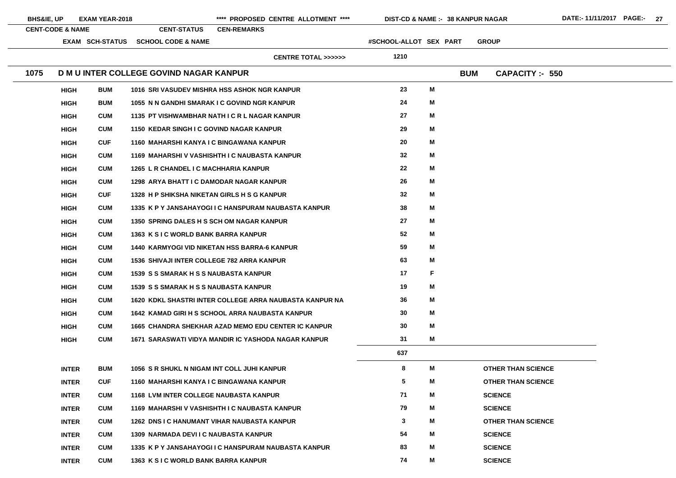| <b>BHS&amp;IE, UP</b> | <b>EXAM YEAR-2018</b>       |            |                                                   | **** PROPOSED CENTRE ALLOTMENT ****                        | <b>DIST-CD &amp; NAME :- 38 KANPUR NAGAR</b> |   |            |                |                           | DATE:-11/11/2017 PAGE:- 27 |  |  |
|-----------------------|-----------------------------|------------|---------------------------------------------------|------------------------------------------------------------|----------------------------------------------|---|------------|----------------|---------------------------|----------------------------|--|--|
|                       | <b>CENT-CODE &amp; NAME</b> |            | <b>CENT-STATUS</b>                                | <b>CEN-REMARKS</b>                                         |                                              |   |            |                |                           |                            |  |  |
|                       | <b>EXAM SCH-STATUS</b>      |            | <b>SCHOOL CODE &amp; NAME</b>                     |                                                            | #SCHOOL-ALLOT SEX PART                       |   |            | <b>GROUP</b>   |                           |                            |  |  |
|                       |                             |            |                                                   | <b>CENTRE TOTAL &gt;&gt;&gt;&gt;&gt;&gt;</b>               | 1210                                         |   |            |                |                           |                            |  |  |
| 1075                  |                             |            | D M U INTER COLLEGE GOVIND NAGAR KANPUR           |                                                            |                                              |   | <b>BUM</b> |                | <b>CAPACITY :- 550</b>    |                            |  |  |
|                       | <b>HIGH</b>                 | <b>BUM</b> |                                                   | 1016 SRI VASUDEV MISHRA HSS ASHOK NGR KANPUR               | 23                                           | M |            |                |                           |                            |  |  |
|                       | <b>BUM</b><br><b>HIGH</b>   |            |                                                   | 1055 N N GANDHI SMARAK I C GOVIND NGR KANPUR               | 24                                           | M |            |                |                           |                            |  |  |
|                       | <b>CUM</b><br><b>HIGH</b>   |            |                                                   | 1135 PT VISHWAMBHAR NATH I C R L NAGAR KANPUR              | 27                                           | M |            |                |                           |                            |  |  |
|                       | <b>CUM</b><br><b>HIGH</b>   |            | 1150 KEDAR SINGH I C GOVIND NAGAR KANPUR          |                                                            | 29                                           | M |            |                |                           |                            |  |  |
|                       | <b>CUF</b><br><b>HIGH</b>   |            | 1160 MAHARSHI KANYA I C BINGAWANA KANPUR          |                                                            | 20                                           | M |            |                |                           |                            |  |  |
|                       | <b>CUM</b><br><b>HIGH</b>   |            |                                                   | 1169 MAHARSHI V VASHISHTH I C NAUBASTA KANPUR              | 32                                           | M |            |                |                           |                            |  |  |
|                       | <b>CUM</b><br><b>HIGH</b>   |            | 1265 L R CHANDEL I C MACHHARIA KANPUR             |                                                            | 22                                           | M |            |                |                           |                            |  |  |
|                       | <b>CUM</b><br><b>HIGH</b>   |            | 1298 ARYA BHATT I C DAMODAR NAGAR KANPUR          |                                                            | 26                                           | M |            |                |                           |                            |  |  |
|                       | <b>CUF</b><br><b>HIGH</b>   |            | 1328 H P SHIKSHA NIKETAN GIRLS H S G KANPUR       |                                                            | 32                                           | M |            |                |                           |                            |  |  |
|                       | <b>CUM</b><br><b>HIGH</b>   |            |                                                   | 1335 K P Y JANSAHAYOGI I C HANSPURAM NAUBASTA KANPUR       | 38                                           | M |            |                |                           |                            |  |  |
|                       | <b>CUM</b><br><b>HIGH</b>   |            | 1350 SPRING DALES H S SCH OM NAGAR KANPUR         |                                                            | 27                                           | М |            |                |                           |                            |  |  |
|                       | <b>CUM</b><br><b>HIGH</b>   |            | 1363 K S I C WORLD BANK BARRA KANPUR              |                                                            | 52                                           | M |            |                |                           |                            |  |  |
|                       | <b>CUM</b><br><b>HIGH</b>   |            |                                                   | <b>1440 KARMYOGI VID NIKETAN HSS BARRA-6 KANPUR</b>        | 59                                           | Μ |            |                |                           |                            |  |  |
|                       | <b>HIGH</b>                 | <b>CUM</b> | <b>1536 SHIVAJI INTER COLLEGE 782 ARRA KANPUR</b> |                                                            | 63                                           | M |            |                |                           |                            |  |  |
|                       | <b>CUM</b><br><b>HIGH</b>   |            | <b>1539 S S SMARAK H S S NAUBASTA KANPUR</b>      |                                                            | 17                                           | F |            |                |                           |                            |  |  |
|                       | <b>CUM</b><br><b>HIGH</b>   |            | <b>1539 S S SMARAK H S S NAUBASTA KANPUR</b>      |                                                            | 19                                           | M |            |                |                           |                            |  |  |
|                       | <b>HIGH</b><br><b>CUM</b>   |            |                                                   | 1620 KDKL SHASTRI INTER COLLEGE ARRA NAUBASTA KANPUR NA    | 36                                           | M |            |                |                           |                            |  |  |
|                       | <b>CUM</b><br><b>HIGH</b>   |            |                                                   | 1642 KAMAD GIRI H S SCHOOL ARRA NAUBASTA KANPUR            | 30                                           | M |            |                |                           |                            |  |  |
|                       | <b>CUM</b><br><b>HIGH</b>   |            |                                                   | <b>1665 CHANDRA SHEKHAR AZAD MEMO EDU CENTER IC KANPUR</b> | 30                                           | M |            |                |                           |                            |  |  |
|                       | <b>CUM</b><br><b>HIGH</b>   |            |                                                   | 1671 SARASWATI VIDYA MANDIR IC YASHODA NAGAR KANPUR        | 31                                           | M |            |                |                           |                            |  |  |
|                       |                             |            |                                                   |                                                            | 637                                          |   |            |                |                           |                            |  |  |
|                       | <b>INTER</b><br><b>BUM</b>  |            | 1056 S R SHUKL N NIGAM INT COLL JUHI KANPUR       |                                                            | 8                                            | M |            |                | <b>OTHER THAN SCIENCE</b> |                            |  |  |
|                       | <b>CUF</b><br><b>INTER</b>  |            | 1160 MAHARSHI KANYA I C BINGAWANA KANPUR          |                                                            | $\overline{\mathbf{5}}$                      | М |            |                | <b>OTHER THAN SCIENCE</b> |                            |  |  |
|                       | <b>CUM</b><br><b>INTER</b>  |            | <b>1168 LVM INTER COLLEGE NAUBASTA KANPUR</b>     |                                                            | 71                                           | М |            | <b>SCIENCE</b> |                           |                            |  |  |
|                       | <b>CUM</b><br><b>INTER</b>  |            |                                                   | 1169 MAHARSHI V VASHISHTH I C NAUBASTA KANPUR              | 79                                           | M |            | <b>SCIENCE</b> |                           |                            |  |  |
|                       | <b>CUM</b><br><b>INTER</b>  |            |                                                   | <b>1262 DNS I C HANUMANT VIHAR NAUBASTA KANPUR</b>         | 3                                            | M |            |                | <b>OTHER THAN SCIENCE</b> |                            |  |  |
|                       | <b>CUM</b><br><b>INTER</b>  |            | 1309 NARMADA DEVIIC NAUBASTA KANPUR               |                                                            | 54                                           | М |            | <b>SCIENCE</b> |                           |                            |  |  |
|                       | <b>CUM</b><br><b>INTER</b>  |            |                                                   | 1335 K P Y JANSAHAYOGI I C HANSPURAM NAUBASTA KANPUR       | 83                                           | М |            | <b>SCIENCE</b> |                           |                            |  |  |
|                       | <b>CUM</b><br><b>INTER</b>  |            | 1363 K S I C WORLD BANK BARRA KANPUR              |                                                            | 74                                           | M |            | <b>SCIENCE</b> |                           |                            |  |  |

 $\overline{\phantom{a}}$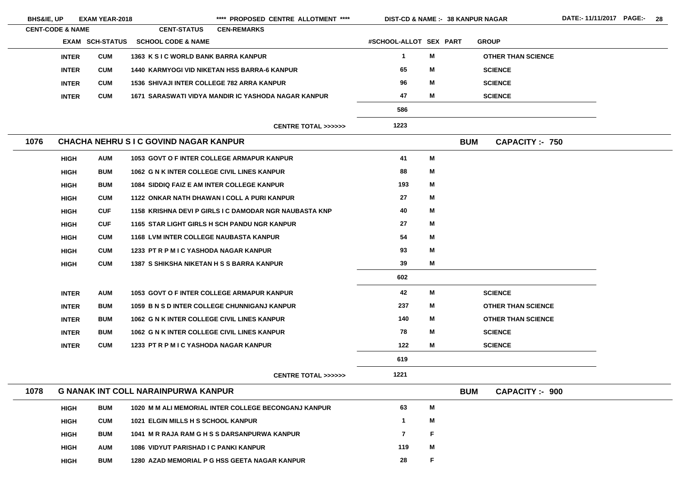|      | <b>BHS&amp;IE, UP</b><br><b>EXAM YEAR-2018</b> |  |                                               | **** PROPOSED CENTRE ALLOTMENT ****                    |                        | <b>DIST-CD &amp; NAME :- 38 KANPUR NAGAR</b> |                                     |  |  |  |
|------|------------------------------------------------|--|-----------------------------------------------|--------------------------------------------------------|------------------------|----------------------------------------------|-------------------------------------|--|--|--|
|      | <b>CENT-CODE &amp; NAME</b>                    |  | <b>CENT-STATUS</b>                            | <b>CEN-REMARKS</b>                                     |                        |                                              |                                     |  |  |  |
|      | EXAM SCH-STATUS                                |  | <b>SCHOOL CODE &amp; NAME</b>                 |                                                        | #SCHOOL-ALLOT SEX PART |                                              | <b>GROUP</b>                        |  |  |  |
|      | <b>CUM</b><br><b>INTER</b>                     |  | 1363 K S I C WORLD BANK BARRA KANPUR          |                                                        | $\mathbf 1$            | M                                            | <b>OTHER THAN SCIENCE</b>           |  |  |  |
|      | <b>INTER</b><br><b>CUM</b>                     |  |                                               | <b>1440 KARMYOGI VID NIKETAN HSS BARRA-6 KANPUR</b>    | 65                     | M                                            | <b>SCIENCE</b>                      |  |  |  |
|      | <b>INTER</b><br><b>CUM</b>                     |  |                                               | <b>1536 SHIVAJI INTER COLLEGE 782 ARRA KANPUR</b>      | 96                     | M                                            | <b>SCIENCE</b>                      |  |  |  |
|      | <b>INTER</b><br><b>CUM</b>                     |  |                                               | 1671 SARASWATI VIDYA MANDIR IC YASHODA NAGAR KANPUR    | 47                     | M                                            | <b>SCIENCE</b>                      |  |  |  |
|      |                                                |  |                                               |                                                        | 586                    |                                              |                                     |  |  |  |
|      |                                                |  |                                               | <b>CENTRE TOTAL &gt;&gt;&gt;&gt;&gt;&gt;</b>           | 1223                   |                                              |                                     |  |  |  |
| 1076 |                                                |  | <b>CHACHA NEHRU SIC GOVIND NAGAR KANPUR</b>   |                                                        |                        |                                              | <b>BUM</b><br><b>CAPACITY:- 750</b> |  |  |  |
|      | <b>AUM</b><br><b>HIGH</b>                      |  |                                               | <b>1053 GOVT O F INTER COLLEGE ARMAPUR KANPUR</b>      | 41                     | M                                            |                                     |  |  |  |
|      | <b>BUM</b><br><b>HIGH</b>                      |  |                                               | 1062 G N K INTER COLLEGE CIVIL LINES KANPUR            | 88                     | M                                            |                                     |  |  |  |
|      | <b>BUM</b><br><b>HIGH</b>                      |  |                                               | <b>1084 SIDDIQ FAIZ E AM INTER COLLEGE KANPUR</b>      | 193                    | M                                            |                                     |  |  |  |
|      | <b>CUM</b><br><b>HIGH</b>                      |  |                                               | 1122 ONKAR NATH DHAWAN I COLL A PURI KANPUR            | 27                     | M                                            |                                     |  |  |  |
|      | <b>CUF</b><br><b>HIGH</b>                      |  |                                               | 1158 KRISHNA DEVI P GIRLS I C DAMODAR NGR NAUBASTA KNP | 40                     | M                                            |                                     |  |  |  |
|      | <b>CUF</b><br><b>HIGH</b>                      |  |                                               | 1165 STAR LIGHT GIRLS H SCH PANDU NGR KANPUR           | 27                     | M                                            |                                     |  |  |  |
|      | <b>CUM</b><br><b>HIGH</b>                      |  | <b>1168 LVM INTER COLLEGE NAUBASTA KANPUR</b> |                                                        | 54                     | M                                            |                                     |  |  |  |
|      | <b>HIGH</b><br><b>CUM</b>                      |  | 1233 PT R P M I C YASHODA NAGAR KANPUR        |                                                        | 93                     | M                                            |                                     |  |  |  |
|      | <b>CUM</b><br><b>HIGH</b>                      |  |                                               | <b>1387 S SHIKSHA NIKETAN H S S BARRA KANPUR</b>       | 39                     | M                                            |                                     |  |  |  |
|      |                                                |  |                                               |                                                        | 602                    |                                              |                                     |  |  |  |
|      | <b>AUM</b><br><b>INTER</b>                     |  |                                               | <b>1053 GOVT O F INTER COLLEGE ARMAPUR KANPUR</b>      | 42                     | M                                            | <b>SCIENCE</b>                      |  |  |  |
|      | <b>BUM</b><br><b>INTER</b>                     |  |                                               | 1059 B N S D INTER COLLEGE CHUNNIGANJ KANPUR           | 237                    | М                                            | <b>OTHER THAN SCIENCE</b>           |  |  |  |
|      | <b>BUM</b><br><b>INTER</b>                     |  |                                               | 1062 G N K INTER COLLEGE CIVIL LINES KANPUR            | 140                    | M                                            | <b>OTHER THAN SCIENCE</b>           |  |  |  |
|      | <b>BUM</b><br><b>INTER</b>                     |  |                                               | 1062 G N K INTER COLLEGE CIVIL LINES KANPUR            | 78                     | M                                            | <b>SCIENCE</b>                      |  |  |  |
|      | <b>INTER</b><br><b>CUM</b>                     |  | 1233 PT R P M I C YASHODA NAGAR KANPUR        |                                                        | 122                    | M                                            | <b>SCIENCE</b>                      |  |  |  |
|      |                                                |  |                                               |                                                        | 619                    |                                              |                                     |  |  |  |
|      |                                                |  |                                               | <b>CENTRE TOTAL &gt;&gt;&gt;&gt;&gt;&gt;</b>           | 1221                   |                                              |                                     |  |  |  |
| 1078 |                                                |  | <b>G NANAK INT COLL NARAINPURWA KANPUR</b>    |                                                        |                        |                                              | <b>BUM</b><br><b>CAPACITY:- 900</b> |  |  |  |
|      | <b>BUM</b><br><b>HIGH</b>                      |  |                                               | 1020 M M ALI MEMORIAL INTER COLLEGE BECONGANJ KANPUR   | 63                     | M                                            |                                     |  |  |  |
|      | <b>CUM</b><br><b>HIGH</b>                      |  | <b>1021 ELGIN MILLS H S SCHOOL KANPUR</b>     |                                                        | $\mathbf 1$            | M                                            |                                     |  |  |  |
|      | <b>BUM</b><br><b>HIGH</b>                      |  |                                               | 1041 M R RAJA RAM G H S S DARSANPURWA KANPUR           | $\overline{7}$         | F.                                           |                                     |  |  |  |
|      | <b>AUM</b><br><b>HIGH</b>                      |  | 1086 VIDYUT PARISHAD I C PANKI KANPUR         |                                                        | 119                    | M                                            |                                     |  |  |  |
|      | <b>BUM</b><br><b>HIGH</b>                      |  |                                               | 1280 AZAD MEMORIAL P G HSS GEETA NAGAR KANPUR          | 28                     | F                                            |                                     |  |  |  |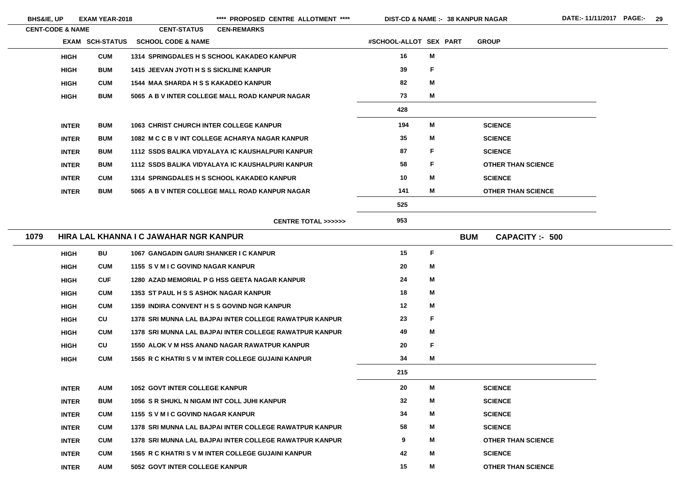**THAN SCIENCE** 

| <b>CENT-CODE &amp; NAME</b> |                        | <b>CENT-STATUS</b>                             | <b>CEN-REMARKS</b>                                      |                        |             |                                      |
|-----------------------------|------------------------|------------------------------------------------|---------------------------------------------------------|------------------------|-------------|--------------------------------------|
|                             | <b>EXAM SCH-STATUS</b> | <b>SCHOOL CODE &amp; NAME</b>                  |                                                         | #SCHOOL-ALLOT SEX PART |             | <b>GROUP</b>                         |
| <b>HIGH</b>                 | <b>CUM</b>             |                                                | 1314 SPRINGDALES H S SCHOOL KAKADEO KANPUR              | 16                     | M           |                                      |
| <b>HIGH</b>                 | <b>BUM</b>             | <b>1415 JEEVAN JYOTI H S S SICKLINE KANPUR</b> |                                                         | 39                     | $\mathsf F$ |                                      |
| <b>HIGH</b>                 | <b>CUM</b>             | <b>1544 MAA SHARDA H S S KAKADEO KANPUR</b>    |                                                         | 82                     | M           |                                      |
| <b>HIGH</b>                 | <b>BUM</b>             |                                                | 5065 A B V INTER COLLEGE MALL ROAD KANPUR NAGAR         | 73                     | M           |                                      |
|                             |                        |                                                |                                                         | 428                    |             |                                      |
| <b>INTER</b>                | <b>BUM</b>             | <b>1063 CHRIST CHURCH INTER COLLEGE KANPUR</b> |                                                         | 194                    | M           | <b>SCIENCE</b>                       |
| <b>INTER</b>                | <b>BUM</b>             |                                                | 1082 M C C B V INT COLLEGE ACHARYA NAGAR KANPUR         | 35                     | M           | <b>SCIENCE</b>                       |
| <b>INTER</b>                | <b>BUM</b>             |                                                | 1112 SSDS BALIKA VIDYALAYA IC KAUSHALPURI KANPUR        | 87                     | F           | <b>SCIENCE</b>                       |
| <b>INTER</b>                | <b>BUM</b>             |                                                | 1112 SSDS BALIKA VIDYALAYA IC KAUSHALPURI KANPUR        | 58                     | F           | <b>OTHER THAN SCIENCE</b>            |
| <b>INTER</b>                | <b>CUM</b>             |                                                | 1314 SPRINGDALES H S SCHOOL KAKADEO KANPUR              | 10                     | M           | <b>SCIENCE</b>                       |
| <b>INTER</b>                | <b>BUM</b>             |                                                | 5065 A B V INTER COLLEGE MALL ROAD KANPUR NAGAR         | 141                    | M           | <b>OTHER THAN SCIENCE</b>            |
|                             |                        |                                                |                                                         | 525                    |             |                                      |
|                             |                        |                                                | <b>CENTRE TOTAL &gt;&gt;&gt;&gt;&gt;&gt;</b>            | 953                    |             |                                      |
| 1079                        |                        | HIRA LAL KHANNA I C JAWAHAR NGR KANPUR         |                                                         |                        |             | <b>BUM</b><br><b>CAPACITY: - 500</b> |
| <b>HIGH</b>                 | <b>BU</b>              | 1067 GANGADIN GAURI SHANKER I C KANPUR         |                                                         | 15                     | F           |                                      |
| <b>HIGH</b>                 | <b>CUM</b>             | 1155 S V M I C GOVIND NAGAR KANPUR             |                                                         | 20                     | M           |                                      |
| <b>HIGH</b>                 | <b>CUF</b>             |                                                | 1280 AZAD MEMORIAL P G HSS GEETA NAGAR KANPUR           | 24                     | M           |                                      |
| <b>HIGH</b>                 | <b>CUM</b>             | <b>1353 ST PAUL H S S ASHOK NAGAR KANPUR</b>   |                                                         | 18                     | M           |                                      |
| <b>HIGH</b>                 | <b>CUM</b>             |                                                | <b>1359 INDIRA CONVENT H S S GOVIND NGR KANPUR</b>      | 12                     | M           |                                      |
| <b>HIGH</b>                 | CU                     |                                                | 1378 SRI MUNNA LAL BAJPAI INTER COLLEGE RAWATPUR KANPUR | 23                     | F           |                                      |
| <b>HIGH</b>                 | <b>CUM</b>             |                                                | 1378 SRI MUNNA LAL BAJPAI INTER COLLEGE RAWATPUR KANPUR | 49                     | M           |                                      |
| <b>HIGH</b>                 | CU                     |                                                | 1550 ALOK V M HSS ANAND NAGAR RAWATPUR KANPUR           | 20                     | F           |                                      |
| <b>HIGH</b>                 | <b>CUM</b>             |                                                | 1565 R C KHATRI S V M INTER COLLEGE GUJAINI KANPUR      | 34                     | M           |                                      |
|                             |                        |                                                |                                                         | 215                    |             |                                      |
| <b>INTER</b>                | <b>AUM</b>             | <b>1052 GOVT INTER COLLEGE KANPUR</b>          |                                                         | 20                     | M           | <b>SCIENCE</b>                       |
| <b>INTER</b>                | <b>BUM</b>             | 1056 S R SHUKL N NIGAM INT COLL JUHI KANPUR    |                                                         | 32                     | M           | <b>SCIENCE</b>                       |
| <b>INTER</b>                | <b>CUM</b>             | 1155 SVMIC GOVIND NAGAR KANPUR                 |                                                         | 34                     | M           | <b>SCIENCE</b>                       |
| <b>INTER</b>                | <b>CUM</b>             |                                                | 1378 SRI MUNNA LAL BAJPAI INTER COLLEGE RAWATPUR KANPUR | 58                     | M           | <b>SCIENCE</b>                       |
| <b>INTER</b>                | <b>CUM</b>             |                                                | 1378 SRI MUNNA LAL BAJPAI INTER COLLEGE RAWATPUR KANPUR | 9                      | M           | <b>OTHER THAN SCIENCE</b>            |
| <b>INTER</b>                | <b>CUM</b>             |                                                | 1565 R C KHATRI S V M INTER COLLEGE GUJAINI KANPUR      | 42                     | M           | <b>SCIENCE</b>                       |
| <b>INTER</b>                | <b>AUM</b>             | 5052 GOVT INTER COLLEGE KANPUR                 |                                                         | 15                     | M           | <b>OTHER THAN SCIENCE</b>            |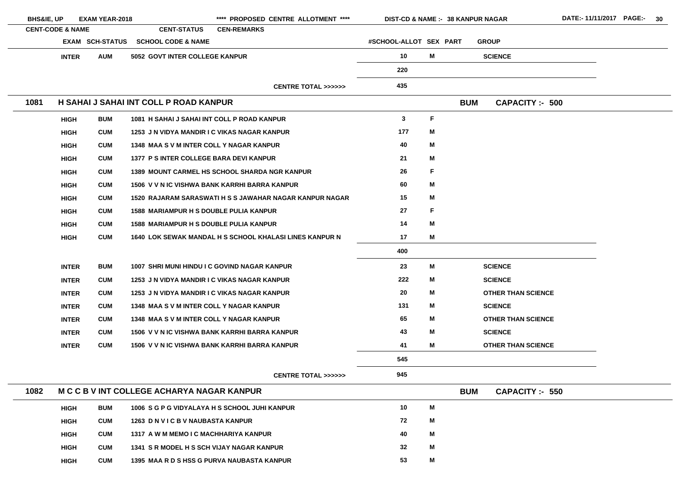| <b>BHS&amp;IE, UP</b> |                             | <b>EXAM YEAR-2018</b>  |                                               | **** PROPOSED CENTRE ALLOTMENT ****                     | <b>DIST-CD &amp; NAME :- 38 KANPUR NAGAR</b> |   |            |                           |
|-----------------------|-----------------------------|------------------------|-----------------------------------------------|---------------------------------------------------------|----------------------------------------------|---|------------|---------------------------|
|                       | <b>CENT-CODE &amp; NAME</b> |                        | <b>CENT-STATUS</b>                            | <b>CEN-REMARKS</b>                                      |                                              |   |            |                           |
|                       |                             | <b>EXAM SCH-STATUS</b> | <b>SCHOOL CODE &amp; NAME</b>                 |                                                         | #SCHOOL-ALLOT SEX PART                       |   |            | <b>GROUP</b>              |
|                       | <b>INTER</b>                | <b>AUM</b>             | <b>5052 GOVT INTER COLLEGE KANPUR</b>         |                                                         | 10                                           | M |            | <b>SCIENCE</b>            |
|                       |                             |                        |                                               |                                                         | 220                                          |   |            |                           |
|                       |                             |                        |                                               | <b>CENTRE TOTAL &gt;&gt;&gt;&gt;&gt;&gt;</b>            | 435                                          |   |            |                           |
| 1081                  |                             |                        | H SAHAI J SAHAI INT COLL P ROAD KANPUR        |                                                         |                                              |   | <b>BUM</b> | <b>CAPACITY: - 500</b>    |
|                       | <b>HIGH</b>                 | <b>BUM</b>             | 1081 H SAHAI J SAHAI INT COLL P ROAD KANPUR   |                                                         | $\mathbf{3}$                                 | F |            |                           |
|                       | <b>HIGH</b>                 | <b>CUM</b>             | 1253 J N VIDYA MANDIR I C VIKAS NAGAR KANPUR  |                                                         | 177                                          | M |            |                           |
|                       | <b>HIGH</b>                 | <b>CUM</b>             | 1348 MAA S V M INTER COLL Y NAGAR KANPUR      |                                                         | 40                                           | M |            |                           |
|                       | <b>HIGH</b>                 | <b>CUM</b>             | 1377 P S INTER COLLEGE BARA DEVI KANPUR       |                                                         | 21                                           | Μ |            |                           |
|                       | <b>HIGH</b>                 | <b>CUM</b>             |                                               | <b>1389 MOUNT CARMEL HS SCHOOL SHARDA NGR KANPUR</b>    | 26                                           | F |            |                           |
|                       | <b>HIGH</b>                 | <b>CUM</b>             |                                               | 1506 V V N IC VISHWA BANK KARRHI BARRA KANPUR           | 60                                           | M |            |                           |
|                       | <b>HIGH</b>                 | <b>CUM</b>             |                                               | 1520 RAJARAM SARASWATI H S S JAWAHAR NAGAR KANPUR NAGAR | 15                                           | Μ |            |                           |
|                       | <b>HIGH</b>                 | <b>CUM</b>             | <b>1588 MARIAMPUR H S DOUBLE PULIA KANPUR</b> |                                                         | 27                                           | F |            |                           |
|                       | <b>HIGH</b>                 | <b>CUM</b>             | <b>1588 MARIAMPUR H S DOUBLE PULIA KANPUR</b> |                                                         | 14                                           | M |            |                           |
|                       | <b>HIGH</b>                 | <b>CUM</b>             |                                               | 1640 LOK SEWAK MANDAL H S SCHOOL KHALASI LINES KANPUR N | 17                                           | M |            |                           |
|                       |                             |                        |                                               |                                                         | 400                                          |   |            |                           |
|                       | <b>INTER</b>                | <b>BUM</b>             | 1007 SHRI MUNI HINDU I C GOVIND NAGAR KANPUR  |                                                         | 23                                           | M |            | <b>SCIENCE</b>            |
|                       | <b>INTER</b>                | <b>CUM</b>             | 1253 J N VIDYA MANDIR I C VIKAS NAGAR KANPUR  |                                                         | 222                                          | M |            | <b>SCIENCE</b>            |
|                       | <b>INTER</b>                | <b>CUM</b>             | 1253 J N VIDYA MANDIR I C VIKAS NAGAR KANPUR  |                                                         | 20                                           | Μ |            | <b>OTHER THAN SCIENCE</b> |
|                       | <b>INTER</b>                | <b>CUM</b>             | 1348 MAA S V M INTER COLL Y NAGAR KANPUR      |                                                         | 131                                          | M |            | <b>SCIENCE</b>            |
|                       | <b>INTER</b>                | <b>CUM</b>             | 1348 MAA S V M INTER COLL Y NAGAR KANPUR      |                                                         | 65                                           | M |            | <b>OTHER THAN SCIENCE</b> |
|                       | <b>INTER</b>                | <b>CUM</b>             |                                               | 1506 V V N IC VISHWA BANK KARRHI BARRA KANPUR           | 43                                           | M |            | <b>SCIENCE</b>            |
|                       | <b>INTER</b>                | <b>CUM</b>             |                                               | 1506 V V N IC VISHWA BANK KARRHI BARRA KANPUR           | 41                                           | M |            | <b>OTHER THAN SCIENCE</b> |
|                       |                             |                        |                                               |                                                         | 545                                          |   |            |                           |
|                       |                             |                        |                                               | <b>CENTRE TOTAL &gt;&gt;&gt;&gt;&gt;&gt;</b>            | 945                                          |   |            |                           |
| 1082                  |                             |                        | M C C B V INT COLLEGE ACHARYA NAGAR KANPUR    |                                                         |                                              |   | <b>BUM</b> | <b>CAPACITY :- 550</b>    |
|                       | <b>HIGH</b>                 | <b>BUM</b>             |                                               | 1006 S G P G VIDYALAYA H S SCHOOL JUHI KANPUR           | 10                                           | M |            |                           |
|                       | <b>HIGH</b>                 | <b>CUM</b>             | 1263 D N V I C B V NAUBASTA KANPUR            |                                                         | 72                                           | M |            |                           |
|                       | <b>HIGH</b>                 | <b>CUM</b>             | 1317 A W M MEMO I C MACHHARIYA KANPUR         |                                                         | 40                                           | M |            |                           |
|                       | <b>HIGH</b>                 | <b>CUM</b>             | 1341 S R MODEL H S SCH VIJAY NAGAR KANPUR     |                                                         | 32                                           | Μ |            |                           |
|                       | <b>HIGH</b>                 | <b>CUM</b>             | 1395 MAA R D S HSS G PURVA NAUBASTA KANPUR    |                                                         | 53                                           | M |            |                           |

<u> 1989 - Johann Barbara, martxa alemaniar a</u>

<u> 1989 - Johann Barbara, martxa a</u>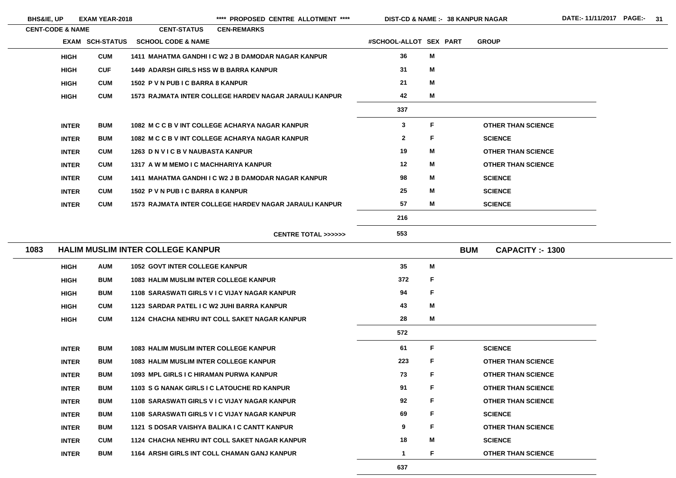\*\*\*\* PROPOSED CENTRE ALLOTMENT \*\*\*\* DIST-CD & NAME :- 38 KANPUR NAGAR DATE:- 11/11/2017 PAGE:- 31

**38 KANPUR NAGAR**

|      | <b>CENT-CODE &amp; NAME</b> |                        | <b>CENT-STATUS</b>                            | <b>CEN-REMARKS</b>                                     |                        |    |            |                           |
|------|-----------------------------|------------------------|-----------------------------------------------|--------------------------------------------------------|------------------------|----|------------|---------------------------|
|      |                             | <b>EXAM SCH-STATUS</b> | <b>SCHOOL CODE &amp; NAME</b>                 |                                                        | #SCHOOL-ALLOT SEX PART |    |            | <b>GROUP</b>              |
|      | <b>HIGH</b>                 | <b>CUM</b>             |                                               | 1411 MAHATMA GANDHI I C W2 J B DAMODAR NAGAR KANPUR    | 36                     | M  |            |                           |
|      | <b>HIGH</b>                 | <b>CUF</b>             | <b>1449 ADARSH GIRLS HSS W B BARRA KANPUR</b> |                                                        | 31                     | M  |            |                           |
|      | <b>HIGH</b>                 | <b>CUM</b>             | 1502 P V N PUB I C BARRA 8 KANPUR             |                                                        | 21                     | M  |            |                           |
|      | <b>HIGH</b>                 | <b>CUM</b>             |                                               | 1573 RAJMATA INTER COLLEGE HARDEV NAGAR JARAULI KANPUR | 42                     | M  |            |                           |
|      |                             |                        |                                               |                                                        | 337                    |    |            |                           |
|      | <b>INTER</b>                | <b>BUM</b>             |                                               | 1082 M C C B V INT COLLEGE ACHARYA NAGAR KANPUR        | 3                      | F  |            | <b>OTHER THAN SCIENCE</b> |
|      | <b>INTER</b>                | <b>BUM</b>             |                                               | 1082 M C C B V INT COLLEGE ACHARYA NAGAR KANPUR        | $\mathbf{2}$           | F  |            | <b>SCIENCE</b>            |
|      | <b>INTER</b>                | <b>CUM</b>             | 1263 D N V I C B V NAUBASTA KANPUR            |                                                        | 19                     | M  |            | <b>OTHER THAN SCIENCE</b> |
|      | <b>INTER</b>                | <b>CUM</b>             | 1317 A W M MEMO I C MACHHARIYA KANPUR         |                                                        | 12                     | M  |            | <b>OTHER THAN SCIENCE</b> |
|      | <b>INTER</b>                | <b>CUM</b>             |                                               | 1411 MAHATMA GANDHI I C W2 J B DAMODAR NAGAR KANPUR    | 98                     | M  |            | <b>SCIENCE</b>            |
|      | <b>INTER</b>                | <b>CUM</b>             | 1502 P V N PUB I C BARRA 8 KANPUR             |                                                        | 25                     | M  |            | <b>SCIENCE</b>            |
|      | <b>INTER</b>                | <b>CUM</b>             |                                               | 1573 RAJMATA INTER COLLEGE HARDEV NAGAR JARAULI KANPUR | 57                     | M  |            | <b>SCIENCE</b>            |
|      |                             |                        |                                               |                                                        | 216                    |    |            |                           |
|      |                             |                        |                                               | <b>CENTRE TOTAL &gt;&gt;&gt;&gt;&gt;&gt;</b>           | 553                    |    |            |                           |
| 1083 |                             |                        | <b>HALIM MUSLIM INTER COLLEGE KANPUR</b>      |                                                        |                        |    | <b>BUM</b> | <b>CAPACITY :- 1300</b>   |
|      | <b>HIGH</b>                 | <b>AUM</b>             | <b>1052 GOVT INTER COLLEGE KANPUR</b>         |                                                        | 35                     | M  |            |                           |
|      | <b>HIGH</b>                 | <b>BUM</b>             | <b>1083 HALIM MUSLIM INTER COLLEGE KANPUR</b> |                                                        | 372                    | F  |            |                           |
|      | <b>HIGH</b>                 | <b>BUM</b>             |                                               | 1108 SARASWATI GIRLS V I C VIJAY NAGAR KANPUR          | 94                     | F  |            |                           |
|      | <b>HIGH</b>                 | <b>CUM</b>             | 1123 SARDAR PATEL I C W2 JUHI BARRA KANPUR    |                                                        | 43                     | M  |            |                           |
|      | <b>HIGH</b>                 | <b>CUM</b>             |                                               | 1124 CHACHA NEHRU INT COLL SAKET NAGAR KANPUR          | 28                     | M  |            |                           |
|      |                             |                        |                                               |                                                        | 572                    |    |            |                           |
|      | <b>INTER</b>                | <b>BUM</b>             | <b>1083 HALIM MUSLIM INTER COLLEGE KANPUR</b> |                                                        | 61                     | F  |            | <b>SCIENCE</b>            |
|      | <b>INTER</b>                | <b>BUM</b>             | <b>1083 HALIM MUSLIM INTER COLLEGE KANPUR</b> |                                                        | 223                    | F  |            | <b>OTHER THAN SCIENCE</b> |
|      | <b>INTER</b>                | <b>BUM</b>             | 1093 MPL GIRLS I C HIRAMAN PURWA KANPUR       |                                                        | 73                     | F  |            | <b>OTHER THAN SCIENCE</b> |
|      | <b>INTER</b>                | <b>BUM</b>             | 1103 S G NANAK GIRLS I C LATOUCHE RD KANPUR   |                                                        | 91                     | F  |            | <b>OTHER THAN SCIENCE</b> |
|      | <b>INTER</b>                | <b>BUM</b>             |                                               | 1108 SARASWATI GIRLS V I C VIJAY NAGAR KANPUR          | 92                     | F  |            | <b>OTHER THAN SCIENCE</b> |
|      | <b>INTER</b>                | <b>BUM</b>             |                                               | 1108 SARASWATI GIRLS V I C VIJAY NAGAR KANPUR          | 69                     | F  |            | <b>SCIENCE</b>            |
|      | <b>INTER</b>                | <b>BUM</b>             | 1121 S DOSAR VAISHYA BALIKA I C CANTT KANPUR  |                                                        | 9                      | F  |            | <b>OTHER THAN SCIENCE</b> |
|      | <b>INTER</b>                | <b>CUM</b>             |                                               | 1124 CHACHA NEHRU INT COLL SAKET NAGAR KANPUR          | 18                     | M  |            | <b>SCIENCE</b>            |
|      | <b>INTER</b>                | <b>BUM</b>             |                                               | 1164 ARSHI GIRLS INT COLL CHAMAN GANJ KANPUR           | $\mathbf 1$            | F. |            | <b>OTHER THAN SCIENCE</b> |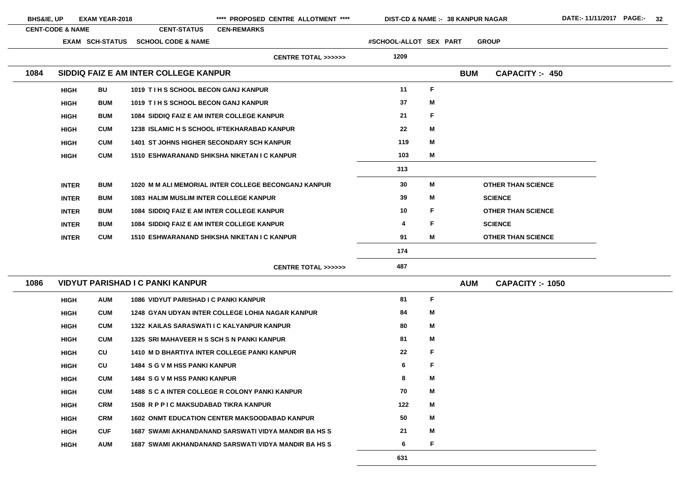| <b>BHS&amp;IE, UP</b> |                             | <b>EXAM YEAR-2018</b>  |                                                      |                    | **** PROPOSED CENTRE ALLOTMENT ****          | DIST-CD & NAME :- 38 KANPUR NAGAR |   |            |                           |  |
|-----------------------|-----------------------------|------------------------|------------------------------------------------------|--------------------|----------------------------------------------|-----------------------------------|---|------------|---------------------------|--|
|                       | <b>CENT-CODE &amp; NAME</b> |                        | <b>CENT-STATUS</b>                                   | <b>CEN-REMARKS</b> |                                              |                                   |   |            |                           |  |
|                       |                             | <b>EXAM SCH-STATUS</b> | <b>SCHOOL CODE &amp; NAME</b>                        |                    |                                              | #SCHOOL-ALLOT SEX PART            |   |            | <b>GROUP</b>              |  |
|                       |                             |                        |                                                      |                    | <b>CENTRE TOTAL &gt;&gt;&gt;&gt;&gt;&gt;</b> | 1209                              |   |            |                           |  |
| 1084                  |                             |                        | SIDDIQ FAIZ E AM INTER COLLEGE KANPUR                |                    |                                              |                                   |   | <b>BUM</b> | <b>CAPACITY:- 450</b>     |  |
|                       | <b>HIGH</b>                 | <b>BU</b>              | 1019 TIH S SCHOOL BECON GANJ KANPUR                  |                    |                                              | 11                                | F |            |                           |  |
|                       | <b>HIGH</b>                 | <b>BUM</b>             | 1019 TIH S SCHOOL BECON GANJ KANPUR                  |                    |                                              | 37                                | M |            |                           |  |
|                       | <b>HIGH</b>                 | <b>BUM</b>             | <b>1084 SIDDIQ FAIZ E AM INTER COLLEGE KANPUR</b>    |                    |                                              | 21                                | F |            |                           |  |
|                       | <b>HIGH</b>                 | <b>CUM</b>             | <b>1238 ISLAMIC H S SCHOOL IFTEKHARABAD KANPUR</b>   |                    |                                              | 22                                | M |            |                           |  |
|                       | <b>HIGH</b>                 | <b>CUM</b>             | <b>1401 ST JOHNS HIGHER SECONDARY SCH KANPUR</b>     |                    |                                              | 119                               | M |            |                           |  |
|                       | <b>HIGH</b>                 | <b>CUM</b>             | 1510 ESHWARANAND SHIKSHA NIKETAN I C KANPUR          |                    |                                              | 103                               | M |            |                           |  |
|                       |                             |                        |                                                      |                    |                                              | 313                               |   |            |                           |  |
|                       | <b>INTER</b>                | <b>BUM</b>             | 1020 M M ALI MEMORIAL INTER COLLEGE BECONGANJ KANPUR |                    |                                              | 30                                | M |            | <b>OTHER THAN SCIENCE</b> |  |
|                       | <b>INTER</b>                | <b>BUM</b>             | <b>1083 HALIM MUSLIM INTER COLLEGE KANPUR</b>        |                    |                                              | 39                                | M |            | <b>SCIENCE</b>            |  |
|                       | <b>INTER</b>                | <b>BUM</b>             | <b>1084 SIDDIQ FAIZ E AM INTER COLLEGE KANPUR</b>    |                    |                                              | 10                                | F |            | <b>OTHER THAN SCIENCE</b> |  |
|                       | <b>INTER</b>                | <b>BUM</b>             | <b>1084 SIDDIQ FAIZ E AM INTER COLLEGE KANPUR</b>    |                    |                                              | 4                                 | F |            | <b>SCIENCE</b>            |  |
|                       | <b>INTER</b>                | <b>CUM</b>             | 1510 ESHWARANAND SHIKSHA NIKETAN I C KANPUR          |                    |                                              | 91                                | Μ |            | <b>OTHER THAN SCIENCE</b> |  |
|                       |                             |                        |                                                      |                    |                                              | 174                               |   |            |                           |  |
|                       |                             |                        |                                                      |                    | <b>CENTRE TOTAL &gt;&gt;&gt;&gt;&gt;&gt;</b> | 487                               |   |            |                           |  |
| 1086                  |                             |                        | <b>VIDYUT PARISHAD I C PANKI KANPUR</b>              |                    |                                              |                                   |   | <b>AUM</b> | <b>CAPACITY :- 1050</b>   |  |
|                       | <b>HIGH</b>                 | <b>AUM</b>             | <b>1086 VIDYUT PARISHAD I C PANKI KANPUR</b>         |                    |                                              | 81                                | F |            |                           |  |
|                       | <b>HIGH</b>                 | <b>CUM</b>             | 1248 GYAN UDYAN INTER COLLEGE LOHIA NAGAR KANPUR     |                    |                                              | 84                                | Μ |            |                           |  |
|                       | <b>HIGH</b>                 | <b>CUM</b>             | 1322 KAILAS SARASWATI I C KALYANPUR KANPUR           |                    |                                              | 80                                | Μ |            |                           |  |
|                       | <b>HIGH</b>                 | <b>CUM</b>             | 1325 SRI MAHAVEER H S SCH S N PANKI KANPUR           |                    |                                              | 81                                | Μ |            |                           |  |
|                       | <b>HIGH</b>                 | CU                     | <b>1410 M D BHARTIYA INTER COLLEGE PANKI KANPUR</b>  |                    |                                              | 22                                | F |            |                           |  |
|                       | <b>HIGH</b>                 | CU                     | <b>1484 S G V M HSS PANKI KANPUR</b>                 |                    |                                              | 6                                 | F |            |                           |  |
|                       | <b>HIGH</b>                 | <b>CUM</b>             | <b>1484 S G V M HSS PANKI KANPUR</b>                 |                    |                                              | 8                                 | Μ |            |                           |  |
|                       | <b>HIGH</b>                 | <b>CUM</b>             | 1488 S C A INTER COLLEGE R COLONY PANKI KANPUR       |                    |                                              | 70                                | M |            |                           |  |
|                       | <b>HIGH</b>                 | <b>CRM</b>             | <b>1508 R P P I C MAKSUDABAD TIKRA KANPUR</b>        |                    |                                              | 122                               | M |            |                           |  |
|                       | <b>HIGH</b>                 | <b>CRM</b>             | <b>1602 ONMT EDUCATION CENTER MAKSOODABAD KANPUR</b> |                    |                                              | 50                                | Μ |            |                           |  |
|                       | <b>HIGH</b>                 | <b>CUF</b>             | 1687 SWAMI AKHANDANAND SARSWATI VIDYA MANDIR BA HS S |                    |                                              | 21                                | Μ |            |                           |  |
|                       | <b>HIGH</b>                 | <b>AUM</b>             | 1687 SWAMI AKHANDANAND SARSWATI VIDYA MANDIR BA HS S |                    |                                              | 6                                 | F |            |                           |  |
|                       |                             |                        |                                                      |                    |                                              | 631                               |   |            |                           |  |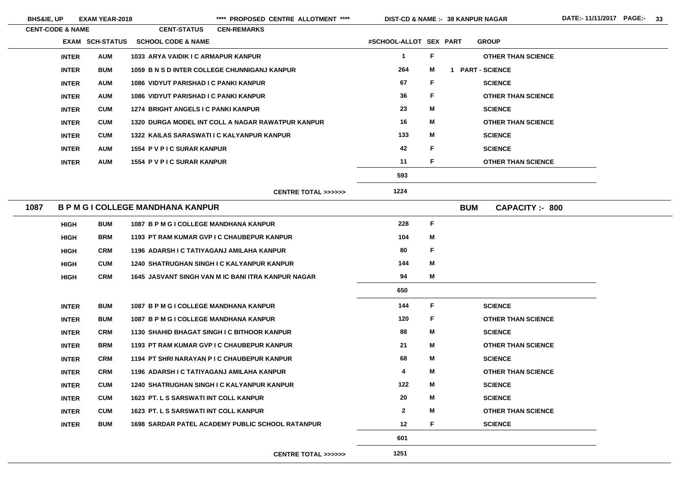**38 KANPUR NAGAR**

| <b>CENT-CODE &amp; NAME</b> |                        | <b>CENT-STATUS</b>                           | <b>CEN-REMARKS</b>                                      |                        |              |            |                           |
|-----------------------------|------------------------|----------------------------------------------|---------------------------------------------------------|------------------------|--------------|------------|---------------------------|
|                             | <b>EXAM SCH-STATUS</b> | <b>SCHOOL CODE &amp; NAME</b>                |                                                         | #SCHOOL-ALLOT SEX PART |              |            | <b>GROUP</b>              |
| <b>INTER</b>                | <b>AUM</b>             | 1033 ARYA VAIDIK I C ARMAPUR KANPUR          |                                                         | $\mathbf 1$            | $\mathsf F$  |            | <b>OTHER THAN SCIENCE</b> |
| <b>INTER</b>                | <b>BUM</b>             |                                              | 1059 B N S D INTER COLLEGE CHUNNIGANJ KANPUR            | 264                    | M            |            | <b>PART - SCIENCE</b>     |
| <b>INTER</b>                | <b>AUM</b>             | 1086 VIDYUT PARISHAD I C PANKI KANPUR        |                                                         | 67                     | F            |            | <b>SCIENCE</b>            |
| <b>INTER</b>                | <b>AUM</b>             | <b>1086 VIDYUT PARISHAD I C PANKI KANPUR</b> |                                                         | 36                     | F            |            | <b>OTHER THAN SCIENCE</b> |
| <b>INTER</b>                | <b>CUM</b>             | 1274 BRIGHT ANGELS I C PANKI KANPUR          |                                                         | 23                     | M            |            | <b>SCIENCE</b>            |
| <b>INTER</b>                | <b>CUM</b>             |                                              | 1320 DURGA MODEL INT COLL A NAGAR RAWATPUR KANPUR       | 16                     | M            |            | <b>OTHER THAN SCIENCE</b> |
| <b>INTER</b>                | <b>CUM</b>             |                                              | 1322 KAILAS SARASWATI I C KALYANPUR KANPUR              | 133                    | M            |            | <b>SCIENCE</b>            |
| <b>INTER</b>                | <b>AUM</b>             | 1554 P V P I C SURAR KANPUR                  |                                                         | 42                     | F            |            | <b>SCIENCE</b>            |
| <b>INTER</b>                | <b>AUM</b>             | <b>1554 PV PIC SURAR KANPUR</b>              |                                                         | 11                     | F            |            | <b>OTHER THAN SCIENCE</b> |
|                             |                        |                                              |                                                         | 593                    |              |            |                           |
|                             |                        |                                              | <b>CENTRE TOTAL &gt;&gt;&gt;&gt;&gt;&gt;</b>            | 1224                   |              |            |                           |
| 1087                        |                        | <b>B P M G I COLLEGE MANDHANA KANPUR</b>     |                                                         |                        |              | <b>BUM</b> | <b>CAPACITY: - 800</b>    |
| <b>HIGH</b>                 | <b>BUM</b>             | 1087 B P M G I COLLEGE MANDHANA KANPUR       |                                                         | 228                    | $\mathsf F$  |            |                           |
| <b>HIGH</b>                 | <b>BRM</b>             |                                              | 1193 PT RAM KUMAR GVP I C CHAUBEPUR KANPUR              | 104                    | M            |            |                           |
| <b>HIGH</b>                 | <b>CRM</b>             | 1196 ADARSH I C TATIYAGANJ AMILAHA KANPUR    |                                                         | 80                     | $\mathsf F$  |            |                           |
| <b>HIGH</b>                 | <b>CUM</b>             |                                              | <b>1240 SHATRUGHAN SINGH I C KALYANPUR KANPUR</b>       | 144                    | M            |            |                           |
| <b>HIGH</b>                 | <b>CRM</b>             |                                              | 1645 JASVANT SINGH VAN M IC BANI ITRA KANPUR NAGAR      | 94                     | M            |            |                           |
|                             |                        |                                              |                                                         | 650                    |              |            |                           |
| <b>INTER</b>                | <b>BUM</b>             | 1087 B P M G I COLLEGE MANDHANA KANPUR       |                                                         | 144                    | F            |            | <b>SCIENCE</b>            |
| <b>INTER</b>                | <b>BUM</b>             | 1087 B P M G I COLLEGE MANDHANA KANPUR       |                                                         | 120                    | $\mathsf{F}$ |            | <b>OTHER THAN SCIENCE</b> |
| <b>INTER</b>                | <b>CRM</b>             |                                              | 1130 SHAHID BHAGAT SINGH I C BITHOOR KANPUR             | 88                     | M            |            | <b>SCIENCE</b>            |
| <b>INTER</b>                | <b>BRM</b>             |                                              | 1193 PT RAM KUMAR GVP I C CHAUBEPUR KANPUR              | 21                     | M            |            | <b>OTHER THAN SCIENCE</b> |
| <b>INTER</b>                | <b>CRM</b>             |                                              | 1194 PT SHRI NARAYAN P I C CHAUBEPUR KANPUR             | 68                     | M            |            | <b>SCIENCE</b>            |
| <b>INTER</b>                | <b>CRM</b>             | 1196 ADARSH I C TATIYAGANJ AMILAHA KANPUR    |                                                         | 4                      | M            |            | <b>OTHER THAN SCIENCE</b> |
| <b>INTER</b>                | <b>CUM</b>             |                                              | <b>1240 SHATRUGHAN SINGH I C KALYANPUR KANPUR</b>       | 122                    | M            |            | <b>SCIENCE</b>            |
| <b>INTER</b>                | <b>CUM</b>             | 1623 PT. L S SARSWATI INT COLL KANPUR        |                                                         | 20                     | M            |            | <b>SCIENCE</b>            |
| <b>INTER</b>                | <b>CUM</b>             | <b>1623 PT. L S SARSWATI INT COLL KANPUR</b> |                                                         | $\mathbf{2}$           | M            |            | <b>OTHER THAN SCIENCE</b> |
| <b>INTER</b>                | <b>BUM</b>             |                                              | <b>1698 SARDAR PATEL ACADEMY PUBLIC SCHOOL RATANPUR</b> | 12                     | F            |            | <b>SCIENCE</b>            |
|                             |                        |                                              |                                                         | 601                    |              |            |                           |
|                             |                        |                                              | <b>CENTRE TOTAL &gt;&gt;&gt;&gt;&gt;&gt;</b>            | 1251                   |              |            |                           |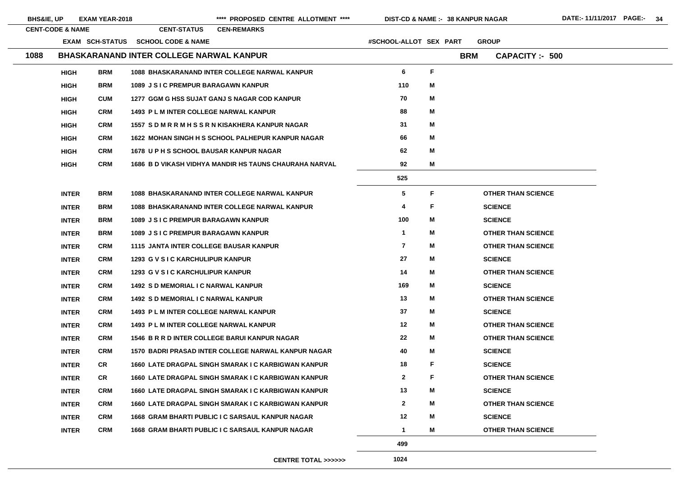| <b>BHS&amp;IE, UP</b> |                             | <b>EXAM YEAR-2018</b> |                                                 | **** PROPOSED CENTRE ALLOTMENT ****                        | <b>DIST-CD &amp; NAME :- 38 KANPUR NAGAR</b> |    |            |                           | DATE:-11/11/2017 PAGE:- 34 |  |
|-----------------------|-----------------------------|-----------------------|-------------------------------------------------|------------------------------------------------------------|----------------------------------------------|----|------------|---------------------------|----------------------------|--|
|                       | <b>CENT-CODE &amp; NAME</b> |                       | <b>CENT-STATUS</b>                              | <b>CEN-REMARKS</b>                                         |                                              |    |            |                           |                            |  |
|                       |                             |                       | EXAM SCH-STATUS SCHOOL CODE & NAME              |                                                            | #SCHOOL-ALLOT SEX PART                       |    |            | <b>GROUP</b>              |                            |  |
| 1088                  |                             |                       | <b>BHASKARANAND INTER COLLEGE NARWAL KANPUR</b> |                                                            |                                              |    | <b>BRM</b> | <b>CAPACITY :- 500</b>    |                            |  |
|                       | <b>HIGH</b>                 | <b>BRM</b>            |                                                 | 1088 BHASKARANAND INTER COLLEGE NARWAL KANPUR              | 6                                            | F  |            |                           |                            |  |
|                       | <b>HIGH</b>                 | <b>BRM</b>            | <b>1089 J S I C PREMPUR BARAGAWN KANPUR</b>     |                                                            | 110                                          | M  |            |                           |                            |  |
|                       | <b>HIGH</b>                 | <b>CUM</b>            |                                                 | 1277 GGM G HSS SUJAT GANJ S NAGAR COD KANPUR               | 70                                           | M  |            |                           |                            |  |
|                       | <b>HIGH</b>                 | <b>CRM</b>            | 1493 P L M INTER COLLEGE NARWAL KANPUR          |                                                            | 88                                           | M  |            |                           |                            |  |
|                       | <b>HIGH</b>                 | <b>CRM</b>            |                                                 | 1557 SDMRRMHSSRNKISAKHERA KANPUR NAGAR                     | 31                                           | M  |            |                           |                            |  |
|                       | <b>HIGH</b>                 | <b>CRM</b>            |                                                 | 1622 MOHAN SINGH H S SCHOOL PALHEPUR KANPUR NAGAR          | 66                                           | M  |            |                           |                            |  |
|                       | <b>HIGH</b>                 | <b>CRM</b>            | <b>1678 UPH S SCHOOL BAUSAR KANPUR NAGAR</b>    |                                                            | 62                                           | M  |            |                           |                            |  |
|                       | <b>HIGH</b>                 | <b>CRM</b>            |                                                 | 1686 B D VIKASH VIDHYA MANDIR HS TAUNS CHAURAHA NARVAL     | 92                                           | М  |            |                           |                            |  |
|                       |                             |                       |                                                 |                                                            | 525                                          |    |            |                           |                            |  |
|                       | <b>INTER</b>                | <b>BRM</b>            |                                                 | 1088 BHASKARANAND INTER COLLEGE NARWAL KANPUR              | $\overline{\mathbf{5}}$                      | F. |            | <b>OTHER THAN SCIENCE</b> |                            |  |
|                       | <b>INTER</b>                | <b>BRM</b>            |                                                 | 1088 BHASKARANAND INTER COLLEGE NARWAL KANPUR              | 4                                            | F. |            | <b>SCIENCE</b>            |                            |  |
|                       | <b>INTER</b>                | <b>BRM</b>            | 1089 J S I C PREMPUR BARAGAWN KANPUR            |                                                            | 100                                          | М  |            | <b>SCIENCE</b>            |                            |  |
|                       | <b>INTER</b>                | <b>BRM</b>            | 1089 J S I C PREMPUR BARAGAWN KANPUR            |                                                            | $\mathbf 1$                                  | M  |            | <b>OTHER THAN SCIENCE</b> |                            |  |
|                       | <b>INTER</b>                | <b>CRM</b>            | <b>1115 JANTA INTER COLLEGE BAUSAR KANPUR</b>   |                                                            | $\overline{\mathbf{r}}$                      | М  |            | <b>OTHER THAN SCIENCE</b> |                            |  |
|                       | <b>INTER</b>                | <b>CRM</b>            | 1293 G V S I C KARCHULIPUR KANPUR               |                                                            | 27                                           | Μ  |            | <b>SCIENCE</b>            |                            |  |
|                       | <b>INTER</b>                | <b>CRM</b>            | 1293 G V S I C KARCHULIPUR KANPUR               |                                                            | 14                                           | M  |            | <b>OTHER THAN SCIENCE</b> |                            |  |
|                       | <b>INTER</b>                | <b>CRM</b>            | 1492 S D MEMORIAL I C NARWAL KANPUR             |                                                            | 169                                          | М  |            | <b>SCIENCE</b>            |                            |  |
|                       | <b>INTER</b>                | <b>CRM</b>            | <b>1492 S D MEMORIAL I C NARWAL KANPUR</b>      |                                                            | 13                                           | М  |            | <b>OTHER THAN SCIENCE</b> |                            |  |
|                       | <b>INTER</b>                | <b>CRM</b>            | <b>1493 PL M INTER COLLEGE NARWAL KANPUR</b>    |                                                            | 37                                           | М  |            | <b>SCIENCE</b>            |                            |  |
|                       | <b>INTER</b>                | <b>CRM</b>            | <b>1493 PL M INTER COLLEGE NARWAL KANPUR</b>    |                                                            | 12                                           | М  |            | <b>OTHER THAN SCIENCE</b> |                            |  |
|                       | <b>INTER</b>                | <b>CRM</b>            |                                                 | 1546 B R R D INTER COLLEGE BARUI KANPUR NAGAR              | 22                                           | M  |            | <b>OTHER THAN SCIENCE</b> |                            |  |
|                       | <b>INTER</b>                | <b>CRM</b>            |                                                 | 1570 BADRI PRASAD INTER COLLEGE NARWAL KANPUR NAGAR        | 40                                           | Μ  |            | <b>SCIENCE</b>            |                            |  |
|                       | <b>INTER</b>                | <b>CR</b>             |                                                 | <b>1660 LATE DRAGPAL SINGH SMARAK I C KARBIGWAN KANPUR</b> | 18                                           | F. |            | <b>SCIENCE</b>            |                            |  |
|                       | <b>INTER</b>                | <b>CR</b>             |                                                 | 1660 LATE DRAGPAL SINGH SMARAK I C KARBIGWAN KANPUR        | $\mathbf{2}$                                 | F. |            | <b>OTHER THAN SCIENCE</b> |                            |  |
|                       | <b>INTER</b>                | <b>CRM</b>            |                                                 | 1660 LATE DRAGPAL SINGH SMARAK I C KARBIGWAN KANPUR        | 13                                           | Μ  |            | <b>SCIENCE</b>            |                            |  |
|                       | <b>INTER</b>                | <b>CRM</b>            |                                                 | 1660 LATE DRAGPAL SINGH SMARAK I C KARBIGWAN KANPUR        | $\mathbf{2}$                                 | Μ  |            | <b>OTHER THAN SCIENCE</b> |                            |  |
|                       | <b>INTER</b>                | <b>CRM</b>            |                                                 | 1668 GRAM BHARTI PUBLIC I C SARSAUL KANPUR NAGAR           | 12                                           | Μ  |            | <b>SCIENCE</b>            |                            |  |
|                       | <b>INTER</b>                | <b>CRM</b>            |                                                 | 1668 GRAM BHARTI PUBLIC I C SARSAUL KANPUR NAGAR           | $\mathbf 1$                                  | M  |            | <b>OTHER THAN SCIENCE</b> |                            |  |
|                       |                             |                       |                                                 |                                                            | 499                                          |    |            |                           |                            |  |

**CENTRE TOTAL >>>>>>**

**1024**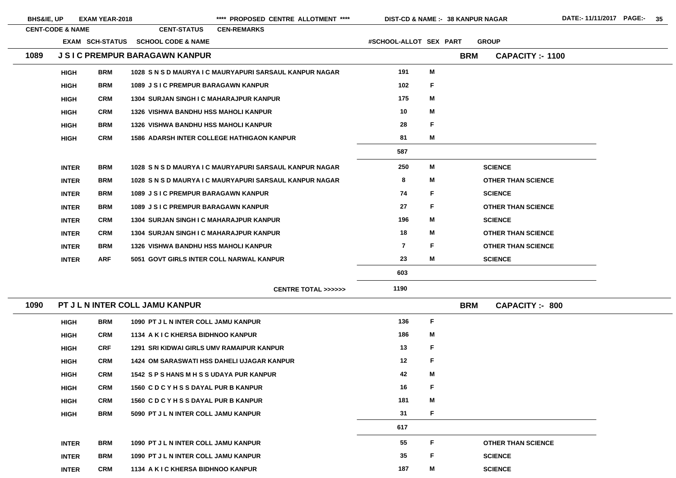| <b>BHS&amp;IE, UP</b> |                                 | <b>EXAM YEAR-2018</b> |                                                  | **** PROPOSED CENTRE ALLOTMENT ****                     | DIST-CD & NAME :- 38 KANPUR NAGAR |             |            |                           | DATE:-11/11/2017 PAGE:- 35 |  |
|-----------------------|---------------------------------|-----------------------|--------------------------------------------------|---------------------------------------------------------|-----------------------------------|-------------|------------|---------------------------|----------------------------|--|
|                       | <b>CENT-CODE &amp; NAME</b>     |                       | <b>CENT-STATUS</b>                               | <b>CEN-REMARKS</b>                                      |                                   |             |            |                           |                            |  |
|                       |                                 |                       | EXAM SCH-STATUS SCHOOL CODE & NAME               |                                                         | #SCHOOL-ALLOT SEX PART            |             |            | <b>GROUP</b>              |                            |  |
| 1089                  |                                 |                       | <b>J S I C PREMPUR BARAGAWN KANPUR</b>           |                                                         |                                   |             | <b>BRM</b> | <b>CAPACITY :- 1100</b>   |                            |  |
|                       | <b>HIGH</b>                     | <b>BRM</b>            |                                                  | 1028 S N S D MAURYA I C MAURYAPURI SARSAUL KANPUR NAGAR | 191                               | M           |            |                           |                            |  |
|                       | <b>HIGH</b>                     | <b>BRM</b>            | 1089 J S I C PREMPUR BARAGAWN KANPUR             |                                                         | 102                               | F           |            |                           |                            |  |
|                       | <b>HIGH</b>                     | <b>CRM</b>            | <b>1304 SURJAN SINGH I C MAHARAJPUR KANPUR</b>   |                                                         | 175                               | M           |            |                           |                            |  |
|                       | <b>HIGH</b>                     | <b>CRM</b>            | <b>1326 VISHWA BANDHU HSS MAHOLI KANPUR</b>      |                                                         | 10                                | M           |            |                           |                            |  |
|                       | <b>HIGH</b>                     | <b>BRM</b>            | <b>1326 VISHWA BANDHU HSS MAHOLI KANPUR</b>      |                                                         | 28                                | F           |            |                           |                            |  |
|                       | <b>HIGH</b>                     | <b>CRM</b>            |                                                  | <b>1586 ADARSH INTER COLLEGE HATHIGAON KANPUR</b>       | 81                                | M           |            |                           |                            |  |
|                       |                                 |                       |                                                  |                                                         | 587                               |             |            |                           |                            |  |
|                       | <b>INTER</b>                    | <b>BRM</b>            |                                                  | 1028 S N S D MAURYA I C MAURYAPURI SARSAUL KANPUR NAGAR | 250                               | M           |            | <b>SCIENCE</b>            |                            |  |
|                       | <b>INTER</b>                    | <b>BRM</b>            |                                                  | 1028 S N S D MAURYA I C MAURYAPURI SARSAUL KANPUR NAGAR | 8                                 | M           |            | <b>OTHER THAN SCIENCE</b> |                            |  |
|                       | <b>INTER</b>                    | <b>BRM</b>            | 1089 J S I C PREMPUR BARAGAWN KANPUR             |                                                         | 74                                | F           |            | <b>SCIENCE</b>            |                            |  |
|                       | <b>INTER</b>                    | <b>BRM</b>            | 1089 J S I C PREMPUR BARAGAWN KANPUR             |                                                         | 27                                | F           |            | <b>OTHER THAN SCIENCE</b> |                            |  |
|                       | <b>INTER</b>                    | <b>CRM</b>            | <b>1304 SURJAN SINGH I C MAHARAJPUR KANPUR</b>   |                                                         | 196                               | M           |            | <b>SCIENCE</b>            |                            |  |
|                       | <b>INTER</b>                    | <b>CRM</b>            | <b>1304 SURJAN SINGH I C MAHARAJPUR KANPUR</b>   |                                                         | 18                                | M           |            | <b>OTHER THAN SCIENCE</b> |                            |  |
|                       | <b>INTER</b>                    | <b>BRM</b>            | <b>1326 VISHWA BANDHU HSS MAHOLI KANPUR</b>      |                                                         | $\overline{\mathbf{z}}$           | F           |            | <b>OTHER THAN SCIENCE</b> |                            |  |
|                       | <b>INTER</b>                    | <b>ARF</b>            | 5051 GOVT GIRLS INTER COLL NARWAL KANPUR         |                                                         | 23                                | M           |            | <b>SCIENCE</b>            |                            |  |
|                       |                                 |                       |                                                  |                                                         | 603                               |             |            |                           |                            |  |
|                       |                                 |                       |                                                  | <b>CENTRE TOTAL &gt;&gt;&gt;&gt;&gt;&gt;</b>            | 1190                              |             |            |                           |                            |  |
| 1090                  | PT J L N INTER COLL JAMU KANPUR |                       |                                                  |                                                         |                                   |             | <b>BRM</b> | <b>CAPACITY :- 800</b>    |                            |  |
|                       | <b>HIGH</b>                     | <b>BRM</b>            | 1090 PT J L N INTER COLL JAMU KANPUR             |                                                         | 136                               | $\mathsf F$ |            |                           |                            |  |
|                       | <b>HIGH</b>                     | <b>CRM</b>            | 1134 A K I C KHERSA BIDHNOO KANPUR               |                                                         | 186                               | M           |            |                           |                            |  |
|                       | <b>HIGH</b>                     | <b>CRF</b>            | <b>1291 SRI KIDWAI GIRLS UMV RAMAIPUR KANPUR</b> |                                                         | 13                                | $\mathsf F$ |            |                           |                            |  |
|                       | <b>HIGH</b>                     | <b>CRM</b>            |                                                  | <b>1424 OM SARASWATI HSS DAHELI UJAGAR KANPUR</b>       | 12                                | $\mathsf F$ |            |                           |                            |  |
|                       | <b>HIGH</b>                     | <b>CRM</b>            | 1542 SPS HANS M H S S UDAYA PUR KANPUR           |                                                         | 42                                | M           |            |                           |                            |  |
|                       | <b>HIGH</b>                     | <b>CRM</b>            | 1560 C D C Y H S S DAYAL PUR B KANPUR            |                                                         | 16                                | F           |            |                           |                            |  |
|                       | <b>HIGH</b>                     | <b>CRM</b>            | 1560 CDCYHSSDAYAL PUR B KANPUR                   |                                                         | 181                               | M           |            |                           |                            |  |
|                       | <b>HIGH</b>                     | <b>BRM</b>            | 5090 PT J L N INTER COLL JAMU KANPUR             |                                                         | 31                                | F           |            |                           |                            |  |
|                       |                                 |                       |                                                  |                                                         | 617                               |             |            |                           |                            |  |
|                       | <b>INTER</b>                    | <b>BRM</b>            | 1090 PT J L N INTER COLL JAMU KANPUR             |                                                         | 55                                | F           |            | <b>OTHER THAN SCIENCE</b> |                            |  |
|                       | <b>INTER</b>                    | <b>BRM</b>            | 1090 PT J L N INTER COLL JAMU KANPUR             |                                                         | 35                                | F           |            | <b>SCIENCE</b>            |                            |  |
|                       | <b>INTER</b>                    | <b>CRM</b>            | 1134 A K I C KHERSA BIDHNOO KANPUR               |                                                         | 187                               | M           |            | <b>SCIENCE</b>            |                            |  |
|                       |                                 |                       |                                                  |                                                         |                                   |             |            |                           |                            |  |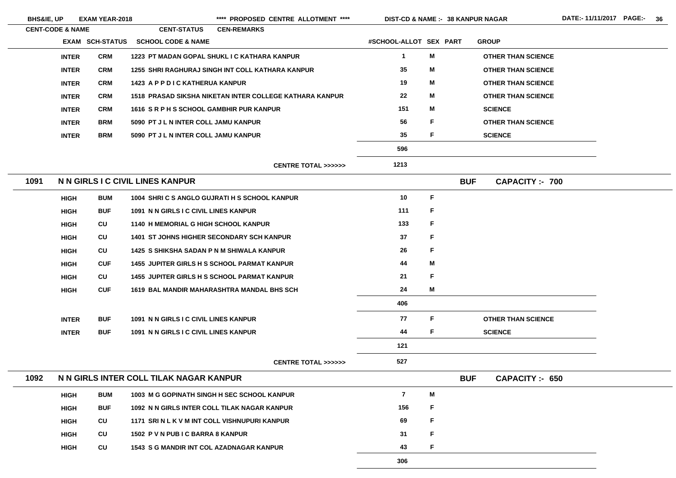| <b>BHS&amp;IE, UP</b> |                             | <b>EXAM YEAR-2018</b>  |                                                 | **** PROPOSED CENTRE ALLOTMENT ****                     | <b>DIST-CD &amp; NAME :- 38 KANPUR NAGAR</b> |    |            |                           |
|-----------------------|-----------------------------|------------------------|-------------------------------------------------|---------------------------------------------------------|----------------------------------------------|----|------------|---------------------------|
|                       | <b>CENT-CODE &amp; NAME</b> |                        | <b>CENT-STATUS</b>                              | <b>CEN-REMARKS</b>                                      |                                              |    |            |                           |
|                       |                             | <b>EXAM SCH-STATUS</b> | <b>SCHOOL CODE &amp; NAME</b>                   |                                                         | #SCHOOL-ALLOT SEX PART                       |    |            | <b>GROUP</b>              |
|                       | <b>INTER</b>                | <b>CRM</b>             |                                                 | 1223 PT MADAN GOPAL SHUKL I C KATHARA KANPUR            | $\mathbf 1$                                  | M  |            | <b>OTHER THAN SCIENCE</b> |
|                       | <b>INTER</b>                | <b>CRM</b>             |                                                 | 1255 SHRI RAGHURAJ SINGH INT COLL KATHARA KANPUR        | 35                                           | M  |            | <b>OTHER THAN SCIENCE</b> |
|                       | <b>INTER</b>                | <b>CRM</b>             | 1423 A P P D I C KATHERUA KANPUR                |                                                         | 19                                           | M  |            | <b>OTHER THAN SCIENCE</b> |
|                       | <b>INTER</b>                | <b>CRM</b>             |                                                 | 1518 PRASAD SIKSHA NIKETAN INTER COLLEGE KATHARA KANPUR | 22                                           | Μ  |            | <b>OTHER THAN SCIENCE</b> |
|                       | <b>INTER</b>                | <b>CRM</b>             | 1616 SRPHSSCHOOL GAMBHIR PUR KANPUR             |                                                         | 151                                          | Μ  |            | <b>SCIENCE</b>            |
|                       | <b>INTER</b>                | <b>BRM</b>             | 5090 PT J L N INTER COLL JAMU KANPUR            |                                                         | 56                                           | F. |            | <b>OTHER THAN SCIENCE</b> |
|                       | <b>INTER</b>                | <b>BRM</b>             | 5090 PT J L N INTER COLL JAMU KANPUR            |                                                         | 35                                           | F  |            | <b>SCIENCE</b>            |
|                       |                             |                        |                                                 |                                                         | 596                                          |    |            |                           |
|                       |                             |                        |                                                 | <b>CENTRE TOTAL &gt;&gt;&gt;&gt;&gt;&gt;</b>            | 1213                                         |    |            |                           |
| 1091                  |                             |                        | N N GIRLS I C CIVIL LINES KANPUR                |                                                         |                                              |    | <b>BUF</b> | <b>CAPACITY:- 700</b>     |
|                       | <b>HIGH</b>                 | <b>BUM</b>             |                                                 | 1004 SHRI C S ANGLO GUJRATI H S SCHOOL KANPUR           | 10                                           | F  |            |                           |
|                       | <b>HIGH</b>                 | <b>BUF</b>             | 1091 N N GIRLS I C CIVIL LINES KANPUR           |                                                         | 111                                          | F  |            |                           |
|                       | <b>HIGH</b>                 | <b>CU</b>              | 1140 H MEMORIAL G HIGH SCHOOL KANPUR            |                                                         | 133                                          | F  |            |                           |
|                       | <b>HIGH</b>                 | CU                     |                                                 | <b>1401 ST JOHNS HIGHER SECONDARY SCH KANPUR</b>        | 37                                           | F  |            |                           |
|                       | <b>HIGH</b>                 | CU                     | 1425 S SHIKSHA SADAN P N M SHIWALA KANPUR       |                                                         | 26                                           | F  |            |                           |
|                       | <b>HIGH</b>                 | <b>CUF</b>             |                                                 | <b>1455 JUPITER GIRLS H S SCHOOL PARMAT KANPUR</b>      | 44                                           | M  |            |                           |
|                       | <b>HIGH</b>                 | CU                     |                                                 | <b>1455 JUPITER GIRLS H S SCHOOL PARMAT KANPUR</b>      | 21                                           | F  |            |                           |
|                       | <b>HIGH</b>                 | <b>CUF</b>             |                                                 | <b>1619 BAL MANDIR MAHARASHTRA MANDAL BHS SCH</b>       | 24                                           | M  |            |                           |
|                       |                             |                        |                                                 |                                                         | 406                                          |    |            |                           |
|                       | <b>INTER</b>                | <b>BUF</b>             | 1091 N N GIRLS I C CIVIL LINES KANPUR           |                                                         | 77                                           | F  |            | <b>OTHER THAN SCIENCE</b> |
|                       | <b>INTER</b>                | <b>BUF</b>             | 1091 N N GIRLS I C CIVIL LINES KANPUR           |                                                         | 44                                           | F  |            | <b>SCIENCE</b>            |
|                       |                             |                        |                                                 |                                                         | 121                                          |    |            |                           |
|                       |                             |                        |                                                 | <b>CENTRE TOTAL &gt;&gt;&gt;&gt;&gt;&gt;</b>            | 527                                          |    |            |                           |
| 1092                  |                             |                        | N N GIRLS INTER COLL TILAK NAGAR KANPUR         |                                                         |                                              |    | <b>BUF</b> | <b>CAPACITY: 650</b>      |
|                       | <b>HIGH</b>                 | <b>BUM</b>             |                                                 | 1003 M G GOPINATH SINGH H SEC SCHOOL KANPUR             | $\overline{7}$                               | M  |            |                           |
|                       | <b>HIGH</b>                 | <b>BUF</b>             |                                                 | 1092 N N GIRLS INTER COLL TILAK NAGAR KANPUR            | 156                                          | F  |            |                           |
|                       | <b>HIGH</b>                 | CU                     | 1171 SRIN L K V M INT COLL VISHNUPURI KANPUR    |                                                         | 69                                           | F  |            |                           |
|                       | <b>HIGH</b>                 | CU                     | 1502 P V N PUB I C BARRA 8 KANPUR               |                                                         | 31                                           | F  |            |                           |
|                       | <b>HIGH</b>                 | CU                     | <b>1543 S G MANDIR INT COL AZADNAGAR KANPUR</b> |                                                         | 43                                           | F  |            |                           |
|                       |                             |                        |                                                 |                                                         |                                              |    |            |                           |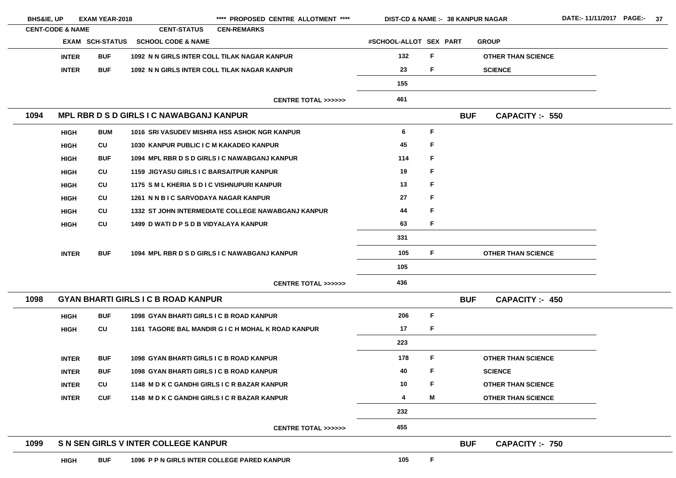| <b>BHS&amp;IE, UP</b> |                             | <b>EXAM YEAR-2018</b>  |                                                 | **** PROPOSED CENTRE ALLOTMENT ****                | <b>DIST-CD &amp; NAME :- 38 KANPUR NAGAR</b> |    |            |                           |  |
|-----------------------|-----------------------------|------------------------|-------------------------------------------------|----------------------------------------------------|----------------------------------------------|----|------------|---------------------------|--|
|                       | <b>CENT-CODE &amp; NAME</b> |                        | <b>CENT-STATUS</b>                              | <b>CEN-REMARKS</b>                                 |                                              |    |            |                           |  |
|                       |                             | <b>EXAM SCH-STATUS</b> | <b>SCHOOL CODE &amp; NAME</b>                   |                                                    | #SCHOOL-ALLOT SEX PART                       |    |            | <b>GROUP</b>              |  |
|                       | <b>INTER</b>                | <b>BUF</b>             | 1092 N N GIRLS INTER COLL TILAK NAGAR KANPUR    |                                                    | 132                                          | F. |            | <b>OTHER THAN SCIENCE</b> |  |
|                       | <b>INTER</b>                | <b>BUF</b>             | 1092 N N GIRLS INTER COLL TILAK NAGAR KANPUR    |                                                    | 23                                           | F. |            | <b>SCIENCE</b>            |  |
|                       |                             |                        |                                                 |                                                    | 155                                          |    |            |                           |  |
|                       |                             |                        |                                                 | <b>CENTRE TOTAL &gt;&gt;&gt;&gt;&gt;&gt;</b>       | 461                                          |    |            |                           |  |
| 1094                  |                             |                        | MPL RBR D S D GIRLS I C NAWABGANJ KANPUR        |                                                    |                                              |    | <b>BUF</b> | <b>CAPACITY :- 550</b>    |  |
|                       | <b>HIGH</b>                 | <b>BUM</b>             |                                                 | 1016 SRI VASUDEV MISHRA HSS ASHOK NGR KANPUR       | 6                                            | F  |            |                           |  |
|                       | <b>HIGH</b>                 | CU                     | 1030 KANPUR PUBLIC I C M KAKADEO KANPUR         |                                                    | 45                                           | F. |            |                           |  |
|                       | <b>HIGH</b>                 | <b>BUF</b>             |                                                 | 1094 MPL RBR D S D GIRLS I C NAWABGANJ KANPUR      | 114                                          | F. |            |                           |  |
|                       | <b>HIGH</b>                 | CU                     | <b>1159 JIGYASU GIRLS I C BARSAITPUR KANPUR</b> |                                                    | 19                                           | F  |            |                           |  |
|                       | <b>HIGH</b>                 | CU                     | 1175 SM L KHERIA S D I C VISHNUPURI KANPUR      |                                                    | 13                                           | F  |            |                           |  |
|                       | <b>HIGH</b>                 | CU                     | 1261 N N B I C SARVODAYA NAGAR KANPUR           |                                                    | 27                                           | F  |            |                           |  |
|                       | <b>HIGH</b>                 | CU                     |                                                 | 1332 ST JOHN INTERMEDIATE COLLEGE NAWABGANJ KANPUR | 44                                           | F  |            |                           |  |
|                       | <b>HIGH</b>                 | <b>CU</b>              | 1499 D WATI D P S D B VIDYALAYA KANPUR          |                                                    | 63                                           | F. |            |                           |  |
|                       |                             |                        |                                                 |                                                    | 331                                          |    |            |                           |  |
|                       | <b>INTER</b>                | <b>BUF</b>             |                                                 | 1094 MPL RBR D S D GIRLS I C NAWABGANJ KANPUR      | 105                                          | F. |            | <b>OTHER THAN SCIENCE</b> |  |
|                       |                             |                        |                                                 |                                                    | 105                                          |    |            |                           |  |
|                       |                             |                        |                                                 | <b>CENTRE TOTAL &gt;&gt;&gt;&gt;&gt;&gt;</b>       | 436                                          |    |            |                           |  |
| 1098                  |                             |                        | <b>GYAN BHARTI GIRLS I C B ROAD KANPUR</b>      |                                                    |                                              |    | <b>BUF</b> | <b>CAPACITY: 450</b>      |  |
|                       | <b>HIGH</b>                 | <b>BUF</b>             | 1098 GYAN BHARTI GIRLS I C B ROAD KANPUR        |                                                    | 206                                          | F  |            |                           |  |
|                       | <b>HIGH</b>                 | CU                     |                                                 | 1161 TAGORE BAL MANDIR G I C H MOHAL K ROAD KANPUR | 17                                           | F. |            |                           |  |
|                       |                             |                        |                                                 |                                                    | 223                                          |    |            |                           |  |
|                       | <b>INTER</b>                | <b>BUF</b>             | 1098 GYAN BHARTI GIRLS I C B ROAD KANPUR        |                                                    | 178                                          | F. |            | <b>OTHER THAN SCIENCE</b> |  |
|                       | <b>INTER</b>                | <b>BUF</b>             | 1098 GYAN BHARTI GIRLS I C B ROAD KANPUR        |                                                    | 40                                           | F  |            | <b>SCIENCE</b>            |  |
|                       | <b>INTER</b>                | CU                     | 1148 M D K C GANDHI GIRLS I C R BAZAR KANPUR    |                                                    | 10                                           | F. |            | <b>OTHER THAN SCIENCE</b> |  |
|                       | <b>INTER</b>                | <b>CUF</b>             | 1148 M D K C GANDHI GIRLS I C R BAZAR KANPUR    |                                                    | 4                                            | M  |            | <b>OTHER THAN SCIENCE</b> |  |
|                       |                             |                        |                                                 |                                                    | 232                                          |    |            |                           |  |
|                       |                             |                        |                                                 | <b>CENTRE TOTAL &gt;&gt;&gt;&gt;&gt;&gt;</b>       | 455                                          |    |            |                           |  |
| 1099                  |                             |                        | S N SEN GIRLS V INTER COLLEGE KANPUR            |                                                    |                                              |    | <b>BUF</b> | <b>CAPACITY:- 750</b>     |  |
|                       | <b>HIGH</b>                 | <b>BUF</b>             | 1096 P P N GIRLS INTER COLLEGE PARED KANPUR     |                                                    | 105                                          | F. |            |                           |  |
|                       |                             |                        |                                                 |                                                    |                                              |    |            |                           |  |

<u> 1980 - Johann Barn, amerikan bestemannten bestemannten bestemannten bestemannten bestemannten bestemannten b</u>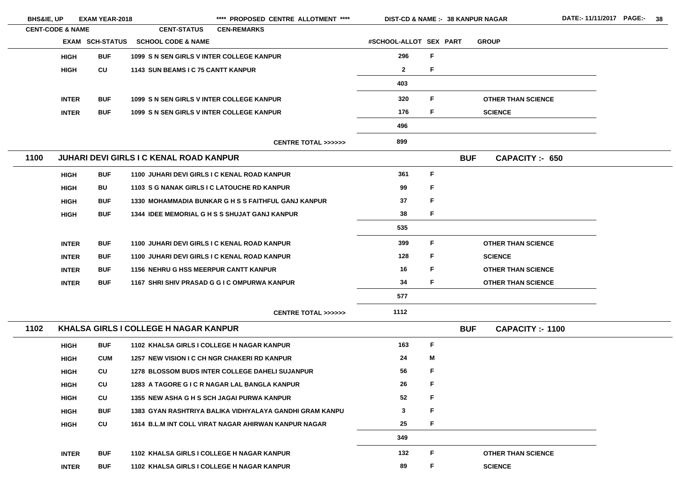| <b>BHS&amp;IE, UP</b>       |              | <b>EXAM YEAR-2018</b>  |                                                | **** PROPOSED CENTRE ALLOTMENT ****                     | <b>DIST-CD &amp; NAME :- 38 KANPUR NAGAR</b> |   |            |                           |
|-----------------------------|--------------|------------------------|------------------------------------------------|---------------------------------------------------------|----------------------------------------------|---|------------|---------------------------|
| <b>CENT-CODE &amp; NAME</b> |              |                        | <b>CENT-STATUS</b>                             | <b>CEN-REMARKS</b>                                      |                                              |   |            |                           |
|                             |              | <b>EXAM SCH-STATUS</b> | <b>SCHOOL CODE &amp; NAME</b>                  |                                                         | #SCHOOL-ALLOT SEX PART                       |   |            | <b>GROUP</b>              |
|                             | <b>HIGH</b>  | <b>BUF</b>             | 1099 S N SEN GIRLS V INTER COLLEGE KANPUR      |                                                         | 296                                          | F |            |                           |
|                             | <b>HIGH</b>  | CU                     | 1143 SUN BEAMS I C 75 CANTT KANPUR             |                                                         | $\mathbf{2}$                                 | F |            |                           |
|                             |              |                        |                                                |                                                         | 403                                          |   |            |                           |
|                             | <b>INTER</b> | <b>BUF</b>             | 1099 S N SEN GIRLS V INTER COLLEGE KANPUR      |                                                         | 320                                          | F |            | <b>OTHER THAN SCIENCE</b> |
|                             | <b>INTER</b> | <b>BUF</b>             | 1099 S N SEN GIRLS V INTER COLLEGE KANPUR      |                                                         | 176                                          | F |            | <b>SCIENCE</b>            |
|                             |              |                        |                                                |                                                         | 496                                          |   |            |                           |
|                             |              |                        |                                                | <b>CENTRE TOTAL &gt;&gt;&gt;&gt;&gt;&gt;</b>            | 899                                          |   |            |                           |
| 1100                        |              |                        | <b>JUHARI DEVI GIRLS I C KENAL ROAD KANPUR</b> |                                                         |                                              |   | <b>BUF</b> | <b>CAPACITY :- 650</b>    |
|                             | <b>HIGH</b>  | <b>BUF</b>             | 1100 JUHARI DEVI GIRLS I C KENAL ROAD KANPUR   |                                                         | 361                                          | F |            |                           |
|                             | <b>HIGH</b>  | <b>BU</b>              | 1103 S G NANAK GIRLS I C LATOUCHE RD KANPUR    |                                                         | 99                                           | F |            |                           |
|                             | <b>HIGH</b>  | <b>BUF</b>             |                                                | 1330 MOHAMMADIA BUNKAR G H S S FAITHFUL GANJ KANPUR     | 37                                           | F |            |                           |
|                             | <b>HIGH</b>  | <b>BUF</b>             |                                                | <b>1344 IDEE MEMORIAL G H S S SHUJAT GANJ KANPUR</b>    | 38                                           | F |            |                           |
|                             |              |                        |                                                |                                                         | 535                                          |   |            |                           |
|                             | <b>INTER</b> | <b>BUF</b>             | 1100 JUHARI DEVI GIRLS I C KENAL ROAD KANPUR   |                                                         | 399                                          | F |            | <b>OTHER THAN SCIENCE</b> |
|                             | <b>INTER</b> | <b>BUF</b>             | 1100 JUHARI DEVI GIRLS I C KENAL ROAD KANPUR   |                                                         | 128                                          | F |            | <b>SCIENCE</b>            |
|                             | <b>INTER</b> | <b>BUF</b>             | <b>1156 NEHRU G HSS MEERPUR CANTT KANPUR</b>   |                                                         | 16                                           | F |            | <b>OTHER THAN SCIENCE</b> |
|                             | <b>INTER</b> | <b>BUF</b>             |                                                | 1167 SHRI SHIV PRASAD G G I C OMPURWA KANPUR            | 34                                           | F |            | <b>OTHER THAN SCIENCE</b> |
|                             |              |                        |                                                |                                                         | 577                                          |   |            |                           |
|                             |              |                        |                                                | CENTRE TOTAL >>>>>>                                     | 1112                                         |   |            |                           |
| 1102                        |              |                        | <b>KHALSA GIRLS I COLLEGE H NAGAR KANPUR</b>   |                                                         |                                              |   | <b>BUF</b> | <b>CAPACITY: - 1100</b>   |
|                             | <b>HIGH</b>  | <b>BUF</b>             | 1102 KHALSA GIRLS I COLLEGE H NAGAR KANPUR     |                                                         | 163                                          | F |            |                           |
|                             | <b>HIGH</b>  | <b>CUM</b>             | 1257 NEW VISION I C CH NGR CHAKERI RD KANPUR   |                                                         | 24                                           | M |            |                           |
|                             | <b>HIGH</b>  | <b>CU</b>              |                                                | <b>1278 BLOSSOM BUDS INTER COLLEGE DAHELI SUJANPUR</b>  | 56                                           | F |            |                           |
|                             | <b>HIGH</b>  | <b>CU</b>              |                                                | 1283 A TAGORE G I C R NAGAR LAL BANGLA KANPUR           | 26                                           | F |            |                           |
|                             | <b>HIGH</b>  | <b>CU</b>              | 1355 NEW ASHA G H S SCH JAGAI PURWA KANPUR     |                                                         | 52                                           | F |            |                           |
|                             | <b>HIGH</b>  | <b>BUF</b>             |                                                | 1383 GYAN RASHTRIYA BALIKA VIDHYALAYA GANDHI GRAM KANPU | 3                                            | F |            |                           |
|                             | <b>HIGH</b>  | <b>CU</b>              |                                                | 1614 B.L.M INT COLL VIRAT NAGAR AHIRWAN KANPUR NAGAR    | 25                                           | F |            |                           |
|                             |              |                        |                                                |                                                         | 349                                          |   |            |                           |
|                             | <b>INTER</b> | <b>BUF</b>             | 1102 KHALSA GIRLS I COLLEGE H NAGAR KANPUR     |                                                         | 132                                          | F |            | <b>OTHER THAN SCIENCE</b> |
|                             | <b>INTER</b> | <b>BUF</b>             | 1102 KHALSA GIRLS I COLLEGE H NAGAR KANPUR     |                                                         | 89                                           | F |            | <b>SCIENCE</b>            |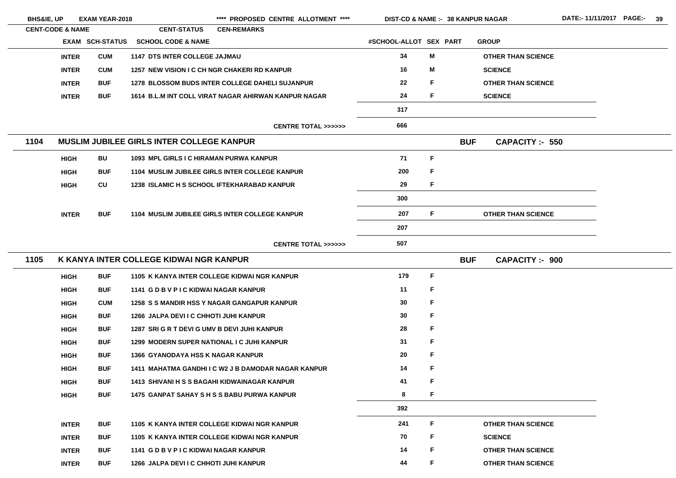| <b>BHS&amp;IE, UP</b> |                             | <b>EXAM YEAR-2018</b>  |                                                    | **** PROPOSED CENTRE ALLOTMENT ****                    | <b>DIST-CD &amp; NAME :- 38 KANPUR NAGAR</b> |             |            |                           |
|-----------------------|-----------------------------|------------------------|----------------------------------------------------|--------------------------------------------------------|----------------------------------------------|-------------|------------|---------------------------|
|                       | <b>CENT-CODE &amp; NAME</b> |                        | <b>CENT-STATUS</b>                                 | <b>CEN-REMARKS</b>                                     |                                              |             |            |                           |
|                       |                             | <b>EXAM SCH-STATUS</b> | <b>SCHOOL CODE &amp; NAME</b>                      |                                                        | #SCHOOL-ALLOT SEX PART                       |             |            | <b>GROUP</b>              |
|                       | <b>INTER</b>                | <b>CUM</b>             | <b>1147 DTS INTER COLLEGE JAJMAU</b>               |                                                        | 34                                           | M           |            | <b>OTHER THAN SCIENCE</b> |
|                       | <b>INTER</b>                | <b>CUM</b>             | 1257 NEW VISION I C CH NGR CHAKERI RD KANPUR       |                                                        | 16                                           | M           |            | <b>SCIENCE</b>            |
|                       | <b>INTER</b>                | <b>BUF</b>             |                                                    | <b>1278 BLOSSOM BUDS INTER COLLEGE DAHELI SUJANPUR</b> | 22                                           | F           |            | <b>OTHER THAN SCIENCE</b> |
|                       | <b>INTER</b>                | <b>BUF</b>             |                                                    | 1614 B.L.M INT COLL VIRAT NAGAR AHIRWAN KANPUR NAGAR   | 24                                           | F           |            | <b>SCIENCE</b>            |
|                       |                             |                        |                                                    |                                                        | 317                                          |             |            |                           |
|                       |                             |                        |                                                    | <b>CENTRE TOTAL &gt;&gt;&gt;&gt;&gt;&gt;</b>           | 666                                          |             |            |                           |
| 1104                  |                             |                        | <b>MUSLIM JUBILEE GIRLS INTER COLLEGE KANPUR</b>   |                                                        |                                              |             | <b>BUF</b> | <b>CAPACITY: - 550</b>    |
|                       | <b>HIGH</b>                 | BU                     | 1093 MPL GIRLS I C HIRAMAN PURWA KANPUR            |                                                        | 71                                           | F           |            |                           |
|                       | <b>HIGH</b>                 | <b>BUF</b>             |                                                    | 1104 MUSLIM JUBILEE GIRLS INTER COLLEGE KANPUR         | 200                                          | F           |            |                           |
|                       | <b>HIGH</b>                 | CU                     | <b>1238 ISLAMIC H S SCHOOL IFTEKHARABAD KANPUR</b> |                                                        | 29                                           | $\mathsf F$ |            |                           |
|                       |                             |                        |                                                    |                                                        | 300                                          |             |            |                           |
|                       | <b>INTER</b>                | <b>BUF</b>             |                                                    | 1104 MUSLIM JUBILEE GIRLS INTER COLLEGE KANPUR         | 207                                          | F           |            | <b>OTHER THAN SCIENCE</b> |
|                       |                             |                        |                                                    |                                                        | 207                                          |             |            |                           |
|                       |                             |                        |                                                    | CENTRE TOTAL >>>>>>                                    | 507                                          |             |            |                           |
| 1105                  |                             |                        | K KANYA INTER COLLEGE KIDWAI NGR KANPUR            |                                                        |                                              |             | <b>BUF</b> | <b>CAPACITY:- 900</b>     |
|                       | <b>HIGH</b>                 | <b>BUF</b>             |                                                    | 1105 K KANYA INTER COLLEGE KIDWAI NGR KANPUR           | 179                                          | F           |            |                           |
|                       | <b>HIGH</b>                 | <b>BUF</b>             | 1141 G D B V P I C KIDWAI NAGAR KANPUR             |                                                        | 11                                           | F           |            |                           |
|                       | <b>HIGH</b>                 | <b>CUM</b>             |                                                    | 1258 S S MANDIR HSS Y NAGAR GANGAPUR KANPUR            | 30                                           | F           |            |                           |
|                       | <b>HIGH</b>                 | <b>BUF</b>             | 1266 JALPA DEVI I C CHHOTI JUHI KANPUR             |                                                        | 30                                           | F           |            |                           |
|                       | <b>HIGH</b>                 | <b>BUF</b>             | 1287 SRI G R T DEVI G UMV B DEVI JUHI KANPUR       |                                                        | 28                                           | F           |            |                           |
|                       | <b>HIGH</b>                 | <b>BUF</b>             | 1299 MODERN SUPER NATIONAL I C JUHI KANPUR         |                                                        | 31                                           | F           |            |                           |
|                       | <b>HIGH</b>                 | <b>BUF</b>             | <b>1366 GYANODAYA HSS K NAGAR KANPUR</b>           |                                                        | 20                                           | F           |            |                           |
|                       | <b>HIGH</b>                 | <b>BUF</b>             |                                                    | 1411 MAHATMA GANDHI I C W2 J B DAMODAR NAGAR KANPUR    | 14                                           | F           |            |                           |
|                       | <b>HIGH</b>                 | <b>BUF</b>             | 1413 SHIVANI H S S BAGAHI KIDWAINAGAR KANPUR       |                                                        | 41                                           | F           |            |                           |
|                       | <b>HIGH</b>                 | <b>BUF</b>             |                                                    | <b>1475 GANPAT SAHAY S H S S BABU PURWA KANPUR</b>     | 8                                            | F.          |            |                           |
|                       |                             |                        |                                                    |                                                        | 392                                          |             |            |                           |
|                       | <b>INTER</b>                | <b>BUF</b>             |                                                    | 1105 K KANYA INTER COLLEGE KIDWAI NGR KANPUR           | 241                                          | F           |            | <b>OTHER THAN SCIENCE</b> |
|                       | <b>INTER</b>                | <b>BUF</b>             |                                                    | 1105 K KANYA INTER COLLEGE KIDWAI NGR KANPUR           | 70                                           | F           |            | <b>SCIENCE</b>            |
|                       | <b>INTER</b>                | <b>BUF</b>             | 1141 G D B V P I C KIDWAI NAGAR KANPUR             |                                                        | 14                                           | F           |            | <b>OTHER THAN SCIENCE</b> |
|                       | <b>INTER</b>                | <b>BUF</b>             | 1266 JALPA DEVI I C CHHOTI JUHI KANPUR             |                                                        | 44                                           | F           |            | <b>OTHER THAN SCIENCE</b> |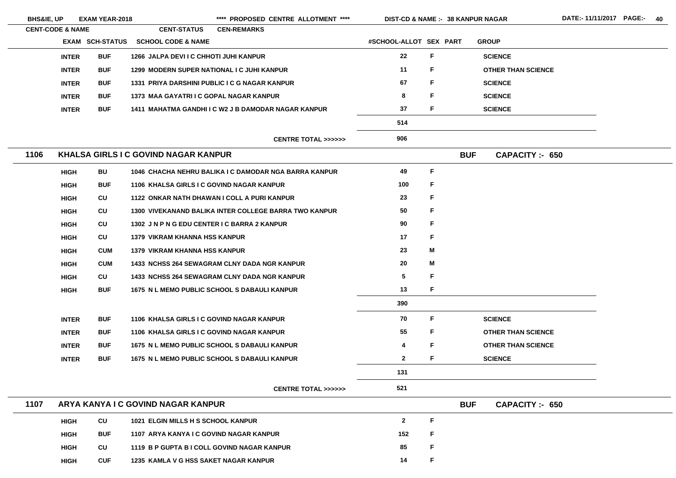|      | <b>EXAM YEAR-2018</b><br><b>BHS&amp;IE, UP</b><br><b>CENT-CODE &amp; NAME</b> |            |                                             | **** PROPOSED CENTRE ALLOTMENT ****                   | <b>DIST-CD &amp; NAME :- 38 KANPUR NAGAR</b> |    |            |                           | D, |
|------|-------------------------------------------------------------------------------|------------|---------------------------------------------|-------------------------------------------------------|----------------------------------------------|----|------------|---------------------------|----|
|      | <b>EXAM SCH-STATUS</b>                                                        |            | <b>CENT-STATUS</b>                          | <b>CEN-REMARKS</b>                                    |                                              |    |            |                           |    |
|      |                                                                               |            | <b>SCHOOL CODE &amp; NAME</b>               |                                                       | #SCHOOL-ALLOT SEX PART                       |    |            | <b>GROUP</b>              |    |
|      | <b>INTER</b>                                                                  | <b>BUF</b> | 1266 JALPA DEVI I C CHHOTI JUHI KANPUR      |                                                       | 22                                           | F  |            | <b>SCIENCE</b>            |    |
|      | <b>INTER</b>                                                                  | <b>BUF</b> | 1299 MODERN SUPER NATIONAL I C JUHI KANPUR  |                                                       | 11                                           | F  |            | <b>OTHER THAN SCIENCE</b> |    |
|      | <b>INTER</b>                                                                  | <b>BUF</b> |                                             | 1331 PRIYA DARSHINI PUBLIC I C G NAGAR KANPUR         | 67                                           | F  |            | <b>SCIENCE</b>            |    |
|      | <b>INTER</b>                                                                  | <b>BUF</b> | 1373 MAA GAYATRI I C GOPAL NAGAR KANPUR     |                                                       | 8                                            | F  |            | <b>SCIENCE</b>            |    |
|      | <b>INTER</b>                                                                  | <b>BUF</b> |                                             | 1411 MAHATMA GANDHI I C W2 J B DAMODAR NAGAR KANPUR   | 37                                           | F  |            | <b>SCIENCE</b>            |    |
|      |                                                                               |            |                                             |                                                       | 514                                          |    |            |                           |    |
|      |                                                                               |            |                                             | <b>CENTRE TOTAL &gt;&gt;&gt;&gt;&gt;&gt;</b>          | 906                                          |    |            |                           |    |
| 1106 |                                                                               |            | <b>KHALSA GIRLS I C GOVIND NAGAR KANPUR</b> |                                                       |                                              |    | <b>BUF</b> | CAPACITY :- 650           |    |
|      | <b>HIGH</b>                                                                   | <b>BU</b>  |                                             | 1046 CHACHA NEHRU BALIKA I C DAMODAR NGA BARRA KANPUR | 49                                           | F  |            |                           |    |
|      | <b>HIGH</b>                                                                   | <b>BUF</b> | 1106 KHALSA GIRLS I C GOVIND NAGAR KANPUR   |                                                       | 100                                          | F  |            |                           |    |
|      | <b>HIGH</b>                                                                   | CU         |                                             | 1122 ONKAR NATH DHAWAN I COLL A PURI KANPUR           | 23                                           | F  |            |                           |    |
|      | <b>HIGH</b>                                                                   | CU         |                                             | 1300 VIVEKANAND BALIKA INTER COLLEGE BARRA TWO KANPUR | 50                                           | F  |            |                           |    |
|      | <b>HIGH</b>                                                                   | <b>CU</b>  | 1302 JN P N G EDU CENTER I C BARRA 2 KANPUR |                                                       | 90                                           | F  |            |                           |    |
|      | <b>HIGH</b>                                                                   | <b>CU</b>  | <b>1379 VIKRAM KHANNA HSS KANPUR</b>        |                                                       | 17                                           | F  |            |                           |    |
|      | <b>HIGH</b>                                                                   | <b>CUM</b> | <b>1379 VIKRAM KHANNA HSS KANPUR</b>        |                                                       | 23                                           | M  |            |                           |    |
|      | <b>HIGH</b>                                                                   | <b>CUM</b> |                                             | 1433 NCHSS 264 SEWAGRAM CLNY DADA NGR KANPUR          | 20                                           | M  |            |                           |    |
|      | <b>HIGH</b>                                                                   | CU         |                                             | <b>1433 NCHSS 264 SEWAGRAM CLNY DADA NGR KANPUR</b>   | 5                                            | F  |            |                           |    |
|      | <b>HIGH</b>                                                                   | <b>BUF</b> |                                             | 1675 N L MEMO PUBLIC SCHOOL S DABAULI KANPUR          | 13                                           | F. |            |                           |    |
|      |                                                                               |            |                                             |                                                       | 390                                          |    |            |                           |    |
|      | <b>INTER</b>                                                                  | <b>BUF</b> | 1106 KHALSA GIRLS I C GOVIND NAGAR KANPUR   |                                                       | 70                                           | F  |            | <b>SCIENCE</b>            |    |
|      | <b>INTER</b>                                                                  | <b>BUF</b> | 1106 KHALSA GIRLS I C GOVIND NAGAR KANPUR   |                                                       | 55                                           | F  |            | <b>OTHER THAN SCIENCE</b> |    |
|      | <b>INTER</b>                                                                  | <b>BUF</b> |                                             | 1675 N L MEMO PUBLIC SCHOOL S DABAULI KANPUR          | 4                                            | F  |            | <b>OTHER THAN SCIENCE</b> |    |
|      | <b>INTER</b>                                                                  | <b>BUF</b> |                                             | 1675 N L MEMO PUBLIC SCHOOL S DABAULI KANPUR          | $\mathbf{2}$                                 | F  |            | <b>SCIENCE</b>            |    |
|      |                                                                               |            |                                             |                                                       | 131                                          |    |            |                           |    |
|      |                                                                               |            |                                             | <b>CENTRE TOTAL &gt;&gt;&gt;&gt;&gt;&gt;</b>          | 521                                          |    |            |                           |    |
| 1107 |                                                                               |            | ARYA KANYA I C GOVIND NAGAR KANPUR          |                                                       |                                              |    | <b>BUF</b> | <b>CAPACITY :- 650</b>    |    |
|      | <b>HIGH</b>                                                                   | CU         | 1021 ELGIN MILLS H S SCHOOL KANPUR          |                                                       | $\mathbf{2}$                                 | F  |            |                           |    |
|      | <b>HIGH</b>                                                                   | <b>BUF</b> | 1107 ARYA KANYA I C GOVIND NAGAR KANPUR     |                                                       | 152                                          | F  |            |                           |    |
|      | <b>HIGH</b>                                                                   | CU         |                                             | 1119 B P GUPTA B I COLL GOVIND NAGAR KANPUR           | 85                                           | F  |            |                           |    |
|      | <b>HIGH</b>                                                                   | <b>CUF</b> | 1235 KAMLA V G HSS SAKET NAGAR KANPUR       |                                                       | 14                                           | F  |            |                           |    |

- 
- 
-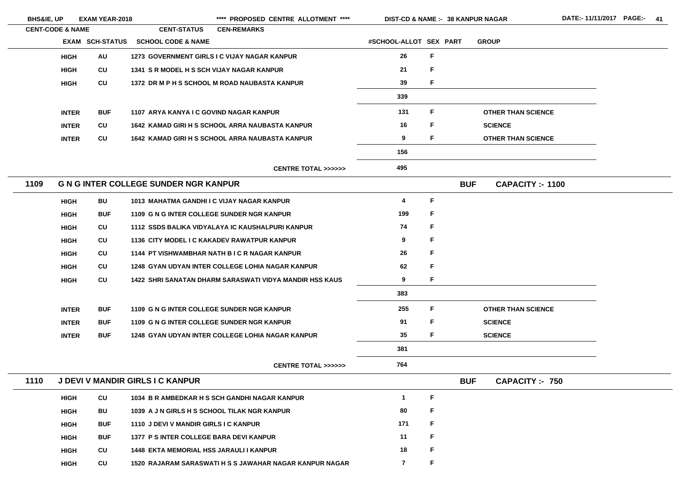| <b>BHS&amp;IE, UP</b>       |              | <b>EXAM YEAR-2018</b>  |                                                | **** PROPOSED CENTRE ALLOTMENT ****                     |                         |    |            | <b>DIST-CD &amp; NAME :- 38 KANPUR NAGAR</b> |  |
|-----------------------------|--------------|------------------------|------------------------------------------------|---------------------------------------------------------|-------------------------|----|------------|----------------------------------------------|--|
| <b>CENT-CODE &amp; NAME</b> |              |                        | <b>CENT-STATUS</b>                             | <b>CEN-REMARKS</b>                                      |                         |    |            |                                              |  |
|                             |              | <b>EXAM SCH-STATUS</b> | <b>SCHOOL CODE &amp; NAME</b>                  |                                                         | #SCHOOL-ALLOT SEX PART  |    |            | <b>GROUP</b>                                 |  |
|                             | <b>HIGH</b>  | <b>AU</b>              |                                                | 1273 GOVERNMENT GIRLS I C VIJAY NAGAR KANPUR            | 26                      | F  |            |                                              |  |
|                             | <b>HIGH</b>  | <b>CU</b>              | 1341 S R MODEL H S SCH VIJAY NAGAR KANPUR      |                                                         | 21                      | F  |            |                                              |  |
|                             | <b>HIGH</b>  | CU                     |                                                | 1372 DR M P H S SCHOOL M ROAD NAUBASTA KANPUR           | 39                      | F  |            |                                              |  |
|                             |              |                        |                                                |                                                         | 339                     |    |            |                                              |  |
|                             | <b>INTER</b> | <b>BUF</b>             | 1107 ARYA KANYA I C GOVIND NAGAR KANPUR        |                                                         | 131                     | F  |            | <b>OTHER THAN SCIENCE</b>                    |  |
|                             | <b>INTER</b> | CU                     |                                                | 1642 KAMAD GIRI H S SCHOOL ARRA NAUBASTA KANPUR         | 16                      | F  |            | <b>SCIENCE</b>                               |  |
|                             | <b>INTER</b> | CU                     |                                                | 1642 KAMAD GIRI H S SCHOOL ARRA NAUBASTA KANPUR         | 9                       | F  |            | <b>OTHER THAN SCIENCE</b>                    |  |
|                             |              |                        |                                                |                                                         | 156                     |    |            |                                              |  |
|                             |              |                        |                                                | <b>CENTRE TOTAL &gt;&gt;&gt;&gt;&gt;&gt;</b>            | 495                     |    |            |                                              |  |
| 1109                        |              |                        | <b>G N G INTER COLLEGE SUNDER NGR KANPUR</b>   |                                                         |                         |    | <b>BUF</b> | <b>CAPACITY: - 1100</b>                      |  |
|                             | <b>HIGH</b>  | BU                     | 1013 MAHATMA GANDHI I C VIJAY NAGAR KANPUR     |                                                         | $\overline{\mathbf{4}}$ | F  |            |                                              |  |
|                             | <b>HIGH</b>  | <b>BUF</b>             | 1109 G N G INTER COLLEGE SUNDER NGR KANPUR     |                                                         | 199                     | F  |            |                                              |  |
|                             | <b>HIGH</b>  | CU                     |                                                | 1112 SSDS BALIKA VIDYALAYA IC KAUSHALPURI KANPUR        | 74                      | F  |            |                                              |  |
|                             | <b>HIGH</b>  | <b>CU</b>              |                                                | 1136 CITY MODEL I C KAKADEV RAWATPUR KANPUR             | 9                       | F  |            |                                              |  |
|                             | <b>HIGH</b>  | <b>CU</b>              |                                                | 1144 PT VISHWAMBHAR NATH B I C R NAGAR KANPUR           | 26                      | F  |            |                                              |  |
|                             | <b>HIGH</b>  | <b>CU</b>              |                                                | 1248 GYAN UDYAN INTER COLLEGE LOHIA NAGAR KANPUR        | 62                      | F. |            |                                              |  |
|                             | <b>HIGH</b>  | CU                     |                                                | 1422 SHRI SANATAN DHARM SARASWATI VIDYA MANDIR HSS KAUS | 9                       | F  |            |                                              |  |
|                             |              |                        |                                                |                                                         | 383                     |    |            |                                              |  |
|                             | <b>INTER</b> | <b>BUF</b>             | 1109 G N G INTER COLLEGE SUNDER NGR KANPUR     |                                                         | 255                     | F  |            | <b>OTHER THAN SCIENCE</b>                    |  |
|                             | <b>INTER</b> | <b>BUF</b>             | 1109 G N G INTER COLLEGE SUNDER NGR KANPUR     |                                                         | 91                      | F  |            | <b>SCIENCE</b>                               |  |
|                             | <b>INTER</b> | <b>BUF</b>             |                                                | 1248 GYAN UDYAN INTER COLLEGE LOHIA NAGAR KANPUR        | 35                      | F. |            | <b>SCIENCE</b>                               |  |
|                             |              |                        |                                                |                                                         | 381                     |    |            |                                              |  |
|                             |              |                        |                                                | <b>CENTRE TOTAL &gt;&gt;&gt;&gt;&gt;&gt;</b>            | 764                     |    |            |                                              |  |
| 1110                        |              |                        | J DEVI V MANDIR GIRLS I C KANPUR               |                                                         |                         |    | <b>BUF</b> | <b>CAPACITY :- 750</b>                       |  |
|                             | <b>HIGH</b>  | CU                     |                                                | 1034 B R AMBEDKAR H S SCH GANDHI NAGAR KANPUR           | $\mathbf 1$             | F  |            |                                              |  |
|                             | <b>HIGH</b>  | <b>BU</b>              | 1039 A J N GIRLS H S SCHOOL TILAK NGR KANPUR   |                                                         | 80                      | F  |            |                                              |  |
|                             | <b>HIGH</b>  | <b>BUF</b>             | 1110 J DEVI V MANDIR GIRLS I C KANPUR          |                                                         | 171                     | F  |            |                                              |  |
|                             | <b>HIGH</b>  | <b>BUF</b>             | 1377 P S INTER COLLEGE BARA DEVI KANPUR        |                                                         | 11                      | F  |            |                                              |  |
|                             | <b>HIGH</b>  | CU                     | <b>1448 EKTA MEMORIAL HSS JARAULI I KANPUR</b> |                                                         | 18                      | F  |            |                                              |  |
|                             | <b>HIGH</b>  | CU                     |                                                | 1520 RAJARAM SARASWATI H S S JAWAHAR NAGAR KANPUR NAGAR | $\mathbf{7}$            | F  |            |                                              |  |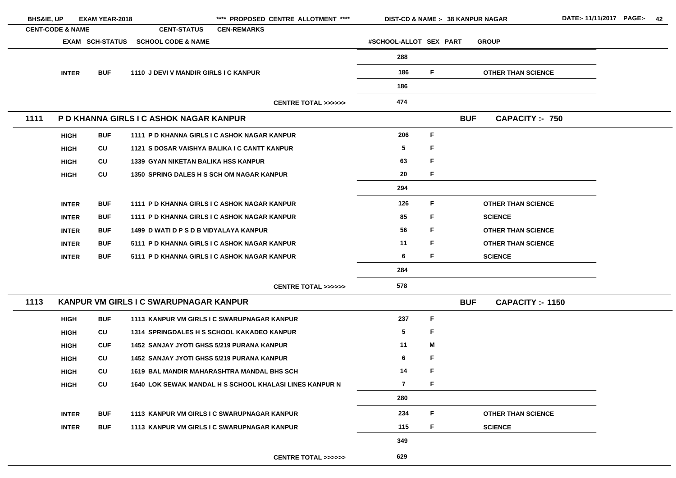|      | <b>BHS&amp;IE, UP</b><br><b>EXAM YEAR-2018</b>        |            |                                                   | **** PROPOSED CENTRE ALLOTMENT ****                            | <b>DIST-CD &amp; NAME :- 38 KANPUR NAGAR</b> |    |            |                           |  |
|------|-------------------------------------------------------|------------|---------------------------------------------------|----------------------------------------------------------------|----------------------------------------------|----|------------|---------------------------|--|
|      | <b>CENT-CODE &amp; NAME</b><br><b>EXAM SCH-STATUS</b> |            | <b>CENT-STATUS</b>                                | <b>CEN-REMARKS</b>                                             |                                              |    |            |                           |  |
|      |                                                       |            | <b>SCHOOL CODE &amp; NAME</b>                     |                                                                | #SCHOOL-ALLOT SEX PART                       |    |            | <b>GROUP</b>              |  |
|      |                                                       |            |                                                   |                                                                | 288                                          |    |            |                           |  |
|      | <b>INTER</b>                                          | <b>BUF</b> | 1110 J DEVI V MANDIR GIRLS I C KANPUR             |                                                                | 186                                          | F. |            | <b>OTHER THAN SCIENCE</b> |  |
|      |                                                       |            |                                                   |                                                                | 186                                          |    |            |                           |  |
|      |                                                       |            |                                                   | <b>CENTRE TOTAL &gt;&gt;&gt;&gt;&gt;&gt;</b>                   | 474                                          |    |            |                           |  |
| 1111 |                                                       |            | P D KHANNA GIRLS I C ASHOK NAGAR KANPUR           |                                                                |                                              |    | <b>BUF</b> | <b>CAPACITY :- 750</b>    |  |
|      | <b>HIGH</b>                                           | <b>BUF</b> |                                                   | 1111 P D KHANNA GIRLS I C ASHOK NAGAR KANPUR                   | 206                                          | F. |            |                           |  |
|      | <b>HIGH</b>                                           | CU         |                                                   | 1121 S DOSAR VAISHYA BALIKA I C CANTT KANPUR                   | $5\phantom{.0}$                              | F  |            |                           |  |
|      | <b>HIGH</b>                                           | CU         | <b>1339 GYAN NIKETAN BALIKA HSS KANPUR</b>        |                                                                | 63                                           | F. |            |                           |  |
|      | <b>HIGH</b>                                           | CU         | <b>1350 SPRING DALES H S SCH OM NAGAR KANPUR</b>  |                                                                | 20                                           | F. |            |                           |  |
|      |                                                       |            |                                                   |                                                                | 294                                          |    |            |                           |  |
|      | <b>INTER</b>                                          | <b>BUF</b> |                                                   | 1111 P D KHANNA GIRLS I C ASHOK NAGAR KANPUR                   | 126                                          | F. |            | <b>OTHER THAN SCIENCE</b> |  |
|      | <b>INTER</b>                                          | <b>BUF</b> |                                                   | 1111 P D KHANNA GIRLS I C ASHOK NAGAR KANPUR                   | 85                                           | F. |            | <b>SCIENCE</b>            |  |
|      | <b>INTER</b>                                          | <b>BUF</b> | 1499 D WATI D P S D B VIDYALAYA KANPUR            |                                                                | 56                                           | F. |            | <b>OTHER THAN SCIENCE</b> |  |
|      | <b>INTER</b>                                          | <b>BUF</b> |                                                   | 5111 P D KHANNA GIRLS I C ASHOK NAGAR KANPUR                   | 11                                           | F. |            | <b>OTHER THAN SCIENCE</b> |  |
|      | <b>INTER</b>                                          | <b>BUF</b> |                                                   | 5111 P D KHANNA GIRLS I C ASHOK NAGAR KANPUR                   | 6                                            | F. |            | <b>SCIENCE</b>            |  |
|      |                                                       |            |                                                   |                                                                | 284                                          |    |            |                           |  |
|      |                                                       |            |                                                   | <b>CENTRE TOTAL &gt;&gt;&gt;&gt;&gt;&gt;</b>                   | 578                                          |    |            |                           |  |
| 1113 |                                                       |            | KANPUR VM GIRLS I C SWARUPNAGAR KANPUR            |                                                                |                                              |    | <b>BUF</b> | <b>CAPACITY: - 1150</b>   |  |
|      | <b>HIGH</b>                                           | <b>BUF</b> |                                                   | 1113 KANPUR VM GIRLS I C SWARUPNAGAR KANPUR                    | 237                                          | F. |            |                           |  |
|      | <b>HIGH</b>                                           | CU         |                                                   | 1314 SPRINGDALES H S SCHOOL KAKADEO KANPUR                     | 5                                            | F  |            |                           |  |
|      | <b>HIGH</b>                                           | <b>CUF</b> | <b>1452 SANJAY JYOTI GHSS 5/219 PURANA KANPUR</b> |                                                                | 11                                           | Μ  |            |                           |  |
|      | <b>HIGH</b>                                           | CU         | <b>1452 SANJAY JYOTI GHSS 5/219 PURANA KANPUR</b> |                                                                | 6                                            | F  |            |                           |  |
|      | <b>HIGH</b>                                           | CU         |                                                   | 1619 BAL MANDIR MAHARASHTRA MANDAL BHS SCH                     | 14                                           | F  |            |                           |  |
|      | <b>HIGH</b>                                           | CU         |                                                   | <b>1640 LOK SEWAK MANDAL H S SCHOOL KHALASI LINES KANPUR N</b> | $\overline{7}$                               | F  |            |                           |  |
|      |                                                       |            |                                                   |                                                                | 280                                          |    |            |                           |  |
|      | <b>INTER</b>                                          | <b>BUF</b> |                                                   | 1113 KANPUR VM GIRLS I C SWARUPNAGAR KANPUR                    | 234                                          | F. |            | <b>OTHER THAN SCIENCE</b> |  |
|      | <b>INTER</b>                                          | <b>BUF</b> |                                                   | 1113 KANPUR VM GIRLS I C SWARUPNAGAR KANPUR                    | 115                                          | F. |            | <b>SCIENCE</b>            |  |
|      |                                                       |            |                                                   |                                                                | 349                                          |    |            |                           |  |
|      |                                                       |            |                                                   | <b>CENTRE TOTAL &gt;&gt;&gt;&gt;&gt;&gt;</b>                   | 629                                          |    |            |                           |  |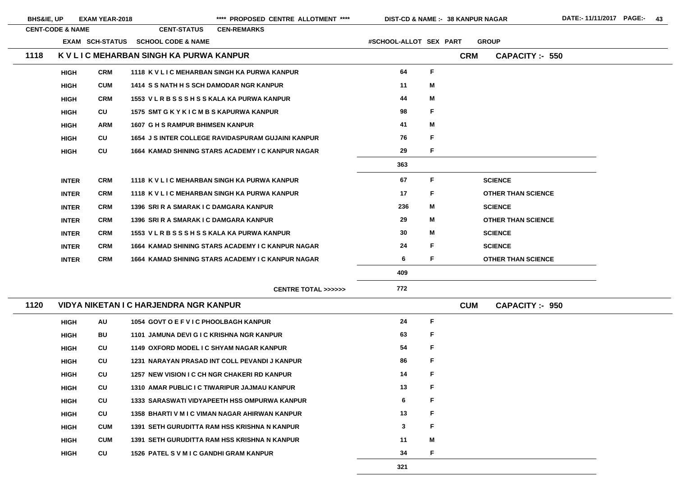BHS&IE, UP EXAM YEAR-2018 \*\*\*\* PROPOSED CENTRE ALLOTMENT \*\*\*\* DIST-CD & NAME :- 38 KANPUR NAGAR DATE:- 11/11/2017 PAGE:- 43

|      | <b>CENT-CODE &amp; NAME</b> |                        | <b>CENT-STATUS</b>                                        | <b>CEN-REMARKS</b> |                                              |                        |             |            |                           |
|------|-----------------------------|------------------------|-----------------------------------------------------------|--------------------|----------------------------------------------|------------------------|-------------|------------|---------------------------|
|      |                             | <b>EXAM SCH-STATUS</b> | <b>SCHOOL CODE &amp; NAME</b>                             |                    |                                              | #SCHOOL-ALLOT SEX PART |             |            | <b>GROUP</b>              |
| 1118 |                             |                        | K V L I C MEHARBAN SINGH KA PURWA KANPUR                  |                    |                                              |                        |             | <b>CRM</b> | <b>CAPACITY :- 550</b>    |
|      | <b>HIGH</b>                 | <b>CRM</b>             | 1118 K V L I C MEHARBAN SINGH KA PURWA KANPUR             |                    |                                              | 64                     | $\mathsf F$ |            |                           |
|      | <b>HIGH</b>                 | <b>CUM</b>             | 1414 S S NATH H S SCH DAMODAR NGR KANPUR                  |                    |                                              | 11                     | M           |            |                           |
|      | <b>HIGH</b>                 | <b>CRM</b>             | 1553 V L R B S S S H S S KALA KA PURWA KANPUR             |                    |                                              | 44                     | M           |            |                           |
|      | <b>HIGH</b>                 | CU                     | 1575 SMT G K Y K I C M B S KAPURWA KANPUR                 |                    |                                              | 98                     | F           |            |                           |
|      | <b>HIGH</b>                 | <b>ARM</b>             | <b>1607 G H S RAMPUR BHIMSEN KANPUR</b>                   |                    |                                              | 41                     | M           |            |                           |
|      | <b>HIGH</b>                 | CU                     | <b>1654 J S INTER COLLEGE RAVIDASPURAM GUJAINI KANPUR</b> |                    |                                              | 76                     | F           |            |                           |
|      | <b>HIGH</b>                 | CU                     | 1664 KAMAD SHINING STARS ACADEMY I C KANPUR NAGAR         |                    |                                              | 29                     | F           |            |                           |
|      |                             |                        |                                                           |                    |                                              | 363                    |             |            |                           |
|      | <b>INTER</b>                | <b>CRM</b>             | 1118 K V L I C MEHARBAN SINGH KA PURWA KANPUR             |                    |                                              | 67                     | F           |            | <b>SCIENCE</b>            |
|      | <b>INTER</b>                | <b>CRM</b>             | 1118 K V L I C MEHARBAN SINGH KA PURWA KANPUR             |                    |                                              | 17                     | F           |            | <b>OTHER THAN SCIENCE</b> |
|      | <b>INTER</b>                | <b>CRM</b>             | 1396 SRI R A SMARAK I C DAMGARA KANPUR                    |                    |                                              | 236                    | M           |            | <b>SCIENCE</b>            |
|      | <b>INTER</b>                | <b>CRM</b>             | 1396 SRI R A SMARAK I C DAMGARA KANPUR                    |                    |                                              | 29                     | M           |            | <b>OTHER THAN SCIENCE</b> |
|      | <b>INTER</b>                | <b>CRM</b>             | 1553 V L R B S S S H S S KALA KA PURWA KANPUR             |                    |                                              | 30                     | M           |            | <b>SCIENCE</b>            |
|      | <b>INTER</b>                | <b>CRM</b>             | 1664 KAMAD SHINING STARS ACADEMY I C KANPUR NAGAR         |                    |                                              | 24                     | F           |            | <b>SCIENCE</b>            |
|      | <b>INTER</b>                | <b>CRM</b>             | 1664 KAMAD SHINING STARS ACADEMY I C KANPUR NAGAR         |                    |                                              | 6                      | F           |            | <b>OTHER THAN SCIENCE</b> |
|      |                             |                        |                                                           |                    |                                              | 409                    |             |            |                           |
|      |                             |                        |                                                           |                    | <b>CENTRE TOTAL &gt;&gt;&gt;&gt;&gt;&gt;</b> | 772                    |             |            |                           |
| 1120 |                             |                        | <b>VIDYA NIKETAN I C HARJENDRA NGR KANPUR</b>             |                    |                                              |                        |             | <b>CUM</b> | <b>CAPACITY:- 950</b>     |
|      | <b>HIGH</b>                 | <b>AU</b>              | 1054 GOVT O E F V I C PHOOLBAGH KANPUR                    |                    |                                              | 24                     | F           |            |                           |
|      | <b>HIGH</b>                 | BU                     | 1101 JAMUNA DEVI G I C KRISHNA NGR KANPUR                 |                    |                                              | 63                     | F           |            |                           |
|      | <b>HIGH</b>                 | CU                     | 1149 OXFORD MODEL I C SHYAM NAGAR KANPUR                  |                    |                                              | 54                     | F           |            |                           |
|      | <b>HIGH</b>                 | CU                     | 1231 NARAYAN PRASAD INT COLL PEVANDI J KANPUR             |                    |                                              | 86                     | F           |            |                           |
|      | <b>HIGH</b>                 | CU                     | 1257 NEW VISION I C CH NGR CHAKERI RD KANPUR              |                    |                                              | 14                     | F           |            |                           |
|      | <b>HIGH</b>                 | CU                     | 1310 AMAR PUBLIC I C TIWARIPUR JAJMAU KANPUR              |                    |                                              | 13                     | F           |            |                           |
|      | <b>HIGH</b>                 | CU                     | <b>1333 SARASWATI VIDYAPEETH HSS OMPURWA KANPUR</b>       |                    |                                              | 6                      | F           |            |                           |
|      | <b>HIGH</b>                 | CU                     | 1358 BHARTI V M I C VIMAN NAGAR AHIRWAN KANPUR            |                    |                                              | 13                     | F           |            |                           |
|      | <b>HIGH</b>                 | <b>CUM</b>             | 1391 SETH GURUDITTA RAM HSS KRISHNA N KANPUR              |                    |                                              | $\mathbf{3}$           | F           |            |                           |
|      | <b>HIGH</b>                 | <b>CUM</b>             | 1391 SETH GURUDITTA RAM HSS KRISHNA N KANPUR              |                    |                                              | 11                     | M           |            |                           |
|      | <b>HIGH</b>                 | CU                     | <b>1526 PATEL S V M I C GANDHI GRAM KANPUR</b>            |                    |                                              | 34                     | F           |            |                           |
|      |                             |                        |                                                           |                    |                                              |                        |             |            |                           |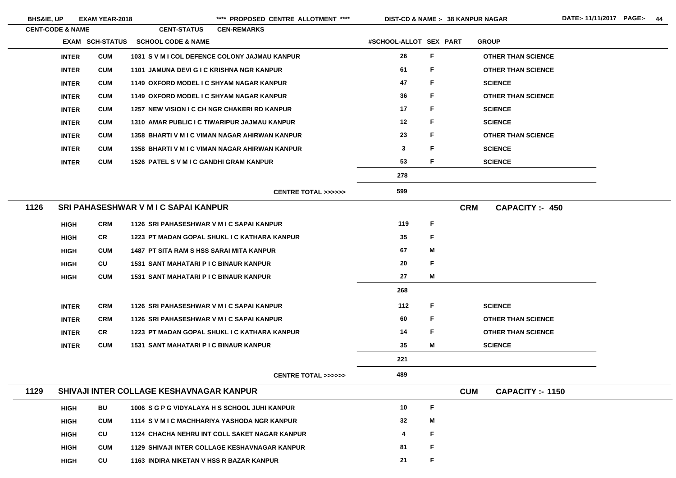BHS&IE, UP EXAM YEAR-2018 \*\*\*\* PROPOSED CENTRE ALLOTMENT \*\*\*\* DIST-CD & NAME :- 38 KANPUR NAGAR DATE:- 11/11/2017 PAGE:- 44

|      | <b>CENT-CODE &amp; NAME</b> |                   | <b>CENT-STATUS</b>                              | <b>CEN-REMARKS</b>                                    |                        |    |                                       |
|------|-----------------------------|-------------------|-------------------------------------------------|-------------------------------------------------------|------------------------|----|---------------------------------------|
|      | <b>EXAM</b>                 | <b>SCH-STATUS</b> | <b>SCHOOL CODE &amp; NAME</b>                   |                                                       | #SCHOOL-ALLOT SEX PART |    | <b>GROUP</b>                          |
|      | <b>INTER</b>                | <b>CUM</b>        |                                                 | 1031 S V M I COL DEFENCE COLONY JAJMAU KANPUR         | 26                     | F  | <b>OTHER THAN SCIENCE</b>             |
|      | <b>INTER</b>                | <b>CUM</b>        | 1101 JAMUNA DEVI G I C KRISHNA NGR KANPUR       |                                                       | 61                     | F  | <b>OTHER THAN SCIENCE</b>             |
|      | <b>INTER</b>                | <b>CUM</b>        | 1149 OXFORD MODEL I C SHYAM NAGAR KANPUR        |                                                       | 47                     | F  | <b>SCIENCE</b>                        |
|      | <b>INTER</b>                | <b>CUM</b>        | 1149 OXFORD MODEL I C SHYAM NAGAR KANPUR        |                                                       | 36                     | F  | <b>OTHER THAN SCIENCE</b>             |
|      | <b>INTER</b>                | <b>CUM</b>        |                                                 | 1257 NEW VISION I C CH NGR CHAKERI RD KANPUR          | 17                     | F  | <b>SCIENCE</b>                        |
|      | <b>INTER</b>                | <b>CUM</b>        |                                                 | 1310 AMAR PUBLIC I C TIWARIPUR JAJMAU KANPUR          | 12                     | F  | <b>SCIENCE</b>                        |
|      | <b>INTER</b>                | <b>CUM</b>        |                                                 | 1358 BHARTI V M I C VIMAN NAGAR AHIRWAN KANPUR        | 23                     | F. | <b>OTHER THAN SCIENCE</b>             |
|      | <b>INTER</b>                | <b>CUM</b>        |                                                 | <b>1358 BHARTI V M I C VIMAN NAGAR AHIRWAN KANPUR</b> | $\mathbf{3}$           | F  | <b>SCIENCE</b>                        |
|      | <b>INTER</b>                | <b>CUM</b>        | <b>1526 PATEL S V M I C GANDHI GRAM KANPUR</b>  |                                                       | 53                     | F. | <b>SCIENCE</b>                        |
|      |                             |                   |                                                 |                                                       | 278                    |    |                                       |
|      |                             |                   |                                                 | <b>CENTRE TOTAL &gt;&gt;&gt;&gt;&gt;&gt;</b>          | 599                    |    |                                       |
| 1126 |                             |                   | <b>SRI PAHASESHWAR V M I C SAPAI KANPUR</b>     |                                                       |                        |    | <b>CRM</b><br><b>CAPACITY :- 450</b>  |
|      | <b>HIGH</b>                 | <b>CRM</b>        | 1126 SRI PAHASESHWAR V M I C SAPAI KANPUR       |                                                       | 119                    | F. |                                       |
|      | <b>HIGH</b>                 | <b>CR</b>         |                                                 | 1223 PT MADAN GOPAL SHUKL I C KATHARA KANPUR          | 35                     | F  |                                       |
|      | <b>HIGH</b>                 | <b>CUM</b>        | <b>1487 PT SITA RAM S HSS SARAI MITA KANPUR</b> |                                                       | 67                     | M  |                                       |
|      | <b>HIGH</b>                 | <b>CU</b>         | <b>1531 SANT MAHATARI P I C BINAUR KANPUR</b>   |                                                       | 20                     | F  |                                       |
|      | <b>HIGH</b>                 | <b>CUM</b>        | 1531 SANT MAHATARI P I C BINAUR KANPUR          |                                                       | 27                     | Μ  |                                       |
|      |                             |                   |                                                 |                                                       | 268                    |    |                                       |
|      | <b>INTER</b>                | <b>CRM</b>        | 1126 SRI PAHASESHWAR V M I C SAPAI KANPUR       |                                                       | 112                    | F  | <b>SCIENCE</b>                        |
|      | <b>INTER</b>                | <b>CRM</b>        | 1126 SRI PAHASESHWAR V M I C SAPAI KANPUR       |                                                       | 60                     | F. | <b>OTHER THAN SCIENCE</b>             |
|      | <b>INTER</b>                | <b>CR</b>         |                                                 | 1223 PT MADAN GOPAL SHUKL I C KATHARA KANPUR          | 14                     | F  | <b>OTHER THAN SCIENCE</b>             |
|      | <b>INTER</b>                | <b>CUM</b>        | <b>1531 SANT MAHATARI P I C BINAUR KANPUR</b>   |                                                       | 35                     | M  | <b>SCIENCE</b>                        |
|      |                             |                   |                                                 |                                                       | 221                    |    |                                       |
|      |                             |                   |                                                 | <b>CENTRE TOTAL &gt;&gt;&gt;&gt;&gt;&gt;</b>          | 489                    |    |                                       |
| 1129 |                             |                   | <b>SHIVAJI INTER COLLAGE KESHAVNAGAR KANPUR</b> |                                                       |                        |    | <b>CUM</b><br><b>CAPACITY :- 1150</b> |
|      | <b>HIGH</b>                 | BU                |                                                 | 1006 S G P G VIDYALAYA H S SCHOOL JUHI KANPUR         | 10                     | F  |                                       |
|      | <b>HIGH</b>                 | <b>CUM</b>        |                                                 | 1114 S V M I C MACHHARIYA YASHODA NGR KANPUR          | 32                     | Μ  |                                       |
|      | <b>HIGH</b>                 | CU                |                                                 | 1124 CHACHA NEHRU INT COLL SAKET NAGAR KANPUR         | 4                      | F  |                                       |
|      | <b>HIGH</b>                 | <b>CUM</b>        |                                                 | <b>1129 SHIVAJI INTER COLLAGE KESHAVNAGAR KANPUR</b>  | 81                     | F  |                                       |
|      | <b>HIGH</b>                 | CU                | 1163 INDIRA NIKETAN V HSS R BAZAR KANPUR        |                                                       | 21                     | F  |                                       |

<u> 1989 - Johann Barbara, martxa a</u>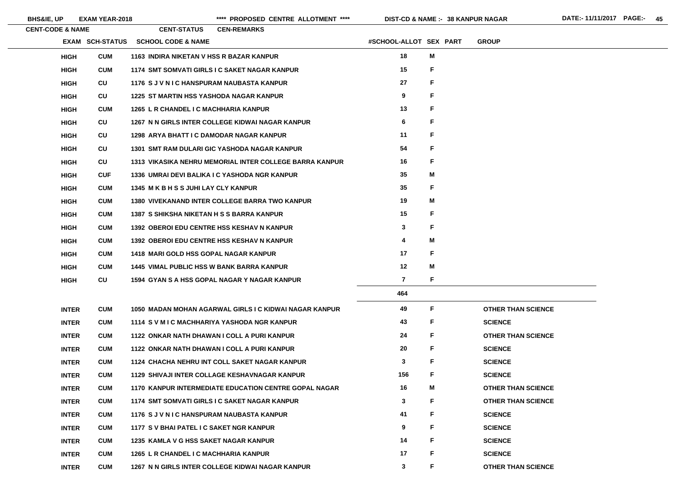$\sim$ 

| <b>CENT-CODE &amp; NAME</b> |                        | <b>CENT-STATUS</b>                                | <b>CEN-REMARKS</b>                                           |                        |    |                           |
|-----------------------------|------------------------|---------------------------------------------------|--------------------------------------------------------------|------------------------|----|---------------------------|
|                             | <b>EXAM SCH-STATUS</b> | <b>SCHOOL CODE &amp; NAME</b>                     |                                                              | #SCHOOL-ALLOT SEX PART |    | <b>GROUP</b>              |
| <b>HIGH</b>                 | <b>CUM</b>             | 1163 INDIRA NIKETAN V HSS R BAZAR KANPUR          |                                                              | 18                     | M  |                           |
| <b>HIGH</b>                 | <b>CUM</b>             |                                                   | 1174 SMT SOMVATI GIRLS I C SAKET NAGAR KANPUR                | 15                     | F. |                           |
| <b>HIGH</b>                 | <b>CU</b>              | 1176 SJVNIC HANSPURAM NAUBASTA KANPUR             |                                                              | 27                     | F  |                           |
| <b>HIGH</b>                 | <b>CU</b>              | <b>1225 ST MARTIN HSS YASHODA NAGAR KANPUR</b>    |                                                              | 9                      | F  |                           |
| <b>HIGH</b>                 | <b>CUM</b>             | 1265 L R CHANDEL I C MACHHARIA KANPUR             |                                                              | 13                     | F  |                           |
| <b>HIGH</b>                 | <b>CU</b>              |                                                   | 1267 N N GIRLS INTER COLLEGE KIDWAI NAGAR KANPUR             | 6                      | F  |                           |
| <b>HIGH</b>                 | <b>CU</b>              | 1298 ARYA BHATT I C DAMODAR NAGAR KANPUR          |                                                              | 11                     | F. |                           |
| <b>HIGH</b>                 | <b>CU</b>              |                                                   | 1301 SMT RAM DULARI GIC YASHODA NAGAR KANPUR                 | 54                     | F  |                           |
| <b>HIGH</b>                 | <b>CU</b>              |                                                   | 1313 VIKASIKA NEHRU MEMORIAL INTER COLLEGE BARRA KANPUR      | 16                     | F  |                           |
| <b>HIGH</b>                 | <b>CUF</b>             |                                                   | 1336 UMRAI DEVI BALIKA I C YASHODA NGR KANPUR                | 35                     | M  |                           |
| <b>HIGH</b>                 | <b>CUM</b>             | 1345 M K B H S S JUHI LAY CLY KANPUR              |                                                              | 35                     | F  |                           |
| <b>HIGH</b>                 | <b>CUM</b>             |                                                   | <b>1380 VIVEKANAND INTER COLLEGE BARRA TWO KANPUR</b>        | 19                     | M  |                           |
| <b>HIGH</b>                 | <b>CUM</b>             | <b>1387 S SHIKSHA NIKETAN H S S BARRA KANPUR</b>  |                                                              | 15                     | F  |                           |
| <b>HIGH</b>                 | <b>CUM</b>             | <b>1392 OBEROI EDU CENTRE HSS KESHAV N KANPUR</b> |                                                              | 3                      | F  |                           |
| <b>HIGH</b>                 | <b>CUM</b>             | <b>1392 OBEROI EDU CENTRE HSS KESHAV N KANPUR</b> |                                                              | 4                      | Μ  |                           |
| <b>HIGH</b>                 | <b>CUM</b>             | <b>1418 MARI GOLD HSS GOPAL NAGAR KANPUR</b>      |                                                              | 17                     | F  |                           |
| <b>HIGH</b>                 | <b>CUM</b>             | <b>1445 VIMAL PUBLIC HSS W BANK BARRA KANPUR</b>  |                                                              | 12                     | M  |                           |
| <b>HIGH</b>                 | <b>CU</b>              |                                                   | 1594 GYAN S A HSS GOPAL NAGAR Y NAGAR KANPUR                 | 7                      | F  |                           |
|                             |                        |                                                   |                                                              | 464                    |    |                           |
| <b>INTER</b>                | <b>CUM</b>             |                                                   | 1050 MADAN MOHAN AGARWAL GIRLS I C KIDWAI NAGAR KANPUR       | 49                     | F  | <b>OTHER THAN SCIENCE</b> |
| <b>INTER</b>                | <b>CUM</b>             |                                                   | 1114 S V M I C MACHHARIYA YASHODA NGR KANPUR                 | 43                     | F. | <b>SCIENCE</b>            |
| <b>INTER</b>                | <b>CUM</b>             |                                                   | 1122 ONKAR NATH DHAWAN I COLL A PURI KANPUR                  | 24                     | F. | <b>OTHER THAN SCIENCE</b> |
| <b>INTER</b>                | <b>CUM</b>             |                                                   | 1122 ONKAR NATH DHAWAN I COLL A PURI KANPUR                  | 20                     | F  | <b>SCIENCE</b>            |
| <b>INTER</b>                | <b>CUM</b>             |                                                   | 1124 CHACHA NEHRU INT COLL SAKET NAGAR KANPUR                | 3                      | F  | <b>SCIENCE</b>            |
| <b>INTER</b>                | <b>CUM</b>             |                                                   | <b>1129 SHIVAJI INTER COLLAGE KESHAVNAGAR KANPUR</b>         | 156                    | F. | <b>SCIENCE</b>            |
| <b>INTER</b>                | <b>CUM</b>             |                                                   | <b>1170 KANPUR INTERMEDIATE EDUCATION CENTRE GOPAL NAGAR</b> | 16                     | Μ  | <b>OTHER THAN SCIENCE</b> |
| <b>INTER</b>                | <b>CUM</b>             |                                                   | 1174 SMT SOMVATI GIRLS I C SAKET NAGAR KANPUR                | 3                      | F. | <b>OTHER THAN SCIENCE</b> |
| <b>INTER</b>                | <b>CUM</b>             | 1176 SJVNIC HANSPURAM NAUBASTA KANPUR             |                                                              | 41                     | F. | <b>SCIENCE</b>            |
| <b>INTER</b>                | <b>CUM</b>             | 1177 S V BHAI PATEL I C SAKET NGR KANPUR          |                                                              | 9                      | F  | <b>SCIENCE</b>            |
| <b>INTER</b>                | <b>CUM</b>             | 1235 KAMLA V G HSS SAKET NAGAR KANPUR             |                                                              | 14                     | F. | <b>SCIENCE</b>            |
| <b>INTER</b>                | <b>CUM</b>             | 1265 L R CHANDEL I C MACHHARIA KANPUR             |                                                              | 17                     | F. | <b>SCIENCE</b>            |
| <b>INTER</b>                | <b>CUM</b>             |                                                   | 1267 N N GIRLS INTER COLLEGE KIDWAI NAGAR KANPUR             | 3                      | F. | <b>OTHER THAN SCIENCE</b> |

# **THAN SCIENCE**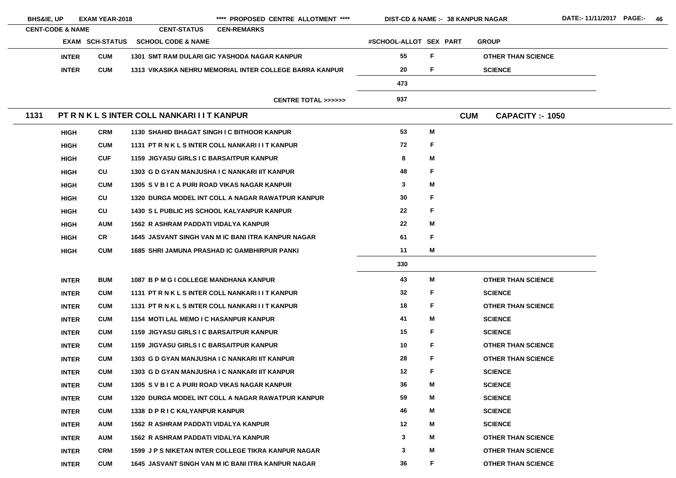|      | <b>BHS&amp;IE, UP</b>       |                 | **** PROPOSED CENTRE ALLOTMENT ****<br><b>EXAM YEAR-2018</b><br><b>DIST-CD &amp; NAME :- 38 KANPUR NAGAR</b> |                                                         |                        |   |            |                           |  |  |
|------|-----------------------------|-----------------|--------------------------------------------------------------------------------------------------------------|---------------------------------------------------------|------------------------|---|------------|---------------------------|--|--|
|      | <b>CENT-CODE &amp; NAME</b> |                 | <b>CENT-STATUS</b>                                                                                           | <b>CEN-REMARKS</b>                                      |                        |   |            |                           |  |  |
|      |                             | EXAM SCH-STATUS | <b>SCHOOL CODE &amp; NAME</b>                                                                                |                                                         | #SCHOOL-ALLOT SEX PART |   |            | <b>GROUP</b>              |  |  |
|      | <b>INTER</b>                | <b>CUM</b>      |                                                                                                              | 1301 SMT RAM DULARI GIC YASHODA NAGAR KANPUR            | 55                     | F |            | <b>OTHER THAN SCIENCE</b> |  |  |
|      | <b>INTER</b>                | <b>CUM</b>      |                                                                                                              | 1313 VIKASIKA NEHRU MEMORIAL INTER COLLEGE BARRA KANPUR | 20                     | F |            | <b>SCIENCE</b>            |  |  |
|      |                             |                 |                                                                                                              |                                                         | 473                    |   |            |                           |  |  |
|      |                             |                 |                                                                                                              | <b>CENTRE TOTAL &gt;&gt;&gt;&gt;&gt;&gt;</b>            | 937                    |   |            |                           |  |  |
| 1131 |                             |                 | PT R N K L S INTER COLL NANKARI I I T KANPUR                                                                 |                                                         |                        |   | <b>CUM</b> | <b>CAPACITY :- 1050</b>   |  |  |
|      | <b>HIGH</b>                 | <b>CRM</b>      |                                                                                                              | 1130 SHAHID BHAGAT SINGH I C BITHOOR KANPUR             | 53                     | Μ |            |                           |  |  |
|      | <b>HIGH</b>                 | <b>CUM</b>      |                                                                                                              | 1131 PT R N K L S INTER COLL NANKARI I I T KANPUR       | 72                     | F |            |                           |  |  |
|      | <b>HIGH</b>                 | <b>CUF</b>      | <b>1159 JIGYASU GIRLS I C BARSAITPUR KANPUR</b>                                                              |                                                         | 8                      | Μ |            |                           |  |  |
|      | <b>HIGH</b>                 | CU              |                                                                                                              | 1303 G D GYAN MANJUSHA I C NANKARI IIT KANPUR           | 48                     | F |            |                           |  |  |
|      | <b>HIGH</b>                 | <b>CUM</b>      |                                                                                                              | 1305 SVBICA PURI ROAD VIKAS NAGAR KANPUR                | $\mathbf{3}$           | Μ |            |                           |  |  |
|      | <b>HIGH</b>                 | <b>CU</b>       |                                                                                                              | 1320 DURGA MODEL INT COLL A NAGAR RAWATPUR KANPUR       | 30                     | F |            |                           |  |  |
|      | <b>HIGH</b>                 | <b>CU</b>       |                                                                                                              | <b>1430 SL PUBLIC HS SCHOOL KALYANPUR KANPUR</b>        | 22                     | F |            |                           |  |  |
|      | <b>HIGH</b>                 | <b>AUM</b>      | <b>1562 R ASHRAM PADDATI VIDALYA KANPUR</b>                                                                  |                                                         | 22                     | Μ |            |                           |  |  |
|      | <b>HIGH</b>                 | <b>CR</b>       |                                                                                                              | 1645 JASVANT SINGH VAN M IC BANI ITRA KANPUR NAGAR      | 61                     | F |            |                           |  |  |
|      | <b>HIGH</b>                 | <b>CUM</b>      |                                                                                                              | <b>1685 SHRI JAMUNA PRASHAD IC GAMBHIRPUR PANKI</b>     | 11                     | М |            |                           |  |  |
|      |                             |                 |                                                                                                              |                                                         | 330                    |   |            |                           |  |  |
|      | <b>INTER</b>                | <b>BUM</b>      | 1087 B P M G I COLLEGE MANDHANA KANPUR                                                                       |                                                         | 43                     | Μ |            | <b>OTHER THAN SCIENCE</b> |  |  |
|      | <b>INTER</b>                | <b>CUM</b>      |                                                                                                              | 1131 PT R N K L S INTER COLL NANKARI I I T KANPUR       | 32                     | F |            | <b>SCIENCE</b>            |  |  |
|      | <b>INTER</b>                | <b>CUM</b>      |                                                                                                              | 1131 PT R N K L S INTER COLL NANKARI I I T KANPUR       | 18                     | F |            | <b>OTHER THAN SCIENCE</b> |  |  |
|      | <b>INTER</b>                | <b>CUM</b>      | <b>1154 MOTI LAL MEMO I C HASANPUR KANPUR</b>                                                                |                                                         | 41                     | M |            | <b>SCIENCE</b>            |  |  |
|      | <b>INTER</b>                | <b>CUM</b>      | <b>1159 JIGYASU GIRLS I C BARSAITPUR KANPUR</b>                                                              |                                                         | 15                     | F |            | <b>SCIENCE</b>            |  |  |
|      | <b>INTER</b>                | <b>CUM</b>      | <b>1159 JIGYASU GIRLS I C BARSAITPUR KANPUR</b>                                                              |                                                         | 10                     | F |            | <b>OTHER THAN SCIENCE</b> |  |  |
|      | <b>INTER</b>                | <b>CUM</b>      |                                                                                                              | 1303 G D GYAN MANJUSHA I C NANKARI IIT KANPUR           | 28                     | F |            | <b>OTHER THAN SCIENCE</b> |  |  |
|      | <b>INTER</b>                | <b>CUM</b>      |                                                                                                              | 1303 G D GYAN MANJUSHA I C NANKARI IIT KANPUR           | 12                     | F |            | <b>SCIENCE</b>            |  |  |
|      | <b>INTER</b>                | <b>CUM</b>      |                                                                                                              | 1305 SVBICA PURI ROAD VIKAS NAGAR KANPUR                | 36                     | M |            | <b>SCIENCE</b>            |  |  |
|      | <b>INTER</b>                | <b>CUM</b>      |                                                                                                              | 1320 DURGA MODEL INT COLL A NAGAR RAWATPUR KANPUR       | 59                     | Μ |            | <b>SCIENCE</b>            |  |  |
|      | <b>INTER</b>                | <b>CUM</b>      | 1338 D P R I C KALYANPUR KANPUR                                                                              |                                                         | 46                     | Μ |            | <b>SCIENCE</b>            |  |  |
|      | <b>INTER</b>                | <b>AUM</b>      | 1562 R ASHRAM PADDATI VIDALYA KANPUR                                                                         |                                                         | 12                     | М |            | <b>SCIENCE</b>            |  |  |
|      | <b>INTER</b>                | <b>AUM</b>      | 1562 R ASHRAM PADDATI VIDALYA KANPUR                                                                         |                                                         | $\mathbf{3}$           | Μ |            | <b>OTHER THAN SCIENCE</b> |  |  |
|      | <b>INTER</b>                | <b>CRM</b>      |                                                                                                              | 1599 J P S NIKETAN INTER COLLEGE TIKRA KANPUR NAGAR     | $\mathbf{3}$           | Μ |            | <b>OTHER THAN SCIENCE</b> |  |  |
|      | <b>INTER</b>                | <b>CUM</b>      |                                                                                                              | 1645 JASVANT SINGH VAN M IC BANI ITRA KANPUR NAGAR      | 36                     | F |            | <b>OTHER THAN SCIENCE</b> |  |  |

E. E. E. E. E. E. E. **THAN SCIENCE**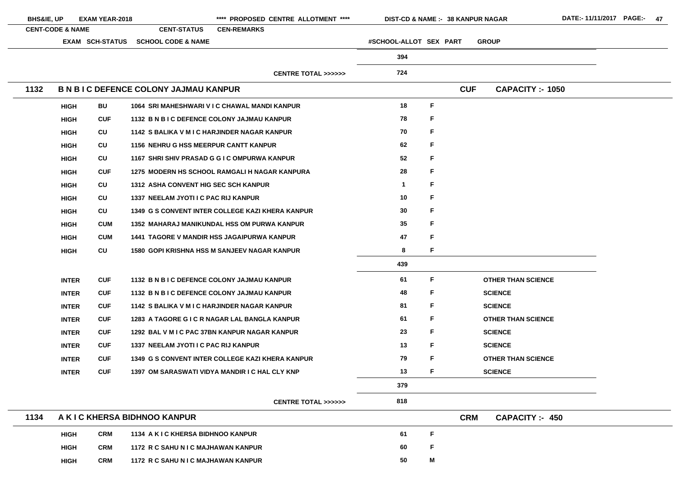| <b>BHS&amp;IE, UP</b> |                             | <b>EXAM YEAR-2018</b>  |                                               | **** PROPOSED CENTRE ALLOTMENT ****                 | <b>DIST-CD &amp; NAME :- 38 KANPUR NAGAR</b> |             |            |                           | DATE:-11/11/2017 PAGE:- 47 |  |
|-----------------------|-----------------------------|------------------------|-----------------------------------------------|-----------------------------------------------------|----------------------------------------------|-------------|------------|---------------------------|----------------------------|--|
|                       | <b>CENT-CODE &amp; NAME</b> |                        | <b>CENT-STATUS</b>                            | <b>CEN-REMARKS</b>                                  |                                              |             |            |                           |                            |  |
|                       |                             | <b>EXAM SCH-STATUS</b> | <b>SCHOOL CODE &amp; NAME</b>                 |                                                     | #SCHOOL-ALLOT SEX PART                       |             |            | <b>GROUP</b>              |                            |  |
|                       |                             |                        |                                               |                                                     | 394                                          |             |            |                           |                            |  |
|                       |                             |                        |                                               | <b>CENTRE TOTAL &gt;&gt;&gt;&gt;&gt;&gt;</b>        | 724                                          |             |            |                           |                            |  |
| 1132                  |                             |                        | <b>B N B I C DEFENCE COLONY JAJMAU KANPUR</b> |                                                     |                                              |             | <b>CUF</b> | <b>CAPACITY :- 1050</b>   |                            |  |
|                       | <b>HIGH</b>                 | <b>BU</b>              |                                               | 1064 SRI MAHESHWARI V I C CHAWAL MANDI KANPUR       | 18                                           | $\mathsf F$ |            |                           |                            |  |
|                       | <b>HIGH</b>                 | <b>CUF</b>             | 1132 B N B I C DEFENCE COLONY JAJMAU KANPUR   |                                                     | 78                                           | F.          |            |                           |                            |  |
|                       | <b>HIGH</b>                 | CU                     | 1142 S BALIKA V M I C HARJINDER NAGAR KANPUR  |                                                     | 70                                           | F           |            |                           |                            |  |
|                       | <b>HIGH</b>                 | CU                     | <b>1156 NEHRU G HSS MEERPUR CANTT KANPUR</b>  |                                                     | 62                                           | F           |            |                           |                            |  |
|                       | <b>HIGH</b>                 | CU                     |                                               | 1167 SHRI SHIV PRASAD G G I C OMPURWA KANPUR        | 52                                           | F           |            |                           |                            |  |
|                       | <b>HIGH</b>                 | <b>CUF</b>             |                                               | 1275 MODERN HS SCHOOL RAMGALI H NAGAR KANPURA       | 28                                           | F.          |            |                           |                            |  |
|                       | <b>HIGH</b>                 | CU                     | <b>1312 ASHA CONVENT HIG SEC SCH KANPUR</b>   |                                                     |                                              | F           |            |                           |                            |  |
|                       | <b>HIGH</b>                 | <b>CU</b>              | 1337 NEELAM JYOTI I C PAC RIJ KANPUR          |                                                     | 10                                           | F           |            |                           |                            |  |
|                       | <b>HIGH</b>                 | CU                     |                                               | 1349 G S CONVENT INTER COLLEGE KAZI KHERA KANPUR    | 30                                           | F.          |            |                           |                            |  |
|                       | <b>HIGH</b>                 | <b>CUM</b>             |                                               | 1352 MAHARAJ MANIKUNDAL HSS OM PURWA KANPUR         | $35\,$                                       | F           |            |                           |                            |  |
|                       | <b>HIGH</b>                 | <b>CUM</b>             |                                               | <b>1441 TAGORE V MANDIR HSS JAGAIPURWA KANPUR</b>   | 47                                           | F.          |            |                           |                            |  |
|                       | <b>HIGH</b>                 | CU                     |                                               | <b>1580 GOPI KRISHNA HSS M SANJEEV NAGAR KANPUR</b> | 8                                            | F.          |            |                           |                            |  |
|                       |                             |                        |                                               |                                                     | 439                                          |             |            |                           |                            |  |
|                       | <b>INTER</b>                | <b>CUF</b>             | 1132 B N B I C DEFENCE COLONY JAJMAU KANPUR   |                                                     | 61                                           | F           |            | <b>OTHER THAN SCIENCE</b> |                            |  |
|                       | <b>INTER</b>                | <b>CUF</b>             | 1132 B N B I C DEFENCE COLONY JAJMAU KANPUR   |                                                     | 48                                           | F.          |            | <b>SCIENCE</b>            |                            |  |
|                       | <b>INTER</b>                | <b>CUF</b>             | 1142 S BALIKA V M I C HARJINDER NAGAR KANPUR  |                                                     | 81                                           | F.          |            | <b>SCIENCE</b>            |                            |  |
|                       | <b>INTER</b>                | <b>CUF</b>             |                                               | 1283 A TAGORE G I C R NAGAR LAL BANGLA KANPUR       | 61                                           | F.          |            | <b>OTHER THAN SCIENCE</b> |                            |  |
|                       | <b>INTER</b>                | <b>CUF</b>             |                                               | 1292 BAL V M I C PAC 37BN KANPUR NAGAR KANPUR       | 23                                           | F.          |            | <b>SCIENCE</b>            |                            |  |
|                       | <b>INTER</b>                | <b>CUF</b>             | 1337 NEELAM JYOTI I C PAC RIJ KANPUR          |                                                     | 13                                           | F.          |            | <b>SCIENCE</b>            |                            |  |
|                       | <b>INTER</b>                | <b>CUF</b>             |                                               | 1349 G S CONVENT INTER COLLEGE KAZI KHERA KANPUR    | 79                                           | F.          |            | <b>OTHER THAN SCIENCE</b> |                            |  |
|                       | <b>INTER</b>                | <b>CUF</b>             |                                               | 1397 OM SARASWATI VIDYA MANDIR I C HAL CLY KNP      | 13                                           | F.          |            | <b>SCIENCE</b>            |                            |  |
|                       |                             |                        |                                               |                                                     | 379                                          |             |            |                           |                            |  |
|                       |                             |                        |                                               | <b>CENTRE TOTAL &gt;&gt;&gt;&gt;&gt;&gt;</b>        | 818                                          |             |            |                           |                            |  |
| 1134                  |                             |                        | A K I C KHERSA BIDHNOO KANPUR                 |                                                     |                                              |             | <b>CRM</b> | <b>CAPACITY: 450</b>      |                            |  |
|                       | <b>HIGH</b>                 | <b>CRM</b>             | 1134 A K I C KHERSA BIDHNOO KANPUR            |                                                     | 61                                           | $\mathsf F$ |            |                           |                            |  |
|                       | <b>HIGH</b>                 | <b>CRM</b>             | 1172 R C SAHU N I C MAJHAWAN KANPUR           |                                                     | 60                                           | F           |            |                           |                            |  |

**HIGH**

- 
- 

- E.
- 
- 

**CRM 1172 R C SAHU N I C MAJHAWAN KANPUR 50**

**M**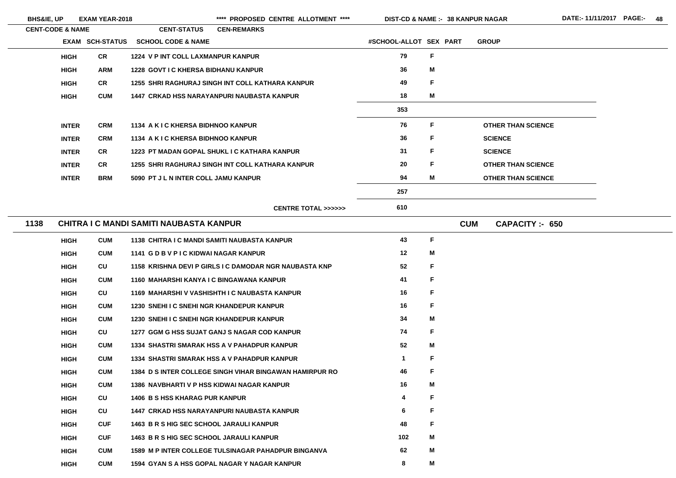| <b>BHS&amp;IE, UP</b> | <b>EXAM YEAR-2018</b> |
|-----------------------|-----------------------|
|-----------------------|-----------------------|

\*\*\*\* PROPOSED CENTRE ALLOTMENT \*\*\*\* DIST-CD & NAME :- 38 KANPUR NAGAR DATE:- 11/11/2017 PAGE:- 48

| <b>CENT-CODE &amp; NAME</b> |                        | <b>CENT-STATUS</b>                             | <b>CEN-REMARKS</b>                                      |                        |   |                                    |
|-----------------------------|------------------------|------------------------------------------------|---------------------------------------------------------|------------------------|---|------------------------------------|
|                             | <b>EXAM SCH-STATUS</b> | <b>SCHOOL CODE &amp; NAME</b>                  |                                                         | #SCHOOL-ALLOT SEX PART |   | <b>GROUP</b>                       |
| <b>HIGH</b>                 | <b>CR</b>              | 1224 V P INT COLL LAXMANPUR KANPUR             |                                                         | 79                     | F |                                    |
| <b>HIGH</b>                 | <b>ARM</b>             | <b>1228 GOVT I C KHERSA BIDHANU KANPUR</b>     |                                                         | 36                     | M |                                    |
| <b>HIGH</b>                 | <b>CR</b>              |                                                | 1255 SHRI RAGHURAJ SINGH INT COLL KATHARA KANPUR        | 49                     | F |                                    |
| <b>HIGH</b>                 | <b>CUM</b>             |                                                | <b>1447 CRKAD HSS NARAYANPURI NAUBASTA KANPUR</b>       | 18                     | M |                                    |
|                             |                        |                                                |                                                         | 353                    |   |                                    |
| <b>INTER</b>                | <b>CRM</b>             | 1134 A K I C KHERSA BIDHNOO KANPUR             |                                                         | 76                     | F | <b>OTHER THAN SCIENCE</b>          |
| <b>INTER</b>                | <b>CRM</b>             | 1134 A K I C KHERSA BIDHNOO KANPUR             |                                                         | 36                     | F | <b>SCIENCE</b>                     |
| <b>INTER</b>                | <b>CR</b>              |                                                | 1223 PT MADAN GOPAL SHUKL I C KATHARA KANPUR            | 31                     | F | <b>SCIENCE</b>                     |
| <b>INTER</b>                | <b>CR</b>              |                                                | 1255 SHRI RAGHURAJ SINGH INT COLL KATHARA KANPUR        | 20                     | F | <b>OTHER THAN SCIENCE</b>          |
| <b>INTER</b>                | <b>BRM</b>             | 5090 PT J L N INTER COLL JAMU KANPUR           |                                                         | 94                     | M | <b>OTHER THAN SCIENCE</b>          |
|                             |                        |                                                |                                                         | 257                    |   |                                    |
|                             |                        |                                                | <b>CENTRE TOTAL &gt;&gt;&gt;&gt;&gt;&gt;</b>            | 610                    |   |                                    |
| 1138                        |                        | <b>CHITRA I C MANDI SAMITI NAUBASTA KANPUR</b> |                                                         |                        |   | <b>CUM</b><br><b>CAPACITY: 650</b> |
| <b>HIGH</b>                 | <b>CUM</b>             |                                                | 1138 CHITRA I C MANDI SAMITI NAUBASTA KANPUR            | 43                     | F |                                    |
| <b>HIGH</b>                 | <b>CUM</b>             | 1141 G D B V P I C KIDWAI NAGAR KANPUR         |                                                         | 12                     | M |                                    |
| <b>HIGH</b>                 | CU                     |                                                | 1158 KRISHNA DEVI P GIRLS I C DAMODAR NGR NAUBASTA KNP  | 52                     | F |                                    |
| <b>HIGH</b>                 | <b>CUM</b>             |                                                | 1160 MAHARSHI KANYA I C BINGAWANA KANPUR                | 41                     | F |                                    |
| <b>HIGH</b>                 | CU                     |                                                | 1169 MAHARSHI V VASHISHTH I C NAUBASTA KANPUR           | 16                     | F |                                    |
| <b>HIGH</b>                 | <b>CUM</b>             | 1230 SNEHI I C SNEHI NGR KHANDEPUR KANPUR      |                                                         | 16                     | F |                                    |
| <b>HIGH</b>                 | <b>CUM</b>             | 1230 SNEHI I C SNEHI NGR KHANDEPUR KANPUR      |                                                         | 34                     | M |                                    |
| <b>HIGH</b>                 | CU                     |                                                | 1277 GGM G HSS SUJAT GANJ S NAGAR COD KANPUR            | 74                     | F |                                    |
| <b>HIGH</b>                 | <b>CUM</b>             |                                                | 1334 SHASTRI SMARAK HSS A V PAHADPUR KANPUR             | 52                     | M |                                    |
| <b>HIGH</b>                 | <b>CUM</b>             |                                                | 1334 SHASTRI SMARAK HSS A V PAHADPUR KANPUR             | $\mathbf 1$            | F |                                    |
| <b>HIGH</b>                 | <b>CUM</b>             |                                                | 1384 D S INTER COLLEGE SINGH VIHAR BINGAWAN HAMIRPUR RO | 46                     | F |                                    |
| <b>HIGH</b>                 | <b>CUM</b>             |                                                | 1386 NAVBHARTI V P HSS KIDWAI NAGAR KANPUR              | 16                     | M |                                    |
| <b>HIGH</b>                 | CU                     | <b>1406 B S HSS KHARAG PUR KANPUR</b>          |                                                         | 4                      | F |                                    |
| <b>HIGH</b>                 | CU                     |                                                | 1447 CRKAD HSS NARAYANPURI NAUBASTA KANPUR              | 6                      | F |                                    |
| <b>HIGH</b>                 | <b>CUF</b>             | 1463 B R S HIG SEC SCHOOL JARAULI KANPUR       |                                                         | 48                     | F |                                    |
| <b>HIGH</b>                 | <b>CUF</b>             | 1463 B R S HIG SEC SCHOOL JARAULI KANPUR       |                                                         | 102                    | M |                                    |
| <b>HIGH</b>                 | <b>CUM</b>             |                                                | 1589 M P INTER COLLEGE TULSINAGAR PAHADPUR BINGANVA     | 62                     | M |                                    |
| <b>HIGH</b>                 | <b>CUM</b>             |                                                | 1594 GYAN S A HSS GOPAL NAGAR Y NAGAR KANPUR            | 8                      | M |                                    |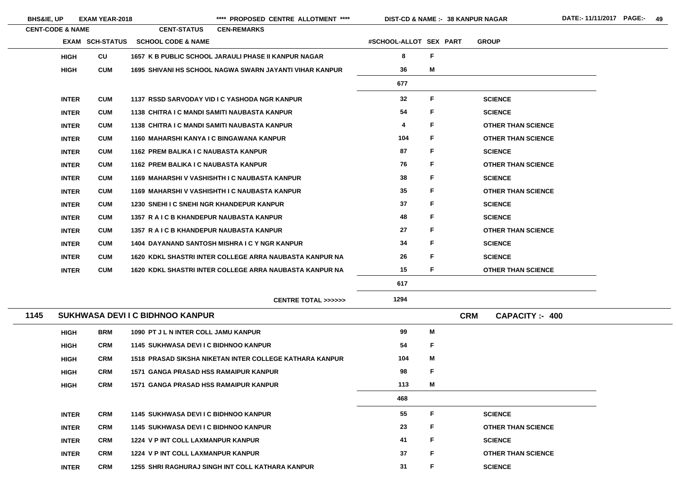|  | <b>HS&amp;IE, UP</b> | <b>EXAM YEAR-2018</b> |
|--|----------------------|-----------------------|
|--|----------------------|-----------------------|

 $\overline{\phantom{a}}$ 

**BHS&IE, UP EXAM YEAR-2018 \*\*\*\* PROPOSED CENTRE ALLOTMENT \*\*\*\* DIST-CD & NAME :- DATE:- 11/11/2017 PAGE:- 49**

**38 KANPUR NAGAR**

| <b>CENT-CODE &amp; NAME</b> |                        | <b>CENT-STATUS</b>                                   | <b>CEN-REMARKS</b> |                                                         |                        |    |            |                           |                      |
|-----------------------------|------------------------|------------------------------------------------------|--------------------|---------------------------------------------------------|------------------------|----|------------|---------------------------|----------------------|
|                             | <b>EXAM SCH-STATUS</b> | <b>SCHOOL CODE &amp; NAME</b>                        |                    |                                                         | #SCHOOL-ALLOT SEX PART |    |            | <b>GROUP</b>              |                      |
| <b>HIGH</b>                 | CU                     | 1657 K B PUBLIC SCHOOL JARAULI PHASE II KANPUR NAGAR |                    |                                                         | 8                      | F  |            |                           |                      |
| <b>HIGH</b>                 | <b>CUM</b>             |                                                      |                    | 1695 SHIVANI HS SCHOOL NAGWA SWARN JAYANTI VIHAR KANPUR | 36                     | M  |            |                           |                      |
|                             |                        |                                                      |                    |                                                         | 677                    |    |            |                           |                      |
| <b>INTER</b>                | <b>CUM</b>             | 1137 RSSD SARVODAY VID I C YASHODA NGR KANPUR        |                    |                                                         | 32                     | F  |            | <b>SCIENCE</b>            |                      |
| <b>INTER</b>                | <b>CUM</b>             | 1138 CHITRA I C MANDI SAMITI NAUBASTA KANPUR         |                    |                                                         | 54                     | F  |            | <b>SCIENCE</b>            |                      |
| <b>INTER</b>                | <b>CUM</b>             | 1138 CHITRA I C MANDI SAMITI NAUBASTA KANPUR         |                    |                                                         | 4                      | F  |            | <b>OTHER THAN SCIENCE</b> |                      |
| <b>INTER</b>                | <b>CUM</b>             | 1160 MAHARSHI KANYA I C BINGAWANA KANPUR             |                    |                                                         | 104                    | F  |            | <b>OTHER THAN SCIENCE</b> |                      |
| <b>INTER</b>                | <b>CUM</b>             | 1162 PREM BALIKA I C NAUBASTA KANPUR                 |                    |                                                         | 87                     | F. |            | <b>SCIENCE</b>            |                      |
| <b>INTER</b>                | <b>CUM</b>             | 1162 PREM BALIKA I C NAUBASTA KANPUR                 |                    |                                                         | 76                     | F. |            | <b>OTHER THAN SCIENCE</b> |                      |
| <b>INTER</b>                | <b>CUM</b>             | 1169 MAHARSHI V VASHISHTH I C NAUBASTA KANPUR        |                    |                                                         | 38                     | F  |            | <b>SCIENCE</b>            |                      |
| <b>INTER</b>                | <b>CUM</b>             | 1169 MAHARSHI V VASHISHTH I C NAUBASTA KANPUR        |                    |                                                         | 35                     | F  |            | <b>OTHER THAN SCIENCE</b> |                      |
| <b>INTER</b>                | <b>CUM</b>             | 1230 SNEHI I C SNEHI NGR KHANDEPUR KANPUR            |                    |                                                         | 37                     | F  |            | <b>SCIENCE</b>            |                      |
| <b>INTER</b>                | <b>CUM</b>             | 1357 R A I C B KHANDEPUR NAUBASTA KANPUR             |                    |                                                         | 48                     | F. |            | <b>SCIENCE</b>            |                      |
| <b>INTER</b>                | <b>CUM</b>             | 1357 R A I C B KHANDEPUR NAUBASTA KANPUR             |                    |                                                         | 27                     | F. |            | <b>OTHER THAN SCIENCE</b> |                      |
| <b>INTER</b>                | <b>CUM</b>             | 1404 DAYANAND SANTOSH MISHRA I C Y NGR KANPUR        |                    |                                                         | 34                     | F. |            | <b>SCIENCE</b>            |                      |
| <b>INTER</b>                | <b>CUM</b>             |                                                      |                    | 1620 KDKL SHASTRI INTER COLLEGE ARRA NAUBASTA KANPUR NA | 26                     | F. |            | <b>SCIENCE</b>            |                      |
| <b>INTER</b>                | <b>CUM</b>             |                                                      |                    | 1620 KDKL SHASTRI INTER COLLEGE ARRA NAUBASTA KANPUR NA | 15                     | F. |            | <b>OTHER THAN SCIENCE</b> |                      |
|                             |                        |                                                      |                    |                                                         | 617                    |    |            |                           |                      |
|                             |                        |                                                      |                    | <b>CENTRE TOTAL &gt;&gt;&gt;&gt;&gt;&gt;</b>            | 1294                   |    |            |                           |                      |
| 1145                        |                        | SUKHWASA DEVI I C BIDHNOO KANPUR                     |                    |                                                         |                        |    | <b>CRM</b> |                           | <b>CAPACITY: 400</b> |
| <b>HIGH</b>                 | <b>BRM</b>             | 1090 PT J L N INTER COLL JAMU KANPUR                 |                    |                                                         | 99                     | M  |            |                           |                      |
| <b>HIGH</b>                 | <b>CRM</b>             | 1145 SUKHWASA DEVI I C BIDHNOO KANPUR                |                    |                                                         | 54                     | F  |            |                           |                      |
| <b>HIGH</b>                 | <b>CRM</b>             |                                                      |                    | 1518 PRASAD SIKSHA NIKETAN INTER COLLEGE KATHARA KANPUR | 104                    | M  |            |                           |                      |
| <b>HIGH</b>                 | <b>CRM</b>             | <b>1571 GANGA PRASAD HSS RAMAIPUR KANPUR</b>         |                    |                                                         | 98                     | F  |            |                           |                      |
| <b>HIGH</b>                 | <b>CRM</b>             | <b>1571 GANGA PRASAD HSS RAMAIPUR KANPUR</b>         |                    |                                                         | 113                    | M  |            |                           |                      |
|                             |                        |                                                      |                    |                                                         | 468                    |    |            |                           |                      |
| <b>INTER</b>                | <b>CRM</b>             | 1145 SUKHWASA DEVI I C BIDHNOO KANPUR                |                    |                                                         | 55                     | F  |            | <b>SCIENCE</b>            |                      |
| <b>INTER</b>                | <b>CRM</b>             | 1145 SUKHWASA DEVI I C BIDHNOO KANPUR                |                    |                                                         | 23                     | F  |            | <b>OTHER THAN SCIENCE</b> |                      |
| <b>INTER</b>                | <b>CRM</b>             | 1224 V P INT COLL LAXMANPUR KANPUR                   |                    |                                                         | 41                     | F. |            | <b>SCIENCE</b>            |                      |
| <b>INTER</b>                | <b>CRM</b>             | 1224 V P INT COLL LAXMANPUR KANPUR                   |                    |                                                         | 37                     | F. |            | <b>OTHER THAN SCIENCE</b> |                      |
| <b>INTER</b>                | <b>CRM</b>             | 1255 SHRI RAGHURAJ SINGH INT COLL KATHARA KANPUR     |                    |                                                         | 31                     | F  |            | <b>SCIENCE</b>            |                      |
|                             |                        |                                                      |                    |                                                         |                        |    |            |                           |                      |

| E                   |
|---------------------|
| E                   |
| <b>THAN SCIENCE</b> |
| <b>THAN SCIENCE</b> |
| Ē                   |
| <b>THAN SCIENCE</b> |
| Ē                   |
| <b>THAN SCIENCE</b> |
| E                   |
| E                   |
| <b>THAN SCIENCE</b> |
| E                   |
| E                   |
| <b>THAN SCIENCE</b> |
|                     |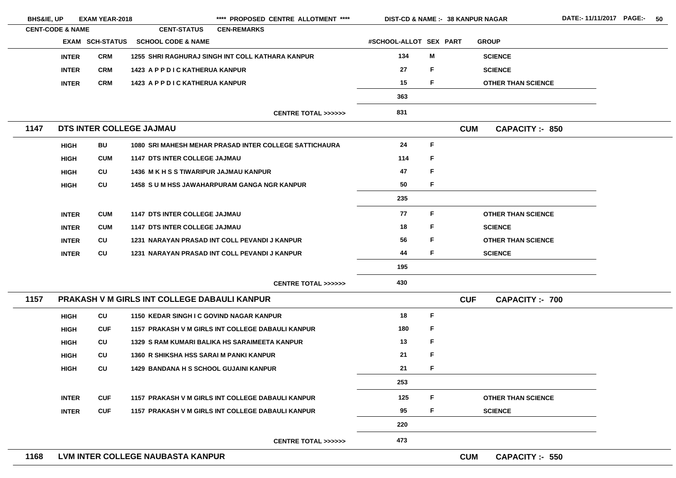| <b>BHS&amp;IE, UP</b>       |              | <b>EXAM YEAR-2018</b>  |                                                     | **** PROPOSED CENTRE ALLOTMENT ****                    | <b>DIST-CD &amp; NAME :- 38 KANPUR NAGAR</b> |   |            |                           | DATE:- |
|-----------------------------|--------------|------------------------|-----------------------------------------------------|--------------------------------------------------------|----------------------------------------------|---|------------|---------------------------|--------|
| <b>CENT-CODE &amp; NAME</b> |              |                        | <b>CENT-STATUS</b>                                  | <b>CEN-REMARKS</b>                                     |                                              |   |            |                           |        |
|                             |              | <b>EXAM SCH-STATUS</b> | <b>SCHOOL CODE &amp; NAME</b>                       |                                                        | #SCHOOL-ALLOT SEX PART                       |   |            | <b>GROUP</b>              |        |
|                             | <b>INTER</b> | <b>CRM</b>             |                                                     | 1255 SHRI RAGHURAJ SINGH INT COLL KATHARA KANPUR       | 134                                          | M |            | <b>SCIENCE</b>            |        |
|                             | <b>INTER</b> | <b>CRM</b>             | 1423 A P P D I C KATHERUA KANPUR                    |                                                        | 27                                           | F |            | <b>SCIENCE</b>            |        |
|                             | <b>INTER</b> | <b>CRM</b>             | 1423 A P P D I C KATHERUA KANPUR                    |                                                        | 15                                           | F |            | <b>OTHER THAN SCIENCE</b> |        |
|                             |              |                        |                                                     |                                                        | 363                                          |   |            |                           |        |
|                             |              |                        |                                                     | <b>CENTRE TOTAL &gt;&gt;&gt;&gt;&gt;&gt;</b>           | 831                                          |   |            |                           |        |
| 1147                        |              |                        | DTS INTER COLLEGE JAJMAU                            |                                                        |                                              |   | <b>CUM</b> | <b>CAPACITY :- 850</b>    |        |
|                             | <b>HIGH</b>  | <b>BU</b>              |                                                     | 1080 SRI MAHESH MEHAR PRASAD INTER COLLEGE SATTICHAURA | 24                                           | F |            |                           |        |
|                             | <b>HIGH</b>  | <b>CUM</b>             | <b>1147 DTS INTER COLLEGE JAJMAU</b>                |                                                        | 114                                          | F |            |                           |        |
|                             | <b>HIGH</b>  | CU                     | <b>1436 M K H S S TIWARIPUR JAJMAU KANPUR</b>       |                                                        | 47                                           | F |            |                           |        |
|                             | <b>HIGH</b>  | CU                     |                                                     | <b>1458 SUM HSS JAWAHARPURAM GANGA NGR KANPUR</b>      | 50                                           | F |            |                           |        |
|                             |              |                        |                                                     |                                                        | 235                                          |   |            |                           |        |
|                             | <b>INTER</b> | <b>CUM</b>             | <b>1147 DTS INTER COLLEGE JAJMAU</b>                |                                                        | 77                                           | F |            | <b>OTHER THAN SCIENCE</b> |        |
|                             | <b>INTER</b> | <b>CUM</b>             | <b>1147 DTS INTER COLLEGE JAJMAU</b>                |                                                        | 18                                           | F |            | <b>SCIENCE</b>            |        |
|                             | <b>INTER</b> | CU                     |                                                     | 1231 NARAYAN PRASAD INT COLL PEVANDI J KANPUR          | 56                                           | F |            | <b>OTHER THAN SCIENCE</b> |        |
|                             | <b>INTER</b> | CU                     |                                                     | 1231 NARAYAN PRASAD INT COLL PEVANDI J KANPUR          | 44                                           | F |            | <b>SCIENCE</b>            |        |
|                             |              |                        |                                                     |                                                        | 195                                          |   |            |                           |        |
|                             |              |                        |                                                     | <b>CENTRE TOTAL &gt;&gt;&gt;&gt;&gt;&gt;</b>           | 430                                          |   |            |                           |        |
| 1157                        |              |                        | <b>PRAKASH V M GIRLS INT COLLEGE DABAULI KANPUR</b> |                                                        |                                              |   | <b>CUF</b> | <b>CAPACITY :- 700</b>    |        |
|                             | <b>HIGH</b>  | CU                     | 1150 KEDAR SINGH I C GOVIND NAGAR KANPUR            |                                                        | 18                                           | F |            |                           |        |
|                             | <b>HIGH</b>  | <b>CUF</b>             |                                                     | 1157 PRAKASH V M GIRLS INT COLLEGE DABAULI KANPUR      | 180                                          | F |            |                           |        |
|                             | <b>HIGH</b>  | CU                     |                                                     | <b>1329 S RAM KUMARI BALIKA HS SARAIMEETA KANPUR</b>   | 13                                           | F |            |                           |        |
|                             | <b>HIGH</b>  | CU                     | 1360 R SHIKSHA HSS SARAI M PANKI KANPUR             |                                                        | 21                                           | F |            |                           |        |
|                             | <b>HIGH</b>  | CU                     | <b>1429 BANDANA H S SCHOOL GUJAINI KANPUR</b>       |                                                        | 21                                           | F |            |                           |        |
|                             |              |                        |                                                     |                                                        | 253                                          |   |            |                           |        |
|                             | <b>INTER</b> | <b>CUF</b>             |                                                     | 1157 PRAKASH V M GIRLS INT COLLEGE DABAULI KANPUR      | 125                                          | F |            | <b>OTHER THAN SCIENCE</b> |        |
|                             | <b>INTER</b> | <b>CUF</b>             |                                                     | 1157 PRAKASH V M GIRLS INT COLLEGE DABAULI KANPUR      | 95                                           | F |            | <b>SCIENCE</b>            |        |
|                             |              |                        |                                                     |                                                        | 220                                          |   |            |                           |        |
|                             |              |                        |                                                     | <b>CENTRE TOTAL &gt;&gt;&gt;&gt;&gt;&gt;</b>           | 473                                          |   |            |                           |        |
| 1168                        |              |                        | LVM INTER COLLEGE NAUBASTA KANPUR                   |                                                        |                                              |   | <b>CUM</b> | <b>CAPACITY :- 550</b>    |        |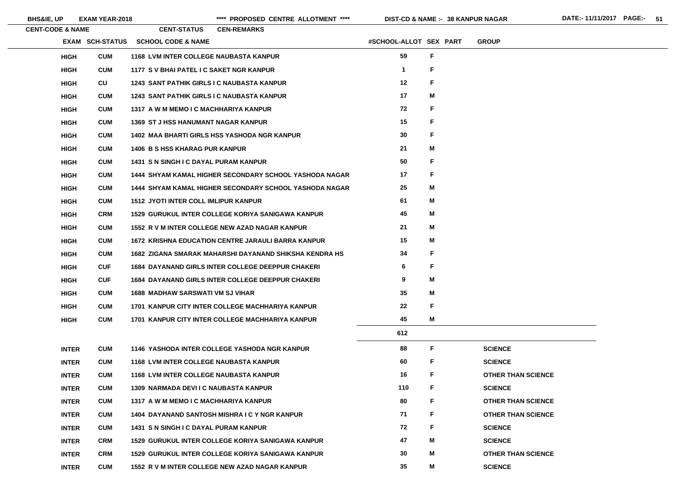| <b>CENT-CODE &amp; NAME</b> | <b>CENT-STATUS</b><br><b>CEN-REMARKS</b>                  |                        |   |                           |
|-----------------------------|-----------------------------------------------------------|------------------------|---|---------------------------|
| <b>EXAM SCH-STATUS</b>      | <b>SCHOOL CODE &amp; NAME</b>                             | #SCHOOL-ALLOT SEX PART |   | <b>GROUP</b>              |
| <b>CUM</b><br><b>HIGH</b>   | <b>1168 LVM INTER COLLEGE NAUBASTA KANPUR</b>             | 59                     | F |                           |
| <b>CUM</b><br><b>HIGH</b>   | 1177 S V BHAI PATEL I C SAKET NGR KANPUR                  | $\mathbf 1$            | F |                           |
| CU<br><b>HIGH</b>           | 1243 SANT PATHIK GIRLS I C NAUBASTA KANPUR                | 12                     | F |                           |
| <b>HIGH</b><br><b>CUM</b>   | <b>1243 SANT PATHIK GIRLS I C NAUBASTA KANPUR</b>         | 17                     | M |                           |
| <b>CUM</b><br><b>HIGH</b>   | 1317 A W M MEMO I C MACHHARIYA KANPUR                     | 72                     | F |                           |
| <b>CUM</b><br><b>HIGH</b>   | <b>1369 ST J HSS HANUMANT NAGAR KANPUR</b>                | 15                     | F |                           |
| <b>CUM</b><br><b>HIGH</b>   | <b>1402 MAA BHARTI GIRLS HSS YASHODA NGR KANPUR</b>       | 30                     | F |                           |
| <b>CUM</b><br><b>HIGH</b>   | <b>1406 B S HSS KHARAG PUR KANPUR</b>                     | 21                     | M |                           |
| <b>CUM</b><br><b>HIGH</b>   | <b>1431 S N SINGH I C DAYAL PURAM KANPUR</b>              | 50                     | F |                           |
| <b>CUM</b><br><b>HIGH</b>   | 1444 SHYAM KAMAL HIGHER SECONDARY SCHOOL YASHODA NAGAR    | 17                     | F |                           |
| <b>CUM</b><br><b>HIGH</b>   | 1444 SHYAM KAMAL HIGHER SECONDARY SCHOOL YASHODA NAGAR    | 25                     | M |                           |
| <b>CUM</b><br><b>HIGH</b>   | <b>1512 JYOTI INTER COLL IMLIPUR KANPUR</b>               | 61                     | M |                           |
| <b>HIGH</b><br><b>CRM</b>   | <b>1529 GURUKUL INTER COLLEGE KORIYA SANIGAWA KANPUR</b>  | 45                     | M |                           |
| <b>CUM</b><br><b>HIGH</b>   | 1552 R V M INTER COLLEGE NEW AZAD NAGAR KANPUR            | 21                     | M |                           |
| <b>CUM</b><br><b>HIGH</b>   | <b>1672 KRISHNA EDUCATION CENTRE JARAULI BARRA KANPUR</b> | 15                     | М |                           |
| <b>HIGH</b><br><b>CUM</b>   | 1682 ZIGANA SMARAK MAHARSHI DAYANAND SHIKSHA KENDRA HS    | 34                     | F |                           |
| <b>CUF</b><br><b>HIGH</b>   | <b>1684 DAYANAND GIRLS INTER COLLEGE DEEPPUR CHAKERI</b>  | 6                      | F |                           |
| <b>CUF</b><br><b>HIGH</b>   | 1684 DAYANAND GIRLS INTER COLLEGE DEEPPUR CHAKERI         | 9                      | Μ |                           |
| <b>HIGH</b><br><b>CUM</b>   | <b>1688 MADHAW SARSWATI VM SJ VIHAR</b>                   | 35                     | M |                           |
| <b>HIGH</b><br><b>CUM</b>   | 1701 KANPUR CITY INTER COLLEGE MACHHARIYA KANPUR          | 22                     | F |                           |
| <b>CUM</b><br><b>HIGH</b>   | 1701 KANPUR CITY INTER COLLEGE MACHHARIYA KANPUR          | 45                     | M |                           |
|                             |                                                           | 612                    |   |                           |
| <b>CUM</b><br><b>INTER</b>  | 1146 YASHODA INTER COLLEGE YASHODA NGR KANPUR             | 88                     | F | <b>SCIENCE</b>            |
| <b>CUM</b><br><b>INTER</b>  | <b>1168 LVM INTER COLLEGE NAUBASTA KANPUR</b>             | 60                     | F | <b>SCIENCE</b>            |
| <b>INTER</b><br><b>CUM</b>  | <b>1168 LVM INTER COLLEGE NAUBASTA KANPUR</b>             | 16                     | F | <b>OTHER THAN SCIENCE</b> |
| <b>CUM</b><br><b>INTER</b>  | <b>1309 NARMADA DEVIIC NAUBASTA KANPUR</b>                | 110                    | F | <b>SCIENCE</b>            |
| <b>INTER</b><br><b>CUM</b>  | 1317 A W M MEMO I C MACHHARIYA KANPUR                     | 80                     | F | <b>OTHER THAN SCIENCE</b> |
| <b>CUM</b><br><b>INTER</b>  | 1404 DAYANAND SANTOSH MISHRA I C Y NGR KANPUR             | 71                     | F | <b>OTHER THAN SCIENCE</b> |
| <b>INTER</b><br><b>CUM</b>  | <b>1431 S N SINGH I C DAYAL PURAM KANPUR</b>              | 72                     | F | <b>SCIENCE</b>            |
| <b>INTER</b><br><b>CRM</b>  | <b>1529 GURUKUL INTER COLLEGE KORIYA SANIGAWA KANPUR</b>  | 47                     | M | <b>SCIENCE</b>            |
| <b>CRM</b><br><b>INTER</b>  | <b>1529 GURUKUL INTER COLLEGE KORIYA SANIGAWA KANPUR</b>  | 30                     | M | <b>OTHER THAN SCIENCE</b> |
| <b>CUM</b><br><b>INTER</b>  | 1552 R V M INTER COLLEGE NEW AZAD NAGAR KANPUR            | 35                     | M | <b>SCIENCE</b>            |

E.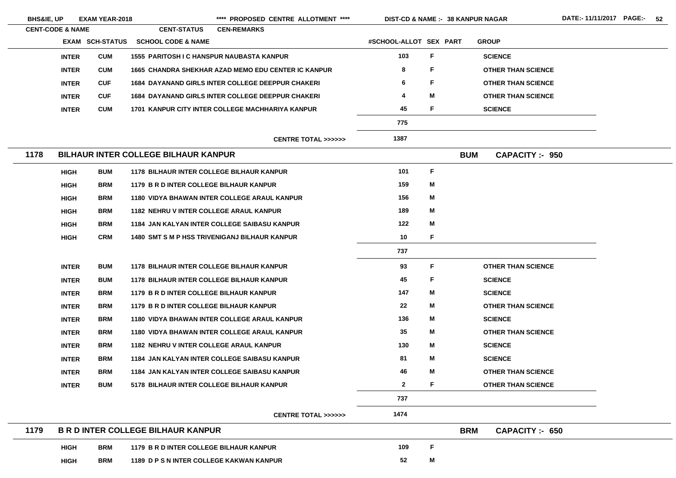| <b>BHS&amp;IE, UP</b>       |              | <b>EXAM YEAR-2018</b>  |                                                  | **** PROPOSED CENTRE ALLOTMENT ****                      | <b>DIST-CD &amp; NAME :- 38 KANPUR NAGAR</b> |    |            |                           |  |
|-----------------------------|--------------|------------------------|--------------------------------------------------|----------------------------------------------------------|----------------------------------------------|----|------------|---------------------------|--|
| <b>CENT-CODE &amp; NAME</b> |              |                        | <b>CENT-STATUS</b>                               | <b>CEN-REMARKS</b>                                       |                                              |    |            |                           |  |
|                             |              | <b>EXAM SCH-STATUS</b> | <b>SCHOOL CODE &amp; NAME</b>                    |                                                          | #SCHOOL-ALLOT SEX PART                       |    |            | <b>GROUP</b>              |  |
|                             | <b>INTER</b> | <b>CUM</b>             | <b>1555 PARITOSH I C HANSPUR NAUBASTA KANPUR</b> |                                                          | 103                                          | F  |            | <b>SCIENCE</b>            |  |
|                             | <b>INTER</b> | <b>CUM</b>             |                                                  | 1665 CHANDRA SHEKHAR AZAD MEMO EDU CENTER IC KANPUR      | 8                                            | F  |            | <b>OTHER THAN SCIENCE</b> |  |
|                             | <b>INTER</b> | <b>CUF</b>             |                                                  | <b>1684 DAYANAND GIRLS INTER COLLEGE DEEPPUR CHAKERI</b> | 6                                            | F  |            | <b>OTHER THAN SCIENCE</b> |  |
|                             | <b>INTER</b> | <b>CUF</b>             |                                                  | <b>1684 DAYANAND GIRLS INTER COLLEGE DEEPPUR CHAKERI</b> | 4                                            | M  |            | <b>OTHER THAN SCIENCE</b> |  |
|                             | <b>INTER</b> | <b>CUM</b>             |                                                  | 1701 KANPUR CITY INTER COLLEGE MACHHARIYA KANPUR         | 45                                           | F  |            | <b>SCIENCE</b>            |  |
|                             |              |                        |                                                  |                                                          | 775                                          |    |            |                           |  |
|                             |              |                        |                                                  | <b>CENTRE TOTAL &gt;&gt;&gt;&gt;&gt;&gt;</b>             | 1387                                         |    |            |                           |  |
| 1178                        |              |                        | <b>BILHAUR INTER COLLEGE BILHAUR KANPUR</b>      |                                                          |                                              |    | <b>BUM</b> | <b>CAPACITY: - 950</b>    |  |
|                             | <b>HIGH</b>  | <b>BUM</b>             | <b>1178 BILHAUR INTER COLLEGE BILHAUR KANPUR</b> |                                                          | 101                                          | F  |            |                           |  |
|                             | <b>HIGH</b>  | <b>BRM</b>             | 1179 B R D INTER COLLEGE BILHAUR KANPUR          |                                                          | 159                                          | M  |            |                           |  |
|                             | <b>HIGH</b>  | <b>BRM</b>             |                                                  | <b>1180 VIDYA BHAWAN INTER COLLEGE ARAUL KANPUR</b>      | 156                                          | M  |            |                           |  |
|                             | <b>HIGH</b>  | <b>BRM</b>             | <b>1182 NEHRU V INTER COLLEGE ARAUL KANPUR</b>   |                                                          | 189                                          | M  |            |                           |  |
|                             | <b>HIGH</b>  | <b>BRM</b>             |                                                  | 1184 JAN KALYAN INTER COLLEGE SAIBASU KANPUR             | 122                                          | M  |            |                           |  |
|                             | <b>HIGH</b>  | <b>CRM</b>             |                                                  | <b>1480 SMT S M P HSS TRIVENIGANJ BILHAUR KANPUR</b>     | 10                                           | F  |            |                           |  |
|                             |              |                        |                                                  |                                                          | 737                                          |    |            |                           |  |
|                             | <b>INTER</b> | <b>BUM</b>             | <b>1178 BILHAUR INTER COLLEGE BILHAUR KANPUR</b> |                                                          | 93                                           | F. |            | <b>OTHER THAN SCIENCE</b> |  |
|                             | <b>INTER</b> | <b>BUM</b>             | <b>1178 BILHAUR INTER COLLEGE BILHAUR KANPUR</b> |                                                          | 45                                           | F  |            | <b>SCIENCE</b>            |  |
|                             | <b>INTER</b> | <b>BRM</b>             | 1179 B R D INTER COLLEGE BILHAUR KANPUR          |                                                          | 147                                          | M  |            | <b>SCIENCE</b>            |  |
|                             | <b>INTER</b> | <b>BRM</b>             | 1179 B R D INTER COLLEGE BILHAUR KANPUR          |                                                          | 22                                           | M  |            | <b>OTHER THAN SCIENCE</b> |  |
|                             | <b>INTER</b> | <b>BRM</b>             |                                                  | <b>1180 VIDYA BHAWAN INTER COLLEGE ARAUL KANPUR</b>      | 136                                          | M  |            | <b>SCIENCE</b>            |  |
|                             | <b>INTER</b> | <b>BRM</b>             |                                                  | <b>1180 VIDYA BHAWAN INTER COLLEGE ARAUL KANPUR</b>      | 35                                           | M  |            | <b>OTHER THAN SCIENCE</b> |  |
|                             | <b>INTER</b> | <b>BRM</b>             | <b>1182 NEHRU V INTER COLLEGE ARAUL KANPUR</b>   |                                                          | 130                                          | M  |            | <b>SCIENCE</b>            |  |
|                             | <b>INTER</b> | <b>BRM</b>             |                                                  | 1184 JAN KALYAN INTER COLLEGE SAIBASU KANPUR             | 81                                           | M  |            | <b>SCIENCE</b>            |  |
|                             | <b>INTER</b> | <b>BRM</b>             |                                                  | 1184 JAN KALYAN INTER COLLEGE SAIBASU KANPUR             | 46                                           | M  |            | <b>OTHER THAN SCIENCE</b> |  |
|                             | <b>INTER</b> | <b>BUM</b>             | 5178 BILHAUR INTER COLLEGE BILHAUR KANPUR        |                                                          | $\mathbf{2}$                                 | F  |            | <b>OTHER THAN SCIENCE</b> |  |
|                             |              |                        |                                                  |                                                          | 737                                          |    |            |                           |  |
|                             |              |                        |                                                  | <b>CENTRE TOTAL &gt;&gt;&gt;&gt;&gt;&gt;</b>             | 1474                                         |    |            |                           |  |
| 1179                        |              |                        | <b>B R D INTER COLLEGE BILHAUR KANPUR</b>        |                                                          |                                              |    | <b>BRM</b> | <b>CAPACITY: 650</b>      |  |
|                             | <b>HIGH</b>  | <b>BRM</b>             | 1179 B R D INTER COLLEGE BILHAUR KANPUR          |                                                          | 109                                          | F  |            |                           |  |
|                             | <b>HIGH</b>  | <b>BRM</b>             | 1189 D P S N INTER COLLEGE KAKWAN KANPUR         |                                                          | 52                                           | M  |            |                           |  |
|                             |              |                        |                                                  |                                                          |                                              |    |            |                           |  |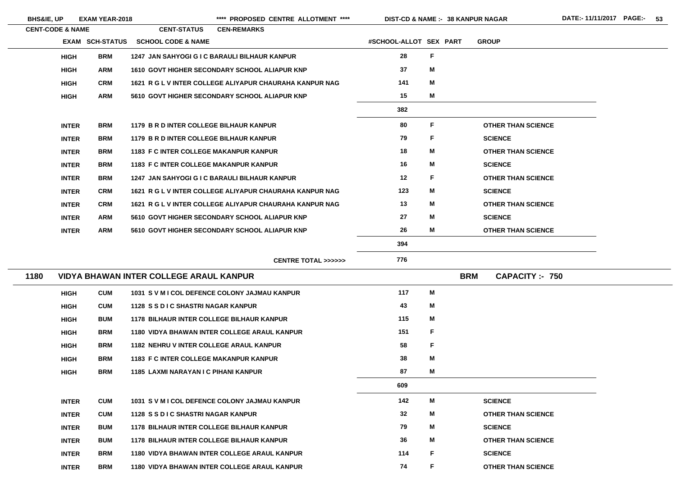\*\*\*\* PROPOSED CENTRE ALLOTMENT \*\*\*\* DIST-CD & NAME :- 38 KANPUR NAGAR DATE:- 11/11/2017 PAGE:- 53

**38 KANPUR NAGAR**

|      | <b>CENT-CODE &amp; NAME</b> |                        | <b>CENT-STATUS</b>                               | <b>CEN-REMARKS</b>                                      |                        |              |                           |
|------|-----------------------------|------------------------|--------------------------------------------------|---------------------------------------------------------|------------------------|--------------|---------------------------|
|      |                             | <b>EXAM SCH-STATUS</b> | <b>SCHOOL CODE &amp; NAME</b>                    |                                                         | #SCHOOL-ALLOT SEX PART |              | <b>GROUP</b>              |
|      | <b>HIGH</b>                 | <b>BRM</b>             |                                                  | 1247 JAN SAHYOGI G I C BARAULI BILHAUR KANPUR           | 28                     | $\mathsf F$  |                           |
|      | <b>HIGH</b>                 | <b>ARM</b>             |                                                  | 1610 GOVT HIGHER SECONDARY SCHOOL ALIAPUR KNP           | 37                     | M            |                           |
|      | <b>HIGH</b>                 | <b>CRM</b>             |                                                  | 1621 R G L V INTER COLLEGE ALIYAPUR CHAURAHA KANPUR NAG | 141                    | M            |                           |
|      | <b>HIGH</b>                 | <b>ARM</b>             |                                                  | 5610 GOVT HIGHER SECONDARY SCHOOL ALIAPUR KNP           | 15                     | M            |                           |
|      |                             |                        |                                                  |                                                         | 382                    |              |                           |
|      | <b>INTER</b>                | <b>BRM</b>             | 1179 B R D INTER COLLEGE BILHAUR KANPUR          |                                                         | 80                     | F            | <b>OTHER THAN SCIENCE</b> |
|      | <b>INTER</b>                | <b>BRM</b>             | 1179 B R D INTER COLLEGE BILHAUR KANPUR          |                                                         | 79                     | F            | <b>SCIENCE</b>            |
|      | <b>INTER</b>                | <b>BRM</b>             | <b>1183 F C INTER COLLEGE MAKANPUR KANPUR</b>    |                                                         | 18                     | M            | <b>OTHER THAN SCIENCE</b> |
|      | <b>INTER</b>                | <b>BRM</b>             | <b>1183 F C INTER COLLEGE MAKANPUR KANPUR</b>    |                                                         | 16                     | M            | <b>SCIENCE</b>            |
|      | <b>INTER</b>                | <b>BRM</b>             |                                                  | 1247 JAN SAHYOGI G I C BARAULI BILHAUR KANPUR           | 12                     | F            | <b>OTHER THAN SCIENCE</b> |
|      | <b>INTER</b>                | <b>CRM</b>             |                                                  | 1621 R G L V INTER COLLEGE ALIYAPUR CHAURAHA KANPUR NAG | 123                    | M            | <b>SCIENCE</b>            |
|      | <b>INTER</b>                | <b>CRM</b>             |                                                  | 1621 R G L V INTER COLLEGE ALIYAPUR CHAURAHA KANPUR NAG | 13                     | M            | <b>OTHER THAN SCIENCE</b> |
|      | <b>INTER</b>                | <b>ARM</b>             |                                                  | 5610 GOVT HIGHER SECONDARY SCHOOL ALIAPUR KNP           | 27                     | M            | <b>SCIENCE</b>            |
|      | <b>INTER</b>                | <b>ARM</b>             |                                                  | 5610 GOVT HIGHER SECONDARY SCHOOL ALIAPUR KNP           | 26                     | M            | <b>OTHER THAN SCIENCE</b> |
|      |                             |                        |                                                  |                                                         | 394                    |              |                           |
|      |                             |                        |                                                  | <b>CENTRE TOTAL &gt;&gt;&gt;&gt;&gt;&gt;</b>            | 776                    |              |                           |
| 1180 |                             |                        | <b>VIDYA BHAWAN INTER COLLEGE ARAUL KANPUR</b>   |                                                         |                        | <b>BRM</b>   | <b>CAPACITY:- 750</b>     |
|      | <b>HIGH</b>                 | <b>CUM</b>             |                                                  | 1031 S V M I COL DEFENCE COLONY JAJMAU KANPUR           | 117                    | M            |                           |
|      | <b>HIGH</b>                 | <b>CUM</b>             | 1128 S S D I C SHASTRI NAGAR KANPUR              |                                                         | 43                     | M            |                           |
|      | <b>HIGH</b>                 | <b>BUM</b>             | <b>1178 BILHAUR INTER COLLEGE BILHAUR KANPUR</b> |                                                         | 115                    | M            |                           |
|      | <b>HIGH</b>                 | <b>BRM</b>             |                                                  | <b>1180 VIDYA BHAWAN INTER COLLEGE ARAUL KANPUR</b>     | 151                    | $\mathsf{F}$ |                           |
|      | <b>HIGH</b>                 | <b>BRM</b>             | <b>1182 NEHRU V INTER COLLEGE ARAUL KANPUR</b>   |                                                         | 58                     | $\mathsf F$  |                           |
|      | <b>HIGH</b>                 | <b>BRM</b>             | <b>1183 F C INTER COLLEGE MAKANPUR KANPUR</b>    |                                                         | 38                     | M            |                           |
|      | <b>HIGH</b>                 | <b>BRM</b>             | <b>1185 LAXMI NARAYAN I C PIHANI KANPUR</b>      |                                                         | 87                     | M            |                           |
|      |                             |                        |                                                  |                                                         | 609                    |              |                           |
|      | <b>INTER</b>                | <b>CUM</b>             |                                                  | 1031 S V M I COL DEFENCE COLONY JAJMAU KANPUR           | 142                    | M            | <b>SCIENCE</b>            |
|      | <b>INTER</b>                | <b>CUM</b>             | 1128 S S D I C SHASTRI NAGAR KANPUR              |                                                         | 32                     | M            | <b>OTHER THAN SCIENCE</b> |
|      | <b>INTER</b>                | <b>BUM</b>             | <b>1178 BILHAUR INTER COLLEGE BILHAUR KANPUR</b> |                                                         | 79                     | M            | <b>SCIENCE</b>            |
|      | <b>INTER</b>                | <b>BUM</b>             | <b>1178 BILHAUR INTER COLLEGE BILHAUR KANPUR</b> |                                                         | 36                     | M            | <b>OTHER THAN SCIENCE</b> |
|      | <b>INTER</b>                | <b>BRM</b>             |                                                  | <b>1180 VIDYA BHAWAN INTER COLLEGE ARAUL KANPUR</b>     | 114                    | F            | <b>SCIENCE</b>            |
|      | <b>INTER</b>                | <b>BRM</b>             |                                                  | <b>1180 VIDYA BHAWAN INTER COLLEGE ARAUL KANPUR</b>     | 74                     | F            | <b>OTHER THAN SCIENCE</b> |

**THAN SCIENCE**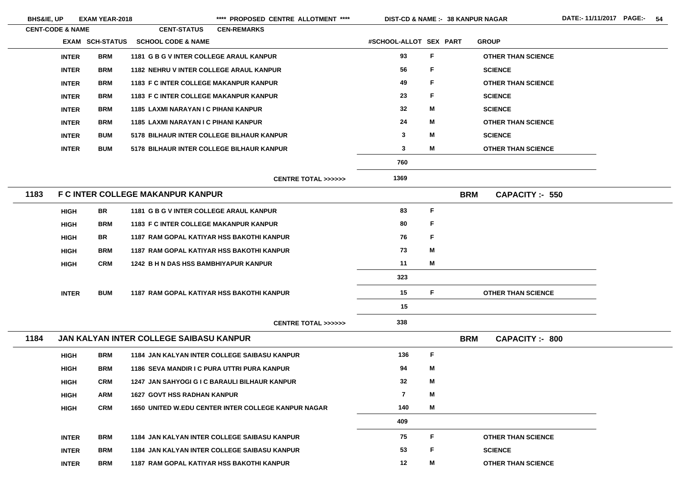\*\*\*\* PROPOSED CENTRE ALLOTMENT \*\*\*\* DIST-CD & NAME :- 38 KANPUR NAGAR DATE:- 11/11/2017 PAGE:- 54

|      | <b>CENT-CODE &amp; NAME</b> |                        | <b>CENT-STATUS</b>                             | <b>CEN-REMARKS</b>                                         |                        |             |                           |                        |
|------|-----------------------------|------------------------|------------------------------------------------|------------------------------------------------------------|------------------------|-------------|---------------------------|------------------------|
|      |                             | <b>EXAM SCH-STATUS</b> | <b>SCHOOL CODE &amp; NAME</b>                  |                                                            | #SCHOOL-ALLOT SEX PART |             | <b>GROUP</b>              |                        |
|      | <b>INTER</b>                | <b>BRM</b>             | 1181 G B G V INTER COLLEGE ARAUL KANPUR        |                                                            | 93                     | $\mathsf F$ | <b>OTHER THAN SCIENCE</b> |                        |
|      | <b>INTER</b>                | <b>BRM</b>             | <b>1182 NEHRU V INTER COLLEGE ARAUL KANPUR</b> |                                                            | 56                     | F           | <b>SCIENCE</b>            |                        |
|      | <b>INTER</b>                | <b>BRM</b>             | 1183 F C INTER COLLEGE MAKANPUR KANPUR         |                                                            | 49                     | F           | <b>OTHER THAN SCIENCE</b> |                        |
|      | <b>INTER</b>                | <b>BRM</b>             | <b>1183 F C INTER COLLEGE MAKANPUR KANPUR</b>  |                                                            | 23                     | F           | <b>SCIENCE</b>            |                        |
|      | <b>INTER</b>                | <b>BRM</b>             | <b>1185 LAXMI NARAYAN I C PIHANI KANPUR</b>    |                                                            | 32                     | M           | <b>SCIENCE</b>            |                        |
|      | <b>INTER</b>                | <b>BRM</b>             | 1185 LAXMI NARAYAN I C PIHANI KANPUR           |                                                            | 24                     | M           | <b>OTHER THAN SCIENCE</b> |                        |
|      | <b>INTER</b>                | <b>BUM</b>             | 5178 BILHAUR INTER COLLEGE BILHAUR KANPUR      |                                                            | $\mathbf{3}$           | M           | <b>SCIENCE</b>            |                        |
|      | <b>INTER</b>                | <b>BUM</b>             | 5178 BILHAUR INTER COLLEGE BILHAUR KANPUR      |                                                            | $\mathbf{3}$           | M           | <b>OTHER THAN SCIENCE</b> |                        |
|      |                             |                        |                                                |                                                            | 760                    |             |                           |                        |
|      |                             |                        |                                                | <b>CENTRE TOTAL &gt;&gt;&gt;&gt;&gt;&gt;</b>               | 1369                   |             |                           |                        |
| 1183 |                             |                        | <b>F C INTER COLLEGE MAKANPUR KANPUR</b>       |                                                            |                        |             | <b>BRM</b>                | <b>CAPACITY: - 550</b> |
|      | <b>HIGH</b>                 | <b>BR</b>              | 1181 G B G V INTER COLLEGE ARAUL KANPUR        |                                                            | 83                     | F           |                           |                        |
|      | <b>HIGH</b>                 | <b>BRM</b>             | <b>1183 F C INTER COLLEGE MAKANPUR KANPUR</b>  |                                                            | 80                     | F           |                           |                        |
|      | <b>HIGH</b>                 | <b>BR</b>              |                                                | <b>1187 RAM GOPAL KATIYAR HSS BAKOTHI KANPUR</b>           | 76                     | F           |                           |                        |
|      | <b>HIGH</b>                 | <b>BRM</b>             |                                                | <b>1187 RAM GOPAL KATIYAR HSS BAKOTHI KANPUR</b>           | 73                     | M           |                           |                        |
|      | <b>HIGH</b>                 | <b>CRM</b>             | 1242 B H N DAS HSS BAMBHIYAPUR KANPUR          |                                                            | 11                     | M           |                           |                        |
|      |                             |                        |                                                |                                                            | 323                    |             |                           |                        |
|      | <b>INTER</b>                | <b>BUM</b>             |                                                | <b>1187 RAM GOPAL KATIYAR HSS BAKOTHI KANPUR</b>           | 15                     | F.          | <b>OTHER THAN SCIENCE</b> |                        |
|      |                             |                        |                                                |                                                            | 15                     |             |                           |                        |
|      |                             |                        |                                                | CENTRE TOTAL >>>>>>                                        | 338                    |             |                           |                        |
| 1184 |                             |                        | JAN KALYAN INTER COLLEGE SAIBASU KANPUR        |                                                            |                        |             | <b>BRM</b>                | <b>CAPACITY: - 800</b> |
|      | <b>HIGH</b>                 | <b>BRM</b>             |                                                | <b>1184 JAN KALYAN INTER COLLEGE SAIBASU KANPUR</b>        | 136                    | $\mathsf F$ |                           |                        |
|      | <b>HIGH</b>                 | <b>BRM</b>             | 1186 SEVA MANDIR I C PURA UTTRI PURA KANPUR    |                                                            | 94                     | M           |                           |                        |
|      | <b>HIGH</b>                 | <b>CRM</b>             |                                                | 1247 JAN SAHYOGI G I C BARAULI BILHAUR KANPUR              | 32                     | M           |                           |                        |
|      | <b>HIGH</b>                 | <b>ARM</b>             | <b>1627 GOVT HSS RADHAN KANPUR</b>             |                                                            | $\overline{7}$         | M           |                           |                        |
|      | <b>HIGH</b>                 | <b>CRM</b>             |                                                | <b>1650 UNITED W.EDU CENTER INTER COLLEGE KANPUR NAGAR</b> | 140                    | M           |                           |                        |
|      |                             |                        |                                                |                                                            | 409                    |             |                           |                        |
|      | <b>INTER</b>                | <b>BRM</b>             |                                                | <b>1184 JAN KALYAN INTER COLLEGE SAIBASU KANPUR</b>        | 75                     | F           | <b>OTHER THAN SCIENCE</b> |                        |
|      | <b>INTER</b>                | <b>BRM</b>             |                                                | <b>1184 JAN KALYAN INTER COLLEGE SAIBASU KANPUR</b>        | 53                     | F           | <b>SCIENCE</b>            |                        |
|      | <b>INTER</b>                | <b>BRM</b>             |                                                | <b>1187 RAM GOPAL KATIYAR HSS BAKOTHI KANPUR</b>           | $12 \,$                | M           | <b>OTHER THAN SCIENCE</b> |                        |
|      |                             |                        |                                                |                                                            |                        |             |                           |                        |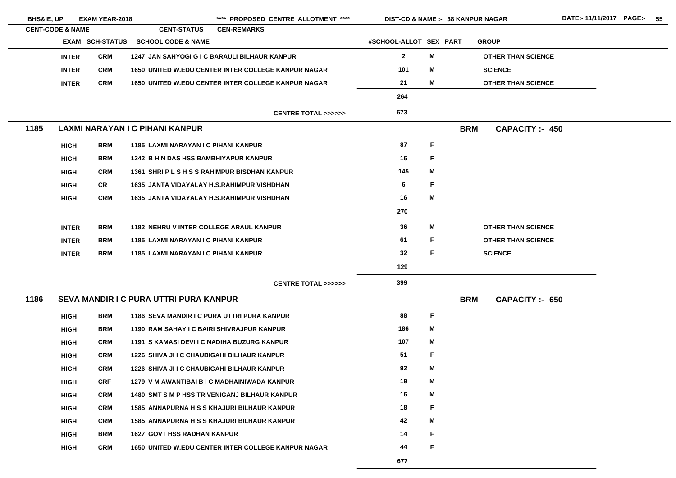| <b>BHS&amp;IE, UP</b> | <b>EXAM YEAR-2018</b>       |                        | **** PROPOSED CENTRE ALLOTMENT ****                |                                                            |                        | DIST-CD & NAME :- 38 KANPUR NAGAR |            |                           |  |
|-----------------------|-----------------------------|------------------------|----------------------------------------------------|------------------------------------------------------------|------------------------|-----------------------------------|------------|---------------------------|--|
|                       | <b>CENT-CODE &amp; NAME</b> |                        | <b>CENT-STATUS</b><br><b>CEN-REMARKS</b>           |                                                            |                        |                                   |            |                           |  |
|                       |                             | <b>EXAM SCH-STATUS</b> | <b>SCHOOL CODE &amp; NAME</b>                      |                                                            | #SCHOOL-ALLOT SEX PART |                                   |            | <b>GROUP</b>              |  |
|                       | <b>INTER</b>                | <b>CRM</b>             |                                                    | 1247 JAN SAHYOGI G I C BARAULI BILHAUR KANPUR              | $\mathbf{2}$           | M                                 |            | <b>OTHER THAN SCIENCE</b> |  |
|                       | <b>INTER</b>                | <b>CRM</b>             |                                                    | <b>1650 UNITED W.EDU CENTER INTER COLLEGE KANPUR NAGAR</b> | 101                    | M                                 |            | <b>SCIENCE</b>            |  |
|                       | <b>INTER</b>                | <b>CRM</b>             |                                                    | <b>1650 UNITED W.EDU CENTER INTER COLLEGE KANPUR NAGAR</b> | 21                     | M                                 |            | <b>OTHER THAN SCIENCE</b> |  |
|                       |                             |                        |                                                    |                                                            | 264                    |                                   |            |                           |  |
|                       |                             |                        |                                                    | <b>CENTRE TOTAL &gt;&gt;&gt;&gt;&gt;&gt;</b>               | 673                    |                                   |            |                           |  |
| 1185                  |                             |                        | LAXMI NARAYAN I C PIHANI KANPUR                    |                                                            |                        |                                   | <b>BRM</b> | <b>CAPACITY: 450</b>      |  |
|                       | <b>HIGH</b>                 | <b>BRM</b>             | 1185 LAXMI NARAYAN I C PIHANI KANPUR               |                                                            | 87                     | F                                 |            |                           |  |
|                       | <b>HIGH</b>                 | <b>BRM</b>             | 1242 B H N DAS HSS BAMBHIYAPUR KANPUR              |                                                            | 16                     | F                                 |            |                           |  |
|                       | <b>HIGH</b>                 | <b>CRM</b>             |                                                    | 1361 SHRIPLSHSSRAHIMPUR BISDHAN KANPUR                     | 145                    | M                                 |            |                           |  |
|                       | <b>HIGH</b>                 | CR                     | <b>1635 JANTA VIDAYALAY H.S.RAHIMPUR VISHDHAN</b>  |                                                            | 6                      | F                                 |            |                           |  |
|                       | <b>HIGH</b>                 | <b>CRM</b>             | <b>1635 JANTA VIDAYALAY H.S.RAHIMPUR VISHDHAN</b>  |                                                            | 16                     | M                                 |            |                           |  |
|                       |                             |                        |                                                    |                                                            | 270                    |                                   |            |                           |  |
|                       | <b>INTER</b>                | <b>BRM</b>             | <b>1182 NEHRU V INTER COLLEGE ARAUL KANPUR</b>     |                                                            | 36                     | M                                 |            | <b>OTHER THAN SCIENCE</b> |  |
|                       | <b>INTER</b>                | <b>BRM</b>             | 1185 LAXMI NARAYAN I C PIHANI KANPUR               |                                                            | 61                     | F                                 |            | <b>OTHER THAN SCIENCE</b> |  |
|                       | <b>INTER</b>                | <b>BRM</b>             | <b>1185 LAXMI NARAYAN I C PIHANI KANPUR</b>        |                                                            | 32                     | F                                 |            | <b>SCIENCE</b>            |  |
|                       |                             |                        |                                                    |                                                            | 129                    |                                   |            |                           |  |
|                       |                             |                        |                                                    | CENTRE TOTAL >>>>>>                                        | 399                    |                                   |            |                           |  |
| 1186                  |                             |                        | <b>SEVA MANDIR I C PURA UTTRI PURA KANPUR</b>      |                                                            |                        |                                   | <b>BRM</b> | <b>CAPACITY: 650</b>      |  |
|                       | <b>HIGH</b>                 | <b>BRM</b>             | 1186 SEVA MANDIR I C PURA UTTRI PURA KANPUR        |                                                            | 88                     | F                                 |            |                           |  |
|                       | <b>HIGH</b>                 | <b>BRM</b>             | 1190 RAM SAHAY I C BAIRI SHIVRAJPUR KANPUR         |                                                            | 186                    | M                                 |            |                           |  |
|                       | <b>HIGH</b>                 | <b>CRM</b>             | 1191 S KAMASI DEVI I C NADIHA BUZURG KANPUR        |                                                            | 107                    | M                                 |            |                           |  |
|                       | <b>HIGH</b>                 | <b>CRM</b>             | <b>1226 SHIVA JI I C CHAUBIGAHI BILHAUR KANPUR</b> |                                                            | 51                     | F                                 |            |                           |  |
|                       | <b>HIGH</b>                 | <b>CRM</b>             | <b>1226 SHIVA JI I C CHAUBIGAHI BILHAUR KANPUR</b> |                                                            | 92                     | M                                 |            |                           |  |
|                       | <b>HIGH</b>                 | <b>CRF</b>             |                                                    | 1279 V M AWANTIBAI B I C MADHAINIWADA KANPUR               | 19                     | M                                 |            |                           |  |
|                       | <b>HIGH</b>                 | <b>CRM</b>             |                                                    | <b>1480 SMT S M P HSS TRIVENIGANJ BILHAUR KANPUR</b>       | 16                     | M                                 |            |                           |  |
|                       | <b>HIGH</b>                 | <b>CRM</b>             |                                                    | <b>1585 ANNAPURNA H S S KHAJURI BILHAUR KANPUR</b>         | 18                     | F                                 |            |                           |  |
|                       | <b>HIGH</b>                 | <b>CRM</b>             |                                                    | <b>1585 ANNAPURNA H S S KHAJURI BILHAUR KANPUR</b>         | 42                     | M                                 |            |                           |  |
|                       | <b>HIGH</b>                 | <b>BRM</b>             | <b>1627 GOVT HSS RADHAN KANPUR</b>                 |                                                            | 14                     | F                                 |            |                           |  |
|                       | <b>HIGH</b>                 | <b>CRM</b>             |                                                    | <b>1650 UNITED W.EDU CENTER INTER COLLEGE KANPUR NAGAR</b> | 44                     | F                                 |            |                           |  |
|                       |                             |                        |                                                    |                                                            | 677                    |                                   |            |                           |  |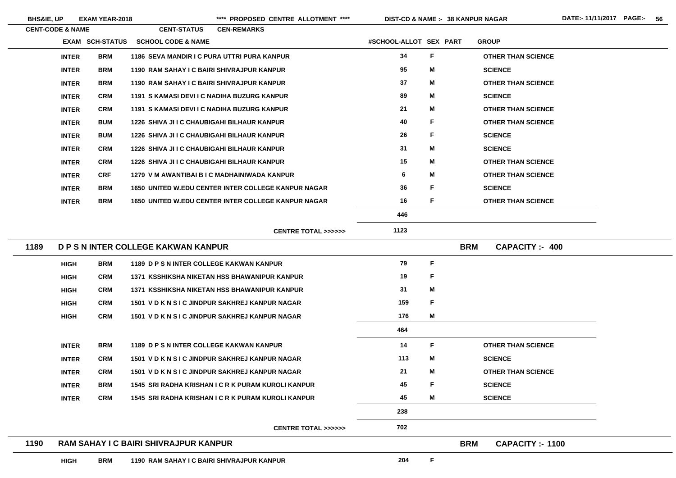| <b>CENT-CODE &amp; NAME</b> |            | <b>CENT-STATUS</b>                                 | <b>CEN-REMARKS</b>                                         |                        |   |            |                           |
|-----------------------------|------------|----------------------------------------------------|------------------------------------------------------------|------------------------|---|------------|---------------------------|
| <b>EXAM SCH-STATUS</b>      |            | <b>SCHOOL CODE &amp; NAME</b>                      |                                                            | #SCHOOL-ALLOT SEX PART |   |            | <b>GROUP</b>              |
| <b>INTER</b>                | <b>BRM</b> |                                                    | 1186 SEVA MANDIR I C PURA UTTRI PURA KANPUR                | 34                     | F |            | <b>OTHER THAN SCIENCE</b> |
| <b>INTER</b>                | <b>BRM</b> | 1190 RAM SAHAY I C BAIRI SHIVRAJPUR KANPUR         |                                                            | 95                     | M |            | <b>SCIENCE</b>            |
| <b>INTER</b>                | <b>BRM</b> | 1190 RAM SAHAY I C BAIRI SHIVRAJPUR KANPUR         |                                                            | 37                     | M |            | <b>OTHER THAN SCIENCE</b> |
| <b>INTER</b>                | <b>CRM</b> | 1191 S KAMASI DEVI I C NADIHA BUZURG KANPUR        |                                                            | 89                     | M |            | <b>SCIENCE</b>            |
| <b>INTER</b>                | <b>CRM</b> | 1191 S KAMASI DEVI I C NADIHA BUZURG KANPUR        |                                                            | 21                     | M |            | <b>OTHER THAN SCIENCE</b> |
| <b>INTER</b>                | <b>BUM</b> | <b>1226 SHIVA JI I C CHAUBIGAHI BILHAUR KANPUR</b> |                                                            | 40                     | F |            | <b>OTHER THAN SCIENCE</b> |
| <b>INTER</b>                | <b>BUM</b> | <b>1226 SHIVA JI I C CHAUBIGAHI BILHAUR KANPUR</b> |                                                            | 26                     | F |            | <b>SCIENCE</b>            |
| <b>INTER</b>                | <b>CRM</b> | <b>1226 SHIVA JI I C CHAUBIGAHI BILHAUR KANPUR</b> |                                                            | 31                     | M |            | <b>SCIENCE</b>            |
| <b>INTER</b>                | <b>CRM</b> | <b>1226 SHIVA JI I C CHAUBIGAHI BILHAUR KANPUR</b> |                                                            | 15                     | M |            | <b>OTHER THAN SCIENCE</b> |
| <b>INTER</b>                | <b>CRF</b> |                                                    | 1279 V M AWANTIBAI B I C MADHAINIWADA KANPUR               | 6                      | M |            | <b>OTHER THAN SCIENCE</b> |
| <b>INTER</b>                | <b>BRM</b> |                                                    | <b>1650 UNITED W.EDU CENTER INTER COLLEGE KANPUR NAGAR</b> | 36                     | F |            | <b>SCIENCE</b>            |
| <b>INTER</b>                | <b>BRM</b> |                                                    | <b>1650 UNITED W.EDU CENTER INTER COLLEGE KANPUR NAGAR</b> | 16                     | F |            | <b>OTHER THAN SCIENCE</b> |
|                             |            |                                                    |                                                            | 446                    |   |            |                           |
|                             |            |                                                    | <b>CENTRE TOTAL &gt;&gt;&gt;&gt;&gt;&gt;</b>               | 1123                   |   |            |                           |
| 1189                        |            | D P S N INTER COLLEGE KAKWAN KANPUR                |                                                            |                        |   | <b>BRM</b> | <b>CAPACITY :- 400</b>    |
| <b>HIGH</b>                 | <b>BRM</b> | 1189 D P S N INTER COLLEGE KAKWAN KANPUR           |                                                            | 79                     | F |            |                           |
| <b>HIGH</b>                 | <b>CRM</b> |                                                    | 1371 KSSHIKSHA NIKETAN HSS BHAWANIPUR KANPUR               | 19                     | F |            |                           |
| <b>HIGH</b>                 | <b>CRM</b> |                                                    | 1371 KSSHIKSHA NIKETAN HSS BHAWANIPUR KANPUR               | 31                     | M |            |                           |
| <b>HIGH</b>                 | <b>CRM</b> |                                                    | 1501 V D K N S I C JINDPUR SAKHREJ KANPUR NAGAR            | 159                    | F |            |                           |
| <b>HIGH</b>                 | <b>CRM</b> |                                                    | 1501 V D K N S I C JINDPUR SAKHREJ KANPUR NAGAR            | 176                    | M |            |                           |
|                             |            |                                                    |                                                            | 464                    |   |            |                           |
| <b>INTER</b>                | <b>BRM</b> | 1189 D P S N INTER COLLEGE KAKWAN KANPUR           |                                                            | 14                     | F |            | <b>OTHER THAN SCIENCE</b> |
| <b>INTER</b>                | <b>CRM</b> |                                                    | 1501 V D K N S I C JINDPUR SAKHREJ KANPUR NAGAR            | 113                    | M |            | <b>SCIENCE</b>            |
| <b>INTER</b>                | <b>CRM</b> |                                                    | 1501 V D K N S I C JINDPUR SAKHREJ KANPUR NAGAR            | 21                     | M |            | <b>OTHER THAN SCIENCE</b> |
| <b>INTER</b>                | <b>BRM</b> |                                                    | 1545 SRI RADHA KRISHAN I C R K PURAM KUROLI KANPUR         | 45                     | F |            | <b>SCIENCE</b>            |
| <b>INTER</b>                | <b>CRM</b> |                                                    | 1545 SRI RADHA KRISHAN I C R K PURAM KUROLI KANPUR         | 45                     | M |            | <b>SCIENCE</b>            |
|                             |            |                                                    |                                                            | 238                    |   |            |                           |
|                             |            |                                                    |                                                            |                        |   |            |                           |
|                             |            |                                                    | <b>CENTRE TOTAL &gt;&gt;&gt;&gt;&gt;&gt;</b>               | 702                    |   |            |                           |

**HIGH**

**BRM 1190 RAM SAHAY I C BAIRI SHIVRAJPUR KANPUR 204**

**F**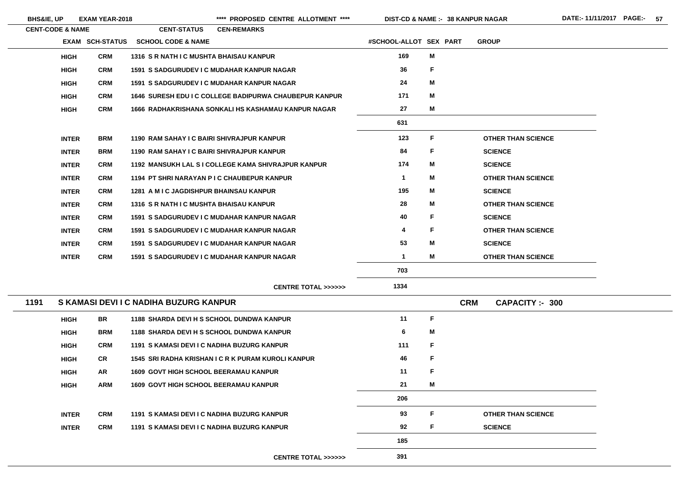**38 KANPUR NAGAR**

|      | <b>CENT-CODE &amp; NAME</b> |                 | <b>CENT-STATUS</b>                             | <b>CEN-REMARKS</b>                                     |                        |   |                                      |
|------|-----------------------------|-----------------|------------------------------------------------|--------------------------------------------------------|------------------------|---|--------------------------------------|
|      |                             | EXAM SCH-STATUS | <b>SCHOOL CODE &amp; NAME</b>                  |                                                        | #SCHOOL-ALLOT SEX PART |   | <b>GROUP</b>                         |
|      | <b>HIGH</b>                 | <b>CRM</b>      | 1316 S R NATH I C MUSHTA BHAISAU KANPUR        |                                                        | 169                    | Μ |                                      |
|      | <b>HIGH</b>                 | <b>CRM</b>      |                                                | <b>1591 S SADGURUDEV I C MUDAHAR KANPUR NAGAR</b>      | 36                     | F |                                      |
|      | <b>HIGH</b>                 | <b>CRM</b>      |                                                | <b>1591 S SADGURUDEV I C MUDAHAR KANPUR NAGAR</b>      | 24                     | M |                                      |
|      | <b>HIGH</b>                 | <b>CRM</b>      |                                                | 1646 SURESH EDU I C COLLEGE BADIPURWA CHAUBEPUR KANPUR | 171                    | M |                                      |
|      | <b>HIGH</b>                 | <b>CRM</b>      |                                                | 1666 RADHAKRISHANA SONKALI HS KASHAMAU KANPUR NAGAR    | 27                     | M |                                      |
|      |                             |                 |                                                |                                                        | 631                    |   |                                      |
|      | <b>INTER</b>                | <b>BRM</b>      |                                                | 1190 RAM SAHAY I C BAIRI SHIVRAJPUR KANPUR             | 123                    | F | <b>OTHER THAN SCIENCE</b>            |
|      | <b>INTER</b>                | <b>BRM</b>      |                                                | 1190 RAM SAHAY I C BAIRI SHIVRAJPUR KANPUR             | 84                     | F | <b>SCIENCE</b>                       |
|      | <b>INTER</b>                | <b>CRM</b>      |                                                | 1192 MANSUKH LAL S I COLLEGE KAMA SHIVRAJPUR KANPUR    | 174                    | M | <b>SCIENCE</b>                       |
|      | <b>INTER</b>                | <b>CRM</b>      |                                                | 1194 PT SHRI NARAYAN P I C CHAUBEPUR KANPUR            | $\mathbf 1$            | M | <b>OTHER THAN SCIENCE</b>            |
|      | <b>INTER</b>                | <b>CRM</b>      | <b>1281 A M I C JAGDISHPUR BHAINSAU KANPUR</b> |                                                        | 195                    | M | <b>SCIENCE</b>                       |
|      | <b>INTER</b>                | <b>CRM</b>      | 1316 S R NATH I C MUSHTA BHAISAU KANPUR        |                                                        | 28                     | M | <b>OTHER THAN SCIENCE</b>            |
|      | <b>INTER</b>                | <b>CRM</b>      |                                                | <b>1591 S SADGURUDEV I C MUDAHAR KANPUR NAGAR</b>      | 40                     | F | <b>SCIENCE</b>                       |
|      | <b>INTER</b>                | <b>CRM</b>      |                                                | <b>1591 S SADGURUDEV I C MUDAHAR KANPUR NAGAR</b>      | 4                      | F | <b>OTHER THAN SCIENCE</b>            |
|      | <b>INTER</b>                | <b>CRM</b>      |                                                | <b>1591 S SADGURUDEV I C MUDAHAR KANPUR NAGAR</b>      | 53                     | M | <b>SCIENCE</b>                       |
|      | <b>INTER</b>                | <b>CRM</b>      |                                                | <b>1591 S SADGURUDEV I C MUDAHAR KANPUR NAGAR</b>      | $\mathbf 1$            | M | <b>OTHER THAN SCIENCE</b>            |
|      |                             |                 |                                                |                                                        | 703                    |   |                                      |
|      |                             |                 |                                                | <b>CENTRE TOTAL &gt;&gt;&gt;&gt;&gt;&gt;</b>           | 1334                   |   |                                      |
| 1191 |                             |                 | S KAMASI DEVI I C NADIHA BUZURG KANPUR         |                                                        |                        |   | <b>CRM</b><br><b>CAPACITY: - 300</b> |
|      | <b>HIGH</b>                 | <b>BR</b>       |                                                | 1188 SHARDA DEVI H S SCHOOL DUNDWA KANPUR              | 11                     | F |                                      |
|      | <b>HIGH</b>                 | <b>BRM</b>      |                                                | 1188 SHARDA DEVI H S SCHOOL DUNDWA KANPUR              | 6                      | Μ |                                      |
|      | <b>HIGH</b>                 | <b>CRM</b>      |                                                | 1191 S KAMASI DEVI I C NADIHA BUZURG KANPUR            | 111                    | F |                                      |
|      | <b>HIGH</b>                 | CR              |                                                | 1545 SRI RADHA KRISHAN I C R K PURAM KUROLI KANPUR     | 46                     | F |                                      |
|      | <b>HIGH</b>                 | <b>AR</b>       | <b>1609 GOVT HIGH SCHOOL BEERAMAU KANPUR</b>   |                                                        | 11                     | F |                                      |
|      | <b>HIGH</b>                 | <b>ARM</b>      | <b>1609 GOVT HIGH SCHOOL BEERAMAU KANPUR</b>   |                                                        | 21                     | M |                                      |
|      |                             |                 |                                                |                                                        | 206                    |   |                                      |
|      | <b>INTER</b>                | <b>CRM</b>      |                                                | 1191 S KAMASI DEVI I C NADIHA BUZURG KANPUR            | 93                     | F | <b>OTHER THAN SCIENCE</b>            |
|      | <b>INTER</b>                | <b>CRM</b>      |                                                | 1191 S KAMASI DEVI I C NADIHA BUZURG KANPUR            | 92                     | F | <b>SCIENCE</b>                       |
|      |                             |                 |                                                |                                                        | 185                    |   |                                      |
|      |                             |                 |                                                | <b>CENTRE TOTAL &gt;&gt;&gt;&gt;&gt;&gt;</b>           | 391                    |   |                                      |
|      |                             |                 |                                                |                                                        |                        |   |                                      |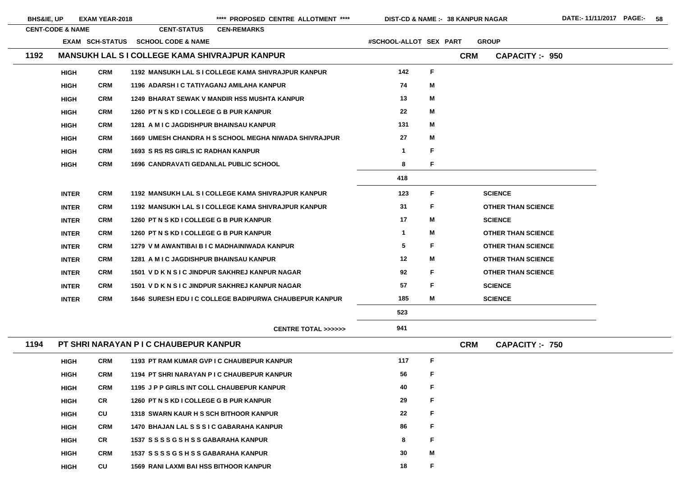| <b>BHS&amp;IE, UP</b>       |              | <b>EXAM YEAR-2018</b>  |                                                       | **** PROPOSED CENTRE ALLOTMENT ****                          | <b>DIST-CD &amp; NAME :- 38 KANPUR NAGAR</b> |    |            |                           |                        |
|-----------------------------|--------------|------------------------|-------------------------------------------------------|--------------------------------------------------------------|----------------------------------------------|----|------------|---------------------------|------------------------|
| <b>CENT-CODE &amp; NAME</b> |              |                        | <b>CENT-STATUS</b>                                    | <b>CEN-REMARKS</b>                                           |                                              |    |            |                           |                        |
|                             |              | <b>EXAM SCH-STATUS</b> | <b>SCHOOL CODE &amp; NAME</b>                         |                                                              | #SCHOOL-ALLOT SEX PART                       |    |            | <b>GROUP</b>              |                        |
| 1192                        |              |                        | <b>MANSUKH LAL S I COLLEGE KAMA SHIVRAJPUR KANPUR</b> |                                                              |                                              |    | <b>CRM</b> |                           | <b>CAPACITY: - 950</b> |
|                             | <b>HIGH</b>  | <b>CRM</b>             |                                                       | 1192 MANSUKH LAL SI COLLEGE KAMA SHIVRAJPUR KANPUR           | 142                                          | F  |            |                           |                        |
|                             | <b>HIGH</b>  | <b>CRM</b>             | 1196 ADARSH I C TATIYAGANJ AMILAHA KANPUR             |                                                              | 74                                           | Μ  |            |                           |                        |
|                             | <b>HIGH</b>  | <b>CRM</b>             |                                                       | <b>1249 BHARAT SEWAK V MANDIR HSS MUSHTA KANPUR</b>          | 13                                           | Μ  |            |                           |                        |
|                             | <b>HIGH</b>  | <b>CRM</b>             | 1260 PT N S KD I COLLEGE G B PUR KANPUR               |                                                              | 22                                           | M  |            |                           |                        |
|                             | <b>HIGH</b>  | <b>CRM</b>             | 1281 A M I C JAGDISHPUR BHAINSAU KANPUR               |                                                              | 131                                          | Μ  |            |                           |                        |
|                             | <b>HIGH</b>  | <b>CRM</b>             |                                                       | <b>1669 UMESH CHANDRA H S SCHOOL MEGHA NIWADA SHIVRAJPUR</b> | 27                                           | M  |            |                           |                        |
|                             | <b>HIGH</b>  | <b>CRM</b>             | <b>1693 S RS RS GIRLS IC RADHAN KANPUR</b>            |                                                              | 1                                            | F  |            |                           |                        |
|                             | <b>HIGH</b>  | <b>CRM</b>             | <b>1696 CANDRAVATI GEDANLAL PUBLIC SCHOOL</b>         |                                                              | 8                                            | F  |            |                           |                        |
|                             |              |                        |                                                       |                                                              | 418                                          |    |            |                           |                        |
|                             | <b>INTER</b> | <b>CRM</b>             |                                                       | 1192 MANSUKH LAL S I COLLEGE KAMA SHIVRAJPUR KANPUR          | 123                                          | F  |            | <b>SCIENCE</b>            |                        |
|                             | <b>INTER</b> | <b>CRM</b>             |                                                       | 1192 MANSUKH LAL S I COLLEGE KAMA SHIVRAJPUR KANPUR          | 31                                           | F  |            | <b>OTHER THAN SCIENCE</b> |                        |
|                             | <b>INTER</b> | <b>CRM</b>             | 1260 PT N S KD I COLLEGE G B PUR KANPUR               |                                                              | 17                                           | Μ  |            | <b>SCIENCE</b>            |                        |
|                             | <b>INTER</b> | <b>CRM</b>             | 1260 PT N S KD I COLLEGE G B PUR KANPUR               |                                                              | $\mathbf 1$                                  | Μ  |            | <b>OTHER THAN SCIENCE</b> |                        |
|                             | <b>INTER</b> | <b>CRM</b>             |                                                       | 1279 V M AWANTIBAI B I C MADHAINIWADA KANPUR                 | 5                                            | F. |            | <b>OTHER THAN SCIENCE</b> |                        |
|                             | <b>INTER</b> | <b>CRM</b>             | 1281 A M I C JAGDISHPUR BHAINSAU KANPUR               |                                                              | 12                                           | Μ  |            | <b>OTHER THAN SCIENCE</b> |                        |
|                             | <b>INTER</b> | <b>CRM</b>             |                                                       | 1501 V D K N S I C JINDPUR SAKHREJ KANPUR NAGAR              | 92                                           | F. |            | <b>OTHER THAN SCIENCE</b> |                        |
|                             | <b>INTER</b> | <b>CRM</b>             |                                                       | 1501 V D K N S I C JINDPUR SAKHREJ KANPUR NAGAR              | 57                                           | F. |            | <b>SCIENCE</b>            |                        |
|                             | <b>INTER</b> | <b>CRM</b>             |                                                       | 1646 SURESH EDU I C COLLEGE BADIPURWA CHAUBEPUR KANPUR       | 185                                          | Μ  |            | <b>SCIENCE</b>            |                        |
|                             |              |                        |                                                       |                                                              | 523                                          |    |            |                           |                        |
|                             |              |                        |                                                       | <b>CENTRE TOTAL &gt;&gt;&gt;&gt;&gt;&gt;</b>                 | 941                                          |    |            |                           |                        |
| 1194                        |              |                        | PT SHRI NARAYAN P I C CHAUBEPUR KANPUR                |                                                              |                                              |    | <b>CRM</b> |                           | <b>CAPACITY :- 750</b> |
|                             | <b>HIGH</b>  | <b>CRM</b>             | 1193 PT RAM KUMAR GVP I C CHAUBEPUR KANPUR            |                                                              | 117                                          | F  |            |                           |                        |
|                             | <b>HIGH</b>  | <b>CRM</b>             | 1194 PT SHRI NARAYAN P I C CHAUBEPUR KANPUR           |                                                              | 56                                           | F  |            |                           |                        |
|                             | <b>HIGH</b>  | <b>CRM</b>             | 1195 J P P GIRLS INT COLL CHAUBEPUR KANPUR            |                                                              | 40                                           | F  |            |                           |                        |
|                             | <b>HIGH</b>  | <b>CR</b>              | 1260 PT N S KD I COLLEGE G B PUR KANPUR               |                                                              | 29                                           | F  |            |                           |                        |
|                             | <b>HIGH</b>  | CU                     | <b>1318 SWARN KAUR H S SCH BITHOOR KANPUR</b>         |                                                              | 22                                           | F  |            |                           |                        |
|                             | <b>HIGH</b>  | <b>CRM</b>             | 1470 BHAJAN LAL S S S I C GABARAHA KANPUR             |                                                              | 86                                           | F  |            |                           |                        |
|                             | <b>HIGH</b>  | <b>CR</b>              | 1537 SSSSGSHSSGABARAHA KANPUR                         |                                                              | 8                                            | F  |            |                           |                        |
|                             | <b>HIGH</b>  | <b>CRM</b>             | 1537 SSSSGSHSSGABARAHA KANPUR                         |                                                              | 30                                           | Μ  |            |                           |                        |
|                             |              |                        |                                                       |                                                              |                                              |    |            |                           |                        |

**CU** 1569 RANI LAXMI BAI HSS BITHOOR KANPUR 18

**HIGH**

 $\sim$ 

 $\overline{\phantom{a}}$ 

 $\overline{\phantom{0}}$ 

| <b>HAN SCIENCE</b> |
|--------------------|
|                    |
| <b>HAN SCIENCE</b> |
| <b>HAN SCIENCE</b> |
| <b>HAN SCIENCE</b> |
| <b>HAN SCIENCE</b> |
|                    |
|                    |
|                    |
|                    |

**F**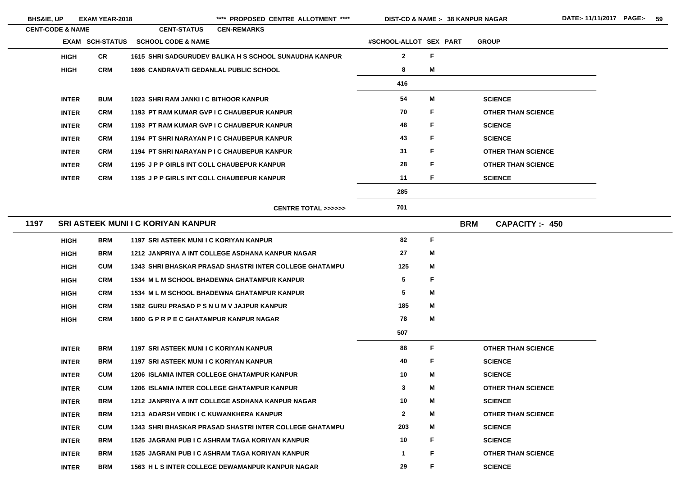- 
- 
- 

- 
- 
- 

- 
- 

**38 KANPUR NAGAR**

| <b>CENT-CODE &amp; NAME</b> |              |                        | <b>CENT-STATUS</b>                                | <b>CEN-REMARKS</b>                                             |                        |   |                                    |
|-----------------------------|--------------|------------------------|---------------------------------------------------|----------------------------------------------------------------|------------------------|---|------------------------------------|
|                             |              | <b>EXAM SCH-STATUS</b> | <b>SCHOOL CODE &amp; NAME</b>                     |                                                                | #SCHOOL-ALLOT SEX PART |   | <b>GROUP</b>                       |
|                             | <b>HIGH</b>  | <b>CR</b>              |                                                   | 1615 SHRI SADGURUDEV BALIKA H S SCHOOL SUNAUDHA KANPUR         | $\mathbf{2}$           | F |                                    |
|                             | <b>HIGH</b>  | <b>CRM</b>             | <b>1696 CANDRAVATI GEDANLAL PUBLIC SCHOOL</b>     |                                                                | 8                      | M |                                    |
|                             |              |                        |                                                   |                                                                | 416                    |   |                                    |
|                             | <b>INTER</b> | <b>BUM</b>             | 1023 SHRI RAM JANKI I C BITHOOR KANPUR            |                                                                | 54                     | M | <b>SCIENCE</b>                     |
|                             | <b>INTER</b> | <b>CRM</b>             | 1193 PT RAM KUMAR GVP I C CHAUBEPUR KANPUR        |                                                                | 70                     | F | <b>OTHER THAN SCIENCE</b>          |
|                             | <b>INTER</b> | <b>CRM</b>             | 1193 PT RAM KUMAR GVP I C CHAUBEPUR KANPUR        |                                                                | 48                     | F | <b>SCIENCE</b>                     |
|                             | <b>INTER</b> | <b>CRM</b>             | 1194 PT SHRI NARAYAN P I C CHAUBEPUR KANPUR       |                                                                | 43                     | F | <b>SCIENCE</b>                     |
|                             | <b>INTER</b> | <b>CRM</b>             | 1194 PT SHRI NARAYAN P I C CHAUBEPUR KANPUR       |                                                                | 31                     | F | <b>OTHER THAN SCIENCE</b>          |
|                             | <b>INTER</b> | <b>CRM</b>             | 1195 J P P GIRLS INT COLL CHAUBEPUR KANPUR        |                                                                | 28                     | F | <b>OTHER THAN SCIENCE</b>          |
|                             | <b>INTER</b> | <b>CRM</b>             | 1195 J P P GIRLS INT COLL CHAUBEPUR KANPUR        |                                                                | 11                     | F | <b>SCIENCE</b>                     |
|                             |              |                        |                                                   |                                                                | 285                    |   |                                    |
|                             |              |                        |                                                   | <b>CENTRE TOTAL &gt;&gt;&gt;&gt;&gt;&gt;</b>                   | 701                    |   |                                    |
| 1197                        |              |                        | <b>SRI ASTEEK MUNI I C KORIYAN KANPUR</b>         |                                                                |                        |   | <b>BRM</b><br><b>CAPACITY: 450</b> |
|                             | <b>HIGH</b>  | <b>BRM</b>             | 1197 SRI ASTEEK MUNI I C KORIYAN KANPUR           |                                                                | 82                     | F |                                    |
|                             | <b>HIGH</b>  | <b>BRM</b>             |                                                   | 1212 JANPRIYA A INT COLLEGE ASDHANA KANPUR NAGAR               | 27                     | M |                                    |
|                             | <b>HIGH</b>  | <b>CUM</b>             |                                                   | <b>1343 SHRI BHASKAR PRASAD SHASTRI INTER COLLEGE GHATAMPU</b> | 125                    | M |                                    |
|                             | <b>HIGH</b>  | <b>CRM</b>             |                                                   | 1534 M L M SCHOOL BHADEWNA GHATAMPUR KANPUR                    | 5                      | F |                                    |
|                             | <b>HIGH</b>  | <b>CRM</b>             |                                                   | <b>1534 M L M SCHOOL BHADEWNA GHATAMPUR KANPUR</b>             | $5\phantom{.0}$        | M |                                    |
|                             | <b>HIGH</b>  | <b>CRM</b>             | <b>1582 GURU PRASAD P S N U M V JAJPUR KANPUR</b> |                                                                | 185                    | M |                                    |
|                             | <b>HIGH</b>  | <b>CRM</b>             | 1600 G P R P E C GHATAMPUR KANPUR NAGAR           |                                                                | 78                     | M |                                    |
|                             |              |                        |                                                   |                                                                | 507                    |   |                                    |
|                             | <b>INTER</b> | <b>BRM</b>             | 1197 SRI ASTEEK MUNI I C KORIYAN KANPUR           |                                                                | 88                     | F | <b>OTHER THAN SCIENCE</b>          |
|                             | <b>INTER</b> | <b>BRM</b>             | 1197 SRI ASTEEK MUNI I C KORIYAN KANPUR           |                                                                | 40                     | F | <b>SCIENCE</b>                     |
|                             | <b>INTER</b> | <b>CUM</b>             |                                                   | <b>1206 ISLAMIA INTER COLLEGE GHATAMPUR KANPUR</b>             | 10                     | M | <b>SCIENCE</b>                     |
|                             | <b>INTER</b> | <b>CUM</b>             |                                                   | <b>1206 ISLAMIA INTER COLLEGE GHATAMPUR KANPUR</b>             | $\mathbf{3}$           | M | <b>OTHER THAN SCIENCE</b>          |
|                             | <b>INTER</b> | <b>BRM</b>             |                                                   | 1212 JANPRIYA A INT COLLEGE ASDHANA KANPUR NAGAR               | 10                     | M | <b>SCIENCE</b>                     |
|                             | <b>INTER</b> | <b>BRM</b>             | 1213 ADARSH VEDIK I C KUWANKHERA KANPUR           |                                                                | $\mathbf{2}$           | M | <b>OTHER THAN SCIENCE</b>          |
|                             | <b>INTER</b> | <b>CUM</b>             |                                                   | <b>1343 SHRI BHASKAR PRASAD SHASTRI INTER COLLEGE GHATAMPU</b> | 203                    | M | <b>SCIENCE</b>                     |
|                             | <b>INTER</b> | <b>BRM</b>             |                                                   | 1525 JAGRANI PUB I C ASHRAM TAGA KORIYAN KANPUR                | 10                     | F | <b>SCIENCE</b>                     |
|                             | <b>INTER</b> | <b>BRM</b>             |                                                   | 1525 JAGRANI PUB I C ASHRAM TAGA KORIYAN KANPUR                | $\overline{1}$         | F | <b>OTHER THAN SCIENCE</b>          |
|                             | <b>INTER</b> | <b>BRM</b>             |                                                   | 1563 H L S INTER COLLEGE DEWAMANPUR KANPUR NAGAR               | 29                     | F | <b>SCIENCE</b>                     |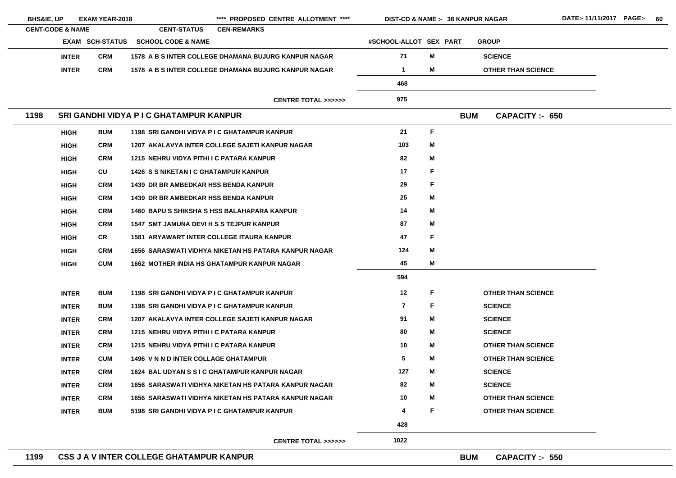| <b>BHS&amp;IE, UP</b>       | <b>EXAM YEAR-2018</b>  |                                                  | **** PROPOSED CENTRE ALLOTMENT ****                         | <b>DIST-CD &amp; NAME :- 38 KANPUR NAGAR</b> |    |            |                           |
|-----------------------------|------------------------|--------------------------------------------------|-------------------------------------------------------------|----------------------------------------------|----|------------|---------------------------|
| <b>CENT-CODE &amp; NAME</b> |                        | <b>CENT-STATUS</b>                               | <b>CEN-REMARKS</b>                                          |                                              |    |            |                           |
|                             | <b>EXAM SCH-STATUS</b> | <b>SCHOOL CODE &amp; NAME</b>                    |                                                             | #SCHOOL-ALLOT SEX PART                       |    |            | <b>GROUP</b>              |
| <b>INTER</b>                | <b>CRM</b>             |                                                  | 1578 A B S INTER COLLEGE DHAMANA BUJURG KANPUR NAGAR        | 71                                           | M  |            | <b>SCIENCE</b>            |
| <b>INTER</b>                | <b>CRM</b>             |                                                  | 1578 A B S INTER COLLEGE DHAMANA BUJURG KANPUR NAGAR        | $\mathbf 1$                                  | M  |            | <b>OTHER THAN SCIENCE</b> |
|                             |                        |                                                  |                                                             | 468                                          |    |            |                           |
|                             |                        |                                                  | <b>CENTRE TOTAL &gt;&gt;&gt;&gt;&gt;&gt;</b>                | 975                                          |    |            |                           |
| 1198                        |                        | <b>SRI GANDHI VIDYA P I C GHATAMPUR KANPUR</b>   |                                                             |                                              |    | <b>BUM</b> | CAPACITY: 650             |
| <b>HIGH</b>                 | <b>BUM</b>             | 1198 SRI GANDHI VIDYA P I C GHATAMPUR KANPUR     |                                                             | 21                                           | F. |            |                           |
| <b>HIGH</b>                 | <b>CRM</b>             |                                                  | 1207 AKALAVYA INTER COLLEGE SAJETI KANPUR NAGAR             | 103                                          | M  |            |                           |
| <b>HIGH</b>                 | <b>CRM</b>             | 1215 NEHRU VIDYA PITHI I C PATARA KANPUR         |                                                             | 82                                           | M  |            |                           |
| <b>HIGH</b>                 | CU                     | <b>1426 S S NIKETAN I C GHATAMPUR KANPUR</b>     |                                                             | 17                                           | F  |            |                           |
| <b>HIGH</b>                 | <b>CRM</b>             | <b>1439 DR BR AMBEDKAR HSS BENDA KANPUR</b>      |                                                             | 29                                           | F  |            |                           |
| <b>HIGH</b>                 | <b>CRM</b>             | <b>1439 DR BR AMBEDKAR HSS BENDA KANPUR</b>      |                                                             | 25                                           | M  |            |                           |
| <b>HIGH</b>                 | <b>CRM</b>             |                                                  | <b>1460 BAPU S SHIKSHA S HSS BALAHAPARA KANPUR</b>          | 14                                           | M  |            |                           |
| <b>HIGH</b>                 | <b>CRM</b>             | <b>1547 SMT JAMUNA DEVI H S S TEJPUR KANPUR</b>  |                                                             | 87                                           | M  |            |                           |
| <b>HIGH</b>                 | <b>CR</b>              | <b>1581 ARYAWART INTER COLLEGE ITAURA KANPUR</b> |                                                             | 47                                           | F. |            |                           |
| <b>HIGH</b>                 | <b>CRM</b>             |                                                  | <b>1656 SARASWATI VIDHYA NIKETAN HS PATARA KANPUR NAGAR</b> | 124                                          | M  |            |                           |
| <b>HIGH</b>                 | <b>CUM</b>             |                                                  | <b>1662 MOTHER INDIA HS GHATAMPUR KANPUR NAGAR</b>          | 45                                           | M  |            |                           |
|                             |                        |                                                  |                                                             | 594                                          |    |            |                           |
| <b>INTER</b>                | <b>BUM</b>             | 1198 SRI GANDHI VIDYA P I C GHATAMPUR KANPUR     |                                                             | 12                                           | F. |            | <b>OTHER THAN SCIENCE</b> |
| <b>INTER</b>                | <b>BUM</b>             | 1198 SRI GANDHI VIDYA P I C GHATAMPUR KANPUR     |                                                             | $\overline{\mathbf{z}}$                      | F. |            | <b>SCIENCE</b>            |
| <b>INTER</b>                | <b>CRM</b>             |                                                  | 1207 AKALAVYA INTER COLLEGE SAJETI KANPUR NAGAR             | 91                                           | M  |            | <b>SCIENCE</b>            |
| <b>INTER</b>                | <b>CRM</b>             | 1215 NEHRU VIDYA PITHI I C PATARA KANPUR         |                                                             | 80                                           | M  |            | <b>SCIENCE</b>            |
| <b>INTER</b>                | <b>CRM</b>             | 1215 NEHRU VIDYA PITHI I C PATARA KANPUR         |                                                             | 10 <sup>°</sup>                              | M  |            | <b>OTHER THAN SCIENCE</b> |
| <b>INTER</b>                | <b>CUM</b>             | <b>1496 V N N D INTER COLLAGE GHATAMPUR</b>      |                                                             | $5\phantom{.0}$                              | M  |            | <b>OTHER THAN SCIENCE</b> |
| <b>INTER</b>                | <b>CRM</b>             |                                                  | 1624 BAL UDYAN S S I C GHATAMPUR KANPUR NAGAR               | 127                                          | M  |            | <b>SCIENCE</b>            |
| <b>INTER</b>                | <b>CRM</b>             |                                                  | 1656 SARASWATI VIDHYA NIKETAN HS PATARA KANPUR NAGAR        | 82                                           | M  |            | <b>SCIENCE</b>            |
| <b>INTER</b>                | <b>CRM</b>             |                                                  | 1656 SARASWATI VIDHYA NIKETAN HS PATARA KANPUR NAGAR        | 10                                           | M  |            | <b>OTHER THAN SCIENCE</b> |
| <b>INTER</b>                | <b>BUM</b>             | 5198 SRI GANDHI VIDYA P I C GHATAMPUR KANPUR     |                                                             | 4                                            | F. |            | <b>OTHER THAN SCIENCE</b> |
|                             |                        |                                                  |                                                             | 428                                          |    |            |                           |
|                             |                        |                                                  | <b>CENTRE TOTAL &gt;&gt;&gt;&gt;&gt;&gt;</b>                | 1022                                         |    |            |                           |
| 1199                        |                        | CSS J A V INTER COLLEGE GHATAMPUR KANPUR         |                                                             |                                              |    | <b>BUM</b> | <b>CAPACITY :- 550</b>    |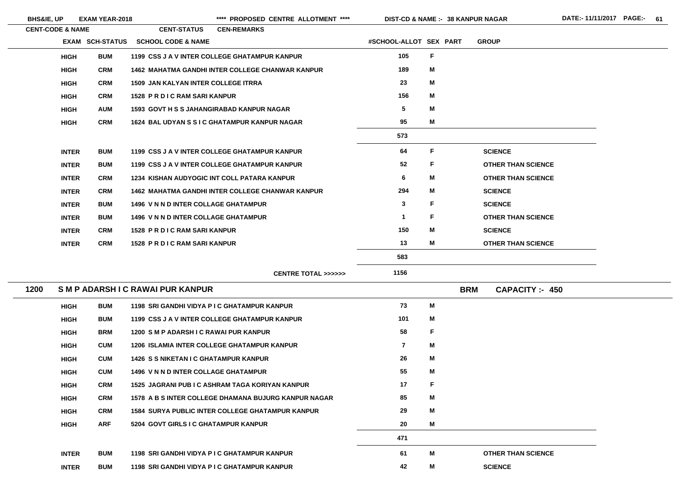\*\*\*\* PROPOSED CENTRE ALLOTMENT \*\*\*\* DIST-CD & NAME :- 38 KANPUR NAGAR DATE:- 11/11/2017 PAGE:- 61

**38 KANPUR NAGAR**

|      | <b>CENT-CODE &amp; NAME</b> |                        | <b>CENT-STATUS</b>                               | <b>CEN-REMARKS</b>                                      |                         |             |            |                           |  |
|------|-----------------------------|------------------------|--------------------------------------------------|---------------------------------------------------------|-------------------------|-------------|------------|---------------------------|--|
|      |                             | <b>EXAM SCH-STATUS</b> | <b>SCHOOL CODE &amp; NAME</b>                    |                                                         | #SCHOOL-ALLOT SEX PART  |             |            | <b>GROUP</b>              |  |
|      | <b>HIGH</b>                 | <b>BUM</b>             |                                                  | 1199 CSS J A V INTER COLLEGE GHATAMPUR KANPUR           | 105                     | F           |            |                           |  |
|      | <b>HIGH</b>                 | <b>CRM</b>             |                                                  | <b>1462 MAHATMA GANDHI INTER COLLEGE CHANWAR KANPUR</b> | 189                     | M           |            |                           |  |
|      | <b>HIGH</b>                 | <b>CRM</b>             | <b>1509 JAN KALYAN INTER COLLEGE ITRRA</b>       |                                                         | 23                      | M           |            |                           |  |
|      | <b>HIGH</b>                 | <b>CRM</b>             | 1528 PR DIC RAM SARI KANPUR                      |                                                         | 156                     | M           |            |                           |  |
|      | <b>HIGH</b>                 | <b>AUM</b>             | <b>1593 GOVT H S S JAHANGIRABAD KANPUR NAGAR</b> |                                                         | $\overline{\mathbf{5}}$ | M           |            |                           |  |
|      | <b>HIGH</b>                 | <b>CRM</b>             |                                                  | 1624 BAL UDYAN S S I C GHATAMPUR KANPUR NAGAR           | 95                      | M           |            |                           |  |
|      |                             |                        |                                                  |                                                         | 573                     |             |            |                           |  |
|      | <b>INTER</b>                | <b>BUM</b>             |                                                  | 1199 CSS J A V INTER COLLEGE GHATAMPUR KANPUR           | 64                      | $\mathsf F$ |            | <b>SCIENCE</b>            |  |
|      | <b>INTER</b>                | <b>BUM</b>             |                                                  | 1199 CSS J A V INTER COLLEGE GHATAMPUR KANPUR           | 52                      | F           |            | <b>OTHER THAN SCIENCE</b> |  |
|      | <b>INTER</b>                | <b>CRM</b>             |                                                  | 1234 KISHAN AUDYOGIC INT COLL PATARA KANPUR             | 6                       | M           |            | <b>OTHER THAN SCIENCE</b> |  |
|      | <b>INTER</b>                | <b>CRM</b>             |                                                  | <b>1462 MAHATMA GANDHI INTER COLLEGE CHANWAR KANPUR</b> | 294                     | M           |            | <b>SCIENCE</b>            |  |
|      | <b>INTER</b>                | <b>BUM</b>             | <b>1496 V N N D INTER COLLAGE GHATAMPUR</b>      |                                                         | $\mathbf{3}$            | F           |            | <b>SCIENCE</b>            |  |
|      | <b>INTER</b>                | <b>BUM</b>             | <b>1496 V N N D INTER COLLAGE GHATAMPUR</b>      |                                                         | $\mathbf 1$             | F           |            | <b>OTHER THAN SCIENCE</b> |  |
|      | <b>INTER</b>                | <b>CRM</b>             | 1528 PR DIC RAM SARI KANPUR                      |                                                         | 150                     | M           |            | <b>SCIENCE</b>            |  |
|      | <b>INTER</b>                | <b>CRM</b>             | <b>1528 PR DIC RAM SARI KANPUR</b>               |                                                         | 13                      | M           |            | <b>OTHER THAN SCIENCE</b> |  |
|      |                             |                        |                                                  |                                                         | 583                     |             |            |                           |  |
|      |                             |                        |                                                  | <b>CENTRE TOTAL &gt;&gt;&gt;&gt;&gt;&gt;</b>            | 1156                    |             |            |                           |  |
| 1200 |                             |                        | SMP ADARSHIC RAWAI PUR KANPUR                    |                                                         |                         |             | <b>BRM</b> | <b>CAPACITY: 450</b>      |  |
|      | <b>HIGH</b>                 | <b>BUM</b>             |                                                  | 1198 SRI GANDHI VIDYA P I C GHATAMPUR KANPUR            | 73                      | M           |            |                           |  |
|      | <b>HIGH</b>                 | <b>BUM</b>             |                                                  | 1199 CSS J A V INTER COLLEGE GHATAMPUR KANPUR           | 101                     | M           |            |                           |  |
|      | <b>HIGH</b>                 | <b>BRM</b>             | 1200 SM P ADARSH I C RAWAI PUR KANPUR            |                                                         | 58                      | $\mathsf F$ |            |                           |  |
|      | <b>HIGH</b>                 | <b>CUM</b>             |                                                  | <b>1206 ISLAMIA INTER COLLEGE GHATAMPUR KANPUR</b>      | $\overline{7}$          | M           |            |                           |  |
|      | <b>HIGH</b>                 | <b>CUM</b>             | <b>1426 S S NIKETAN I C GHATAMPUR KANPUR</b>     |                                                         | 26                      | M           |            |                           |  |
|      | <b>HIGH</b>                 | <b>CUM</b>             | <b>1496 V N N D INTER COLLAGE GHATAMPUR</b>      |                                                         | 55                      | M           |            |                           |  |
|      | <b>HIGH</b>                 | <b>CRM</b>             |                                                  | 1525 JAGRANI PUB I C ASHRAM TAGA KORIYAN KANPUR         | 17                      | F           |            |                           |  |
|      | <b>HIGH</b>                 | <b>CRM</b>             |                                                  | 1578 A B S INTER COLLEGE DHAMANA BUJURG KANPUR NAGAR    | 85                      | M           |            |                           |  |
|      | <b>HIGH</b>                 | <b>CRM</b>             |                                                  | <b>1584 SURYA PUBLIC INTER COLLEGE GHATAMPUR KANPUR</b> | 29                      | M           |            |                           |  |
|      | <b>HIGH</b>                 | <b>ARF</b>             | 5204 GOVT GIRLS I C GHATAMPUR KANPUR             |                                                         | 20                      | M           |            |                           |  |
|      |                             |                        |                                                  |                                                         | 471                     |             |            |                           |  |

| <b>INTER</b> | <b>BUM</b> | 1198 SRI GANDHI VIDYA P I C GHATAMPUR KANPUR | 61 | <b>OTHER THAN SCIENCE</b> |
|--------------|------------|----------------------------------------------|----|---------------------------|
| <b>INTER</b> | <b>BUM</b> | 1198 SRI GANDHI VIDYA P I C GHATAMPUR KANPUR | 42 | <b>SCIENCE</b>            |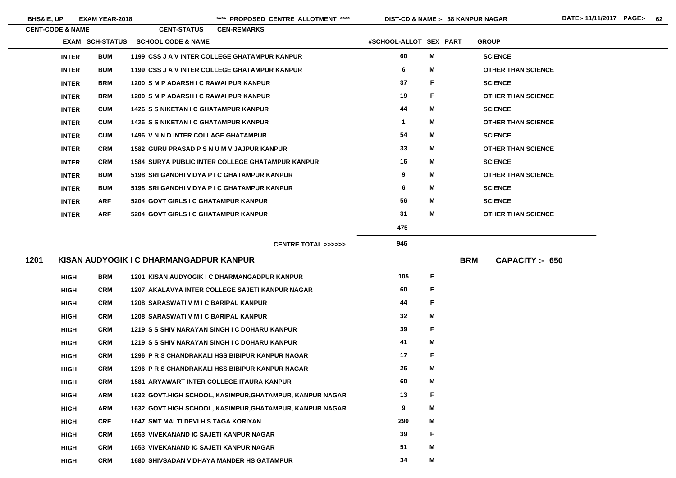$\sim$ 

 $\overline{\phantom{0}}$ 

**BHS&IE, UP EXAM YEAR-2018 \*\*\*\* PROPOSED CENTRE ALLOTMENT \*\*\*\* DIST-CD & NAME :- DATE:- 11/11/2017 PAGE:- 62**

| <b>CENT-CODE &amp; NAME</b> |                        | <b>CENT-STATUS</b>                           | <b>CEN-REMARKS</b>                                      |                        |    |                                    |
|-----------------------------|------------------------|----------------------------------------------|---------------------------------------------------------|------------------------|----|------------------------------------|
|                             | <b>EXAM SCH-STATUS</b> | <b>SCHOOL CODE &amp; NAME</b>                |                                                         | #SCHOOL-ALLOT SEX PART |    | <b>GROUP</b>                       |
| <b>INTER</b>                | <b>BUM</b>             |                                              | 1199 CSS J A V INTER COLLEGE GHATAMPUR KANPUR           | 60                     | M  | <b>SCIENCE</b>                     |
| <b>INTER</b>                | <b>BUM</b>             |                                              | 1199 CSS J A V INTER COLLEGE GHATAMPUR KANPUR           | 6                      | M  | <b>OTHER THAN SCIENCE</b>          |
| <b>INTER</b>                | <b>BRM</b>             | 1200 SM P ADARSH I C RAWAI PUR KANPUR        |                                                         | 37                     | F. | <b>SCIENCE</b>                     |
| <b>INTER</b>                | <b>BRM</b>             | 1200 SM P ADARSH I C RAWAI PUR KANPUR        |                                                         | 19                     | F. | <b>OTHER THAN SCIENCE</b>          |
| <b>INTER</b>                | <b>CUM</b>             | <b>1426 S S NIKETAN I C GHATAMPUR KANPUR</b> |                                                         | 44                     | M  | <b>SCIENCE</b>                     |
| <b>INTER</b>                | <b>CUM</b>             | <b>1426 S S NIKETAN I C GHATAMPUR KANPUR</b> |                                                         | $\mathbf 1$            | M  | <b>OTHER THAN SCIENCE</b>          |
| <b>INTER</b>                | <b>CUM</b>             | <b>1496 V N N D INTER COLLAGE GHATAMPUR</b>  |                                                         | 54                     | M  | <b>SCIENCE</b>                     |
| <b>INTER</b>                | <b>CRM</b>             | 1582 GURU PRASAD P S N U M V JAJPUR KANPUR   |                                                         | 33                     | M  | <b>OTHER THAN SCIENCE</b>          |
| <b>INTER</b>                | <b>CRM</b>             |                                              | <b>1584 SURYA PUBLIC INTER COLLEGE GHATAMPUR KANPUR</b> | 16                     | M  | <b>SCIENCE</b>                     |
| <b>INTER</b>                | <b>BUM</b>             | 5198 SRI GANDHI VIDYA P I C GHATAMPUR KANPUR |                                                         | $\boldsymbol{9}$       | M  | <b>OTHER THAN SCIENCE</b>          |
| <b>INTER</b>                | <b>BUM</b>             | 5198 SRI GANDHI VIDYA P I C GHATAMPUR KANPUR |                                                         | 6                      | M  | <b>SCIENCE</b>                     |
| <b>INTER</b>                | <b>ARF</b>             | 5204 GOVT GIRLS I C GHATAMPUR KANPUR         |                                                         | 56                     | M  | <b>SCIENCE</b>                     |
| <b>INTER</b>                | <b>ARF</b>             | 5204 GOVT GIRLS I C GHATAMPUR KANPUR         |                                                         | 31                     | M  | <b>OTHER THAN SCIENCE</b>          |
|                             |                        |                                              |                                                         | 475                    |    |                                    |
|                             |                        |                                              | CENTRE TOTAL >>>>>>                                     | 946                    |    |                                    |
| 1201                        |                        | KISAN AUDYOGIK I C DHARMANGADPUR KANPUR      |                                                         |                        |    | <b>BRM</b><br><b>CAPACITY: 650</b> |
|                             |                        |                                              |                                                         |                        |    |                                    |

| <b>HIGH</b> | <b>BRM</b> | 1201 KISAN AUDYOGIK I C DHARMANGADPUR KANPUR             | 105 | F |  |
|-------------|------------|----------------------------------------------------------|-----|---|--|
| <b>HIGH</b> | <b>CRM</b> | 1207 AKALAVYA INTER COLLEGE SAJETI KANPUR NAGAR          | 60  | F |  |
| <b>HIGH</b> | <b>CRM</b> | 1208 SARASWATI V M I C BARIPAL KANPUR                    | 44  | F |  |
| <b>HIGH</b> | <b>CRM</b> | <b>1208 SARASWATI V M I C BARIPAL KANPUR</b>             | 32  | M |  |
| <b>HIGH</b> | <b>CRM</b> | 1219 S S SHIV NARAYAN SINGH I C DOHARU KANPUR            | 39  | F |  |
| <b>HIGH</b> | <b>CRM</b> | 1219 S S SHIV NARAYAN SINGH I C DOHARU KANPUR            | 41  | M |  |
| <b>HIGH</b> | <b>CRM</b> | 1296 P R S CHANDRAKALI HSS BIBIPUR KANPUR NAGAR          | 17  | F |  |
| <b>HIGH</b> | <b>CRM</b> | 1296 P R S CHANDRAKALI HSS BIBIPUR KANPUR NAGAR          | 26  | M |  |
| <b>HIGH</b> | <b>CRM</b> | <b>1581 ARYAWART INTER COLLEGE ITAURA KANPUR</b>         | 60  | M |  |
| <b>HIGH</b> | <b>ARM</b> | 1632 GOVT.HIGH SCHOOL, KASIMPUR, GHATAMPUR, KANPUR NAGAR | 13  | F |  |
| <b>HIGH</b> | <b>ARM</b> | 1632 GOVT.HIGH SCHOOL, KASIMPUR, GHATAMPUR, KANPUR NAGAR | 9   | M |  |
| <b>HIGH</b> | <b>CRF</b> | 1647 SMT MALTI DEVI H S TAGA KORIYAN                     | 290 | M |  |
| <b>HIGH</b> | <b>CRM</b> | <b>1653 VIVEKANAND IC SAJETI KANPUR NAGAR</b>            | 39  | F |  |
| <b>HIGH</b> | <b>CRM</b> | <b>1653 VIVEKANAND IC SAJETI KANPUR NAGAR</b>            | 51  | M |  |
| <b>HIGH</b> | <b>CRM</b> | <b>1680 SHIVSADAN VIDHAYA MANDER HS GATAMPUR</b>         | 34  | M |  |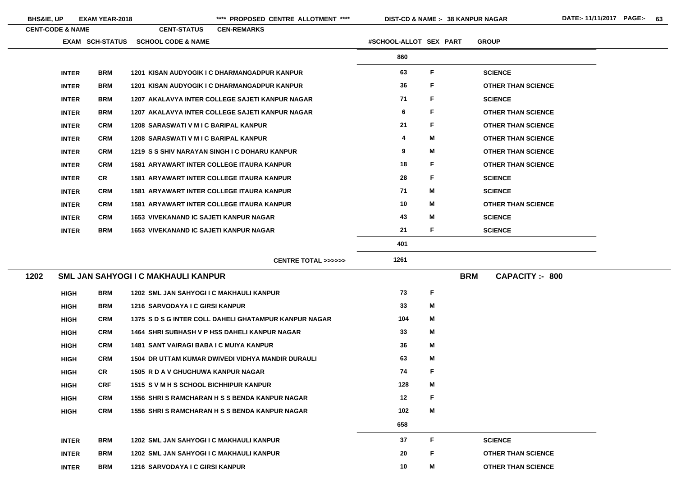| <b>BHS&amp;IE, UP</b>       |              | <b>EXAM YEAR-2018</b>  |                                               | **** PROPOSED CENTRE ALLOTMENT ****                 |                        |              | <b>DIST-CD &amp; NAME :- 38 KANPUR NAGAR</b> |
|-----------------------------|--------------|------------------------|-----------------------------------------------|-----------------------------------------------------|------------------------|--------------|----------------------------------------------|
| <b>CENT-CODE &amp; NAME</b> |              |                        | <b>CENT-STATUS</b>                            | <b>CEN-REMARKS</b>                                  |                        |              |                                              |
|                             |              | <b>EXAM SCH-STATUS</b> | <b>SCHOOL CODE &amp; NAME</b>                 |                                                     | #SCHOOL-ALLOT SEX PART |              | <b>GROUP</b>                                 |
|                             |              |                        |                                               |                                                     | 860                    |              |                                              |
|                             | <b>INTER</b> | <b>BRM</b>             |                                               | <b>1201 KISAN AUDYOGIK I C DHARMANGADPUR KANPUR</b> | 63                     | $\mathsf{F}$ | <b>SCIENCE</b>                               |
|                             | <b>INTER</b> | <b>BRM</b>             |                                               | <b>1201 KISAN AUDYOGIK I C DHARMANGADPUR KANPUR</b> | 36                     | $\mathsf{F}$ | <b>OTHER THAN SCIENCE</b>                    |
|                             | <b>INTER</b> | <b>BRM</b>             |                                               | 1207 AKALAVYA INTER COLLEGE SAJETI KANPUR NAGAR     | 71                     | $\mathsf{F}$ | <b>SCIENCE</b>                               |
|                             | <b>INTER</b> | <b>BRM</b>             |                                               | 1207 AKALAVYA INTER COLLEGE SAJETI KANPUR NAGAR     | 6                      | F            | <b>OTHER THAN SCIENCE</b>                    |
|                             | <b>INTER</b> | <b>CRM</b>             | <b>1208 SARASWATI V M I C BARIPAL KANPUR</b>  |                                                     | 21                     | F            | <b>OTHER THAN SCIENCE</b>                    |
|                             | <b>INTER</b> | <b>CRM</b>             | <b>1208 SARASWATI V M I C BARIPAL KANPUR</b>  |                                                     | 4                      | M            | <b>OTHER THAN SCIENCE</b>                    |
|                             | <b>INTER</b> | <b>CRM</b>             |                                               | 1219 S S SHIV NARAYAN SINGH I C DOHARU KANPUR       | 9                      | M            | <b>OTHER THAN SCIENCE</b>                    |
|                             | <b>INTER</b> | <b>CRM</b>             |                                               | <b>1581 ARYAWART INTER COLLEGE ITAURA KANPUR</b>    | 18                     | $\mathsf{F}$ | <b>OTHER THAN SCIENCE</b>                    |
|                             | <b>INTER</b> | <b>CR</b>              |                                               | <b>1581 ARYAWART INTER COLLEGE ITAURA KANPUR</b>    | 28                     | $\mathsf F$  | <b>SCIENCE</b>                               |
|                             | <b>INTER</b> | <b>CRM</b>             |                                               | <b>1581 ARYAWART INTER COLLEGE ITAURA KANPUR</b>    | 71                     | M            | <b>SCIENCE</b>                               |
|                             | <b>INTER</b> | <b>CRM</b>             |                                               | <b>1581 ARYAWART INTER COLLEGE ITAURA KANPUR</b>    | 10                     | M            | <b>OTHER THAN SCIENCE</b>                    |
|                             | <b>INTER</b> | <b>CRM</b>             | <b>1653 VIVEKANAND IC SAJETI KANPUR NAGAR</b> |                                                     | 43                     | M            | <b>SCIENCE</b>                               |
|                             | <b>INTER</b> | <b>BRM</b>             | <b>1653 VIVEKANAND IC SAJETI KANPUR NAGAR</b> |                                                     | 21                     | F            | <b>SCIENCE</b>                               |
|                             |              |                        |                                               |                                                     | 401                    |              |                                              |
|                             |              |                        |                                               | <b>CENTRE TOTAL &gt;&gt;&gt;&gt;&gt;&gt;</b>        | 1261                   |              |                                              |
| 1202                        |              |                        | <b>SML JAN SAHYOGI I C MAKHAULI KANPUR</b>    |                                                     |                        |              | <b>CAPACITY:- 800</b><br><b>BRM</b>          |
|                             | <b>HIGH</b>  | <b>BRM</b>             | 1202 SML JAN SAHYOGI I C MAKHAULI KANPUR      |                                                     | 73                     | F            |                                              |

| <b>HIGH</b>  | BRM        | 1202 SML JAN SAHYOGI I C MAKHAULI KANPUR              | 73  | г. |                           |
|--------------|------------|-------------------------------------------------------|-----|----|---------------------------|
| <b>HIGH</b>  | <b>BRM</b> | <b>1216 SARVODAYA I C GIRSI KANPUR</b>                | 33  | M  |                           |
| <b>HIGH</b>  | <b>CRM</b> | 1375 S D S G INTER COLL DAHELI GHATAMPUR KANPUR NAGAR | 104 | M  |                           |
| <b>HIGH</b>  | <b>CRM</b> | 1464 SHRI SUBHASH V P HSS DAHELI KANPUR NAGAR         | 33  | M  |                           |
| <b>HIGH</b>  | <b>CRM</b> | <b>1481 SANT VAIRAGI BABA I C MUIYA KANPUR</b>        | 36  | M  |                           |
| <b>HIGH</b>  | <b>CRM</b> | 1504 DR UTTAM KUMAR DWIVEDI VIDHYA MANDIR DURAULI     | 63  | M  |                           |
| <b>HIGH</b>  | <b>CR</b>  | <b>1505 R D A V GHUGHUWA KANPUR NAGAR</b>             | 74  | F  |                           |
| <b>HIGH</b>  | <b>CRF</b> | 1515 S V M H S SCHOOL BICHHIPUR KANPUR                | 128 | M  |                           |
| <b>HIGH</b>  | <b>CRM</b> | 1556 SHRIS RAMCHARAN H S S BENDA KANPUR NAGAR         | 12  | F  |                           |
| <b>HIGH</b>  | <b>CRM</b> | 1556 SHRIS RAMCHARAN H S S BENDA KANPUR NAGAR         | 102 | M  |                           |
|              |            |                                                       | 658 |    |                           |
| <b>INTER</b> | <b>BRM</b> | 1202 SML JAN SAHYOGI I C MAKHAULI KANPUR              | 37  | F  | <b>SCIENCE</b>            |
| <b>INTER</b> | <b>BRM</b> | 1202 SML JAN SAHYOGI I C MAKHAULI KANPUR              | 20  | F  | <b>OTHER THAN SCIENCE</b> |
| <b>INTER</b> | <b>BRM</b> | <b>1216 SARVODAYA I C GIRSI KANPUR</b>                | 10  | M  | <b>OTHER THAN SCIENCE</b> |
|              |            |                                                       |     |    |                           |

**THAN SCIENCE** 

<u> 1980 - Johann Barbara, martxa al</u>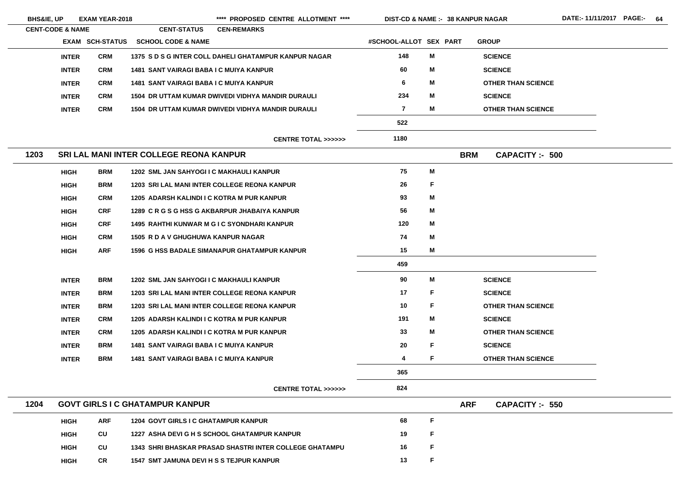| <b>BHS&amp;IE, UP</b>       |              | <b>EXAM YEAR-2018</b>  |                                                 | **** PROPOSED CENTRE ALLOTMENT ****                      | <b>DIST-CD &amp; NAME :- 38 KANPUR NAGAR</b> |    |            |                           |
|-----------------------------|--------------|------------------------|-------------------------------------------------|----------------------------------------------------------|----------------------------------------------|----|------------|---------------------------|
| <b>CENT-CODE &amp; NAME</b> |              |                        | <b>CENT-STATUS</b>                              | <b>CEN-REMARKS</b>                                       |                                              |    |            |                           |
|                             |              | <b>EXAM SCH-STATUS</b> | <b>SCHOOL CODE &amp; NAME</b>                   |                                                          | #SCHOOL-ALLOT SEX PART                       |    |            | <b>GROUP</b>              |
|                             | <b>INTER</b> | <b>CRM</b>             |                                                 | 1375 S D S G INTER COLL DAHELI GHATAMPUR KANPUR NAGAR    | 148                                          | M  |            | <b>SCIENCE</b>            |
|                             | <b>INTER</b> | <b>CRM</b>             | <b>1481 SANT VAIRAGI BABA I C MUIYA KANPUR</b>  |                                                          | 60                                           | M  |            | <b>SCIENCE</b>            |
|                             | <b>INTER</b> | <b>CRM</b>             | <b>1481 SANT VAIRAGI BABA I C MUIYA KANPUR</b>  |                                                          | 6                                            | M  |            | <b>OTHER THAN SCIENCE</b> |
|                             | <b>INTER</b> | <b>CRM</b>             |                                                 | <b>1504 DR UTTAM KUMAR DWIVEDI VIDHYA MANDIR DURAULI</b> | 234                                          | M  |            | <b>SCIENCE</b>            |
|                             | <b>INTER</b> | <b>CRM</b>             |                                                 | <b>1504 DR UTTAM KUMAR DWIVEDI VIDHYA MANDIR DURAULI</b> | $\overline{\mathbf{7}}$                      | M  |            | <b>OTHER THAN SCIENCE</b> |
|                             |              |                        |                                                 |                                                          | 522                                          |    |            |                           |
|                             |              |                        |                                                 | <b>CENTRE TOTAL &gt;&gt;&gt;&gt;&gt;&gt;</b>             | 1180                                         |    |            |                           |
| 1203                        |              |                        | SRI LAL MANI INTER COLLEGE REONA KANPUR         |                                                          |                                              |    | <b>BRM</b> | <b>CAPACITY :- 500</b>    |
|                             | <b>HIGH</b>  | <b>BRM</b>             | 1202 SML JAN SAHYOGI I C MAKHAULI KANPUR        |                                                          | 75                                           | M  |            |                           |
|                             | <b>HIGH</b>  | <b>BRM</b>             |                                                 | <b>1203 SRI LAL MANI INTER COLLEGE REONA KANPUR</b>      | 26                                           | F  |            |                           |
|                             | <b>HIGH</b>  | <b>CRM</b>             | 1205 ADARSH KALINDI I C KOTRA M PUR KANPUR      |                                                          | 93                                           | M  |            |                           |
|                             | <b>HIGH</b>  | <b>CRF</b>             |                                                 | 1289 C R G S G HSS G AKBARPUR JHABAIYA KANPUR            | 56                                           | M  |            |                           |
|                             | <b>HIGH</b>  | <b>CRF</b>             |                                                 | <b>1495 RAHTHI KUNWAR M G I C SYONDHARI KANPUR</b>       | 120                                          | M  |            |                           |
|                             | <b>HIGH</b>  | <b>CRM</b>             | <b>1505 R D A V GHUGHUWA KANPUR NAGAR</b>       |                                                          | 74                                           | M  |            |                           |
|                             | <b>HIGH</b>  | <b>ARF</b>             |                                                 | <b>1596 G HSS BADALE SIMANAPUR GHATAMPUR KANPUR</b>      | 15                                           | M  |            |                           |
|                             |              |                        |                                                 |                                                          | 459                                          |    |            |                           |
|                             | <b>INTER</b> | <b>BRM</b>             | <b>1202 SML JAN SAHYOGI I C MAKHAULI KANPUR</b> |                                                          | 90                                           | M  |            | <b>SCIENCE</b>            |
|                             | <b>INTER</b> | <b>BRM</b>             |                                                 | 1203 SRI LAL MANI INTER COLLEGE REONA KANPUR             | 17                                           | F  |            | <b>SCIENCE</b>            |
|                             | <b>INTER</b> | <b>BRM</b>             |                                                 | <b>1203 SRI LAL MANI INTER COLLEGE REONA KANPUR</b>      | 10                                           | F  |            | <b>OTHER THAN SCIENCE</b> |
|                             | <b>INTER</b> | <b>CRM</b>             | 1205 ADARSH KALINDI I C KOTRA M PUR KANPUR      |                                                          | 191                                          | M  |            | <b>SCIENCE</b>            |
|                             | <b>INTER</b> | <b>CRM</b>             | 1205 ADARSH KALINDI I C KOTRA M PUR KANPUR      |                                                          | 33                                           | M  |            | <b>OTHER THAN SCIENCE</b> |
|                             | <b>INTER</b> | <b>BRM</b>             | <b>1481 SANT VAIRAGI BABA I C MUIYA KANPUR</b>  |                                                          | 20                                           | F  |            | <b>SCIENCE</b>            |
|                             | <b>INTER</b> | <b>BRM</b>             | <b>1481 SANT VAIRAGI BABA I C MUIYA KANPUR</b>  |                                                          | 4                                            | F. |            | <b>OTHER THAN SCIENCE</b> |
|                             |              |                        |                                                 |                                                          | 365                                          |    |            |                           |
|                             |              |                        |                                                 | <b>CENTRE TOTAL &gt;&gt;&gt;&gt;&gt;&gt;</b>             | 824                                          |    |            |                           |
| 1204                        |              |                        | <b>GOVT GIRLS I C GHATAMPUR KANPUR</b>          |                                                          |                                              |    | <b>ARF</b> | <b>CAPACITY :- 550</b>    |
|                             | <b>HIGH</b>  | <b>ARF</b>             | <b>1204 GOVT GIRLS I C GHATAMPUR KANPUR</b>     |                                                          | 68                                           | F  |            |                           |
|                             | <b>HIGH</b>  | CU                     |                                                 | 1227 ASHA DEVI G H S SCHOOL GHATAMPUR KANPUR             | 19                                           | F  |            |                           |
|                             | <b>HIGH</b>  | <b>CU</b>              |                                                 | 1343 SHRI BHASKAR PRASAD SHASTRI INTER COLLEGE GHATAMPU  | 16                                           | F  |            |                           |
|                             | <b>HIGH</b>  | <b>CR</b>              | <b>1547 SMT JAMUNA DEVI H S S TEJPUR KANPUR</b> |                                                          | 13                                           | F  |            |                           |

 $E$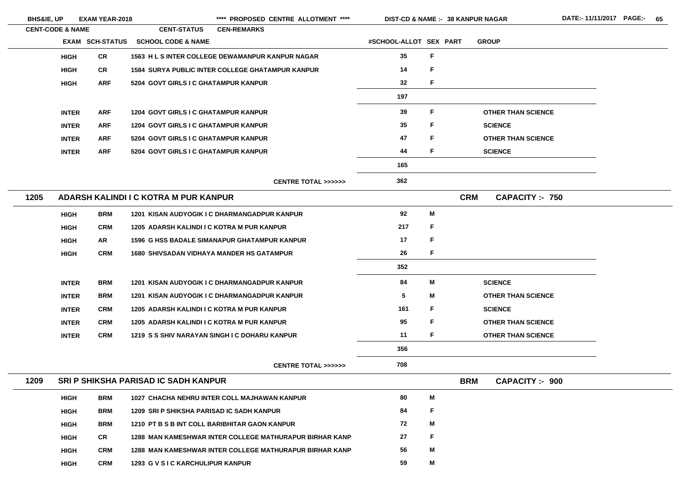| <b>BHS&amp;IE, UP</b> |                             | <b>EXAM YEAR-2018</b>  |                                                  | **** PROPOSED CENTRE ALLOTMENT ****                     | <b>DIST-CD &amp; NAME :- 38 KANPUR NAGAR</b> |    |            |                           | <b>DATE:-11/1</b> |
|-----------------------|-----------------------------|------------------------|--------------------------------------------------|---------------------------------------------------------|----------------------------------------------|----|------------|---------------------------|-------------------|
|                       | <b>CENT-CODE &amp; NAME</b> |                        | <b>CENT-STATUS</b>                               | <b>CEN-REMARKS</b>                                      |                                              |    |            |                           |                   |
|                       |                             | <b>EXAM SCH-STATUS</b> | <b>SCHOOL CODE &amp; NAME</b>                    |                                                         | #SCHOOL-ALLOT SEX PART                       |    |            | <b>GROUP</b>              |                   |
|                       | <b>HIGH</b>                 | <b>CR</b>              |                                                  | 1563 H L S INTER COLLEGE DEWAMANPUR KANPUR NAGAR        | 35                                           | F  |            |                           |                   |
|                       | <b>HIGH</b>                 | <b>CR</b>              |                                                  | <b>1584 SURYA PUBLIC INTER COLLEGE GHATAMPUR KANPUR</b> | 14                                           | F  |            |                           |                   |
|                       | <b>HIGH</b>                 | <b>ARF</b>             | 5204 GOVT GIRLS I C GHATAMPUR KANPUR             |                                                         | 32                                           | F. |            |                           |                   |
|                       |                             |                        |                                                  |                                                         | 197                                          |    |            |                           |                   |
|                       | <b>INTER</b>                | <b>ARF</b>             | 1204 GOVT GIRLS I C GHATAMPUR KANPUR             |                                                         | 39                                           | F. |            | <b>OTHER THAN SCIENCE</b> |                   |
|                       | <b>INTER</b>                | <b>ARF</b>             | <b>1204 GOVT GIRLS I C GHATAMPUR KANPUR</b>      |                                                         | 35                                           | F  |            | <b>SCIENCE</b>            |                   |
|                       | <b>INTER</b>                | <b>ARF</b>             | 5204 GOVT GIRLS I C GHATAMPUR KANPUR             |                                                         | 47                                           | F. |            | <b>OTHER THAN SCIENCE</b> |                   |
|                       | <b>INTER</b>                | <b>ARF</b>             | 5204 GOVT GIRLS I C GHATAMPUR KANPUR             |                                                         | 44                                           | F. |            | <b>SCIENCE</b>            |                   |
|                       |                             |                        |                                                  |                                                         | 165                                          |    |            |                           |                   |
|                       |                             |                        |                                                  | <b>CENTRE TOTAL &gt;&gt;&gt;&gt;&gt;&gt;</b>            | 362                                          |    |            |                           |                   |
| 1205                  |                             |                        | ADARSH KALINDI I C KOTRA M PUR KANPUR            |                                                         |                                              |    | <b>CRM</b> | <b>CAPACITY :- 750</b>    |                   |
|                       | <b>HIGH</b>                 | <b>BRM</b>             |                                                  | 1201 KISAN AUDYOGIK I C DHARMANGADPUR KANPUR            | 92                                           | M  |            |                           |                   |
|                       | <b>HIGH</b>                 | <b>CRM</b>             | 1205 ADARSH KALINDI I C KOTRA M PUR KANPUR       |                                                         | 217                                          | F. |            |                           |                   |
|                       | <b>HIGH</b>                 | AR                     |                                                  | <b>1596 G HSS BADALE SIMANAPUR GHATAMPUR KANPUR</b>     | 17                                           | F. |            |                           |                   |
|                       | <b>HIGH</b>                 | <b>CRM</b>             | <b>1680 SHIVSADAN VIDHAYA MANDER HS GATAMPUR</b> |                                                         | 26                                           | F. |            |                           |                   |
|                       |                             |                        |                                                  |                                                         | 352                                          |    |            |                           |                   |
|                       | <b>INTER</b>                | <b>BRM</b>             |                                                  | <b>1201 KISAN AUDYOGIK I C DHARMANGADPUR KANPUR</b>     | 84                                           | M  |            | <b>SCIENCE</b>            |                   |
|                       | <b>INTER</b>                | <b>BRM</b>             |                                                  | <b>1201 KISAN AUDYOGIK I C DHARMANGADPUR KANPUR</b>     | 5                                            | M  |            | <b>OTHER THAN SCIENCE</b> |                   |
|                       | <b>INTER</b>                | <b>CRM</b>             | 1205 ADARSH KALINDI I C KOTRA M PUR KANPUR       |                                                         | 161                                          | F. |            | <b>SCIENCE</b>            |                   |
|                       | <b>INTER</b>                | <b>CRM</b>             | 1205 ADARSH KALINDI I C KOTRA M PUR KANPUR       |                                                         | 95                                           | F. |            | <b>OTHER THAN SCIENCE</b> |                   |
|                       | <b>INTER</b>                | <b>CRM</b>             |                                                  | 1219 S S SHIV NARAYAN SINGH I C DOHARU KANPUR           | 11                                           | F. |            | <b>OTHER THAN SCIENCE</b> |                   |
|                       |                             |                        |                                                  |                                                         | 356                                          |    |            |                           |                   |
|                       |                             |                        |                                                  | <b>CENTRE TOTAL &gt;&gt;&gt;&gt;&gt;&gt;</b>            | 708                                          |    |            |                           |                   |
| 1209                  |                             |                        | <b>SRI P SHIKSHA PARISAD IC SADH KANPUR</b>      |                                                         |                                              |    | <b>BRM</b> | <b>CAPACITY :- 900</b>    |                   |
|                       | <b>HIGH</b>                 | <b>BRM</b>             |                                                  | 1027 CHACHA NEHRU INTER COLL MAJHAWAN KANPUR            | 80                                           | M  |            |                           |                   |
|                       | <b>HIGH</b>                 | <b>BRM</b>             | 1209 SRI P SHIKSHA PARISAD IC SADH KANPUR        |                                                         | 84                                           | F. |            |                           |                   |
|                       | <b>HIGH</b>                 | <b>BRM</b>             |                                                  | 1210 PT B S B INT COLL BARIBHITAR GAON KANPUR           | 72                                           | M  |            |                           |                   |
|                       | <b>HIGH</b>                 | <b>CR</b>              |                                                  | 1288 MAN KAMESHWAR INTER COLLEGE MATHURAPUR BIRHAR KANP | 27                                           | F  |            |                           |                   |
|                       | <b>HIGH</b>                 | <b>CRM</b>             |                                                  | 1288 MAN KAMESHWAR INTER COLLEGE MATHURAPUR BIRHAR KANP | 56                                           | M  |            |                           |                   |
|                       | <b>HIGH</b>                 | <b>CRM</b>             | 1293 G V S I C KARCHULIPUR KANPUR                |                                                         | 59                                           | Μ  |            |                           |                   |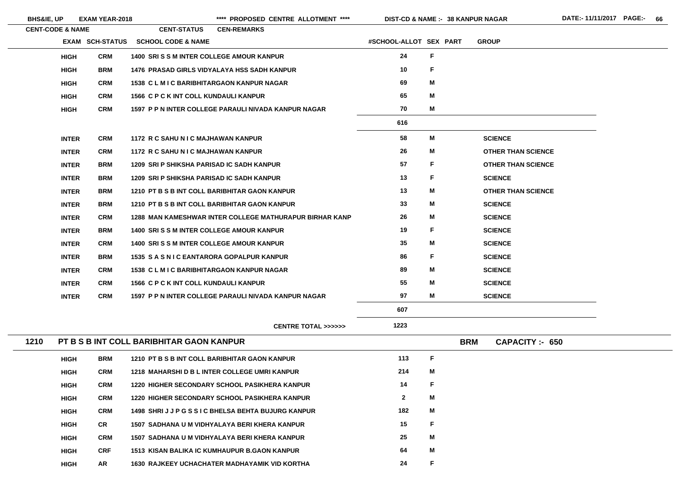**38 KANPUR NAGAR**

| <b>CENT-CODE &amp; NAME</b> | <b>CENT-STATUS</b> | <b>CEN-REMARKS</b>                                                                                                                                                                                                                                                                                                                                                                   |                                                                                                                                                                                                                                                                                                                                                                                                                                                                                                                                                                                                                                                                                                                                                                                                                                                                                                                                                                                                                                                                                                                                                                                                                                                                                                                                                                 |                                                         |                                    |
|-----------------------------|--------------------|--------------------------------------------------------------------------------------------------------------------------------------------------------------------------------------------------------------------------------------------------------------------------------------------------------------------------------------------------------------------------------------|-----------------------------------------------------------------------------------------------------------------------------------------------------------------------------------------------------------------------------------------------------------------------------------------------------------------------------------------------------------------------------------------------------------------------------------------------------------------------------------------------------------------------------------------------------------------------------------------------------------------------------------------------------------------------------------------------------------------------------------------------------------------------------------------------------------------------------------------------------------------------------------------------------------------------------------------------------------------------------------------------------------------------------------------------------------------------------------------------------------------------------------------------------------------------------------------------------------------------------------------------------------------------------------------------------------------------------------------------------------------|---------------------------------------------------------|------------------------------------|
|                             |                    |                                                                                                                                                                                                                                                                                                                                                                                      |                                                                                                                                                                                                                                                                                                                                                                                                                                                                                                                                                                                                                                                                                                                                                                                                                                                                                                                                                                                                                                                                                                                                                                                                                                                                                                                                                                 |                                                         | <b>GROUP</b>                       |
| <b>HIGH</b>                 |                    |                                                                                                                                                                                                                                                                                                                                                                                      | 24                                                                                                                                                                                                                                                                                                                                                                                                                                                                                                                                                                                                                                                                                                                                                                                                                                                                                                                                                                                                                                                                                                                                                                                                                                                                                                                                                              | $\mathsf F$                                             |                                    |
| <b>HIGH</b>                 |                    |                                                                                                                                                                                                                                                                                                                                                                                      | 10                                                                                                                                                                                                                                                                                                                                                                                                                                                                                                                                                                                                                                                                                                                                                                                                                                                                                                                                                                                                                                                                                                                                                                                                                                                                                                                                                              | $\mathsf{F}$                                            |                                    |
| <b>HIGH</b>                 |                    |                                                                                                                                                                                                                                                                                                                                                                                      | 69                                                                                                                                                                                                                                                                                                                                                                                                                                                                                                                                                                                                                                                                                                                                                                                                                                                                                                                                                                                                                                                                                                                                                                                                                                                                                                                                                              | M                                                       |                                    |
| <b>HIGH</b>                 |                    |                                                                                                                                                                                                                                                                                                                                                                                      | 65                                                                                                                                                                                                                                                                                                                                                                                                                                                                                                                                                                                                                                                                                                                                                                                                                                                                                                                                                                                                                                                                                                                                                                                                                                                                                                                                                              | M                                                       |                                    |
| <b>HIGH</b>                 |                    |                                                                                                                                                                                                                                                                                                                                                                                      | 70                                                                                                                                                                                                                                                                                                                                                                                                                                                                                                                                                                                                                                                                                                                                                                                                                                                                                                                                                                                                                                                                                                                                                                                                                                                                                                                                                              | M                                                       |                                    |
|                             |                    |                                                                                                                                                                                                                                                                                                                                                                                      | 616                                                                                                                                                                                                                                                                                                                                                                                                                                                                                                                                                                                                                                                                                                                                                                                                                                                                                                                                                                                                                                                                                                                                                                                                                                                                                                                                                             |                                                         |                                    |
| <b>INTER</b>                |                    |                                                                                                                                                                                                                                                                                                                                                                                      | 58                                                                                                                                                                                                                                                                                                                                                                                                                                                                                                                                                                                                                                                                                                                                                                                                                                                                                                                                                                                                                                                                                                                                                                                                                                                                                                                                                              | M                                                       | <b>SCIENCE</b>                     |
| <b>INTER</b>                |                    |                                                                                                                                                                                                                                                                                                                                                                                      | 26                                                                                                                                                                                                                                                                                                                                                                                                                                                                                                                                                                                                                                                                                                                                                                                                                                                                                                                                                                                                                                                                                                                                                                                                                                                                                                                                                              | M                                                       | <b>OTHER THAN SCIENCE</b>          |
| <b>INTER</b>                |                    |                                                                                                                                                                                                                                                                                                                                                                                      | 57                                                                                                                                                                                                                                                                                                                                                                                                                                                                                                                                                                                                                                                                                                                                                                                                                                                                                                                                                                                                                                                                                                                                                                                                                                                                                                                                                              | $\mathsf{F}$                                            | <b>OTHER THAN SCIENCE</b>          |
| <b>INTER</b>                |                    |                                                                                                                                                                                                                                                                                                                                                                                      | 13                                                                                                                                                                                                                                                                                                                                                                                                                                                                                                                                                                                                                                                                                                                                                                                                                                                                                                                                                                                                                                                                                                                                                                                                                                                                                                                                                              | $\mathsf F$                                             | <b>SCIENCE</b>                     |
| <b>INTER</b>                |                    |                                                                                                                                                                                                                                                                                                                                                                                      | 13                                                                                                                                                                                                                                                                                                                                                                                                                                                                                                                                                                                                                                                                                                                                                                                                                                                                                                                                                                                                                                                                                                                                                                                                                                                                                                                                                              | M                                                       | <b>OTHER THAN SCIENCE</b>          |
| <b>INTER</b>                |                    |                                                                                                                                                                                                                                                                                                                                                                                      | 33                                                                                                                                                                                                                                                                                                                                                                                                                                                                                                                                                                                                                                                                                                                                                                                                                                                                                                                                                                                                                                                                                                                                                                                                                                                                                                                                                              | M                                                       | <b>SCIENCE</b>                     |
| <b>INTER</b>                |                    |                                                                                                                                                                                                                                                                                                                                                                                      | 26                                                                                                                                                                                                                                                                                                                                                                                                                                                                                                                                                                                                                                                                                                                                                                                                                                                                                                                                                                                                                                                                                                                                                                                                                                                                                                                                                              | M                                                       | <b>SCIENCE</b>                     |
| <b>INTER</b>                |                    |                                                                                                                                                                                                                                                                                                                                                                                      | 19                                                                                                                                                                                                                                                                                                                                                                                                                                                                                                                                                                                                                                                                                                                                                                                                                                                                                                                                                                                                                                                                                                                                                                                                                                                                                                                                                              | F                                                       | <b>SCIENCE</b>                     |
| <b>INTER</b>                |                    |                                                                                                                                                                                                                                                                                                                                                                                      | 35                                                                                                                                                                                                                                                                                                                                                                                                                                                                                                                                                                                                                                                                                                                                                                                                                                                                                                                                                                                                                                                                                                                                                                                                                                                                                                                                                              | M                                                       | <b>SCIENCE</b>                     |
| <b>INTER</b>                |                    |                                                                                                                                                                                                                                                                                                                                                                                      | 86                                                                                                                                                                                                                                                                                                                                                                                                                                                                                                                                                                                                                                                                                                                                                                                                                                                                                                                                                                                                                                                                                                                                                                                                                                                                                                                                                              | F                                                       | <b>SCIENCE</b>                     |
| <b>INTER</b>                |                    |                                                                                                                                                                                                                                                                                                                                                                                      | 89                                                                                                                                                                                                                                                                                                                                                                                                                                                                                                                                                                                                                                                                                                                                                                                                                                                                                                                                                                                                                                                                                                                                                                                                                                                                                                                                                              | M                                                       | <b>SCIENCE</b>                     |
| <b>INTER</b>                |                    |                                                                                                                                                                                                                                                                                                                                                                                      | 55                                                                                                                                                                                                                                                                                                                                                                                                                                                                                                                                                                                                                                                                                                                                                                                                                                                                                                                                                                                                                                                                                                                                                                                                                                                                                                                                                              | M                                                       | <b>SCIENCE</b>                     |
| <b>INTER</b>                |                    |                                                                                                                                                                                                                                                                                                                                                                                      | 97                                                                                                                                                                                                                                                                                                                                                                                                                                                                                                                                                                                                                                                                                                                                                                                                                                                                                                                                                                                                                                                                                                                                                                                                                                                                                                                                                              | M                                                       | <b>SCIENCE</b>                     |
|                             |                    |                                                                                                                                                                                                                                                                                                                                                                                      | 607                                                                                                                                                                                                                                                                                                                                                                                                                                                                                                                                                                                                                                                                                                                                                                                                                                                                                                                                                                                                                                                                                                                                                                                                                                                                                                                                                             |                                                         |                                    |
|                             |                    | <b>CENTRE TOTAL &gt;&gt;&gt;&gt;&gt;&gt;</b>                                                                                                                                                                                                                                                                                                                                         | 1223                                                                                                                                                                                                                                                                                                                                                                                                                                                                                                                                                                                                                                                                                                                                                                                                                                                                                                                                                                                                                                                                                                                                                                                                                                                                                                                                                            |                                                         |                                    |
|                             |                    |                                                                                                                                                                                                                                                                                                                                                                                      |                                                                                                                                                                                                                                                                                                                                                                                                                                                                                                                                                                                                                                                                                                                                                                                                                                                                                                                                                                                                                                                                                                                                                                                                                                                                                                                                                                 |                                                         | <b>BRM</b><br><b>CAPACITY: 650</b> |
| <b>HIGH</b>                 |                    |                                                                                                                                                                                                                                                                                                                                                                                      | 113                                                                                                                                                                                                                                                                                                                                                                                                                                                                                                                                                                                                                                                                                                                                                                                                                                                                                                                                                                                                                                                                                                                                                                                                                                                                                                                                                             | $\mathsf F$                                             |                                    |
| <b>HIGH</b>                 |                    |                                                                                                                                                                                                                                                                                                                                                                                      | 214                                                                                                                                                                                                                                                                                                                                                                                                                                                                                                                                                                                                                                                                                                                                                                                                                                                                                                                                                                                                                                                                                                                                                                                                                                                                                                                                                             | M                                                       |                                    |
| <b>HIGH</b>                 |                    |                                                                                                                                                                                                                                                                                                                                                                                      | 14                                                                                                                                                                                                                                                                                                                                                                                                                                                                                                                                                                                                                                                                                                                                                                                                                                                                                                                                                                                                                                                                                                                                                                                                                                                                                                                                                              | F                                                       |                                    |
| <b>HIGH</b>                 |                    |                                                                                                                                                                                                                                                                                                                                                                                      | $\mathbf{2}$                                                                                                                                                                                                                                                                                                                                                                                                                                                                                                                                                                                                                                                                                                                                                                                                                                                                                                                                                                                                                                                                                                                                                                                                                                                                                                                                                    | M                                                       |                                    |
| <b>HIGH</b>                 |                    |                                                                                                                                                                                                                                                                                                                                                                                      | 182                                                                                                                                                                                                                                                                                                                                                                                                                                                                                                                                                                                                                                                                                                                                                                                                                                                                                                                                                                                                                                                                                                                                                                                                                                                                                                                                                             | M                                                       |                                    |
| <b>CR</b><br><b>HIGH</b>    |                    |                                                                                                                                                                                                                                                                                                                                                                                      | 15                                                                                                                                                                                                                                                                                                                                                                                                                                                                                                                                                                                                                                                                                                                                                                                                                                                                                                                                                                                                                                                                                                                                                                                                                                                                                                                                                              | F                                                       |                                    |
| <b>HIGH</b>                 |                    |                                                                                                                                                                                                                                                                                                                                                                                      | 25                                                                                                                                                                                                                                                                                                                                                                                                                                                                                                                                                                                                                                                                                                                                                                                                                                                                                                                                                                                                                                                                                                                                                                                                                                                                                                                                                              | M                                                       |                                    |
| <b>HIGH</b>                 |                    |                                                                                                                                                                                                                                                                                                                                                                                      | 64                                                                                                                                                                                                                                                                                                                                                                                                                                                                                                                                                                                                                                                                                                                                                                                                                                                                                                                                                                                                                                                                                                                                                                                                                                                                                                                                                              | M                                                       |                                    |
|                             |                    | <b>EXAM SCH-STATUS</b><br><b>CRM</b><br><b>BRM</b><br><b>CRM</b><br><b>CRM</b><br><b>CRM</b><br><b>CRM</b><br><b>CRM</b><br><b>BRM</b><br><b>BRM</b><br><b>BRM</b><br><b>BRM</b><br><b>CRM</b><br><b>BRM</b><br><b>CRM</b><br><b>BRM</b><br><b>CRM</b><br><b>CRM</b><br><b>CRM</b><br><b>BRM</b><br><b>CRM</b><br><b>CRM</b><br><b>CRM</b><br><b>CRM</b><br><b>CRM</b><br><b>CRF</b> | <b>SCHOOL CODE &amp; NAME</b><br><b>1400 SRI S S M INTER COLLEGE AMOUR KANPUR</b><br><b>1476 PRASAD GIRLS VIDYALAYA HSS SADH KANPUR</b><br><b>1538 CLMIC BARIBHITARGAON KANPUR NAGAR</b><br><b>1566 C P C K INT COLL KUNDAULI KANPUR</b><br><b>1597 P P N INTER COLLEGE PARAULI NIVADA KANPUR NAGAR</b><br>1172 R C SAHU N I C MAJHAWAN KANPUR<br>1172 R C SAHU N I C MAJHAWAN KANPUR<br>1209 SRI P SHIKSHA PARISAD IC SADH KANPUR<br>1209 SRI P SHIKSHA PARISAD IC SADH KANPUR<br>1210 PT B S B INT COLL BARIBHITAR GAON KANPUR<br>1210 PT B S B INT COLL BARIBHITAR GAON KANPUR<br>1400 SRISS MINTER COLLEGE AMOUR KANPUR<br><b>1400 SRI S S M INTER COLLEGE AMOUR KANPUR</b><br><b>1535 SASNIC EANTARORA GOPALPUR KANPUR</b><br><b>1538 CLMIC BARIBHITARGAON KANPUR NAGAR</b><br><b>1566 C P C K INT COLL KUNDAULI KANPUR</b><br>1597 P P N INTER COLLEGE PARAULI NIVADA KANPUR NAGAR<br>PT B S B INT COLL BARIBHITAR GAON KANPUR<br>1210 PT B S B INT COLL BARIBHITAR GAON KANPUR<br>1218 MAHARSHI D B L INTER COLLEGE UMRI KANPUR<br><b>1220 HIGHER SECONDARY SCHOOL PASIKHERA KANPUR</b><br><b>1220 HIGHER SECONDARY SCHOOL PASIKHERA KANPUR</b><br>1498 SHRIJJPGSSIC BHELSA BEHTA BUJURG KANPUR<br>1507 SADHANA U M VIDHYALAYA BERI KHERA KANPUR<br>1507 SADHANA U M VIDHYALAYA BERI KHERA KANPUR<br><b>1513 KISAN BALIKA IC KUMHAUPUR B.GAON KANPUR</b> | 1288 MAN KAMESHWAR INTER COLLEGE MATHURAPUR BIRHAR KANP | #SCHOOL-ALLOT SEX PART             |

| <b>BHS&amp;IE, UP</b> | <b>EXAM YEAR-2018</b> |
|-----------------------|-----------------------|
|                       |                       |

**HIGH**

\*\*\*\* PROPOSED CENTRE ALLOTMENT \*\*\*\* DIST-CD & NAME :- 38 KANPUR NAGAR DATE:- 11/11/2017 PAGE:- 66

**AR 1630 RAJKEEY UCHACHATER MADHAYAMIK VID KORTHA 24**

**F**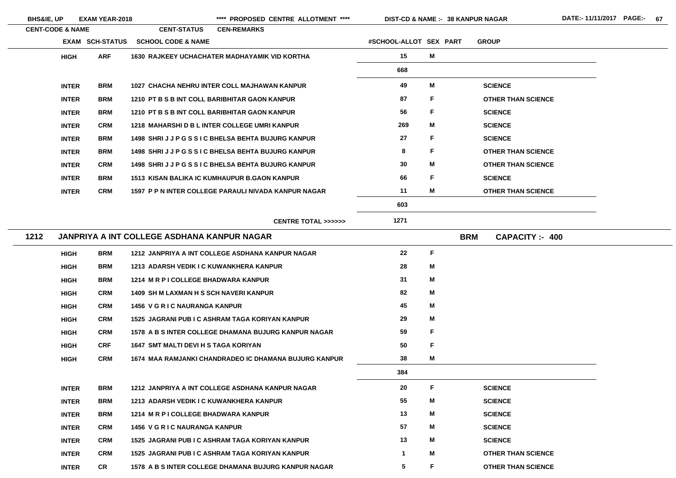**BHS&IE, UP EXAM YEAR-2018 \*\*\*\* PROPOSED CENTRE ALLOTMENT \*\*\*\* DIST-CD & NAME :- DATE:- 11/11/2017 PAGE:- 67**

**38 KANPUR NAGAR**

|      | <b>CENT-CODE &amp; NAME</b> |                        | <b>CENT-STATUS</b>                                   | <b>CEN-REMARKS</b>                                    |                         |   |                                    |
|------|-----------------------------|------------------------|------------------------------------------------------|-------------------------------------------------------|-------------------------|---|------------------------------------|
|      |                             | <b>EXAM SCH-STATUS</b> | <b>SCHOOL CODE &amp; NAME</b>                        |                                                       | #SCHOOL-ALLOT SEX PART  |   | <b>GROUP</b>                       |
|      | <b>HIGH</b>                 | <b>ARF</b>             | <b>1630 RAJKEEY UCHACHATER MADHAYAMIK VID KORTHA</b> |                                                       | 15                      | M |                                    |
|      |                             |                        |                                                      |                                                       | 668                     |   |                                    |
|      | <b>INTER</b>                | <b>BRM</b>             | 1027 CHACHA NEHRU INTER COLL MAJHAWAN KANPUR         |                                                       | 49                      | M | <b>SCIENCE</b>                     |
|      | <b>INTER</b>                | <b>BRM</b>             | 1210 PT B S B INT COLL BARIBHITAR GAON KANPUR        |                                                       | 87                      | F | <b>OTHER THAN SCIENCE</b>          |
|      | <b>INTER</b>                | <b>BRM</b>             | 1210 PT B S B INT COLL BARIBHITAR GAON KANPUR        |                                                       | 56                      | F | <b>SCIENCE</b>                     |
|      | <b>INTER</b>                | <b>CRM</b>             | 1218 MAHARSHID B L INTER COLLEGE UMRI KANPUR         |                                                       | 269                     | M | <b>SCIENCE</b>                     |
|      | <b>INTER</b>                | <b>BRM</b>             | 1498 SHRIJJPGSSIC BHELSA BEHTA BUJURG KANPUR         |                                                       | 27                      | F | <b>SCIENCE</b>                     |
|      | <b>INTER</b>                | <b>BRM</b>             | 1498 SHRIJJPGSSIC BHELSA BEHTA BUJURG KANPUR         |                                                       | 8                       | F | <b>OTHER THAN SCIENCE</b>          |
|      | <b>INTER</b>                | <b>CRM</b>             | 1498 SHRIJJPGSSIC BHELSA BEHTA BUJURG KANPUR         |                                                       | 30                      | M | <b>OTHER THAN SCIENCE</b>          |
|      | <b>INTER</b>                | <b>BRM</b>             | <b>1513 KISAN BALIKA IC KUMHAUPUR B.GAON KANPUR</b>  |                                                       | 66                      | F | <b>SCIENCE</b>                     |
|      | <b>INTER</b>                | <b>CRM</b>             | 1597 P P N INTER COLLEGE PARAULI NIVADA KANPUR NAGAR |                                                       | 11                      | M | <b>OTHER THAN SCIENCE</b>          |
|      |                             |                        |                                                      |                                                       | 603                     |   |                                    |
|      |                             |                        |                                                      | <b>CENTRE TOTAL &gt;&gt;&gt;&gt;&gt;&gt;</b>          | 1271                    |   |                                    |
| 1212 |                             |                        | <b>JANPRIYA A INT COLLEGE ASDHANA KANPUR NAGAR</b>   |                                                       |                         |   | <b>BRM</b><br><b>CAPACITY: 400</b> |
|      | <b>HIGH</b>                 | <b>BRM</b>             | 1212 JANPRIYA A INT COLLEGE ASDHANA KANPUR NAGAR     |                                                       | 22                      | F |                                    |
|      | <b>HIGH</b>                 | <b>BRM</b>             | 1213 ADARSH VEDIK I C KUWANKHERA KANPUR              |                                                       | 28                      | M |                                    |
|      | <b>HIGH</b>                 | <b>BRM</b>             | 1214 M R P I COLLEGE BHADWARA KANPUR                 |                                                       | -31                     | M |                                    |
|      | <b>HIGH</b>                 | <b>CRM</b>             | <b>1409 SH M LAXMAN H S SCH NAVERI KANPUR</b>        |                                                       | 82                      | M |                                    |
|      | <b>HIGH</b>                 | <b>CRM</b>             | <b>1456 V G R I C NAURANGA KANPUR</b>                |                                                       | 45                      | M |                                    |
|      | <b>HIGH</b>                 | <b>CRM</b>             | 1525 JAGRANI PUB I C ASHRAM TAGA KORIYAN KANPUR      |                                                       | 29                      | M |                                    |
|      | <b>HIGH</b>                 | <b>CRM</b>             | 1578 A B S INTER COLLEGE DHAMANA BUJURG KANPUR NAGAR |                                                       | 59                      | F |                                    |
|      | <b>HIGH</b>                 | <b>CRF</b>             | 1647 SMT MALTI DEVI H S TAGA KORIYAN                 |                                                       | 50                      | F |                                    |
|      | <b>HIGH</b>                 | <b>CRM</b>             |                                                      | 1674 MAA RAMJANKI CHANDRADEO IC DHAMANA BUJURG KANPUR | 38                      | M |                                    |
|      |                             |                        |                                                      |                                                       | 384                     |   |                                    |
|      | <b>INTER</b>                | <b>BRM</b>             | 1212 JANPRIYA A INT COLLEGE ASDHANA KANPUR NAGAR     |                                                       | 20                      | F | <b>SCIENCE</b>                     |
|      | <b>INTER</b>                | <b>BRM</b>             | 1213 ADARSH VEDIK I C KUWANKHERA KANPUR              |                                                       | 55                      | M | <b>SCIENCE</b>                     |
|      | <b>INTER</b>                | <b>BRM</b>             | 1214 M R P I COLLEGE BHADWARA KANPUR                 |                                                       | 13                      | М | <b>SCIENCE</b>                     |
|      | <b>INTER</b>                | <b>CRM</b>             | <b>1456 V G R I C NAURANGA KANPUR</b>                |                                                       | 57                      | M | <b>SCIENCE</b>                     |
|      | <b>INTER</b>                | <b>CRM</b>             | 1525 JAGRANI PUB I C ASHRAM TAGA KORIYAN KANPUR      |                                                       | 13                      | M | <b>SCIENCE</b>                     |
|      | <b>INTER</b>                | <b>CRM</b>             | 1525 JAGRANI PUB I C ASHRAM TAGA KORIYAN KANPUR      |                                                       | $\mathbf 1$             | M | <b>OTHER THAN SCIENCE</b>          |
|      | <b>INTER</b>                | CR                     | 1578 A B S INTER COLLEGE DHAMANA BUJURG KANPUR NAGAR |                                                       | $\overline{\mathbf{5}}$ | F | <b>OTHER THAN SCIENCE</b>          |

- E.
- 
- 
- 
- 
- 
- 

E. E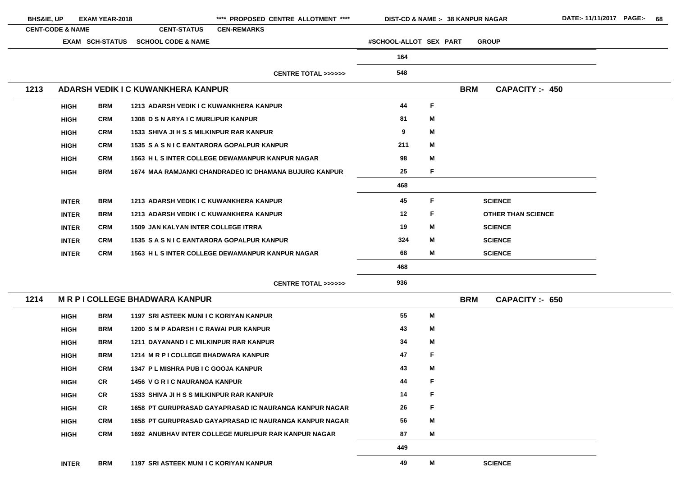| <b>BHS&amp;IE, UP</b> |                             | <b>EXAM YEAR-2018</b>  |                                                 | **** PROPOSED CENTRE ALLOTMENT ****                     | <b>DIST-CD &amp; NAME :- 38 KANPUR NAGAR</b> |              |            |              |                           | DATE:- 11/11/2017 PAGE:- 68 |  |  |
|-----------------------|-----------------------------|------------------------|-------------------------------------------------|---------------------------------------------------------|----------------------------------------------|--------------|------------|--------------|---------------------------|-----------------------------|--|--|
|                       | <b>CENT-CODE &amp; NAME</b> |                        | <b>CENT-STATUS</b>                              | <b>CEN-REMARKS</b>                                      |                                              |              |            |              |                           |                             |  |  |
|                       |                             | <b>EXAM SCH-STATUS</b> | <b>SCHOOL CODE &amp; NAME</b>                   |                                                         | #SCHOOL-ALLOT SEX PART                       |              |            | <b>GROUP</b> |                           |                             |  |  |
|                       |                             |                        |                                                 |                                                         | 164                                          |              |            |              |                           |                             |  |  |
|                       |                             |                        |                                                 | <b>CENTRE TOTAL &gt;&gt;&gt;&gt;&gt;&gt;</b>            | 548                                          |              |            |              |                           |                             |  |  |
| 1213                  |                             |                        | ADARSH VEDIK I C KUWANKHERA KANPUR              |                                                         |                                              |              | <b>BRM</b> |              | <b>CAPACITY :- 450</b>    |                             |  |  |
|                       |                             |                        |                                                 |                                                         |                                              |              |            |              |                           |                             |  |  |
|                       | <b>HIGH</b>                 | <b>BRM</b>             | 1213 ADARSH VEDIK I C KUWANKHERA KANPUR         |                                                         | 44                                           | $\mathsf{F}$ |            |              |                           |                             |  |  |
|                       | <b>HIGH</b>                 | <b>CRM</b>             | 1308 D S N ARYA I C MURLIPUR KANPUR             |                                                         | 81                                           | M            |            |              |                           |                             |  |  |
|                       | <b>HIGH</b>                 | <b>CRM</b>             | <b>1533 SHIVA JI H S S MILKINPUR RAR KANPUR</b> |                                                         | 9                                            | M            |            |              |                           |                             |  |  |
|                       | <b>HIGH</b>                 | <b>CRM</b>             | 1535 S A S N I C EANTARORA GOPALPUR KANPUR      |                                                         | 211                                          | M            |            |              |                           |                             |  |  |
|                       | <b>HIGH</b>                 | <b>CRM</b>             |                                                 | 1563 H L S INTER COLLEGE DEWAMANPUR KANPUR NAGAR        | 98                                           | M            |            |              |                           |                             |  |  |
|                       | <b>HIGH</b>                 | <b>BRM</b>             |                                                 | 1674 MAA RAMJANKI CHANDRADEO IC DHAMANA BUJURG KANPUR   | 25                                           | F            |            |              |                           |                             |  |  |
|                       |                             |                        |                                                 |                                                         | 468                                          |              |            |              |                           |                             |  |  |
|                       | <b>INTER</b>                | <b>BRM</b>             | 1213 ADARSH VEDIK I C KUWANKHERA KANPUR         |                                                         | 45                                           | F            |            |              | <b>SCIENCE</b>            |                             |  |  |
|                       | <b>INTER</b>                | <b>BRM</b>             | 1213 ADARSH VEDIK I C KUWANKHERA KANPUR         |                                                         | 12                                           | F            |            |              | <b>OTHER THAN SCIENCE</b> |                             |  |  |
|                       | <b>INTER</b>                | <b>CRM</b>             | <b>1509 JAN KALYAN INTER COLLEGE ITRRA</b>      |                                                         | 19                                           | M            |            |              | <b>SCIENCE</b>            |                             |  |  |
|                       | <b>INTER</b>                | <b>CRM</b>             | 1535 S A S N I C EANTARORA GOPALPUR KANPUR      |                                                         | 324                                          | M            |            |              | <b>SCIENCE</b>            |                             |  |  |
|                       | <b>INTER</b>                | <b>CRM</b>             |                                                 | <b>1563 H L S INTER COLLEGE DEWAMANPUR KANPUR NAGAR</b> | 68                                           | M            |            |              | <b>SCIENCE</b>            |                             |  |  |
|                       |                             |                        |                                                 |                                                         | 468                                          |              |            |              |                           |                             |  |  |
|                       |                             |                        |                                                 | <b>CENTRE TOTAL &gt;&gt;&gt;&gt;&gt;&gt;</b>            | 936                                          |              |            |              |                           |                             |  |  |
| 1214                  |                             |                        | <b>MRPICOLLEGE BHADWARA KANPUR</b>              |                                                         |                                              |              | <b>BRM</b> |              | <b>CAPACITY :- 650</b>    |                             |  |  |
|                       | <b>HIGH</b>                 | <b>BRM</b>             | 1197 SRI ASTEEK MUNI I C KORIYAN KANPUR         |                                                         | 55                                           | M            |            |              |                           |                             |  |  |
|                       | <b>HIGH</b>                 | <b>BRM</b>             | 1200 SM P ADARSH I C RAWAI PUR KANPUR           |                                                         | 43                                           | M            |            |              |                           |                             |  |  |
|                       | <b>HIGH</b>                 | BRM                    | 1211 DAYANAND I C MILKINPUR RAR KANPUR          |                                                         | 34                                           | M            |            |              |                           |                             |  |  |
|                       | <b>HIGH</b>                 | <b>BRM</b>             | 1214 M R P I COLLEGE BHADWARA KANPUR            |                                                         | 47                                           | F            |            |              |                           |                             |  |  |
|                       | <b>HIGH</b>                 | <b>CRM</b>             | 1347 P L MISHRA PUB I C GOOJA KANPUR            |                                                         | 43                                           | M            |            |              |                           |                             |  |  |
|                       | <b>HIGH</b>                 | <b>CR</b>              | <b>1456 V G R I C NAURANGA KANPUR</b>           |                                                         | 44                                           | F            |            |              |                           |                             |  |  |
|                       | <b>HIGH</b>                 | <b>CR</b>              | <b>1533 SHIVA JI H S S MILKINPUR RAR KANPUR</b> |                                                         | 14                                           | $\mathsf F$  |            |              |                           |                             |  |  |
|                       | <b>HIGH</b>                 | CR                     |                                                 | 1658 PT GURUPRASAD GAYAPRASAD IC NAURANGA KANPUR NAGAR  | 26                                           | F            |            |              |                           |                             |  |  |
|                       | <b>HIGH</b>                 | <b>CRM</b>             |                                                 | 1658 PT GURUPRASAD GAYAPRASAD IC NAURANGA KANPUR NAGAR  | 56                                           | M            |            |              |                           |                             |  |  |
|                       | <b>HIGH</b>                 | <b>CRM</b>             |                                                 | 1692 ANUBHAV INTER COLLEGE MURLIPUR RAR KANPUR NAGAR    | 87                                           | M            |            |              |                           |                             |  |  |
|                       |                             |                        |                                                 |                                                         | 449                                          |              |            |              |                           |                             |  |  |
|                       | <b>INTER</b>                | <b>BRM</b>             | 1197 SRI ASTEEK MUNI I C KORIYAN KANPUR         |                                                         | 49                                           | M            |            |              | <b>SCIENCE</b>            |                             |  |  |

 $\overline{\phantom{0}}$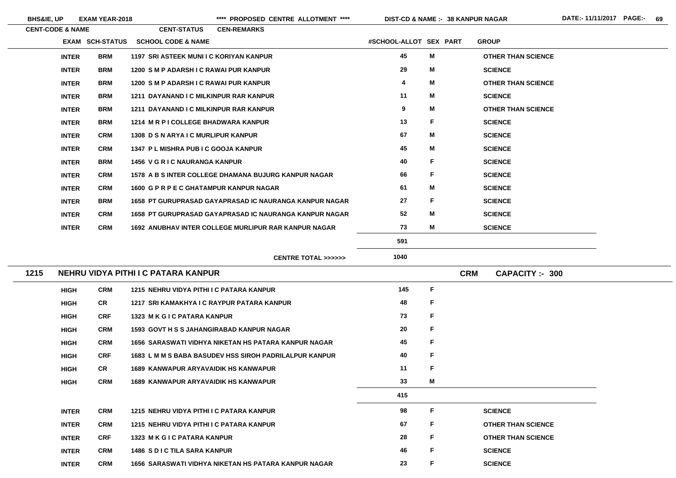| <b>CENT-CODE &amp; NAME</b> |            | <b>CENT-STATUS</b>                      | <b>CEN-REMARKS</b>                                          |                        |   |                           |
|-----------------------------|------------|-----------------------------------------|-------------------------------------------------------------|------------------------|---|---------------------------|
| <b>EXAM SCH-STATUS</b>      |            | <b>SCHOOL CODE &amp; NAME</b>           |                                                             | #SCHOOL-ALLOT SEX PART |   | <b>GROUP</b>              |
| <b>INTER</b>                | <b>BRM</b> | 1197 SRI ASTEEK MUNI I C KORIYAN KANPUR |                                                             | 45                     | M | <b>OTHER THAN SCIENCE</b> |
| <b>INTER</b>                | <b>BRM</b> | 1200 SM P ADARSH I C RAWAI PUR KANPUR   |                                                             | 29                     | M | <b>SCIENCE</b>            |
| <b>INTER</b>                | <b>BRM</b> | 1200 SM P ADARSH I C RAWAI PUR KANPUR   |                                                             | 4                      | M | <b>OTHER THAN SCIENCE</b> |
| <b>INTER</b>                | <b>BRM</b> | 1211 DAYANAND I C MILKINPUR RAR KANPUR  |                                                             | 11                     | M | <b>SCIENCE</b>            |
| <b>INTER</b>                | <b>BRM</b> | 1211 DAYANAND I C MILKINPUR RAR KANPUR  |                                                             | 9                      | M | <b>OTHER THAN SCIENCE</b> |
| <b>INTER</b>                | <b>BRM</b> | 1214 M R P I COLLEGE BHADWARA KANPUR    |                                                             | 13                     | F | <b>SCIENCE</b>            |
| <b>INTER</b>                | <b>CRM</b> | 1308 D S N ARYA I C MURLIPUR KANPUR     |                                                             | 67                     | M | <b>SCIENCE</b>            |
| <b>INTER</b>                | <b>CRM</b> | 1347 P L MISHRA PUB I C GOOJA KANPUR    |                                                             | 45                     | M | <b>SCIENCE</b>            |
| <b>INTER</b>                | <b>BRM</b> | <b>1456 V G R I C NAURANGA KANPUR</b>   |                                                             | 40                     | F | <b>SCIENCE</b>            |
| <b>INTER</b>                | <b>CRM</b> |                                         | 1578 A B S INTER COLLEGE DHAMANA BUJURG KANPUR NAGAR        | 66                     | F | <b>SCIENCE</b>            |
| <b>INTER</b>                | <b>CRM</b> | 1600 G P R P E C GHATAMPUR KANPUR NAGAR |                                                             | 61                     | M | <b>SCIENCE</b>            |
| <b>INTER</b>                | <b>BRM</b> |                                         | 1658 PT GURUPRASAD GAYAPRASAD IC NAURANGA KANPUR NAGAR      | 27                     | F | <b>SCIENCE</b>            |
| <b>INTER</b>                | <b>CRM</b> |                                         | 1658 PT GURUPRASAD GAYAPRASAD IC NAURANGA KANPUR NAGAR      | 52                     | M | <b>SCIENCE</b>            |
| <b>INTER</b>                | <b>CRM</b> |                                         | <b>1692 ANUBHAV INTER COLLEGE MURLIPUR RAR KANPUR NAGAR</b> | 73                     | M | <b>SCIENCE</b>            |
|                             |            |                                         |                                                             | 591                    |   |                           |
|                             |            |                                         | CENTRE TOTAL >>>>>>                                         | 1040                   |   |                           |

| 1215 |                           | NEHRU VIDYA PITHI I C PATARA KANPUR |                                                               | <b>CRM</b> | <b>CAPACITY: - 300</b> |  |                           |
|------|---------------------------|-------------------------------------|---------------------------------------------------------------|------------|------------------------|--|---------------------------|
|      | <b>CRM</b><br><b>HIGH</b> |                                     | 1215 NEHRU VIDYA PITHI I C PATARA KANPUR                      | 145        | F                      |  |                           |
|      | <b>HIGH</b>               | <b>CR</b>                           | 1217 SRI KAMAKHYA I C RAYPUR PATARA KANPUR                    | 48         | F.                     |  |                           |
|      | <b>HIGH</b>               | <b>CRF</b>                          | 1323 M K G I C PATARA KANPUR                                  | 73         | F                      |  |                           |
|      | <b>HIGH</b>               | <b>CRM</b>                          | <b>1593 GOVT H S S JAHANGIRABAD KANPUR NAGAR</b>              | 20         | F                      |  |                           |
|      | <b>HIGH</b>               | <b>CRM</b>                          | 1656 SARASWATI VIDHYA NIKETAN HS PATARA KANPUR NAGAR          | 45         | F.                     |  |                           |
|      | <b>HIGH</b>               | <b>CRF</b>                          | <b>1683 L M M S BABA BASUDEV HSS SIROH PADRILALPUR KANPUR</b> | 40         | F                      |  |                           |
|      | <b>HIGH</b>               | <b>CR</b>                           | <b>1689 KANWAPUR ARYAVAIDIK HS KANWAPUR</b>                   | 11         | F                      |  |                           |
|      | <b>HIGH</b>               | <b>CRM</b>                          | <b>1689 KANWAPUR ARYAVAIDIK HS KANWAPUR</b>                   | 33         | M                      |  |                           |
|      |                           |                                     |                                                               | 415        |                        |  |                           |
|      | <b>INTER</b>              | <b>CRM</b>                          | 1215 NEHRU VIDYA PITHI I C PATARA KANPUR                      | 98         | F.                     |  | <b>SCIENCE</b>            |
|      | <b>INTER</b>              | <b>CRM</b>                          | 1215 NEHRU VIDYA PITHI I C PATARA KANPUR                      | 67         | F.                     |  | <b>OTHER THAN SCIENCE</b> |
|      | <b>INTER</b>              | <b>CRF</b>                          | <b>1323 MKGIC PATARA KANPUR</b>                               | 28         | F                      |  | <b>OTHER THAN SCIENCE</b> |
|      | <b>INTER</b>              | <b>CRM</b>                          | <b>1486 S D I C TILA SARA KANPUR</b>                          | 46         | F.                     |  | <b>SCIENCE</b>            |
|      | <b>INTER</b>              | <b>CRM</b>                          | 1656 SARASWATI VIDHYA NIKETAN HS PATARA KANPUR NAGAR          | 23         | F.                     |  | <b>SCIENCE</b>            |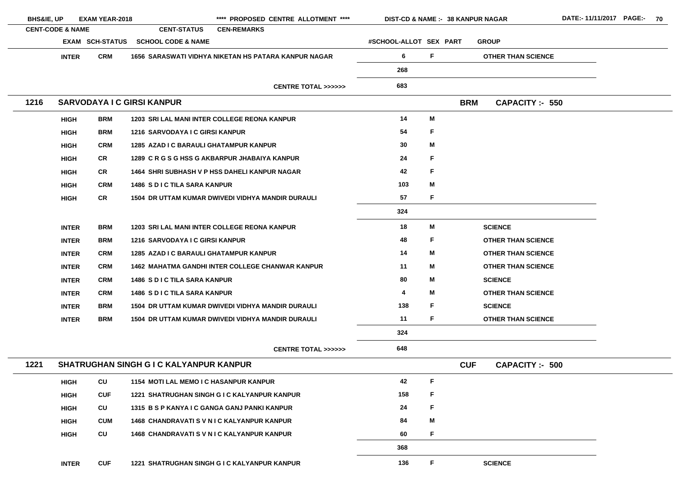| <b>BHS&amp;IE, UP</b>       |              | <b>EXAM YEAR-2018</b>  |                                                | **** PROPOSED CENTRE ALLOTMENT ****                      |                                              | DIST-CD & NAME :- 38 KANPUR NAGAR |             |            |                           |
|-----------------------------|--------------|------------------------|------------------------------------------------|----------------------------------------------------------|----------------------------------------------|-----------------------------------|-------------|------------|---------------------------|
| <b>CENT-CODE &amp; NAME</b> |              |                        | <b>CENT-STATUS</b>                             | <b>CEN-REMARKS</b>                                       |                                              |                                   |             |            |                           |
|                             |              | <b>EXAM SCH-STATUS</b> | <b>SCHOOL CODE &amp; NAME</b>                  |                                                          |                                              | #SCHOOL-ALLOT SEX PART            |             |            | <b>GROUP</b>              |
|                             | <b>INTER</b> | <b>CRM</b>             |                                                | 1656 SARASWATI VIDHYA NIKETAN HS PATARA KANPUR NAGAR     |                                              | 6                                 | F           |            | <b>OTHER THAN SCIENCE</b> |
|                             |              |                        |                                                |                                                          |                                              | 268                               |             |            |                           |
|                             |              |                        |                                                |                                                          | <b>CENTRE TOTAL &gt;&gt;&gt;&gt;&gt;&gt;</b> | 683                               |             |            |                           |
| 1216                        |              |                        | <b>SARVODAYA I C GIRSI KANPUR</b>              |                                                          |                                              |                                   |             | <b>BRM</b> | <b>CAPACITY: - 550</b>    |
|                             | <b>HIGH</b>  | <b>BRM</b>             |                                                | 1203 SRI LAL MANI INTER COLLEGE REONA KANPUR             |                                              | 14                                | M           |            |                           |
|                             | <b>HIGH</b>  | <b>BRM</b>             | 1216 SARVODAYA I C GIRSI KANPUR                |                                                          |                                              | 54                                | F           |            |                           |
|                             | <b>HIGH</b>  | <b>CRM</b>             | 1285 AZAD I C BARAULI GHATAMPUR KANPUR         |                                                          |                                              | 30                                | M           |            |                           |
|                             | <b>HIGH</b>  | <b>CR</b>              |                                                | 1289 C R G S G HSS G AKBARPUR JHABAIYA KANPUR            |                                              | 24                                | F           |            |                           |
|                             | <b>HIGH</b>  | <b>CR</b>              |                                                | <b>1464 SHRI SUBHASH V P HSS DAHELI KANPUR NAGAR</b>     |                                              | 42                                | F           |            |                           |
|                             | <b>HIGH</b>  | <b>CRM</b>             | <b>1486 SDICTILA SARA KANPUR</b>               |                                                          |                                              | 103                               | M           |            |                           |
|                             | <b>HIGH</b>  | <b>CR</b>              |                                                | 1504 DR UTTAM KUMAR DWIVEDI VIDHYA MANDIR DURAULI        |                                              | 57                                | F           |            |                           |
|                             |              |                        |                                                |                                                          |                                              | 324                               |             |            |                           |
|                             | <b>INTER</b> | <b>BRM</b>             |                                                | 1203 SRI LAL MANI INTER COLLEGE REONA KANPUR             |                                              | 18                                | M           |            | <b>SCIENCE</b>            |
|                             | <b>INTER</b> | <b>BRM</b>             | <b>1216 SARVODAYA I C GIRSI KANPUR</b>         |                                                          |                                              | 48                                | F           |            | <b>OTHER THAN SCIENCE</b> |
|                             | <b>INTER</b> | <b>CRM</b>             | <b>1285 AZAD I C BARAULI GHATAMPUR KANPUR</b>  |                                                          |                                              | 14                                | M           |            | <b>OTHER THAN SCIENCE</b> |
|                             | <b>INTER</b> | <b>CRM</b>             |                                                | <b>1462 MAHATMA GANDHI INTER COLLEGE CHANWAR KANPUR</b>  |                                              | 11                                | M           |            | <b>OTHER THAN SCIENCE</b> |
|                             | <b>INTER</b> | <b>CRM</b>             | <b>1486 S D I C TILA SARA KANPUR</b>           |                                                          |                                              | 80                                | M           |            | <b>SCIENCE</b>            |
|                             | <b>INTER</b> | <b>CRM</b>             | <b>1486 S D I C TILA SARA KANPUR</b>           |                                                          |                                              | 4                                 | M           |            | <b>OTHER THAN SCIENCE</b> |
|                             | <b>INTER</b> | <b>BRM</b>             |                                                | <b>1504 DR UTTAM KUMAR DWIVEDI VIDHYA MANDIR DURAULI</b> |                                              | 138                               | F           |            | <b>SCIENCE</b>            |
|                             | <b>INTER</b> | BRM                    |                                                | <b>1504 DR UTTAM KUMAR DWIVEDI VIDHYA MANDIR DURAULI</b> |                                              | 11                                | F.          |            | <b>OTHER THAN SCIENCE</b> |
|                             |              |                        |                                                |                                                          |                                              | 324                               |             |            |                           |
|                             |              |                        |                                                |                                                          | <b>CENTRE TOTAL &gt;&gt;&gt;&gt;&gt;&gt;</b> | 648                               |             |            |                           |
| 1221                        |              |                        | <b>SHATRUGHAN SINGH G I C KALYANPUR KANPUR</b> |                                                          |                                              |                                   |             | <b>CUF</b> | <b>CAPACITY: - 500</b>    |
|                             | <b>HIGH</b>  | CU                     | <b>1154 MOTI LAL MEMO I C HASANPUR KANPUR</b>  |                                                          |                                              | 42                                | $\mathsf F$ |            |                           |
|                             | <b>HIGH</b>  | <b>CUF</b>             |                                                | 1221 SHATRUGHAN SINGH G I C KALYANPUR KANPUR             |                                              | 158                               | F           |            |                           |
|                             | <b>HIGH</b>  | CU                     |                                                | 1315 B S P KANYA I C GANGA GANJ PANKI KANPUR             |                                              | 24                                | F           |            |                           |
|                             | <b>HIGH</b>  | <b>CUM</b>             |                                                | <b>1468 CHANDRAVATI S V N I C KALYANPUR KANPUR</b>       |                                              | 84                                | Μ           |            |                           |
|                             | <b>HIGH</b>  | CU                     |                                                | <b>1468 CHANDRAVATI S V N I C KALYANPUR KANPUR</b>       |                                              | 60                                | F           |            |                           |
|                             |              |                        |                                                |                                                          |                                              | 368                               |             |            |                           |
|                             | <b>INTER</b> | <b>CUF</b>             |                                                | 1221 SHATRUGHAN SINGH G I C KALYANPUR KANPUR             |                                              | 136                               | F           |            | <b>SCIENCE</b>            |
|                             |              |                        |                                                |                                                          |                                              |                                   |             |            |                           |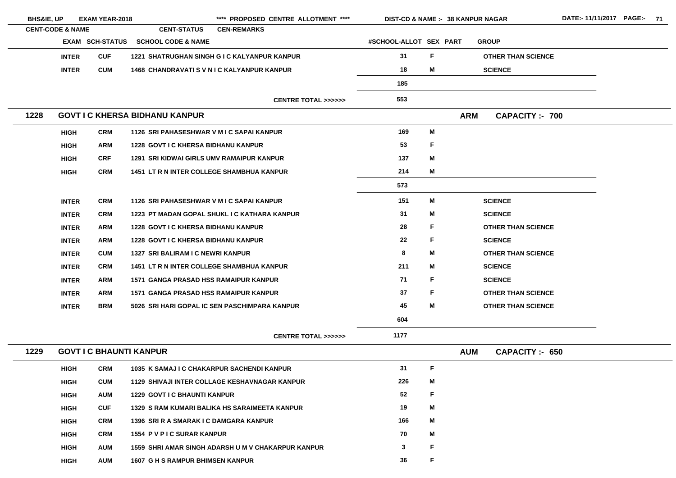| <b>BHS&amp;IE, UP</b> |                                                                                                                                                                                                                                                                                                                                                                  |                                                       |                                                         |                                                                                              |                                                                                                                                                                                                                                                                                                                                                                                                                                                                                                                                                                                                                                                                                                                                                                                                                                                                                                                                                                                                                                                                                                                                                                               |    |                                                                                                    |
|-----------------------|------------------------------------------------------------------------------------------------------------------------------------------------------------------------------------------------------------------------------------------------------------------------------------------------------------------------------------------------------------------|-------------------------------------------------------|---------------------------------------------------------|----------------------------------------------------------------------------------------------|-------------------------------------------------------------------------------------------------------------------------------------------------------------------------------------------------------------------------------------------------------------------------------------------------------------------------------------------------------------------------------------------------------------------------------------------------------------------------------------------------------------------------------------------------------------------------------------------------------------------------------------------------------------------------------------------------------------------------------------------------------------------------------------------------------------------------------------------------------------------------------------------------------------------------------------------------------------------------------------------------------------------------------------------------------------------------------------------------------------------------------------------------------------------------------|----|----------------------------------------------------------------------------------------------------|
|                       |                                                                                                                                                                                                                                                                                                                                                                  |                                                       |                                                         |                                                                                              |                                                                                                                                                                                                                                                                                                                                                                                                                                                                                                                                                                                                                                                                                                                                                                                                                                                                                                                                                                                                                                                                                                                                                                               |    |                                                                                                    |
|                       |                                                                                                                                                                                                                                                                                                                                                                  |                                                       |                                                         |                                                                                              |                                                                                                                                                                                                                                                                                                                                                                                                                                                                                                                                                                                                                                                                                                                                                                                                                                                                                                                                                                                                                                                                                                                                                                               |    | <b>GROUP</b>                                                                                       |
|                       | <b>CUF</b>                                                                                                                                                                                                                                                                                                                                                       |                                                       |                                                         |                                                                                              | 31                                                                                                                                                                                                                                                                                                                                                                                                                                                                                                                                                                                                                                                                                                                                                                                                                                                                                                                                                                                                                                                                                                                                                                            | F. | <b>OTHER THAN SCIENCE</b>                                                                          |
|                       | <b>CUM</b>                                                                                                                                                                                                                                                                                                                                                       |                                                       |                                                         |                                                                                              | 18                                                                                                                                                                                                                                                                                                                                                                                                                                                                                                                                                                                                                                                                                                                                                                                                                                                                                                                                                                                                                                                                                                                                                                            | M  | <b>SCIENCE</b>                                                                                     |
|                       |                                                                                                                                                                                                                                                                                                                                                                  |                                                       |                                                         |                                                                                              | 185                                                                                                                                                                                                                                                                                                                                                                                                                                                                                                                                                                                                                                                                                                                                                                                                                                                                                                                                                                                                                                                                                                                                                                           |    |                                                                                                    |
|                       |                                                                                                                                                                                                                                                                                                                                                                  |                                                       |                                                         | <b>CENTRE TOTAL &gt;&gt;&gt;&gt;&gt;&gt;</b>                                                 | 553                                                                                                                                                                                                                                                                                                                                                                                                                                                                                                                                                                                                                                                                                                                                                                                                                                                                                                                                                                                                                                                                                                                                                                           |    |                                                                                                    |
| 1228                  |                                                                                                                                                                                                                                                                                                                                                                  |                                                       |                                                         |                                                                                              |                                                                                                                                                                                                                                                                                                                                                                                                                                                                                                                                                                                                                                                                                                                                                                                                                                                                                                                                                                                                                                                                                                                                                                               |    | <b>CAPACITY:- 700</b>                                                                              |
|                       | <b>CRM</b>                                                                                                                                                                                                                                                                                                                                                       |                                                       |                                                         |                                                                                              | 169                                                                                                                                                                                                                                                                                                                                                                                                                                                                                                                                                                                                                                                                                                                                                                                                                                                                                                                                                                                                                                                                                                                                                                           | M  |                                                                                                    |
|                       | <b>ARM</b>                                                                                                                                                                                                                                                                                                                                                       |                                                       |                                                         |                                                                                              | 53                                                                                                                                                                                                                                                                                                                                                                                                                                                                                                                                                                                                                                                                                                                                                                                                                                                                                                                                                                                                                                                                                                                                                                            | F  |                                                                                                    |
|                       | <b>CRF</b>                                                                                                                                                                                                                                                                                                                                                       |                                                       |                                                         |                                                                                              | 137                                                                                                                                                                                                                                                                                                                                                                                                                                                                                                                                                                                                                                                                                                                                                                                                                                                                                                                                                                                                                                                                                                                                                                           | M  |                                                                                                    |
|                       | <b>CRM</b>                                                                                                                                                                                                                                                                                                                                                       |                                                       |                                                         |                                                                                              | 214                                                                                                                                                                                                                                                                                                                                                                                                                                                                                                                                                                                                                                                                                                                                                                                                                                                                                                                                                                                                                                                                                                                                                                           | M  |                                                                                                    |
|                       |                                                                                                                                                                                                                                                                                                                                                                  |                                                       |                                                         |                                                                                              | 573                                                                                                                                                                                                                                                                                                                                                                                                                                                                                                                                                                                                                                                                                                                                                                                                                                                                                                                                                                                                                                                                                                                                                                           |    |                                                                                                    |
|                       | <b>CRM</b>                                                                                                                                                                                                                                                                                                                                                       |                                                       |                                                         |                                                                                              | 151                                                                                                                                                                                                                                                                                                                                                                                                                                                                                                                                                                                                                                                                                                                                                                                                                                                                                                                                                                                                                                                                                                                                                                           | M  | <b>SCIENCE</b>                                                                                     |
|                       | <b>CRM</b>                                                                                                                                                                                                                                                                                                                                                       |                                                       |                                                         |                                                                                              | 31                                                                                                                                                                                                                                                                                                                                                                                                                                                                                                                                                                                                                                                                                                                                                                                                                                                                                                                                                                                                                                                                                                                                                                            | M  | <b>SCIENCE</b>                                                                                     |
|                       | <b>ARM</b>                                                                                                                                                                                                                                                                                                                                                       |                                                       |                                                         |                                                                                              | 28                                                                                                                                                                                                                                                                                                                                                                                                                                                                                                                                                                                                                                                                                                                                                                                                                                                                                                                                                                                                                                                                                                                                                                            | F. | <b>OTHER THAN SCIENCE</b>                                                                          |
|                       | <b>ARM</b>                                                                                                                                                                                                                                                                                                                                                       |                                                       |                                                         |                                                                                              | 22                                                                                                                                                                                                                                                                                                                                                                                                                                                                                                                                                                                                                                                                                                                                                                                                                                                                                                                                                                                                                                                                                                                                                                            | F  | <b>SCIENCE</b>                                                                                     |
|                       | <b>CUM</b>                                                                                                                                                                                                                                                                                                                                                       |                                                       |                                                         |                                                                                              | 8                                                                                                                                                                                                                                                                                                                                                                                                                                                                                                                                                                                                                                                                                                                                                                                                                                                                                                                                                                                                                                                                                                                                                                             | M  | <b>OTHER THAN SCIENCE</b>                                                                          |
|                       | <b>CRM</b>                                                                                                                                                                                                                                                                                                                                                       |                                                       |                                                         |                                                                                              | 211                                                                                                                                                                                                                                                                                                                                                                                                                                                                                                                                                                                                                                                                                                                                                                                                                                                                                                                                                                                                                                                                                                                                                                           | Μ  | <b>SCIENCE</b>                                                                                     |
|                       | <b>ARM</b>                                                                                                                                                                                                                                                                                                                                                       |                                                       |                                                         |                                                                                              | 71                                                                                                                                                                                                                                                                                                                                                                                                                                                                                                                                                                                                                                                                                                                                                                                                                                                                                                                                                                                                                                                                                                                                                                            | F  | <b>SCIENCE</b>                                                                                     |
|                       | ARM                                                                                                                                                                                                                                                                                                                                                              |                                                       |                                                         |                                                                                              | 37                                                                                                                                                                                                                                                                                                                                                                                                                                                                                                                                                                                                                                                                                                                                                                                                                                                                                                                                                                                                                                                                                                                                                                            | F  | <b>OTHER THAN SCIENCE</b>                                                                          |
|                       | <b>BRM</b>                                                                                                                                                                                                                                                                                                                                                       |                                                       |                                                         |                                                                                              | 45                                                                                                                                                                                                                                                                                                                                                                                                                                                                                                                                                                                                                                                                                                                                                                                                                                                                                                                                                                                                                                                                                                                                                                            | M  | <b>OTHER THAN SCIENCE</b>                                                                          |
|                       |                                                                                                                                                                                                                                                                                                                                                                  |                                                       |                                                         |                                                                                              | 604                                                                                                                                                                                                                                                                                                                                                                                                                                                                                                                                                                                                                                                                                                                                                                                                                                                                                                                                                                                                                                                                                                                                                                           |    |                                                                                                    |
|                       |                                                                                                                                                                                                                                                                                                                                                                  |                                                       |                                                         | <b>CENTRE TOTAL &gt;&gt;&gt;&gt;&gt;&gt;</b>                                                 | 1177                                                                                                                                                                                                                                                                                                                                                                                                                                                                                                                                                                                                                                                                                                                                                                                                                                                                                                                                                                                                                                                                                                                                                                          |    |                                                                                                    |
| 1229                  |                                                                                                                                                                                                                                                                                                                                                                  |                                                       |                                                         |                                                                                              |                                                                                                                                                                                                                                                                                                                                                                                                                                                                                                                                                                                                                                                                                                                                                                                                                                                                                                                                                                                                                                                                                                                                                                               |    | <b>CAPACITY: 650</b>                                                                               |
|                       | <b>CRM</b>                                                                                                                                                                                                                                                                                                                                                       |                                                       |                                                         |                                                                                              | 31                                                                                                                                                                                                                                                                                                                                                                                                                                                                                                                                                                                                                                                                                                                                                                                                                                                                                                                                                                                                                                                                                                                                                                            | F  |                                                                                                    |
|                       | <b>CUM</b>                                                                                                                                                                                                                                                                                                                                                       |                                                       |                                                         |                                                                                              | 226                                                                                                                                                                                                                                                                                                                                                                                                                                                                                                                                                                                                                                                                                                                                                                                                                                                                                                                                                                                                                                                                                                                                                                           | M  |                                                                                                    |
|                       | <b>AUM</b>                                                                                                                                                                                                                                                                                                                                                       |                                                       |                                                         |                                                                                              | 52                                                                                                                                                                                                                                                                                                                                                                                                                                                                                                                                                                                                                                                                                                                                                                                                                                                                                                                                                                                                                                                                                                                                                                            | F  |                                                                                                    |
|                       | <b>CUF</b>                                                                                                                                                                                                                                                                                                                                                       |                                                       |                                                         |                                                                                              | 19                                                                                                                                                                                                                                                                                                                                                                                                                                                                                                                                                                                                                                                                                                                                                                                                                                                                                                                                                                                                                                                                                                                                                                            | M  |                                                                                                    |
|                       | <b>CRM</b>                                                                                                                                                                                                                                                                                                                                                       |                                                       |                                                         |                                                                                              | 166                                                                                                                                                                                                                                                                                                                                                                                                                                                                                                                                                                                                                                                                                                                                                                                                                                                                                                                                                                                                                                                                                                                                                                           | M  |                                                                                                    |
|                       | <b>CRM</b>                                                                                                                                                                                                                                                                                                                                                       |                                                       |                                                         |                                                                                              | 70                                                                                                                                                                                                                                                                                                                                                                                                                                                                                                                                                                                                                                                                                                                                                                                                                                                                                                                                                                                                                                                                                                                                                                            | M  |                                                                                                    |
|                       | <b>AUM</b>                                                                                                                                                                                                                                                                                                                                                       |                                                       |                                                         |                                                                                              | 3                                                                                                                                                                                                                                                                                                                                                                                                                                                                                                                                                                                                                                                                                                                                                                                                                                                                                                                                                                                                                                                                                                                                                                             | F  |                                                                                                    |
|                       | <b>AUM</b>                                                                                                                                                                                                                                                                                                                                                       |                                                       |                                                         |                                                                                              | 36                                                                                                                                                                                                                                                                                                                                                                                                                                                                                                                                                                                                                                                                                                                                                                                                                                                                                                                                                                                                                                                                                                                                                                            | F  |                                                                                                    |
|                       | <b>INTER</b><br><b>INTER</b><br><b>HIGH</b><br><b>HIGH</b><br><b>HIGH</b><br><b>HIGH</b><br><b>INTER</b><br><b>INTER</b><br><b>INTER</b><br><b>INTER</b><br><b>INTER</b><br><b>INTER</b><br><b>INTER</b><br><b>INTER</b><br><b>INTER</b><br><b>HIGH</b><br><b>HIGH</b><br><b>HIGH</b><br><b>HIGH</b><br><b>HIGH</b><br><b>HIGH</b><br><b>HIGH</b><br><b>HIGH</b> | <b>CENT-CODE &amp; NAME</b><br><b>EXAM SCH-STATUS</b> | <b>EXAM YEAR-2018</b><br><b>GOVT I C BHAUNTI KANPUR</b> | <b>CENT-STATUS</b><br><b>SCHOOL CODE &amp; NAME</b><br><b>GOVT I C KHERSA BIDHANU KANPUR</b> | **** PROPOSED CENTRE ALLOTMENT ****<br><b>CEN-REMARKS</b><br>1221 SHATRUGHAN SINGH G I C KALYANPUR KANPUR<br><b>1468 CHANDRAVATI S V N I C KALYANPUR KANPUR</b><br>1126 SRI PAHASESHWAR V M I C SAPAI KANPUR<br><b>1228 GOVT I C KHERSA BIDHANU KANPUR</b><br>1291 SRI KIDWAI GIRLS UMV RAMAIPUR KANPUR<br><b>1451 LT R N INTER COLLEGE SHAMBHUA KANPUR</b><br>1126 SRI PAHASESHWAR V M I C SAPAI KANPUR<br>1223 PT MADAN GOPAL SHUKL I C KATHARA KANPUR<br><b>1228 GOVT I C KHERSA BIDHANU KANPUR</b><br><b>1228 GOVT I C KHERSA BIDHANU KANPUR</b><br>1327 SRI BALIRAM I C NEWRI KANPUR<br><b>1451 LT R N INTER COLLEGE SHAMBHUA KANPUR</b><br><b>1571 GANGA PRASAD HSS RAMAIPUR KANPUR</b><br><b>1571 GANGA PRASAD HSS RAMAIPUR KANPUR</b><br>5026 SRI HARI GOPAL IC SEN PASCHIMPARA KANPUR<br>1035 K SAMAJ I C CHAKARPUR SACHENDI KANPUR<br><b>1129 SHIVAJI INTER COLLAGE KESHAVNAGAR KANPUR</b><br><b>1229 GOVT I C BHAUNTI KANPUR</b><br><b>1329 S RAM KUMARI BALIKA HS SARAIMEETA KANPUR</b><br>1396 SRI R A SMARAK I C DAMGARA KANPUR<br>1554 P V P I C SURAR KANPUR<br>1559 SHRI AMAR SINGH ADARSH U M V CHAKARPUR KANPUR<br><b>1607 G H S RAMPUR BHIMSEN KANPUR</b> |    | <b>DIST-CD &amp; NAME :- 38 KANPUR NAGAR</b><br>#SCHOOL-ALLOT SEX PART<br><b>ARM</b><br><b>AUM</b> |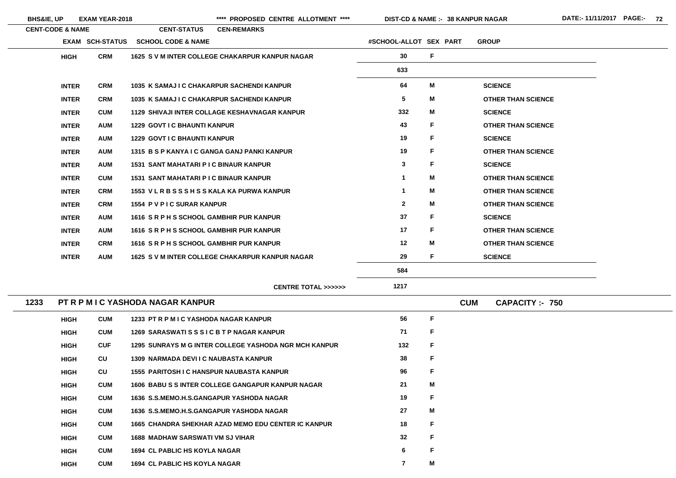| <b>BHS&amp;IE, UP</b>       | <b>EXAM YEAR-2018</b>  |                                                  | **** PROPOSED CENTRE ALLOTMENT ****                          |                        | DIST-CD & NAME :- 38 KANPUR NAGAR |            |                           | DATE:- 11/11/2017 PAGE:- 72 |  |
|-----------------------------|------------------------|--------------------------------------------------|--------------------------------------------------------------|------------------------|-----------------------------------|------------|---------------------------|-----------------------------|--|
| <b>CENT-CODE &amp; NAME</b> |                        | <b>CENT-STATUS</b>                               | <b>CEN-REMARKS</b>                                           |                        |                                   |            |                           |                             |  |
|                             | <b>EXAM SCH-STATUS</b> | <b>SCHOOL CODE &amp; NAME</b>                    |                                                              | #SCHOOL-ALLOT SEX PART |                                   |            | <b>GROUP</b>              |                             |  |
| <b>HIGH</b>                 | <b>CRM</b>             |                                                  | 1625 S V M INTER COLLEGE CHAKARPUR KANPUR NAGAR              | 30 <sup>°</sup>        | F                                 |            |                           |                             |  |
|                             |                        |                                                  |                                                              | 633                    |                                   |            |                           |                             |  |
| <b>INTER</b>                | <b>CRM</b>             | 1035 K SAMAJ I C CHAKARPUR SACHENDI KANPUR       |                                                              | 64                     | M                                 |            | <b>SCIENCE</b>            |                             |  |
| <b>INTER</b>                | <b>CRM</b>             | 1035 K SAMAJ I C CHAKARPUR SACHENDI KANPUR       |                                                              | $5\phantom{.0}$        | M                                 |            | <b>OTHER THAN SCIENCE</b> |                             |  |
| <b>INTER</b>                | <b>CUM</b>             |                                                  | <b>1129 SHIVAJI INTER COLLAGE KESHAVNAGAR KANPUR</b>         | 332                    | M                                 |            | <b>SCIENCE</b>            |                             |  |
| <b>INTER</b>                | <b>AUM</b>             | <b>1229 GOVT I C BHAUNTI KANPUR</b>              |                                                              | 43                     | F                                 |            | <b>OTHER THAN SCIENCE</b> |                             |  |
| <b>INTER</b>                | <b>AUM</b>             | <b>1229 GOVT I C BHAUNTI KANPUR</b>              |                                                              | 19                     | F                                 |            | <b>SCIENCE</b>            |                             |  |
| <b>INTER</b>                | <b>AUM</b>             | 1315 B S P KANYA I C GANGA GANJ PANKI KANPUR     |                                                              | 19                     | F.                                |            | <b>OTHER THAN SCIENCE</b> |                             |  |
| <b>INTER</b>                | <b>AUM</b>             | <b>1531 SANT MAHATARI P I C BINAUR KANPUR</b>    |                                                              | 3                      | F                                 |            | <b>SCIENCE</b>            |                             |  |
| <b>INTER</b>                | <b>CUM</b>             | <b>1531 SANT MAHATARI P I C BINAUR KANPUR</b>    |                                                              | $\mathbf 1$            | M                                 |            | <b>OTHER THAN SCIENCE</b> |                             |  |
| <b>INTER</b>                | <b>CRM</b>             | 1553 VLRBSSSHSSKALA KA PURWA KANPUR              |                                                              | -1                     | M                                 |            | <b>OTHER THAN SCIENCE</b> |                             |  |
| <b>INTER</b>                | <b>CRM</b>             | 1554 P V P I C SURAR KANPUR                      |                                                              | $\mathbf{2}$           | M                                 |            | <b>OTHER THAN SCIENCE</b> |                             |  |
| <b>INTER</b>                | <b>AUM</b>             | 1616 SRPHS SCHOOL GAMBHIR PUR KANPUR             |                                                              | 37                     | F                                 |            | <b>SCIENCE</b>            |                             |  |
| <b>INTER</b>                | <b>AUM</b>             | 1616 SRPHS SCHOOL GAMBHIR PUR KANPUR             |                                                              | 17                     | F                                 |            | <b>OTHER THAN SCIENCE</b> |                             |  |
| <b>INTER</b>                | <b>CRM</b>             | 1616 SRPHS SCHOOL GAMBHIR PUR KANPUR             |                                                              | 12                     | M                                 |            | <b>OTHER THAN SCIENCE</b> |                             |  |
| <b>INTER</b>                | <b>AUM</b>             |                                                  | 1625 S V M INTER COLLEGE CHAKARPUR KANPUR NAGAR              | 29                     | F                                 |            | <b>SCIENCE</b>            |                             |  |
|                             |                        |                                                  |                                                              | 584                    |                                   |            |                           |                             |  |
|                             |                        |                                                  | <b>CENTRE TOTAL &gt;&gt;&gt;&gt;&gt;&gt;</b>                 | 1217                   |                                   |            |                           |                             |  |
| 1233                        |                        | PT R P M I C YASHODA NAGAR KANPUR                |                                                              |                        |                                   | <b>CUM</b> | <b>CAPACITY :- 750</b>    |                             |  |
| <b>HIGH</b>                 | <b>CUM</b>             | 1233 PT R P M I C YASHODA NAGAR KANPUR           |                                                              | 56                     | F                                 |            |                           |                             |  |
| <b>HIGH</b>                 | <b>CUM</b>             | 1269 SARASWATISSSICBTPNAGAR KANPUR               |                                                              | 71                     | F                                 |            |                           |                             |  |
| <b>HIGH</b>                 | <b>CUF</b>             |                                                  | <b>1295 SUNRAYS M G INTER COLLEGE YASHODA NGR MCH KANPUR</b> | 132                    | F                                 |            |                           |                             |  |
| <b>HIGH</b>                 | CU                     | <b>1309 NARMADA DEVI I C NAUBASTA KANPUR</b>     |                                                              | 38                     | F                                 |            |                           |                             |  |
| <b>HIGH</b>                 | CU                     | <b>1555 PARITOSH I C HANSPUR NAUBASTA KANPUR</b> |                                                              | 96                     | F                                 |            |                           |                             |  |
| <b>HIGH</b>                 | <b>CUM</b>             |                                                  | 1606 BABU S S INTER COLLEGE GANGAPUR KANPUR NAGAR            | 21                     | M                                 |            |                           |                             |  |
| <b>HIGH</b>                 | <b>CUM</b>             | 1636 S.S.MEMO.H.S.GANGAPUR YASHODA NAGAR         |                                                              | 19                     | F                                 |            |                           |                             |  |
| <b>HIGH</b>                 | <b>CUM</b>             | 1636 S.S.MEMO.H.S.GANGAPUR YASHODA NAGAR         |                                                              | 27                     | M                                 |            |                           |                             |  |
| <b>HIGH</b>                 | <b>CUM</b>             |                                                  | <b>1665 CHANDRA SHEKHAR AZAD MEMO EDU CENTER IC KANPUR</b>   | 18                     | F                                 |            |                           |                             |  |
| <b>HIGH</b>                 | <b>CUM</b>             | <b>1688 MADHAW SARSWATI VM SJ VIHAR</b>          |                                                              | 32                     | F                                 |            |                           |                             |  |
| <b>HIGH</b>                 | <b>CUM</b>             | <b>1694 CL PABLIC HS KOYLA NAGAR</b>             |                                                              | 6                      | F                                 |            |                           |                             |  |

**HIGH**

 $\overline{\phantom{a}}$ 

| Ξ                   |
|---------------------|
| <b>THAN SCIENCE</b> |
| Ξ                   |
| <b>THAN SCIENCE</b> |
| Ξ                   |
| <b>THAN SCIENCE</b> |
| Ξ                   |
| <b>THAN SCIENCE</b> |
| <b>THAN SCIENCE</b> |
| <b>THAN SCIENCE</b> |
| Ξ                   |
| <b>THAN SCIENCE</b> |
| <b>THAN SCIENCE</b> |
| Ξ                   |
|                     |

**CUM 1694 CL PABLIC HS KOYLA NAGAR 7**

**M**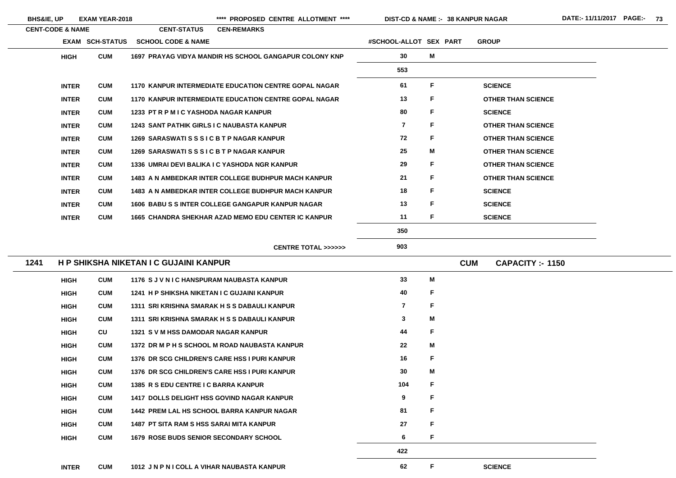|      | <b>BHS&amp;IE, UP</b>       | <b>EXAM YEAR-2018</b> |                                                   | ****<br>PROPOSED CENTRE ALLOTMENT ****                       | DIST-CD & NAME :- 38 KANPUR NAGAR |    |            |                           |
|------|-----------------------------|-----------------------|---------------------------------------------------|--------------------------------------------------------------|-----------------------------------|----|------------|---------------------------|
|      | <b>CENT-CODE &amp; NAME</b> |                       | <b>CENT-STATUS</b>                                | <b>CEN-REMARKS</b>                                           |                                   |    |            |                           |
|      |                             | EXAM SCH-STATUS       | <b>SCHOOL CODE &amp; NAME</b>                     |                                                              | #SCHOOL-ALLOT SEX PART            |    |            | <b>GROUP</b>              |
|      | <b>HIGH</b>                 | <b>CUM</b>            |                                                   | 1697 PRAYAG VIDYA MANDIR HS SCHOOL GANGAPUR COLONY KNP       | 30                                | M  |            |                           |
|      |                             |                       |                                                   |                                                              | 553                               |    |            |                           |
|      | <b>INTER</b>                | <b>CUM</b>            |                                                   | <b>1170 KANPUR INTERMEDIATE EDUCATION CENTRE GOPAL NAGAR</b> | 61                                | F. |            | <b>SCIENCE</b>            |
|      | <b>INTER</b>                | <b>CUM</b>            |                                                   | <b>1170 KANPUR INTERMEDIATE EDUCATION CENTRE GOPAL NAGAR</b> | 13                                | F  |            | <b>OTHER THAN SCIENCE</b> |
|      | <b>INTER</b>                | <b>CUM</b>            | 1233 PT R P M I C YASHODA NAGAR KANPUR            |                                                              | 80                                | F  |            | <b>SCIENCE</b>            |
|      | <b>INTER</b>                | <b>CUM</b>            | <b>1243 SANT PATHIK GIRLS I C NAUBASTA KANPUR</b> |                                                              | $\overline{\mathbf{r}}$           | F  |            | <b>OTHER THAN SCIENCE</b> |
|      | <b>INTER</b>                | <b>CUM</b>            | 1269 SARASWATISSSICBTPNAGAR KANPUR                |                                                              | 72                                | F  |            | <b>OTHER THAN SCIENCE</b> |
|      | <b>INTER</b>                | <b>CUM</b>            | 1269 SARASWATISS SICBTP NAGAR KANPUR              |                                                              | 25                                | М  |            | <b>OTHER THAN SCIENCE</b> |
|      | <b>INTER</b>                | <b>CUM</b>            |                                                   | 1336 UMRAI DEVI BALIKA I C YASHODA NGR KANPUR                | 29                                | F  |            | <b>OTHER THAN SCIENCE</b> |
|      | <b>INTER</b>                | <b>CUM</b>            |                                                   | 1483 A N AMBEDKAR INTER COLLEGE BUDHPUR MACH KANPUR          | 21                                | F. |            | <b>OTHER THAN SCIENCE</b> |
|      | <b>INTER</b>                | <b>CUM</b>            |                                                   | <b>1483 A N AMBEDKAR INTER COLLEGE BUDHPUR MACH KANPUR</b>   | 18                                | F. |            | <b>SCIENCE</b>            |
|      | <b>INTER</b>                | <b>CUM</b>            |                                                   | <b>1606 BABU S S INTER COLLEGE GANGAPUR KANPUR NAGAR</b>     | 13                                | F. |            | <b>SCIENCE</b>            |
|      | <b>INTER</b>                | <b>CUM</b>            |                                                   | <b>1665 CHANDRA SHEKHAR AZAD MEMO EDU CENTER IC KANPUR</b>   | 11                                | F. |            | <b>SCIENCE</b>            |
|      |                             |                       |                                                   |                                                              | 350                               |    |            |                           |
|      |                             |                       |                                                   | CENTRE TOTAL >>>>>>                                          | 903                               |    |            |                           |
| 1241 |                             |                       | H P SHIKSHA NIKETAN I C GUJAINI KANPUR            |                                                              |                                   |    | <b>CUM</b> | <b>CAPACITY: - 1150</b>   |
|      | <b>HIGH</b>                 | <b>CUM</b>            | 1176 SJVNIC HANSPURAM NAUBASTA KANPUR             |                                                              | 33                                | M  |            |                           |
|      | <b>HIGH</b>                 | <b>CUM</b>            | 1241 H P SHIKSHA NIKETAN I C GUJAINI KANPUR       |                                                              | 40                                | F. |            |                           |
|      | <b>HIGH</b>                 | <b>CUM</b>            |                                                   | 1311 SRI KRISHNA SMARAK H S S DABAULI KANPUR                 | $\overline{\mathbf{7}}$           | F  |            |                           |
|      | <b>HIGH</b>                 | <b>CUM</b>            |                                                   | 1311 SRI KRISHNA SMARAK H S S DABAULI KANPUR                 | 3                                 | Μ  |            |                           |
|      | <b>HIGH</b>                 | CU                    | 1321 SVM HSS DAMODAR NAGAR KANPUR                 |                                                              | 44                                | F  |            |                           |
|      | <b>HIGH</b>                 | <b>CUM</b>            |                                                   | 1372 DR M P H S SCHOOL M ROAD NAUBASTA KANPUR                | $22 \,$                           | Μ  |            |                           |
|      | <b>HIGH</b>                 | <b>CUM</b>            |                                                   | 1376 DR SCG CHILDREN'S CARE HSS I PURI KANPUR                | 16                                | F  |            |                           |
|      | <b>HIGH</b>                 | <b>CUM</b>            |                                                   | 1376 DR SCG CHILDREN'S CARE HSS I PURI KANPUR                | 30                                | Μ  |            |                           |
|      | <b>HIGH</b>                 | <b>CUM</b>            | 1385 R S EDU CENTRE I C BARRA KANPUR              |                                                              | 104                               | F  |            |                           |
|      | <b>HIGH</b>                 | <b>CUM</b>            |                                                   | <b>1417 DOLLS DELIGHT HSS GOVIND NAGAR KANPUR</b>            | 9                                 | F  |            |                           |
|      | <b>HIGH</b>                 | <b>CUM</b>            |                                                   | <b>1442 PREM LAL HS SCHOOL BARRA KANPUR NAGAR</b>            | 81                                | F  |            |                           |
|      | <b>HIGH</b>                 | <b>CUM</b>            | <b>1487 PT SITA RAM S HSS SARAI MITA KANPUR</b>   |                                                              | 27                                | F  |            |                           |
|      | <b>HIGH</b>                 | <b>CUM</b>            | <b>1679 ROSE BUDS SENIOR SECONDARY SCHOOL</b>     |                                                              | 6                                 | F. |            |                           |
|      |                             |                       |                                                   |                                                              | 422                               |    |            |                           |

 $\sim$ 

 $\sim$ 

 $\overline{\phantom{a}}$ 

# E. E. E: E.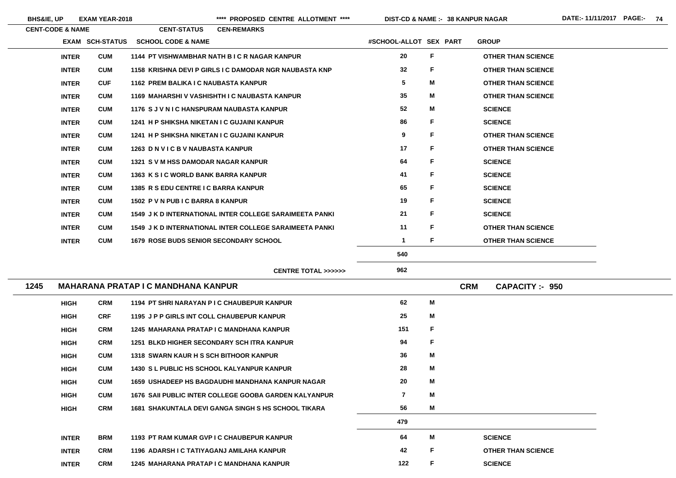BHS&IE, UP EXAM YEAR-2018 **\*\*\*\*** PROPOSED CENTRE ALLOTMENT \*\*\*\* DIST-CD & NAME :- 38 KANPUR NAGAR DATE:- 11/11/2017 PAGE:- 74

**38 KANPUR NAGAR**

|      | <b>CENT-CODE &amp; NAME</b> |                        | <b>CEN-REMARKS</b><br><b>CENT-STATUS</b>                       |                         |   |            |                           |
|------|-----------------------------|------------------------|----------------------------------------------------------------|-------------------------|---|------------|---------------------------|
|      |                             | <b>EXAM SCH-STATUS</b> | <b>SCHOOL CODE &amp; NAME</b>                                  | #SCHOOL-ALLOT SEX PART  |   |            | <b>GROUP</b>              |
|      | <b>INTER</b>                | <b>CUM</b>             | 1144 PT VISHWAMBHAR NATH B I C R NAGAR KANPUR                  | 20                      | F |            | <b>OTHER THAN SCIENCE</b> |
|      | <b>INTER</b>                | <b>CUM</b>             | 1158 KRISHNA DEVI P GIRLS I C DAMODAR NGR NAUBASTA KNP         | 32 <sub>2</sub>         | F |            | <b>OTHER THAN SCIENCE</b> |
|      | <b>INTER</b>                | <b>CUF</b>             | 1162 PREM BALIKA I C NAUBASTA KANPUR                           | 5                       | M |            | <b>OTHER THAN SCIENCE</b> |
|      | <b>INTER</b>                | <b>CUM</b>             | 1169 MAHARSHI V VASHISHTH I C NAUBASTA KANPUR                  | 35                      | M |            | <b>OTHER THAN SCIENCE</b> |
|      | <b>INTER</b>                | <b>CUM</b>             | 1176 SJVNIC HANSPURAM NAUBASTA KANPUR                          | 52                      | M |            | <b>SCIENCE</b>            |
|      | <b>INTER</b>                | <b>CUM</b>             | 1241 H P SHIKSHA NIKETAN I C GUJAINI KANPUR                    | 86                      | F |            | <b>SCIENCE</b>            |
|      | <b>INTER</b>                | <b>CUM</b>             | 1241 H P SHIKSHA NIKETAN I C GUJAINI KANPUR                    | 9                       | F |            | <b>OTHER THAN SCIENCE</b> |
|      | <b>INTER</b>                | <b>CUM</b>             | 1263 D N V I C B V NAUBASTA KANPUR                             | 17                      | F |            | <b>OTHER THAN SCIENCE</b> |
|      | <b>INTER</b>                | <b>CUM</b>             | 1321 S V M HSS DAMODAR NAGAR KANPUR                            | 64                      | F |            | <b>SCIENCE</b>            |
|      | <b>INTER</b>                | <b>CUM</b>             | 1363 K S I C WORLD BANK BARRA KANPUR                           | 41                      | F |            | <b>SCIENCE</b>            |
|      | <b>INTER</b>                | <b>CUM</b>             | 1385 R S EDU CENTRE I C BARRA KANPUR                           | 65                      | F |            | <b>SCIENCE</b>            |
|      | <b>INTER</b>                | <b>CUM</b>             | 1502 P V N PUB I C BARRA 8 KANPUR                              | 19                      | F |            | <b>SCIENCE</b>            |
|      | <b>INTER</b>                | <b>CUM</b>             | <b>1549 J K D INTERNATIONAL INTER COLLEGE SARAIMEETA PANKI</b> | 21                      | F |            | <b>SCIENCE</b>            |
|      | <b>INTER</b>                | <b>CUM</b>             | 1549 J K D INTERNATIONAL INTER COLLEGE SARAIMEETA PANKI        | 11                      | F |            | <b>OTHER THAN SCIENCE</b> |
|      | <b>INTER</b>                | <b>CUM</b>             | <b>1679 ROSE BUDS SENIOR SECONDARY SCHOOL</b>                  | $\mathbf 1$             | F |            | <b>OTHER THAN SCIENCE</b> |
|      |                             |                        |                                                                | 540                     |   |            |                           |
|      |                             |                        | <b>CENTRE TOTAL &gt;&gt;&gt;&gt;&gt;&gt;</b>                   | 962                     |   |            |                           |
| 1245 |                             |                        | <b>MAHARANA PRATAP I C MANDHANA KANPUR</b>                     |                         |   | <b>CRM</b> | <b>CAPACITY: - 950</b>    |
|      | <b>HIGH</b>                 | <b>CRM</b>             | 1194 PT SHRI NARAYAN P I C CHAUBEPUR KANPUR                    | 62                      | M |            |                           |
|      | <b>HIGH</b>                 | <b>CRF</b>             | 1195 J P P GIRLS INT COLL CHAUBEPUR KANPUR                     | 25                      | M |            |                           |
|      | <b>HIGH</b>                 | <b>CRM</b>             | 1245 MAHARANA PRATAP I C MANDHANA KANPUR                       | 151                     | F |            |                           |
|      | <b>HIGH</b>                 | <b>CRM</b>             | <b>1251 BLKD HIGHER SECONDARY SCH ITRA KANPUR</b>              | 94                      | F |            |                           |
|      | <b>HIGH</b>                 | <b>CUM</b>             | <b>1318 SWARN KAUR H S SCH BITHOOR KANPUR</b>                  | 36                      | M |            |                           |
|      | <b>HIGH</b>                 | <b>CUM</b>             | <b>1430 S L PUBLIC HS SCHOOL KALYANPUR KANPUR</b>              | 28                      | M |            |                           |
|      | <b>HIGH</b>                 | <b>CUM</b>             | <b>1659 USHADEEP HS BAGDAUDHI MANDHANA KANPUR NAGAR</b>        | 20                      | M |            |                           |
|      | <b>HIGH</b>                 | <b>CUM</b>             | 1676 SAII PUBLIC INTER COLLEGE GOOBA GARDEN KALYANPUR          | $\overline{\mathbf{7}}$ | M |            |                           |
|      | <b>HIGH</b>                 | <b>CRM</b>             | <b>1681 SHAKUNTALA DEVI GANGA SINGH S HS SCHOOL TIKARA</b>     | 56                      | Μ |            |                           |
|      |                             |                        |                                                                |                         |   |            |                           |

**479 INTER BRM 1193 PT RAM KUMAR GVP I C CHAUBEPUR KANPUR 64 MM** SCIENCE **INTER CRM 1196 ADARSH I C TATIYAGANJ AMILAHA KANPUR 42 F OTHER THAN SCIENCE INTERCRM 1245 MAHARANA PRATAP I C MANDHANA KANPUR 122 FSCIENCE**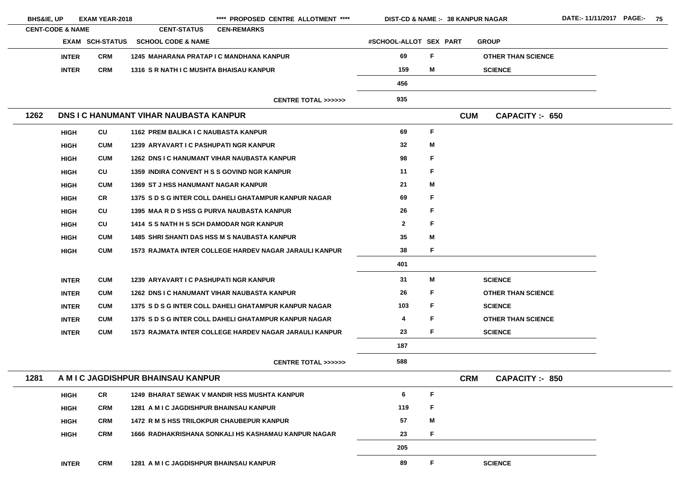| <b>BHS&amp;IE, UP</b>       |              | <b>EXAM YEAR-2018</b>  |                                                    | **** PROPOSED CENTRE ALLOTMENT ****                    | <b>DIST-CD &amp; NAME :- 38 KANPUR NAGAR</b> |             |            |                           | <b>DATE:-11/</b> |
|-----------------------------|--------------|------------------------|----------------------------------------------------|--------------------------------------------------------|----------------------------------------------|-------------|------------|---------------------------|------------------|
| <b>CENT-CODE &amp; NAME</b> |              |                        | <b>CENT-STATUS</b>                                 | <b>CEN-REMARKS</b>                                     |                                              |             |            |                           |                  |
|                             |              | <b>EXAM SCH-STATUS</b> | <b>SCHOOL CODE &amp; NAME</b>                      |                                                        | #SCHOOL-ALLOT SEX PART                       |             |            | <b>GROUP</b>              |                  |
|                             | <b>INTER</b> | <b>CRM</b>             | 1245 MAHARANA PRATAP I C MANDHANA KANPUR           |                                                        | 69                                           | F           |            | <b>OTHER THAN SCIENCE</b> |                  |
|                             | <b>INTER</b> | <b>CRM</b>             | 1316 S R NATH I C MUSHTA BHAISAU KANPUR            |                                                        | 159                                          | M           |            | <b>SCIENCE</b>            |                  |
|                             |              |                        |                                                    |                                                        | 456                                          |             |            |                           |                  |
|                             |              |                        |                                                    | <b>CENTRE TOTAL &gt;&gt;&gt;&gt;&gt;&gt;</b>           | 935                                          |             |            |                           |                  |
| 1262                        |              |                        | <b>DNS I C HANUMANT VIHAR NAUBASTA KANPUR</b>      |                                                        |                                              |             | <b>CUM</b> | <b>CAPACITY :- 650</b>    |                  |
|                             | <b>HIGH</b>  | CU                     | 1162 PREM BALIKA I C NAUBASTA KANPUR               |                                                        | 69                                           | $\mathsf F$ |            |                           |                  |
|                             | <b>HIGH</b>  | <b>CUM</b>             | 1239 ARYAVART I C PASHUPATI NGR KANPUR             |                                                        | 32                                           | M           |            |                           |                  |
|                             | <b>HIGH</b>  | <b>CUM</b>             |                                                    | <b>1262 DNS I C HANUMANT VIHAR NAUBASTA KANPUR</b>     | 98                                           | F           |            |                           |                  |
|                             | <b>HIGH</b>  | CU                     | <b>1359 INDIRA CONVENT H S S GOVIND NGR KANPUR</b> |                                                        | 11                                           | F           |            |                           |                  |
|                             | <b>HIGH</b>  | <b>CUM</b>             | <b>1369 ST J HSS HANUMANT NAGAR KANPUR</b>         |                                                        | 21                                           | M           |            |                           |                  |
|                             | <b>HIGH</b>  | CR                     |                                                    | 1375 SDSG INTER COLL DAHELI GHATAMPUR KANPUR NAGAR     | 69                                           | F           |            |                           |                  |
|                             | <b>HIGH</b>  | CU                     | 1395 MAA R D S HSS G PURVA NAUBASTA KANPUR         |                                                        | 26                                           | F           |            |                           |                  |
|                             | <b>HIGH</b>  | CU                     | 1414 S S NATH H S SCH DAMODAR NGR KANPUR           |                                                        | $\mathbf{2}$                                 | $\mathsf F$ |            |                           |                  |
|                             | <b>HIGH</b>  | <b>CUM</b>             |                                                    | <b>1485 SHRI SHANTI DAS HSS M S NAUBASTA KANPUR</b>    | 35                                           | M           |            |                           |                  |
|                             | <b>HIGH</b>  | <b>CUM</b>             |                                                    | 1573 RAJMATA INTER COLLEGE HARDEV NAGAR JARAULI KANPUR | 38                                           | F           |            |                           |                  |
|                             |              |                        |                                                    |                                                        | 401                                          |             |            |                           |                  |
|                             | <b>INTER</b> | <b>CUM</b>             | <b>1239 ARYAVART I C PASHUPATI NGR KANPUR</b>      |                                                        | 31                                           | M           |            | <b>SCIENCE</b>            |                  |
|                             | <b>INTER</b> | <b>CUM</b>             |                                                    | <b>1262 DNS I C HANUMANT VIHAR NAUBASTA KANPUR</b>     | 26                                           | F           |            | <b>OTHER THAN SCIENCE</b> |                  |
|                             | <b>INTER</b> | <b>CUM</b>             |                                                    | 1375 SDSG INTER COLL DAHELI GHATAMPUR KANPUR NAGAR     | 103                                          | F           |            | <b>SCIENCE</b>            |                  |
|                             | <b>INTER</b> | <b>CUM</b>             |                                                    | 1375 S D S G INTER COLL DAHELI GHATAMPUR KANPUR NAGAR  | 4                                            | F           |            | <b>OTHER THAN SCIENCE</b> |                  |
|                             | <b>INTER</b> | <b>CUM</b>             |                                                    | 1573 RAJMATA INTER COLLEGE HARDEV NAGAR JARAULI KANPUR | 23                                           | F           |            | <b>SCIENCE</b>            |                  |
|                             |              |                        |                                                    |                                                        | 187                                          |             |            |                           |                  |
|                             |              |                        |                                                    | <b>CENTRE TOTAL &gt;&gt;&gt;&gt;&gt;&gt;</b>           | 588                                          |             |            |                           |                  |
| 1281                        |              |                        | A M I C JAGDISHPUR BHAINSAU KANPUR                 |                                                        |                                              |             | <b>CRM</b> | <b>CAPACITY :- 850</b>    |                  |
|                             | <b>HIGH</b>  | <b>CR</b>              |                                                    | 1249 BHARAT SEWAK V MANDIR HSS MUSHTA KANPUR           | $6\phantom{1}6$                              | F           |            |                           |                  |
|                             | <b>HIGH</b>  | <b>CRM</b>             | 1281 A M I C JAGDISHPUR BHAINSAU KANPUR            |                                                        | 119                                          | F           |            |                           |                  |
|                             | <b>HIGH</b>  | <b>CRM</b>             | <b>1472 R M S HSS TRILOKPUR CHAUBEPUR KANPUR</b>   |                                                        | 57                                           | M           |            |                           |                  |
|                             | <b>HIGH</b>  | <b>CRM</b>             |                                                    | 1666 RADHAKRISHANA SONKALI HS KASHAMAU KANPUR NAGAR    | 23                                           | F           |            |                           |                  |
|                             |              |                        |                                                    |                                                        | 205                                          |             |            |                           |                  |
|                             | <b>INTER</b> | <b>CRM</b>             | 1281 A M I C JAGDISHPUR BHAINSAU KANPUR            |                                                        | 89                                           | F           |            | <b>SCIENCE</b>            |                  |
|                             |              |                        |                                                    |                                                        |                                              |             |            |                           |                  |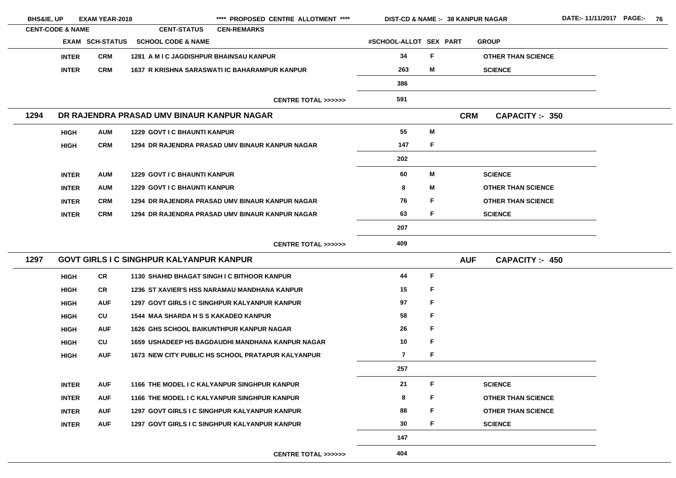| <b>BHS&amp;IE, UP</b>       |              | <b>EXAM YEAR-2018</b>  |                                                 | **** PROPOSED CENTRE ALLOTMENT ****                     |                                              | <b>DIST-CD &amp; NAME :- 38 KANPUR NAGAR</b> |   |            |                           | DATE:- |
|-----------------------------|--------------|------------------------|-------------------------------------------------|---------------------------------------------------------|----------------------------------------------|----------------------------------------------|---|------------|---------------------------|--------|
| <b>CENT-CODE &amp; NAME</b> |              |                        | <b>CENT-STATUS</b>                              | <b>CEN-REMARKS</b>                                      |                                              |                                              |   |            |                           |        |
|                             |              | <b>EXAM SCH-STATUS</b> | <b>SCHOOL CODE &amp; NAME</b>                   |                                                         |                                              | #SCHOOL-ALLOT SEX PART                       |   |            | <b>GROUP</b>              |        |
|                             | <b>INTER</b> | <b>CRM</b>             | <b>1281 A M I C JAGDISHPUR BHAINSAU KANPUR</b>  |                                                         |                                              | 34                                           | F |            | <b>OTHER THAN SCIENCE</b> |        |
|                             | <b>INTER</b> | <b>CRM</b>             |                                                 | 1637 R KRISHNA SARASWATI IC BAHARAMPUR KANPUR           |                                              | 263                                          | M |            | <b>SCIENCE</b>            |        |
|                             |              |                        |                                                 |                                                         |                                              | 386                                          |   |            |                           |        |
|                             |              |                        |                                                 |                                                         | <b>CENTRE TOTAL &gt;&gt;&gt;&gt;&gt;&gt;</b> | 591                                          |   |            |                           |        |
| 1294                        |              |                        | DR RAJENDRA PRASAD UMV BINAUR KANPUR NAGAR      |                                                         |                                              |                                              |   | <b>CRM</b> | <b>CAPACITY :- 350</b>    |        |
|                             | <b>HIGH</b>  | <b>AUM</b>             | <b>1229 GOVT I C BHAUNTI KANPUR</b>             |                                                         |                                              | 55                                           | M |            |                           |        |
|                             | <b>HIGH</b>  | <b>CRM</b>             |                                                 | 1294 DR RAJENDRA PRASAD UMV BINAUR KANPUR NAGAR         |                                              | 147                                          | F |            |                           |        |
|                             |              |                        |                                                 |                                                         |                                              | 202                                          |   |            |                           |        |
|                             | <b>INTER</b> | <b>AUM</b>             | <b>1229 GOVT I C BHAUNTI KANPUR</b>             |                                                         |                                              | 60                                           | M |            | <b>SCIENCE</b>            |        |
|                             | <b>INTER</b> | <b>AUM</b>             | <b>1229 GOVT I C BHAUNTI KANPUR</b>             |                                                         |                                              | 8                                            | M |            | <b>OTHER THAN SCIENCE</b> |        |
|                             | <b>INTER</b> | <b>CRM</b>             |                                                 | 1294 DR RAJENDRA PRASAD UMV BINAUR KANPUR NAGAR         |                                              | 76                                           | F |            | <b>OTHER THAN SCIENCE</b> |        |
|                             | <b>INTER</b> | <b>CRM</b>             |                                                 | 1294 DR RAJENDRA PRASAD UMV BINAUR KANPUR NAGAR         |                                              | 63                                           | F |            | <b>SCIENCE</b>            |        |
|                             |              |                        |                                                 |                                                         |                                              | 207                                          |   |            |                           |        |
|                             |              |                        |                                                 |                                                         | CENTRE TOTAL >>>>>>                          | 409                                          |   |            |                           |        |
| 1297                        |              |                        | <b>GOVT GIRLS I C SINGHPUR KALYANPUR KANPUR</b> |                                                         |                                              |                                              |   | <b>AUF</b> | <b>CAPACITY :- 450</b>    |        |
|                             | <b>HIGH</b>  | <b>CR</b>              | 1130 SHAHID BHAGAT SINGH I C BITHOOR KANPUR     |                                                         |                                              | 44                                           | F |            |                           |        |
|                             | <b>HIGH</b>  | CR                     |                                                 | 1236 ST XAVIER'S HSS NARAMAU MANDHANA KANPUR            |                                              | 15                                           | F |            |                           |        |
|                             | <b>HIGH</b>  | <b>AUF</b>             |                                                 | 1297 GOVT GIRLS I C SINGHPUR KALYANPUR KANPUR           |                                              | 97                                           | F |            |                           |        |
|                             | <b>HIGH</b>  | CU                     | <b>1544 MAA SHARDA H S S KAKADEO KANPUR</b>     |                                                         |                                              | 58                                           | F |            |                           |        |
|                             | <b>HIGH</b>  | <b>AUF</b>             | <b>1626 GHS SCHOOL BAIKUNTHPUR KANPUR NAGAR</b> |                                                         |                                              | 26                                           | F |            |                           |        |
|                             | <b>HIGH</b>  | CU                     |                                                 | <b>1659 USHADEEP HS BAGDAUDHI MANDHANA KANPUR NAGAR</b> |                                              | 10                                           | F |            |                           |        |
|                             | <b>HIGH</b>  | <b>AUF</b>             |                                                 | 1673 NEW CITY PUBLIC HS SCHOOL PRATAPUR KALYANPUR       |                                              | $\overline{7}$                               | F |            |                           |        |
|                             |              |                        |                                                 |                                                         |                                              | 257                                          |   |            |                           |        |
|                             | <b>INTER</b> | <b>AUF</b>             |                                                 | 1166 THE MODEL I C KALYANPUR SINGHPUR KANPUR            |                                              | 21                                           | F |            | <b>SCIENCE</b>            |        |
|                             | <b>INTER</b> | <b>AUF</b>             |                                                 | 1166 THE MODEL I C KALYANPUR SINGHPUR KANPUR            |                                              | 8                                            | F |            | <b>OTHER THAN SCIENCE</b> |        |
|                             | <b>INTER</b> | <b>AUF</b>             |                                                 | 1297 GOVT GIRLS I C SINGHPUR KALYANPUR KANPUR           |                                              | 88                                           | F |            | <b>OTHER THAN SCIENCE</b> |        |
|                             | <b>INTER</b> | <b>AUF</b>             |                                                 | 1297 GOVT GIRLS I C SINGHPUR KALYANPUR KANPUR           |                                              | 30                                           | F |            | <b>SCIENCE</b>            |        |
|                             |              |                        |                                                 |                                                         |                                              | 147                                          |   |            |                           |        |
|                             |              |                        |                                                 |                                                         | <b>CENTRE TOTAL &gt;&gt;&gt;&gt;&gt;&gt;</b> | 404                                          |   |            |                           |        |
|                             |              |                        |                                                 |                                                         |                                              |                                              |   |            |                           |        |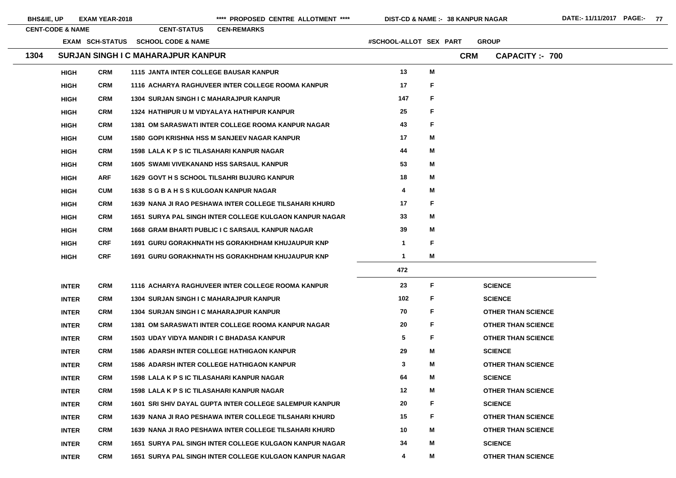| <b>BHS&amp;IE, UP</b> |                             | <b>EXAM YEAR-2018</b> |                                                   | **** PROPOSED CENTRE ALLOTMENT ****                       | <b>DIST-CD &amp; NAME :- 38 KANPUR NAGAR</b> |              |            |                |                           |
|-----------------------|-----------------------------|-----------------------|---------------------------------------------------|-----------------------------------------------------------|----------------------------------------------|--------------|------------|----------------|---------------------------|
|                       | <b>CENT-CODE &amp; NAME</b> |                       | <b>CENT-STATUS</b>                                | <b>CEN-REMARKS</b>                                        |                                              |              |            |                |                           |
|                       |                             | EXAM SCH-STATUS       | <b>SCHOOL CODE &amp; NAME</b>                     |                                                           | #SCHOOL-ALLOT SEX PART                       |              |            | <b>GROUP</b>   |                           |
| 1304                  |                             |                       | <b>SURJAN SINGH I C MAHARAJPUR KANPUR</b>         |                                                           |                                              |              | <b>CRM</b> |                | <b>CAPACITY:- 700</b>     |
|                       | <b>HIGH</b>                 | <b>CRM</b>            | <b>1115 JANTA INTER COLLEGE BAUSAR KANPUR</b>     |                                                           | 13                                           | M            |            |                |                           |
|                       | <b>HIGH</b>                 | <b>CRM</b>            |                                                   | 1116 ACHARYA RAGHUVEER INTER COLLEGE ROOMA KANPUR         | 17                                           | F            |            |                |                           |
|                       | <b>HIGH</b>                 | <b>CRM</b>            | <b>1304 SURJAN SINGH I C MAHARAJPUR KANPUR</b>    |                                                           | 147                                          | F            |            |                |                           |
|                       | <b>HIGH</b>                 | <b>CRM</b>            |                                                   | 1324 HATHIPUR U M VIDYALAYA HATHIPUR KANPUR               | 25                                           | F            |            |                |                           |
|                       | <b>HIGH</b>                 | <b>CRM</b>            |                                                   | <b>1381 OM SARASWATI INTER COLLEGE ROOMA KANPUR NAGAR</b> | 43                                           | F            |            |                |                           |
|                       | <b>HIGH</b>                 | <b>CUM</b>            |                                                   | <b>1580 GOPI KRISHNA HSS M SANJEEV NAGAR KANPUR</b>       | 17                                           | M            |            |                |                           |
|                       | <b>HIGH</b>                 | <b>CRM</b>            | <b>1598 LALA K P S IC TILASAHARI KANPUR NAGAR</b> |                                                           | 44                                           | M            |            |                |                           |
|                       | <b>HIGH</b>                 | <b>CRM</b>            | <b>1605 SWAMI VIVEKANAND HSS SARSAUL KANPUR</b>   |                                                           | 53                                           | M            |            |                |                           |
|                       | <b>HIGH</b>                 | <b>ARF</b>            |                                                   | <b>1629 GOVT H S SCHOOL TILSAHRI BUJURG KANPUR</b>        | 18                                           | M            |            |                |                           |
|                       | <b>HIGH</b>                 | <b>CUM</b>            | 1638 SGBAHSSKULGOAN KANPUR NAGAR                  |                                                           | 4                                            | M            |            |                |                           |
|                       | <b>HIGH</b>                 | <b>CRM</b>            |                                                   | 1639 NANA JI RAO PESHAWA INTER COLLEGE TILSAHARI KHURD    | 17                                           | F            |            |                |                           |
|                       | <b>HIGH</b>                 | <b>CRM</b>            |                                                   | 1651 SURYA PAL SINGH INTER COLLEGE KULGAON KANPUR NAGAR   | 33                                           | M            |            |                |                           |
|                       | <b>HIGH</b>                 | <b>CRM</b>            |                                                   | 1668 GRAM BHARTI PUBLIC I C SARSAUL KANPUR NAGAR          | 39                                           | M            |            |                |                           |
|                       | <b>HIGH</b>                 | <b>CRF</b>            |                                                   | <b>1691 GURU GORAKHNATH HS GORAKHDHAM KHUJAUPUR KNP</b>   | $\mathbf 1$                                  | F            |            |                |                           |
|                       | <b>HIGH</b>                 | <b>CRF</b>            |                                                   | <b>1691 GURU GORAKHNATH HS GORAKHDHAM KHUJAUPUR KNP</b>   | $\mathbf 1$                                  | Μ            |            |                |                           |
|                       |                             |                       |                                                   |                                                           | 472                                          |              |            |                |                           |
|                       | <b>INTER</b>                | <b>CRM</b>            |                                                   | 1116 ACHARYA RAGHUVEER INTER COLLEGE ROOMA KANPUR         | 23                                           | $\mathsf F$  |            | <b>SCIENCE</b> |                           |
|                       | <b>INTER</b>                | <b>CRM</b>            | <b>1304 SURJAN SINGH I C MAHARAJPUR KANPUR</b>    |                                                           | 102                                          | F            |            | <b>SCIENCE</b> |                           |
|                       | <b>INTER</b>                | <b>CRM</b>            | <b>1304 SURJAN SINGH I C MAHARAJPUR KANPUR</b>    |                                                           | 70                                           | F            |            |                | <b>OTHER THAN SCIENCE</b> |
|                       | <b>INTER</b>                | <b>CRM</b>            |                                                   | <b>1381 OM SARASWATI INTER COLLEGE ROOMA KANPUR NAGAR</b> | 20                                           | F            |            |                | <b>OTHER THAN SCIENCE</b> |
|                       | <b>INTER</b>                | <b>CRM</b>            | <b>1503 UDAY VIDYA MANDIR I C BHADASA KANPUR</b>  |                                                           | $\overline{\mathbf{5}}$                      | F            |            |                | <b>OTHER THAN SCIENCE</b> |
|                       | <b>INTER</b>                | <b>CRM</b>            |                                                   | <b>1586 ADARSH INTER COLLEGE HATHIGAON KANPUR</b>         | 29                                           | M            |            | <b>SCIENCE</b> |                           |
|                       | <b>INTER</b>                | <b>CRM</b>            |                                                   | <b>1586 ADARSH INTER COLLEGE HATHIGAON KANPUR</b>         | $\mathbf{3}$                                 | M            |            |                | <b>OTHER THAN SCIENCE</b> |
|                       | <b>INTER</b>                | <b>CRM</b>            | <b>1598 LALA K P S IC TILASAHARI KANPUR NAGAR</b> |                                                           | 64                                           | M            |            | <b>SCIENCE</b> |                           |
|                       | <b>INTER</b>                | <b>CRM</b>            | <b>1598 LALA K P S IC TILASAHARI KANPUR NAGAR</b> |                                                           | 12                                           | M            |            |                | <b>OTHER THAN SCIENCE</b> |
|                       | <b>INTER</b>                | <b>CRM</b>            |                                                   | 1601 SRI SHIV DAYAL GUPTA INTER COLLEGE SALEMPUR KANPUR   | 20                                           | F            |            | <b>SCIENCE</b> |                           |
|                       | <b>INTER</b>                | <b>CRM</b>            |                                                   | 1639 NANA JI RAO PESHAWA INTER COLLEGE TILSAHARI KHURD    | 15                                           | $\mathsf{F}$ |            |                | <b>OTHER THAN SCIENCE</b> |
|                       | <b>INTER</b>                | <b>CRM</b>            |                                                   | 1639 NANA JI RAO PESHAWA INTER COLLEGE TILSAHARI KHURD    | 10                                           | M            |            |                | <b>OTHER THAN SCIENCE</b> |
|                       | <b>INTER</b>                | <b>CRM</b>            |                                                   | 1651 SURYA PAL SINGH INTER COLLEGE KULGAON KANPUR NAGAR   | 34                                           | M            |            | <b>SCIENCE</b> |                           |
|                       | <b>INTER</b>                | <b>CRM</b>            |                                                   | 1651 SURYA PAL SINGH INTER COLLEGE KULGAON KANPUR NAGAR   | 4                                            | M            |            |                | <b>OTHER THAN SCIENCE</b> |

E. E.  $E$  and  $E$  $E$  and  $E$  $E =$ E **THAN SCIENCE**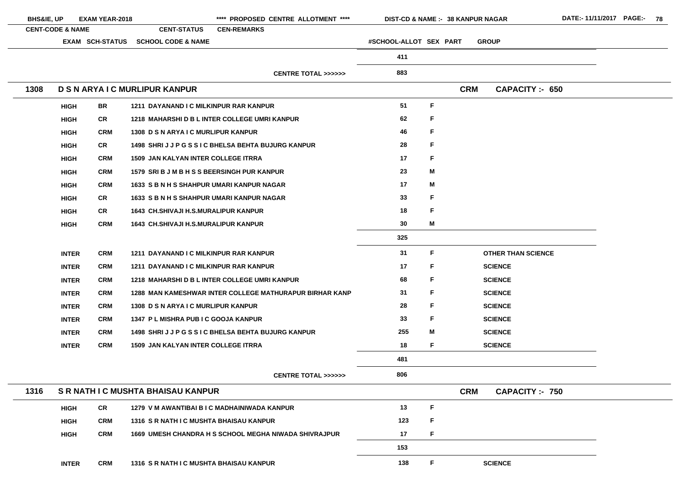| <b>BHS&amp;IE, UP</b> |                             | <b>EXAM YEAR-2018</b>  |                                                  | **** PROPOSED CENTRE ALLOTMENT ****                     | <b>DIST-CD &amp; NAME :- 38 KANPUR NAGAR</b> |   |            |                           |
|-----------------------|-----------------------------|------------------------|--------------------------------------------------|---------------------------------------------------------|----------------------------------------------|---|------------|---------------------------|
|                       | <b>CENT-CODE &amp; NAME</b> |                        | <b>CENT-STATUS</b>                               | <b>CEN-REMARKS</b>                                      |                                              |   |            |                           |
|                       |                             | <b>EXAM SCH-STATUS</b> | <b>SCHOOL CODE &amp; NAME</b>                    |                                                         | #SCHOOL-ALLOT SEX PART                       |   |            | <b>GROUP</b>              |
|                       |                             |                        |                                                  |                                                         | 411                                          |   |            |                           |
|                       |                             |                        |                                                  | <b>CENTRE TOTAL &gt;&gt;&gt;&gt;&gt;&gt;</b>            | 883                                          |   |            |                           |
| 1308                  |                             |                        | D S N ARYA I C MURLIPUR KANPUR                   |                                                         |                                              |   | <b>CRM</b> | <b>CAPACITY: 650</b>      |
|                       | <b>HIGH</b>                 | <b>BR</b>              | 1211 DAYANAND I C MILKINPUR RAR KANPUR           |                                                         | 51                                           | F |            |                           |
|                       | <b>HIGH</b>                 | <b>CR</b>              |                                                  | 1218 MAHARSHID B L INTER COLLEGE UMRI KANPUR            | 62                                           | F |            |                           |
|                       | <b>HIGH</b>                 | <b>CRM</b>             | 1308 D S N ARYA I C MURLIPUR KANPUR              |                                                         | 46                                           | F |            |                           |
|                       | <b>HIGH</b>                 | <b>CR</b>              |                                                  | 1498 SHRIJJPGSSIC BHELSA BEHTA BUJURG KANPUR            | 28                                           | F |            |                           |
|                       | <b>HIGH</b>                 | <b>CRM</b>             | <b>1509 JAN KALYAN INTER COLLEGE ITRRA</b>       |                                                         | 17                                           | F |            |                           |
|                       | <b>HIGH</b>                 | <b>CRM</b>             | 1579 SRI B J M B H S S BEERSINGH PUR KANPUR      |                                                         | 23                                           | M |            |                           |
|                       | <b>HIGH</b>                 | <b>CRM</b>             | <b>1633 S B N H S SHAHPUR UMARI KANPUR NAGAR</b> |                                                         | 17                                           | M |            |                           |
|                       | <b>HIGH</b>                 | <b>CR</b>              | 1633 S B N H S SHAHPUR UMARI KANPUR NAGAR        |                                                         | 33                                           | F |            |                           |
|                       | <b>HIGH</b>                 | <b>CR</b>              | <b>1643 CH.SHIVAJI H.S.MURALIPUR KANPUR</b>      |                                                         | 18                                           | F |            |                           |
|                       | <b>HIGH</b>                 | <b>CRM</b>             | <b>1643 CH.SHIVAJI H.S.MURALIPUR KANPUR</b>      |                                                         | 30                                           | M |            |                           |
|                       |                             |                        |                                                  |                                                         | 325                                          |   |            |                           |
|                       | <b>INTER</b>                | <b>CRM</b>             | 1211 DAYANAND I C MILKINPUR RAR KANPUR           |                                                         | 31                                           | F |            | <b>OTHER THAN SCIENCE</b> |
|                       | <b>INTER</b>                | <b>CRM</b>             | 1211 DAYANAND I C MILKINPUR RAR KANPUR           |                                                         | 17                                           | F |            | <b>SCIENCE</b>            |
|                       | <b>INTER</b>                | <b>CRM</b>             |                                                  | 1218 MAHARSHI D B L INTER COLLEGE UMRI KANPUR           | 68                                           | F |            | <b>SCIENCE</b>            |
|                       | <b>INTER</b>                | <b>CRM</b>             |                                                  | 1288 MAN KAMESHWAR INTER COLLEGE MATHURAPUR BIRHAR KANP | 31                                           | F |            | <b>SCIENCE</b>            |
|                       | <b>INTER</b>                | <b>CRM</b>             | 1308 D S N ARYA I C MURLIPUR KANPUR              |                                                         | 28                                           | F |            | <b>SCIENCE</b>            |
|                       | <b>INTER</b>                | <b>CRM</b>             | 1347 PL MISHRA PUB I C GOOJA KANPUR              |                                                         | 33                                           | F |            | <b>SCIENCE</b>            |
|                       | <b>INTER</b>                | <b>CRM</b>             |                                                  | 1498 SHRIJJPGSSIC BHELSA BEHTA BUJURG KANPUR            | 255                                          | M |            | <b>SCIENCE</b>            |
|                       | <b>INTER</b>                | <b>CRM</b>             | <b>1509 JAN KALYAN INTER COLLEGE ITRRA</b>       |                                                         | 18                                           | F |            | <b>SCIENCE</b>            |
|                       |                             |                        |                                                  |                                                         | 481                                          |   |            |                           |
|                       |                             |                        |                                                  | <b>CENTRE TOTAL &gt;&gt;&gt;&gt;&gt;&gt;</b>            | 806                                          |   |            |                           |
| 1316                  |                             |                        | S R NATH I C MUSHTA BHAISAU KANPUR               |                                                         |                                              |   | <b>CRM</b> | <b>CAPACITY :- 750</b>    |
|                       | <b>HIGH</b>                 | <b>CR</b>              |                                                  | 1279 V M AWANTIBAI B I C MADHAINIWADA KANPUR            | 13                                           | F |            |                           |
|                       | <b>HIGH</b>                 | <b>CRM</b>             | 1316 S R NATH I C MUSHTA BHAISAU KANPUR          |                                                         | 123                                          | F |            |                           |
|                       | <b>HIGH</b>                 | <b>CRM</b>             |                                                  | 1669 UMESH CHANDRA H S SCHOOL MEGHA NIWADA SHIVRAJPUR   | 17                                           | F |            |                           |
|                       |                             |                        |                                                  |                                                         | 153                                          |   |            |                           |
|                       | <b>INTER</b>                | <b>CRM</b>             | <b>1316 S R NATH I C MUSHTA BHAISAU KANPUR</b>   |                                                         | 138                                          | F |            | <b>SCIENCE</b>            |

- 
- 
- 
- 
- 
- 
- 
- 
- 

the control of the control of the control of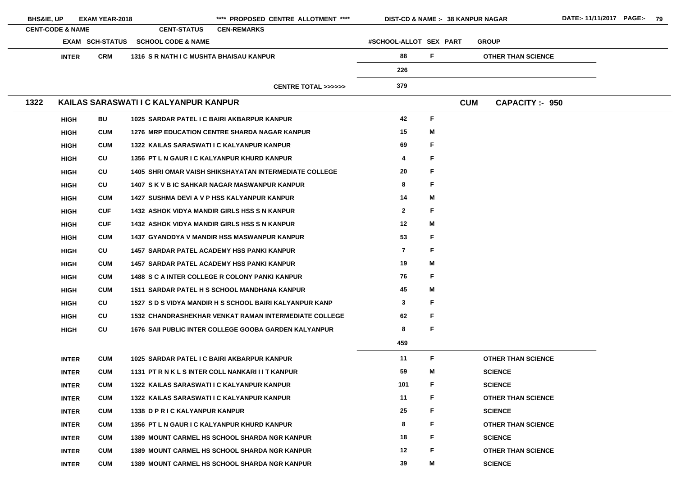| <b>BHS&amp;IE, UP</b>       |              | <b>EXAM YEAR-2018</b>  |                                         | **** PROPOSED CENTRE ALLOTMENT ****                           | <b>DIST-CD &amp; NAME :- 38 KANPUR NAGAR</b> |    |            |                           |
|-----------------------------|--------------|------------------------|-----------------------------------------|---------------------------------------------------------------|----------------------------------------------|----|------------|---------------------------|
| <b>CENT-CODE &amp; NAME</b> |              |                        | <b>CENT-STATUS</b>                      | <b>CEN-REMARKS</b>                                            |                                              |    |            |                           |
|                             |              | <b>EXAM SCH-STATUS</b> | <b>SCHOOL CODE &amp; NAME</b>           |                                                               | #SCHOOL-ALLOT SEX PART                       |    |            | <b>GROUP</b>              |
|                             | <b>INTER</b> | <b>CRM</b>             | 1316 S R NATH I C MUSHTA BHAISAU KANPUR |                                                               | 88                                           | F  |            | <b>OTHER THAN SCIENCE</b> |
|                             |              |                        |                                         |                                                               | 226                                          |    |            |                           |
|                             |              |                        |                                         | <b>CENTRE TOTAL &gt;&gt;&gt;&gt;&gt;&gt;</b>                  | 379                                          |    |            |                           |
| 1322                        |              |                        | KAILAS SARASWATI I C KALYANPUR KANPUR   |                                                               |                                              |    | <b>CUM</b> | <b>CAPACITY:- 950</b>     |
|                             | <b>HIGH</b>  | <b>BU</b>              |                                         | 1025 SARDAR PATEL I C BAIRI AKBARPUR KANPUR                   | 42                                           | F  |            |                           |
|                             | <b>HIGH</b>  | <b>CUM</b>             |                                         | <b>1276 MRP EDUCATION CENTRE SHARDA NAGAR KANPUR</b>          | 15                                           | M  |            |                           |
|                             | <b>HIGH</b>  | <b>CUM</b>             |                                         | 1322 KAILAS SARASWATI I C KALYANPUR KANPUR                    | 69                                           | F  |            |                           |
|                             | <b>HIGH</b>  | CU                     |                                         | 1356 PT L N GAUR I C KALYANPUR KHURD KANPUR                   | 4                                            | F  |            |                           |
|                             | <b>HIGH</b>  | CU                     |                                         | <b>1405 SHRI OMAR VAISH SHIKSHAYATAN INTERMEDIATE COLLEGE</b> | 20                                           | F  |            |                           |
|                             | <b>HIGH</b>  | CU                     |                                         | 1407 S K V B IC SAHKAR NAGAR MASWANPUR KANPUR                 | 8                                            | F  |            |                           |
|                             | <b>HIGH</b>  | <b>CUM</b>             |                                         | 1427 SUSHMA DEVI A V P HSS KALYANPUR KANPUR                   | 14                                           | M  |            |                           |
|                             | <b>HIGH</b>  | <b>CUF</b>             |                                         | <b>1432 ASHOK VIDYA MANDIR GIRLS HSS S N KANPUR</b>           | $\mathbf{2}$                                 | F  |            |                           |
|                             | <b>HIGH</b>  | <b>CUF</b>             |                                         | <b>1432 ASHOK VIDYA MANDIR GIRLS HSS S N KANPUR</b>           | 12                                           | M  |            |                           |
|                             | <b>HIGH</b>  | <b>CUM</b>             |                                         | <b>1437 GYANODYA V MANDIR HSS MASWANPUR KANPUR</b>            | 53                                           | F  |            |                           |
|                             | <b>HIGH</b>  | CU                     |                                         | <b>1457 SARDAR PATEL ACADEMY HSS PANKI KANPUR</b>             | $\overline{7}$                               | F  |            |                           |
|                             | <b>HIGH</b>  | <b>CUM</b>             |                                         | <b>1457 SARDAR PATEL ACADEMY HSS PANKI KANPUR</b>             | 19                                           | M  |            |                           |
|                             | <b>HIGH</b>  | <b>CUM</b>             |                                         | 1488 S C A INTER COLLEGE R COLONY PANKI KANPUR                | 76                                           | F. |            |                           |
|                             | <b>HIGH</b>  | <b>CUM</b>             |                                         | 1511 SARDAR PATEL H S SCHOOL MANDHANA KANPUR                  | 45                                           | M  |            |                           |
|                             | <b>HIGH</b>  | CU                     |                                         | 1527 S D S VIDYA MANDIR H S SCHOOL BAIRI KALYANPUR KANP       | 3                                            | F. |            |                           |
|                             | <b>HIGH</b>  | <b>CU</b>              |                                         | <b>1532 CHANDRASHEKHAR VENKAT RAMAN INTERMEDIATE COLLEGE</b>  | 62                                           | F  |            |                           |
|                             | <b>HIGH</b>  | CU                     |                                         | 1676 SAII PUBLIC INTER COLLEGE GOOBA GARDEN KALYANPUR         | 8                                            | F. |            |                           |
|                             |              |                        |                                         |                                                               | 459                                          |    |            |                           |
|                             | <b>INTER</b> | <b>CUM</b>             |                                         | 1025 SARDAR PATEL I C BAIRI AKBARPUR KANPUR                   | 11                                           | F  |            | <b>OTHER THAN SCIENCE</b> |
|                             | <b>INTER</b> | <b>CUM</b>             |                                         | 1131 PT R N K L S INTER COLL NANKARI I I T KANPUR             | 59                                           | M  |            | <b>SCIENCE</b>            |
|                             | <b>INTER</b> | <b>CUM</b>             |                                         | 1322 KAILAS SARASWATI I C KALYANPUR KANPUR                    | 101                                          | F  |            | <b>SCIENCE</b>            |
|                             | <b>INTER</b> | <b>CUM</b>             |                                         | 1322 KAILAS SARASWATI I C KALYANPUR KANPUR                    | 11                                           | F  |            | <b>OTHER THAN SCIENCE</b> |
|                             | <b>INTER</b> | <b>CUM</b>             | 1338 D P R I C KALYANPUR KANPUR         |                                                               | 25                                           | F  |            | <b>SCIENCE</b>            |
|                             | <b>INTER</b> | <b>CUM</b>             |                                         | 1356 PT L N GAUR I C KALYANPUR KHURD KANPUR                   | 8                                            | F  |            | <b>OTHER THAN SCIENCE</b> |
|                             | <b>INTER</b> | <b>CUM</b>             |                                         | 1389 MOUNT CARMEL HS SCHOOL SHARDA NGR KANPUR                 | 18                                           | F  |            | <b>SCIENCE</b>            |
|                             | <b>INTER</b> | <b>CUM</b>             |                                         | <b>1389 MOUNT CARMEL HS SCHOOL SHARDA NGR KANPUR</b>          | 12                                           | F  |            | <b>OTHER THAN SCIENCE</b> |
|                             | <b>INTER</b> | <b>CUM</b>             |                                         | <b>1389 MOUNT CARMEL HS SCHOOL SHARDA NGR KANPUR</b>          | 39                                           | M  |            | <b>SCIENCE</b>            |
|                             |              |                        |                                         |                                                               |                                              |    |            |                           |

- 
- E i

- 
- 
-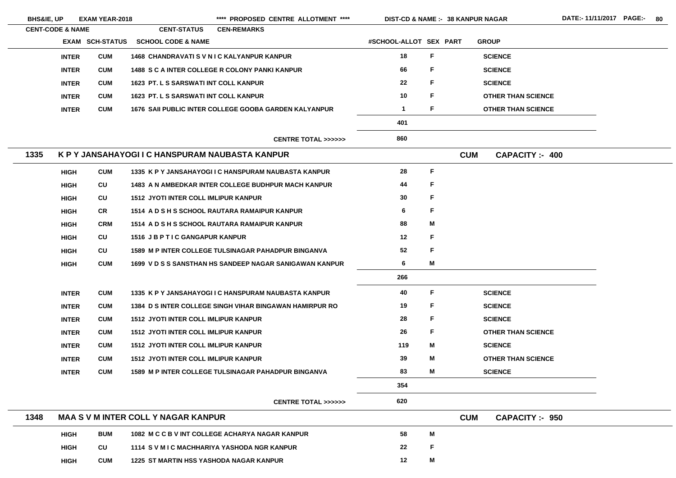| <b>BHS&amp;IE, UP</b> |                             | <b>EXAM YEAR-2018</b>  |                                                    | **** PROPOSED CENTRE ALLOTMENT ****                            | <b>DIST-CD &amp; NAME :- 38 KANPUR NAGAR</b> |    |            |                           |  |
|-----------------------|-----------------------------|------------------------|----------------------------------------------------|----------------------------------------------------------------|----------------------------------------------|----|------------|---------------------------|--|
|                       | <b>CENT-CODE &amp; NAME</b> |                        | <b>CENT-STATUS</b>                                 | <b>CEN-REMARKS</b>                                             |                                              |    |            |                           |  |
|                       |                             | <b>EXAM SCH-STATUS</b> | <b>SCHOOL CODE &amp; NAME</b>                      |                                                                | #SCHOOL-ALLOT SEX PART                       |    |            | <b>GROUP</b>              |  |
|                       | <b>INTER</b>                | <b>CUM</b>             | <b>1468 CHANDRAVATI S V N I C KALYANPUR KANPUR</b> |                                                                | 18                                           | F. |            | <b>SCIENCE</b>            |  |
|                       | <b>INTER</b>                | <b>CUM</b>             |                                                    | <b>1488 S C A INTER COLLEGE R COLONY PANKI KANPUR</b>          | 66                                           | F. |            | <b>SCIENCE</b>            |  |
|                       | <b>INTER</b>                | <b>CUM</b>             | <b>1623 PT. L S SARSWATI INT COLL KANPUR</b>       |                                                                | 22                                           | F  |            | <b>SCIENCE</b>            |  |
|                       | <b>INTER</b>                | <b>CUM</b>             | <b>1623 PT. L S SARSWATI INT COLL KANPUR</b>       |                                                                | 10                                           | F. |            | <b>OTHER THAN SCIENCE</b> |  |
|                       | <b>INTER</b>                | <b>CUM</b>             |                                                    | 1676 SAII PUBLIC INTER COLLEGE GOOBA GARDEN KALYANPUR          | $\mathbf 1$                                  | F. |            | <b>OTHER THAN SCIENCE</b> |  |
|                       |                             |                        |                                                    |                                                                | 401                                          |    |            |                           |  |
|                       |                             |                        |                                                    | <b>CENTRE TOTAL &gt;&gt;&gt;&gt;&gt;&gt;</b>                   | 860                                          |    |            |                           |  |
| 1335                  |                             |                        | K P Y JANSAHAYOGI I C HANSPURAM NAUBASTA KANPUR    |                                                                |                                              |    | <b>CUM</b> | <b>CAPACITY: 400</b>      |  |
|                       | <b>HIGH</b>                 | <b>CUM</b>             |                                                    | 1335 K P Y JANSAHAYOGI I C HANSPURAM NAUBASTA KANPUR           | 28                                           | F  |            |                           |  |
|                       | <b>HIGH</b>                 | CU                     |                                                    | <b>1483 A N AMBEDKAR INTER COLLEGE BUDHPUR MACH KANPUR</b>     | 44                                           | F  |            |                           |  |
|                       | <b>HIGH</b>                 | CU                     | <b>1512 JYOTI INTER COLL IMLIPUR KANPUR</b>        |                                                                | 30                                           | F  |            |                           |  |
|                       | <b>HIGH</b>                 | <b>CR</b>              |                                                    | 1514 A D S H S SCHOOL RAUTARA RAMAIPUR KANPUR                  | 6                                            | F  |            |                           |  |
|                       | <b>HIGH</b>                 | <b>CRM</b>             |                                                    | 1514 A D S H S SCHOOL RAUTARA RAMAIPUR KANPUR                  | 88                                           | M  |            |                           |  |
|                       | <b>HIGH</b>                 | CU                     | 1516 JB P T I C GANGAPUR KANPUR                    |                                                                | 12                                           | F  |            |                           |  |
|                       | <b>HIGH</b>                 | CU                     |                                                    | <b>1589 M P INTER COLLEGE TULSINAGAR PAHADPUR BINGANVA</b>     | 52                                           | F  |            |                           |  |
|                       | <b>HIGH</b>                 | <b>CUM</b>             |                                                    | 1699 V D S S SANSTHAN HS SANDEEP NAGAR SANIGAWAN KANPUR        | 6                                            | M  |            |                           |  |
|                       |                             |                        |                                                    |                                                                | 266                                          |    |            |                           |  |
|                       | <b>INTER</b>                | <b>CUM</b>             |                                                    | 1335 K P Y JANSAHAYOGI I C HANSPURAM NAUBASTA KANPUR           | 40                                           | F. |            | <b>SCIENCE</b>            |  |
|                       | <b>INTER</b>                | <b>CUM</b>             |                                                    | <b>1384 D S INTER COLLEGE SINGH VIHAR BINGAWAN HAMIRPUR RO</b> | 19                                           | F  |            | <b>SCIENCE</b>            |  |
|                       | <b>INTER</b>                | <b>CUM</b>             | <b>1512 JYOTI INTER COLL IMLIPUR KANPUR</b>        |                                                                | 28                                           | F  |            | <b>SCIENCE</b>            |  |
|                       | <b>INTER</b>                | <b>CUM</b>             | <b>1512 JYOTI INTER COLL IMLIPUR KANPUR</b>        |                                                                | 26                                           | F  |            | <b>OTHER THAN SCIENCE</b> |  |
|                       | <b>INTER</b>                | <b>CUM</b>             | <b>1512 JYOTI INTER COLL IMLIPUR KANPUR</b>        |                                                                | 119                                          | M  |            | <b>SCIENCE</b>            |  |
|                       | <b>INTER</b>                | <b>CUM</b>             | <b>1512 JYOTI INTER COLL IMLIPUR KANPUR</b>        |                                                                | 39                                           | M  |            | <b>OTHER THAN SCIENCE</b> |  |
|                       | <b>INTER</b>                | <b>CUM</b>             |                                                    | <b>1589 M P INTER COLLEGE TULSINAGAR PAHADPUR BINGANVA</b>     | 83                                           | M  |            | <b>SCIENCE</b>            |  |
|                       |                             |                        |                                                    |                                                                | 354                                          |    |            |                           |  |
|                       |                             |                        |                                                    | <b>CENTRE TOTAL &gt;&gt;&gt;&gt;&gt;&gt;</b>                   | 620                                          |    |            |                           |  |
| 1348                  |                             |                        | <b>MAA S V M INTER COLL Y NAGAR KANPUR</b>         |                                                                |                                              |    | <b>CUM</b> | <b>CAPACITY: - 950</b>    |  |
|                       | <b>HIGH</b>                 | <b>BUM</b>             |                                                    | 1082 M C C B V INT COLLEGE ACHARYA NAGAR KANPUR                | 58                                           | M  |            |                           |  |
|                       | <b>HIGH</b>                 | CU                     | 1114 S V M I C MACHHARIYA YASHODA NGR KANPUR       |                                                                | 22                                           | F  |            |                           |  |
|                       | <b>HIGH</b>                 | <b>CUM</b>             | <b>1225 ST MARTIN HSS YASHODA NAGAR KANPUR</b>     |                                                                | 12                                           | M  |            |                           |  |

<u> 1980 - Johann Barbara, martxa a</u>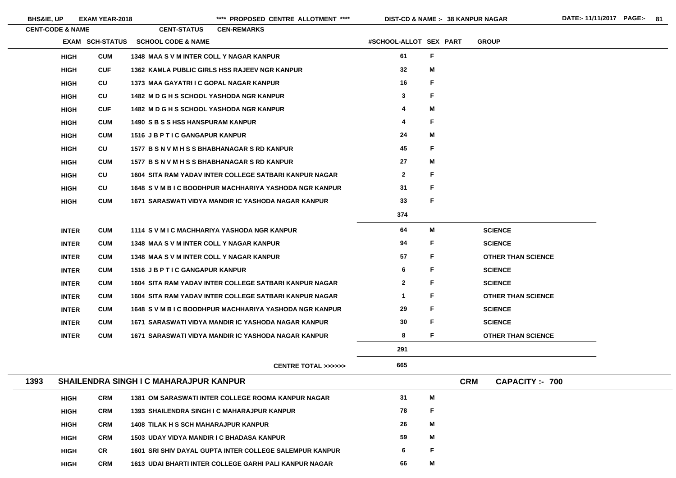|      | <b>CENT-CODE &amp; NAME</b> |                        | <b>CENT-STATUS</b>                          | <b>CEN-REMARKS</b>                                        |                         |             |            |                           |
|------|-----------------------------|------------------------|---------------------------------------------|-----------------------------------------------------------|-------------------------|-------------|------------|---------------------------|
|      |                             | <b>EXAM SCH-STATUS</b> | <b>SCHOOL CODE &amp; NAME</b>               |                                                           | #SCHOOL-ALLOT SEX PART  |             |            | <b>GROUP</b>              |
|      | <b>HIGH</b>                 | <b>CUM</b>             | 1348 MAA S V M INTER COLL Y NAGAR KANPUR    |                                                           | 61                      | $\mathsf F$ |            |                           |
|      | <b>HIGH</b>                 | <b>CUF</b>             |                                             | 1362 KAMLA PUBLIC GIRLS HSS RAJEEV NGR KANPUR             | 32                      | M           |            |                           |
|      | <b>HIGH</b>                 | CU                     | 1373 MAA GAYATRI I C GOPAL NAGAR KANPUR     |                                                           | 16                      | F           |            |                           |
|      | <b>HIGH</b>                 | <b>CU</b>              |                                             | 1482 M D G H S SCHOOL YASHODA NGR KANPUR                  | $\mathbf{3}$            | $\mathsf F$ |            |                           |
|      | <b>HIGH</b>                 | <b>CUF</b>             |                                             | 1482 M D G H S SCHOOL YASHODA NGR KANPUR                  | $\overline{\mathbf{4}}$ | M           |            |                           |
|      | <b>HIGH</b>                 | <b>CUM</b>             | <b>1490 S B S S HSS HANSPURAM KANPUR</b>    |                                                           | 4                       | F           |            |                           |
|      | <b>HIGH</b>                 | <b>CUM</b>             | 1516 JB P T I C GANGAPUR KANPUR             |                                                           | 24                      | M           |            |                           |
|      | <b>HIGH</b>                 | CU                     |                                             | 1577 B S N V M H S S BHABHANAGAR S RD KANPUR              | 45                      | F           |            |                           |
|      | <b>HIGH</b>                 | <b>CUM</b>             |                                             | 1577 B S N V M H S S BHABHANAGAR S RD KANPUR              | 27                      | M           |            |                           |
|      | <b>HIGH</b>                 | CU                     |                                             | 1604 SITA RAM YADAV INTER COLLEGE SATBARI KANPUR NAGAR    | $\mathbf{2}$            | F           |            |                           |
|      | <b>HIGH</b>                 | CU                     |                                             | 1648 SVM BIC BOODHPUR MACHHARIYA YASHODA NGR KANPUR       | 31                      | F           |            |                           |
|      | <b>HIGH</b>                 | <b>CUM</b>             |                                             | 1671 SARASWATI VIDYA MANDIR IC YASHODA NAGAR KANPUR       | 33                      | F           |            |                           |
|      |                             |                        |                                             |                                                           | 374                     |             |            |                           |
|      | <b>INTER</b>                | <b>CUM</b>             |                                             | 1114 S V M I C MACHHARIYA YASHODA NGR KANPUR              | 64                      | M           |            | <b>SCIENCE</b>            |
|      | <b>INTER</b>                | <b>CUM</b>             | 1348 MAA S V M INTER COLL Y NAGAR KANPUR    |                                                           | 94                      | F           |            | <b>SCIENCE</b>            |
|      | <b>INTER</b>                | <b>CUM</b>             | 1348 MAA S V M INTER COLL Y NAGAR KANPUR    |                                                           | 57                      | F           |            | <b>OTHER THAN SCIENCE</b> |
|      | <b>INTER</b>                | <b>CUM</b>             | 1516 JB P T I C GANGAPUR KANPUR             |                                                           | 6                       | F           |            | <b>SCIENCE</b>            |
|      | <b>INTER</b>                | <b>CUM</b>             |                                             | 1604 SITA RAM YADAV INTER COLLEGE SATBARI KANPUR NAGAR    | $\overline{2}$          | F           |            | <b>SCIENCE</b>            |
|      | <b>INTER</b>                | <b>CUM</b>             |                                             | 1604 SITA RAM YADAV INTER COLLEGE SATBARI KANPUR NAGAR    | $\mathbf 1$             | F           |            | <b>OTHER THAN SCIENCE</b> |
|      | <b>INTER</b>                | <b>CUM</b>             |                                             | 1648 S V M B I C BOODHPUR MACHHARIYA YASHODA NGR KANPUR   | 29                      | F           |            | <b>SCIENCE</b>            |
|      | <b>INTER</b>                | <b>CUM</b>             |                                             | 1671 SARASWATI VIDYA MANDIR IC YASHODA NAGAR KANPUR       | 30                      | F           |            | <b>SCIENCE</b>            |
|      | <b>INTER</b>                | <b>CUM</b>             |                                             | 1671 SARASWATI VIDYA MANDIR IC YASHODA NAGAR KANPUR       | 8                       | F           |            | <b>OTHER THAN SCIENCE</b> |
|      |                             |                        |                                             |                                                           | 291                     |             |            |                           |
|      |                             |                        |                                             | <b>CENTRE TOTAL &gt;&gt;&gt;&gt;&gt;&gt;</b>              | 665                     |             |            |                           |
| 1393 |                             |                        | SHAILENDRA SINGH I C MAHARAJPUR KANPUR      |                                                           |                         |             | <b>CRM</b> | <b>CAPACITY:- 700</b>     |
|      | <b>HIGH</b>                 | <b>CRM</b>             |                                             | <b>1381 OM SARASWATI INTER COLLEGE ROOMA KANPUR NAGAR</b> | 31                      | M           |            |                           |
|      | <b>HIGH</b>                 | <b>CRM</b>             |                                             | 1393 SHAILENDRA SINGH I C MAHARAJPUR KANPUR               | 78                      | F           |            |                           |
|      | <b>HIGH</b>                 | <b>CRM</b>             | <b>1408 TILAK H S SCH MAHARAJPUR KANPUR</b> |                                                           | 26                      | M           |            |                           |
|      | <b>HIGH</b>                 | <b>CRM</b>             |                                             | <b>1503 UDAY VIDYA MANDIR I C BHADASA KANPUR</b>          | 59                      | M           |            |                           |
|      | <b>HIGH</b>                 | <b>CR</b>              |                                             | 1601 SRI SHIV DAYAL GUPTA INTER COLLEGE SALEMPUR KANPUR   | 6                       | F           |            |                           |

**HIGH**

**CRM 1613 UDAI BHARTI INTER COLLEGE GARHI PALI KANPUR NAGAR 66**

**M**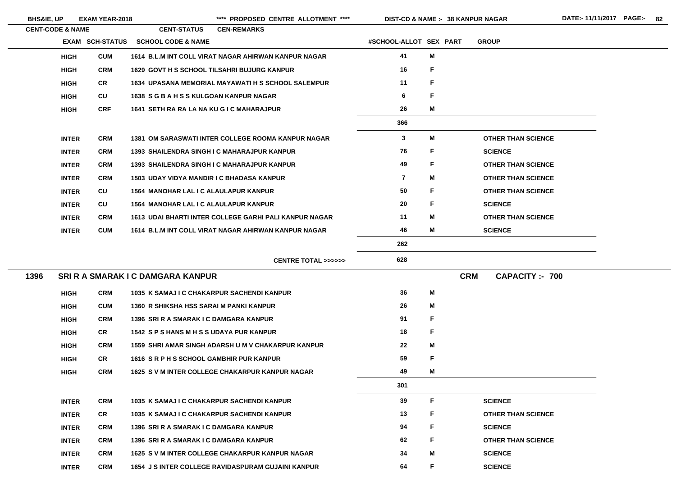\*\*\*\* PROPOSED CENTRE ALLOTMENT \*\*\*\* DIST-CD & NAME :- 38 KANPUR NAGAR DATE:- 11/11/2017 PAGE:- 82

**38 KANPUR NAGAR**

|      | <b>CENT-CODE &amp; NAME</b> |                        | <b>CENT-STATUS</b>                               | <b>CEN-REMARKS</b>                                        |                         |              |                                    |
|------|-----------------------------|------------------------|--------------------------------------------------|-----------------------------------------------------------|-------------------------|--------------|------------------------------------|
|      |                             | <b>EXAM SCH-STATUS</b> | <b>SCHOOL CODE &amp; NAME</b>                    |                                                           | #SCHOOL-ALLOT SEX PART  |              | <b>GROUP</b>                       |
|      | <b>HIGH</b>                 | <b>CUM</b>             |                                                  | 1614 B.L.M INT COLL VIRAT NAGAR AHIRWAN KANPUR NAGAR      | 41                      | M            |                                    |
|      | <b>HIGH</b>                 | <b>CRM</b>             |                                                  | <b>1629 GOVT H S SCHOOL TILSAHRI BUJURG KANPUR</b>        | 16                      | F            |                                    |
|      | <b>HIGH</b>                 | <b>CR</b>              |                                                  | <b>1634 UPASANA MEMORIAL MAYAWATI H S SCHOOL SALEMPUR</b> | 11                      | F            |                                    |
|      | <b>HIGH</b>                 | CU                     | 1638 SGBAHSSKULGOAN KANPUR NAGAR                 |                                                           | 6                       | F            |                                    |
|      | <b>HIGH</b>                 | <b>CRF</b>             | 1641 SETH RA RA LA NA KU G I C MAHARAJPUR        |                                                           | 26                      | M            |                                    |
|      |                             |                        |                                                  |                                                           | 366                     |              |                                    |
|      | <b>INTER</b>                | <b>CRM</b>             |                                                  | <b>1381 OM SARASWATI INTER COLLEGE ROOMA KANPUR NAGAR</b> | $\mathbf{3}$            | M            | <b>OTHER THAN SCIENCE</b>          |
|      | <b>INTER</b>                | <b>CRM</b>             |                                                  | 1393 SHAILENDRA SINGH I C MAHARAJPUR KANPUR               | 76                      | F            | <b>SCIENCE</b>                     |
|      | <b>INTER</b>                | <b>CRM</b>             |                                                  | 1393 SHAILENDRA SINGH I C MAHARAJPUR KANPUR               | 49                      | F            | <b>OTHER THAN SCIENCE</b>          |
|      | <b>INTER</b>                | <b>CRM</b>             | <b>1503 UDAY VIDYA MANDIR I C BHADASA KANPUR</b> |                                                           | $\overline{\mathbf{7}}$ | M            | <b>OTHER THAN SCIENCE</b>          |
|      | <b>INTER</b>                | CU                     | <b>1564 MANOHAR LAL I C ALAULAPUR KANPUR</b>     |                                                           | 50                      | F            | <b>OTHER THAN SCIENCE</b>          |
|      | <b>INTER</b>                | CU                     | <b>1564 MANOHAR LAL I C ALAULAPUR KANPUR</b>     |                                                           | 20                      | F            | <b>SCIENCE</b>                     |
|      | <b>INTER</b>                | <b>CRM</b>             |                                                  | 1613 UDAI BHARTI INTER COLLEGE GARHI PALI KANPUR NAGAR    | 11                      | M            | <b>OTHER THAN SCIENCE</b>          |
|      | <b>INTER</b>                | <b>CUM</b>             |                                                  | 1614 B.L.M INT COLL VIRAT NAGAR AHIRWAN KANPUR NAGAR      | 46                      | M            | <b>SCIENCE</b>                     |
|      |                             |                        |                                                  |                                                           | 262                     |              |                                    |
|      |                             |                        |                                                  | <b>CENTRE TOTAL &gt;&gt;&gt;&gt;&gt;&gt;</b>              | 628                     |              |                                    |
| 1396 |                             |                        | <b>SRI R A SMARAK I C DAMGARA KANPUR</b>         |                                                           |                         |              | <b>CRM</b><br><b>CAPACITY: 700</b> |
|      | <b>HIGH</b>                 | <b>CRM</b>             |                                                  | 1035 K SAMAJ I C CHAKARPUR SACHENDI KANPUR                | 36                      | M            |                                    |
|      | <b>HIGH</b>                 | <b>CUM</b>             | 1360 R SHIKSHA HSS SARAI M PANKI KANPUR          |                                                           | 26                      | M            |                                    |
|      | <b>HIGH</b>                 | <b>CRM</b>             | 1396 SRI R A SMARAK I C DAMGARA KANPUR           |                                                           | 91                      | F            |                                    |
|      | <b>HIGH</b>                 | <b>CR</b>              | 1542 SPS HANS M H S S UDAYA PUR KANPUR           |                                                           | 18                      | $\mathsf{F}$ |                                    |
|      | <b>HIGH</b>                 | <b>CRM</b>             |                                                  | 1559 SHRI AMAR SINGH ADARSH U M V CHAKARPUR KANPUR        | 22                      | M            |                                    |
|      | <b>HIGH</b>                 | <b>CR</b>              | 1616 SRPHSSCHOOL GAMBHIR PUR KANPUR              |                                                           | 59                      | $\mathsf F$  |                                    |
|      | <b>HIGH</b>                 | <b>CRM</b>             |                                                  | 1625 S V M INTER COLLEGE CHAKARPUR KANPUR NAGAR           | 49                      | M            |                                    |
|      |                             |                        |                                                  |                                                           | 301                     |              |                                    |
|      | <b>INTER</b>                | <b>CRM</b>             |                                                  | 1035 K SAMAJ I C CHAKARPUR SACHENDI KANPUR                | 39                      | F            | <b>SCIENCE</b>                     |
|      | <b>INTER</b>                | <b>CR</b>              |                                                  | 1035 K SAMAJ I C CHAKARPUR SACHENDI KANPUR                | 13                      | F            | <b>OTHER THAN SCIENCE</b>          |
|      | <b>INTER</b>                | <b>CRM</b>             | 1396 SRI R A SMARAK I C DAMGARA KANPUR           |                                                           | 94                      | $\mathsf F$  | <b>SCIENCE</b>                     |
|      | <b>INTER</b>                | <b>CRM</b>             | 1396 SRI R A SMARAK I C DAMGARA KANPUR           |                                                           | 62                      | F            | <b>OTHER THAN SCIENCE</b>          |
|      | <b>INTER</b>                | <b>CRM</b>             |                                                  | 1625 S V M INTER COLLEGE CHAKARPUR KANPUR NAGAR           | 34                      | M            | <b>SCIENCE</b>                     |
|      | <b>INTER</b>                | <b>CRM</b>             |                                                  | <b>1654 J S INTER COLLEGE RAVIDASPURAM GUJAINI KANPUR</b> | 64                      | F            | <b>SCIENCE</b>                     |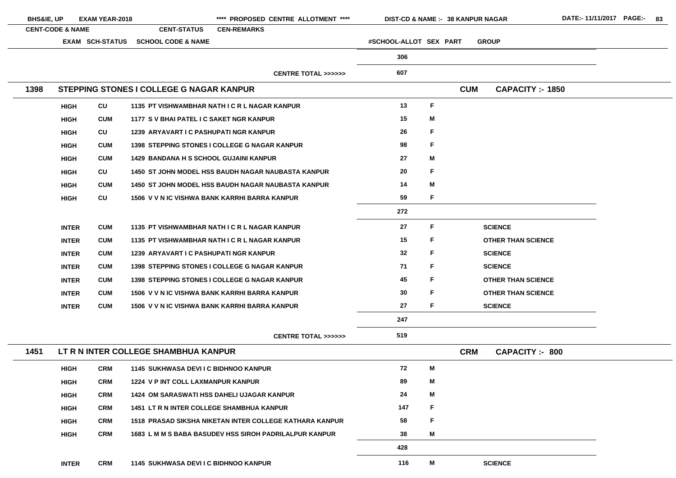| <b>BHS&amp;IE, UP</b> |                             | <b>EXAM YEAR-2018</b>  |                                                  | **** PROPOSED CENTRE ALLOTMENT ****                           |                        |    | <b>DIST-CD &amp; NAME :- 38 KANPUR NAGAR</b> | DATE:-11/11/2017 PAGE:- 83 |  |
|-----------------------|-----------------------------|------------------------|--------------------------------------------------|---------------------------------------------------------------|------------------------|----|----------------------------------------------|----------------------------|--|
|                       | <b>CENT-CODE &amp; NAME</b> |                        | <b>CENT-STATUS</b>                               | <b>CEN-REMARKS</b>                                            |                        |    |                                              |                            |  |
|                       |                             | <b>EXAM SCH-STATUS</b> | <b>SCHOOL CODE &amp; NAME</b>                    |                                                               | #SCHOOL-ALLOT SEX PART |    | <b>GROUP</b>                                 |                            |  |
|                       |                             |                        |                                                  |                                                               | 306                    |    |                                              |                            |  |
|                       |                             |                        |                                                  | CENTRE TOTAL >>>>>>                                           | 607                    |    |                                              |                            |  |
| 1398                  |                             |                        | STEPPING STONES I COLLEGE G NAGAR KANPUR         |                                                               |                        |    | <b>CUM</b><br><b>CAPACITY :- 1850</b>        |                            |  |
|                       | <b>HIGH</b>                 | CU                     |                                                  | 1135 PT VISHWAMBHAR NATH I C R L NAGAR KANPUR                 | 13                     | F  |                                              |                            |  |
|                       | <b>HIGH</b>                 | <b>CUM</b>             | 1177 S V BHAI PATEL I C SAKET NGR KANPUR         |                                                               | 15                     | M  |                                              |                            |  |
|                       | <b>HIGH</b>                 | CU                     | 1239 ARYAVART I C PASHUPATI NGR KANPUR           |                                                               | 26                     | F  |                                              |                            |  |
|                       | <b>HIGH</b>                 | <b>CUM</b>             |                                                  | <b>1398 STEPPING STONES I COLLEGE G NAGAR KANPUR</b>          | 98                     | F  |                                              |                            |  |
|                       | <b>HIGH</b>                 | <b>CUM</b>             | <b>1429 BANDANA H S SCHOOL GUJAINI KANPUR</b>    |                                                               | 27                     | M  |                                              |                            |  |
|                       | <b>HIGH</b>                 | CU                     |                                                  | 1450 ST JOHN MODEL HSS BAUDH NAGAR NAUBASTA KANPUR            | 20                     | F  |                                              |                            |  |
|                       | <b>HIGH</b>                 | <b>CUM</b>             |                                                  | <b>1450 ST JOHN MODEL HSS BAUDH NAGAR NAUBASTA KANPUR</b>     | 14                     | M  |                                              |                            |  |
|                       | <b>HIGH</b>                 | CU                     |                                                  | 1506 V V N IC VISHWA BANK KARRHI BARRA KANPUR                 | 59                     | F  |                                              |                            |  |
|                       |                             |                        |                                                  |                                                               | 272                    |    |                                              |                            |  |
|                       | <b>INTER</b>                | <b>CUM</b>             |                                                  | 1135 PT VISHWAMBHAR NATH I C R L NAGAR KANPUR                 | 27                     | F. | <b>SCIENCE</b>                               |                            |  |
|                       | <b>INTER</b>                | <b>CUM</b>             |                                                  | 1135 PT VISHWAMBHAR NATH I C R L NAGAR KANPUR                 | 15                     | F. | <b>OTHER THAN SCIENCE</b>                    |                            |  |
|                       | <b>INTER</b>                | <b>CUM</b>             | 1239 ARYAVART I C PASHUPATI NGR KANPUR           |                                                               | 32                     | F. | <b>SCIENCE</b>                               |                            |  |
|                       | <b>INTER</b>                | <b>CUM</b>             |                                                  | 1398 STEPPING STONES I COLLEGE G NAGAR KANPUR                 | 71                     | F  | <b>SCIENCE</b>                               |                            |  |
|                       | <b>INTER</b>                | <b>CUM</b>             |                                                  | <b>1398 STEPPING STONES I COLLEGE G NAGAR KANPUR</b>          | 45                     | F  | <b>OTHER THAN SCIENCE</b>                    |                            |  |
|                       | <b>INTER</b>                | <b>CUM</b>             |                                                  | 1506 V V N IC VISHWA BANK KARRHI BARRA KANPUR                 | 30                     | F  | <b>OTHER THAN SCIENCE</b>                    |                            |  |
|                       | <b>INTER</b>                | <b>CUM</b>             |                                                  | 1506 V V N IC VISHWA BANK KARRHI BARRA KANPUR                 | 27                     | F. | <b>SCIENCE</b>                               |                            |  |
|                       |                             |                        |                                                  |                                                               | 247                    |    |                                              |                            |  |
|                       |                             |                        |                                                  | <b>CENTRE TOTAL &gt;&gt;&gt;&gt;&gt;&gt;</b>                  | 519                    |    |                                              |                            |  |
| 1451                  |                             |                        | LT R N INTER COLLEGE SHAMBHUA KANPUR             |                                                               |                        |    | <b>CRM</b><br><b>CAPACITY :- 800</b>         |                            |  |
|                       | <b>HIGH</b>                 | <b>CRM</b>             | <b>1145 SUKHWASA DEVI I C BIDHNOO KANPUR</b>     |                                                               | 72                     | M  |                                              |                            |  |
|                       | <b>HIGH</b>                 | <b>CRM</b>             | 1224 V P INT COLL LAXMANPUR KANPUR               |                                                               | 89                     | M  |                                              |                            |  |
|                       | <b>HIGH</b>                 | <b>CRM</b>             |                                                  | <b>1424 OM SARASWATI HSS DAHELI UJAGAR KANPUR</b>             | 24                     | M  |                                              |                            |  |
|                       | <b>HIGH</b>                 | <b>CRM</b>             | <b>1451 LT R N INTER COLLEGE SHAMBHUA KANPUR</b> |                                                               | 147                    | F  |                                              |                            |  |
|                       | <b>HIGH</b>                 | <b>CRM</b>             |                                                  | 1518 PRASAD SIKSHA NIKETAN INTER COLLEGE KATHARA KANPUR       | 58                     | F  |                                              |                            |  |
|                       | <b>HIGH</b>                 | <b>CRM</b>             |                                                  | <b>1683 L M M S BABA BASUDEV HSS SIROH PADRILALPUR KANPUR</b> | 38                     | M  |                                              |                            |  |
|                       |                             |                        |                                                  |                                                               | 428                    |    |                                              |                            |  |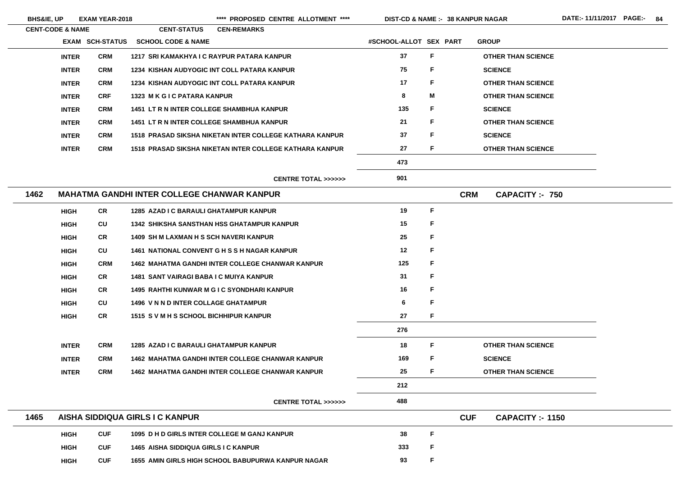BHS&IE, UP EXAM YEAR-2018 \*\*\*\* PROPOSED CENTRE ALLOTMENT \*\*\*\* DIST-CD & NAME :- 38 KANPUR NAGAR DATE:- 11/11/2017 PAGE:- 84

|      | <b>CENT-CODE &amp; NAME</b> |                        | <b>CENT-STATUS</b>                                      | <b>CEN-REMARKS</b> |                                              |                        |   |            |                           |
|------|-----------------------------|------------------------|---------------------------------------------------------|--------------------|----------------------------------------------|------------------------|---|------------|---------------------------|
|      |                             | <b>EXAM SCH-STATUS</b> | <b>SCHOOL CODE &amp; NAME</b>                           |                    |                                              | #SCHOOL-ALLOT SEX PART |   |            | <b>GROUP</b>              |
|      | <b>INTER</b>                | <b>CRM</b>             | 1217 SRI KAMAKHYA I C RAYPUR PATARA KANPUR              |                    |                                              | 37                     | F |            | <b>OTHER THAN SCIENCE</b> |
|      | <b>INTER</b>                | <b>CRM</b>             | 1234 KISHAN AUDYOGIC INT COLL PATARA KANPUR             |                    |                                              | 75                     | F |            | <b>SCIENCE</b>            |
|      | <b>INTER</b>                | <b>CRM</b>             | <b>1234 KISHAN AUDYOGIC INT COLL PATARA KANPUR</b>      |                    |                                              | 17                     | F |            | <b>OTHER THAN SCIENCE</b> |
|      | <b>INTER</b>                | <b>CRF</b>             | 1323 M K G I C PATARA KANPUR                            |                    |                                              | 8                      | M |            | <b>OTHER THAN SCIENCE</b> |
|      | <b>INTER</b>                | <b>CRM</b>             | <b>1451 LT R N INTER COLLEGE SHAMBHUA KANPUR</b>        |                    |                                              | 135                    | F |            | <b>SCIENCE</b>            |
|      | <b>INTER</b>                | <b>CRM</b>             | <b>1451 LT R N INTER COLLEGE SHAMBHUA KANPUR</b>        |                    |                                              | 21                     | F |            | <b>OTHER THAN SCIENCE</b> |
|      | <b>INTER</b>                | <b>CRM</b>             | 1518 PRASAD SIKSHA NIKETAN INTER COLLEGE KATHARA KANPUR |                    |                                              | 37                     | F |            | <b>SCIENCE</b>            |
|      | <b>INTER</b>                | <b>CRM</b>             | 1518 PRASAD SIKSHA NIKETAN INTER COLLEGE KATHARA KANPUR |                    |                                              | 27                     | F |            | <b>OTHER THAN SCIENCE</b> |
|      |                             |                        |                                                         |                    |                                              | 473                    |   |            |                           |
|      |                             |                        |                                                         |                    | CENTRE TOTAL >>>>>>                          | 901                    |   |            |                           |
| 1462 |                             |                        | <b>MAHATMA GANDHI INTER COLLEGE CHANWAR KANPUR</b>      |                    |                                              |                        |   | <b>CRM</b> | <b>CAPACITY :- 750</b>    |
|      | <b>HIGH</b>                 | <b>CR</b>              | <b>1285 AZAD I C BARAULI GHATAMPUR KANPUR</b>           |                    |                                              | 19                     | F |            |                           |
|      | <b>HIGH</b>                 | CU                     | <b>1342 SHIKSHA SANSTHAN HSS GHATAMPUR KANPUR</b>       |                    |                                              | 15                     | F |            |                           |
|      | <b>HIGH</b>                 | <b>CR</b>              | <b>1409 SH M LAXMAN H S SCH NAVERI KANPUR</b>           |                    |                                              | 25                     | F |            |                           |
|      | <b>HIGH</b>                 | CU                     | <b>1461 NATIONAL CONVENT G H S S H NAGAR KANPUR</b>     |                    |                                              | 12                     | F |            |                           |
|      | <b>HIGH</b>                 | <b>CRM</b>             | <b>1462 MAHATMA GANDHI INTER COLLEGE CHANWAR KANPUR</b> |                    |                                              | 125                    | F |            |                           |
|      | <b>HIGH</b>                 | <b>CR</b>              | 1481 SANT VAIRAGI BABA I C MUIYA KANPUR                 |                    |                                              | 31                     | F |            |                           |
|      | <b>HIGH</b>                 | <b>CR</b>              | <b>1495 RAHTHI KUNWAR M G I C SYONDHARI KANPUR</b>      |                    |                                              | 16                     | F |            |                           |
|      | <b>HIGH</b>                 | <b>CU</b>              | <b>1496 V N N D INTER COLLAGE GHATAMPUR</b>             |                    |                                              | 6                      | F |            |                           |
|      | <b>HIGH</b>                 | <b>CR</b>              | 1515 S V M H S SCHOOL BICHHIPUR KANPUR                  |                    |                                              | 27                     | F |            |                           |
|      |                             |                        |                                                         |                    |                                              | 276                    |   |            |                           |
|      | <b>INTER</b>                | <b>CRM</b>             | <b>1285 AZAD I C BARAULI GHATAMPUR KANPUR</b>           |                    |                                              | 18                     | F |            | <b>OTHER THAN SCIENCE</b> |
|      | <b>INTER</b>                | <b>CRM</b>             | <b>1462 MAHATMA GANDHI INTER COLLEGE CHANWAR KANPUR</b> |                    |                                              | 169                    | F |            | <b>SCIENCE</b>            |
|      | <b>INTER</b>                | <b>CRM</b>             | <b>1462 MAHATMA GANDHI INTER COLLEGE CHANWAR KANPUR</b> |                    |                                              | 25                     | F |            | <b>OTHER THAN SCIENCE</b> |
|      |                             |                        |                                                         |                    |                                              | 212                    |   |            |                           |
|      |                             |                        |                                                         |                    | <b>CENTRE TOTAL &gt;&gt;&gt;&gt;&gt;&gt;</b> | 488                    |   |            |                           |
| 1465 |                             |                        | AISHA SIDDIQUA GIRLS I C KANPUR                         |                    |                                              |                        |   | <b>CUF</b> | <b>CAPACITY :- 1150</b>   |
|      | <b>HIGH</b>                 | <b>CUF</b>             | 1095 D H D GIRLS INTER COLLEGE M GANJ KANPUR            |                    |                                              | 38                     | F |            |                           |
|      | <b>HIGH</b>                 | <b>CUF</b>             | 1465 AISHA SIDDIQUA GIRLS I C KANPUR                    |                    |                                              | 333                    | F |            |                           |
|      | <b>HIGH</b>                 | <b>CUF</b>             | 1655 AMIN GIRLS HIGH SCHOOL BABUPURWA KANPUR NAGAR      |                    |                                              | 93                     | F |            |                           |

<u> 1989 - Johann Barn, amerikansk politiker (</u>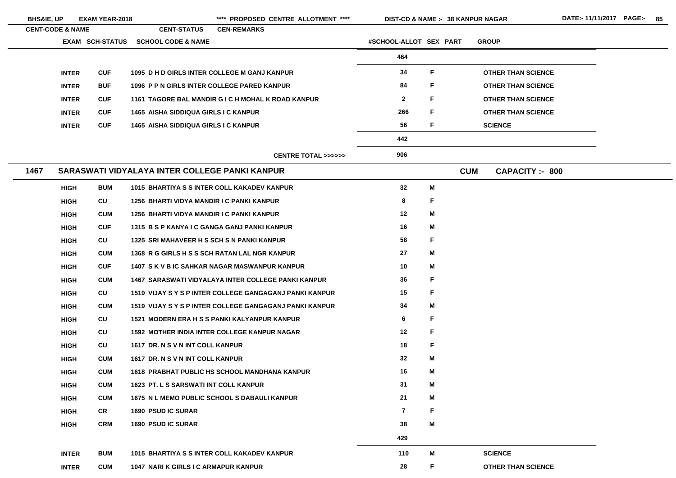| <b>BHS&amp;IE, UP</b>       |              | <b>EXAM YEAR-2018</b>  |                                                | **** PROPOSED CENTRE ALLOTMENT ****                        | <b>DIST-CD &amp; NAME :- 38 KANPUR NAGAR</b> |             |            |                           |  |
|-----------------------------|--------------|------------------------|------------------------------------------------|------------------------------------------------------------|----------------------------------------------|-------------|------------|---------------------------|--|
| <b>CENT-CODE &amp; NAME</b> |              |                        | <b>CENT-STATUS</b>                             | <b>CEN-REMARKS</b>                                         |                                              |             |            |                           |  |
|                             |              | <b>EXAM SCH-STATUS</b> | <b>SCHOOL CODE &amp; NAME</b>                  |                                                            | #SCHOOL-ALLOT SEX PART                       |             |            | <b>GROUP</b>              |  |
|                             |              |                        |                                                |                                                            | 464                                          |             |            |                           |  |
|                             | <b>INTER</b> | <b>CUF</b>             |                                                | 1095 D H D GIRLS INTER COLLEGE M GANJ KANPUR               | 34                                           | F           |            | <b>OTHER THAN SCIENCE</b> |  |
|                             | <b>INTER</b> | <b>BUF</b>             | 1096 P P N GIRLS INTER COLLEGE PARED KANPUR    |                                                            | 84                                           | F           |            | <b>OTHER THAN SCIENCE</b> |  |
|                             | <b>INTER</b> | <b>CUF</b>             |                                                | 1161 TAGORE BAL MANDIR G I C H MOHAL K ROAD KANPUR         | $\overline{2}$                               | F           |            | <b>OTHER THAN SCIENCE</b> |  |
|                             | <b>INTER</b> | <b>CUF</b>             | 1465 AISHA SIDDIQUA GIRLS I C KANPUR           |                                                            | 266                                          | F           |            | <b>OTHER THAN SCIENCE</b> |  |
|                             | <b>INTER</b> | <b>CUF</b>             | 1465 AISHA SIDDIQUA GIRLS I C KANPUR           |                                                            | 56                                           | F           |            | <b>SCIENCE</b>            |  |
|                             |              |                        |                                                |                                                            | 442                                          |             |            |                           |  |
|                             |              |                        |                                                | <b>CENTRE TOTAL &gt;&gt;&gt;&gt;&gt;&gt;</b>               | 906                                          |             |            |                           |  |
| 1467                        |              |                        | SARASWATI VIDYALAYA INTER COLLEGE PANKI KANPUR |                                                            |                                              |             | <b>CUM</b> | <b>CAPACITY: - 800</b>    |  |
|                             | <b>HIGH</b>  | <b>BUM</b>             |                                                | 1015 BHARTIYA S S INTER COLL KAKADEV KANPUR                | 32                                           | M           |            |                           |  |
|                             | <b>HIGH</b>  | CU                     | 1256 BHARTI VIDYA MANDIR I C PANKI KANPUR      |                                                            | 8                                            | F           |            |                           |  |
|                             | <b>HIGH</b>  | <b>CUM</b>             | 1256 BHARTI VIDYA MANDIR I C PANKI KANPUR      |                                                            | 12                                           | M           |            |                           |  |
|                             | <b>HIGH</b>  | <b>CUF</b>             |                                                | 1315 B S P KANYA I C GANGA GANJ PANKI KANPUR               | 16                                           | M           |            |                           |  |
|                             | <b>HIGH</b>  | CU                     | 1325 SRI MAHAVEER H S SCH S N PANKI KANPUR     |                                                            | 58                                           | F           |            |                           |  |
|                             | <b>HIGH</b>  | <b>CUM</b>             |                                                | 1368 R G GIRLS H S S SCH RATAN LAL NGR KANPUR              | 27                                           | M           |            |                           |  |
|                             | <b>HIGH</b>  | <b>CUF</b>             |                                                | 1407 S K V B IC SAHKAR NAGAR MASWANPUR KANPUR              | 10                                           | M           |            |                           |  |
|                             | <b>HIGH</b>  | <b>CUM</b>             |                                                | <b>1467 SARASWATI VIDYALAYA INTER COLLEGE PANKI KANPUR</b> | 36                                           | F           |            |                           |  |
|                             | <b>HIGH</b>  | CU                     |                                                | 1519 VIJAY S Y S P INTER COLLEGE GANGAGANJ PANKI KANPUR    | 15                                           | F           |            |                           |  |
|                             | <b>HIGH</b>  | <b>CUM</b>             |                                                | 1519 VIJAY S Y S P INTER COLLEGE GANGAGANJ PANKI KANPUR    | 34                                           | M           |            |                           |  |
|                             | <b>HIGH</b>  | CU                     |                                                | 1521 MODERN ERA H S S PANKI KALYANPUR KANPUR               | 6                                            | F           |            |                           |  |
|                             | <b>HIGH</b>  | <b>CU</b>              |                                                | <b>1592 MOTHER INDIA INTER COLLEGE KANPUR NAGAR</b>        | 12                                           | F           |            |                           |  |
|                             | <b>HIGH</b>  | <b>CU</b>              | 1617 DR. N S V N INT COLL KANPUR               |                                                            | 18                                           | F           |            |                           |  |
|                             | <b>HIGH</b>  | <b>CUM</b>             | 1617 DR. N S V N INT COLL KANPUR               |                                                            | 32                                           | M           |            |                           |  |
|                             | <b>HIGH</b>  | <b>CUM</b>             |                                                | 1618 PRABHAT PUBLIC HS SCHOOL MANDHANA KANPUR              | 16                                           | M           |            |                           |  |
|                             | <b>HIGH</b>  | <b>CUM</b>             | 1623 PT. L S SARSWATI INT COLL KANPUR          |                                                            | 31                                           | M           |            |                           |  |
|                             | <b>HIGH</b>  | <b>CUM</b>             |                                                | 1675 N L MEMO PUBLIC SCHOOL S DABAULI KANPUR               | 21                                           | M           |            |                           |  |
|                             | <b>HIGH</b>  | CR                     | <b>1690 PSUD IC SURAR</b>                      |                                                            | $\overline{7}$                               | $\mathsf F$ |            |                           |  |
|                             | <b>HIGH</b>  | <b>CRM</b>             | <b>1690 PSUD IC SURAR</b>                      |                                                            | 38                                           | M           |            |                           |  |
|                             |              |                        |                                                |                                                            | 429                                          |             |            |                           |  |
|                             | <b>INTER</b> | <b>BUM</b>             |                                                | 1015 BHARTIYA S S INTER COLL KAKADEV KANPUR                | 110                                          | M           |            | <b>SCIENCE</b>            |  |
|                             | <b>INTER</b> | <b>CUM</b>             | 1047 NARI K GIRLS I C ARMAPUR KANPUR           |                                                            | 28                                           | F           |            | <b>OTHER THAN SCIENCE</b> |  |

- 
- 
- 
- 
-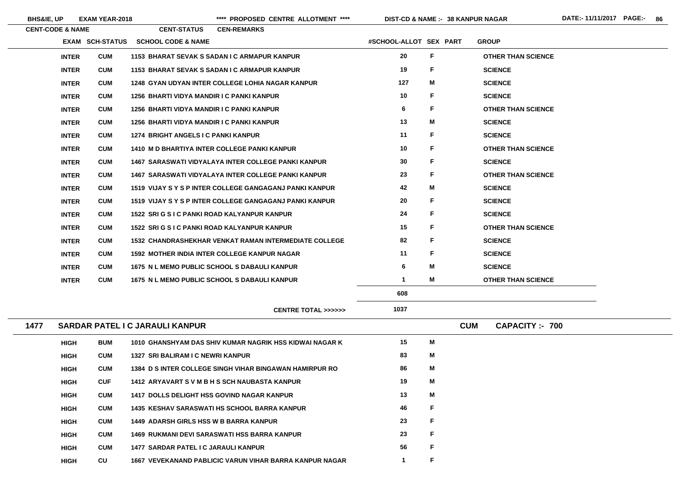$\overline{\phantom{a}}$ 

**BHS&IE, UP EXAM YEAR-2018 \*\*\*\* PROPOSED CENTRE ALLOTMENT \*\*\*\* DIST-CD & NAME :- DATE:- 11/11/2017 PAGE:- 86**

**38 KANPUR NAGAR**

|      | <b>CENT-CODE &amp; NAME</b> |                 | <b>CENT-STATUS</b>                            | <b>CEN-REMARKS</b>                                             |                        |    |                                      |  |
|------|-----------------------------|-----------------|-----------------------------------------------|----------------------------------------------------------------|------------------------|----|--------------------------------------|--|
|      |                             | EXAM SCH-STATUS | <b>SCHOOL CODE &amp; NAME</b>                 |                                                                | #SCHOOL-ALLOT SEX PART |    | <b>GROUP</b>                         |  |
|      | <b>INTER</b>                | <b>CUM</b>      |                                               | 1153 BHARAT SEVAK S SADAN I C ARMAPUR KANPUR                   | 20                     | F. | <b>OTHER THAN SCIENCE</b>            |  |
|      | <b>INTER</b>                | <b>CUM</b>      |                                               | <b>1153 BHARAT SEVAK S SADAN I C ARMAPUR KANPUR</b>            | 19                     | F  | <b>SCIENCE</b>                       |  |
|      | <b>INTER</b>                | <b>CUM</b>      |                                               | 1248 GYAN UDYAN INTER COLLEGE LOHIA NAGAR KANPUR               | 127                    | Μ  | <b>SCIENCE</b>                       |  |
|      | <b>INTER</b>                | <b>CUM</b>      | 1256 BHARTI VIDYA MANDIR I C PANKI KANPUR     |                                                                | 10                     | F  | <b>SCIENCE</b>                       |  |
|      | <b>INTER</b>                | <b>CUM</b>      | 1256 BHARTI VIDYA MANDIR I C PANKI KANPUR     |                                                                | 6                      | F  | <b>OTHER THAN SCIENCE</b>            |  |
|      | <b>INTER</b>                | <b>CUM</b>      | 1256 BHARTI VIDYA MANDIR I C PANKI KANPUR     |                                                                | 13                     | Μ  | <b>SCIENCE</b>                       |  |
|      | <b>INTER</b>                | <b>CUM</b>      | 1274 BRIGHT ANGELS I C PANKI KANPUR           |                                                                | 11                     | F  | <b>SCIENCE</b>                       |  |
|      | <b>INTER</b>                | <b>CUM</b>      |                                               | <b>1410 M D BHARTIYA INTER COLLEGE PANKI KANPUR</b>            | 10 <sub>1</sub>        | F  | <b>OTHER THAN SCIENCE</b>            |  |
|      | <b>INTER</b>                | <b>CUM</b>      |                                               | <b>1467 SARASWATI VIDYALAYA INTER COLLEGE PANKI KANPUR</b>     | 30                     | F  | <b>SCIENCE</b>                       |  |
|      | <b>INTER</b>                | <b>CUM</b>      |                                               | <b>1467 SARASWATI VIDYALAYA INTER COLLEGE PANKI KANPUR</b>     | 23                     | F  | <b>OTHER THAN SCIENCE</b>            |  |
|      | <b>INTER</b>                | <b>CUM</b>      |                                               | 1519 VIJAY S Y S P INTER COLLEGE GANGAGANJ PANKI KANPUR        | 42                     | M  | <b>SCIENCE</b>                       |  |
|      | <b>INTER</b>                | <b>CUM</b>      |                                               | 1519 VIJAY S Y S P INTER COLLEGE GANGAGANJ PANKI KANPUR        | 20                     | F  | <b>SCIENCE</b>                       |  |
|      | <b>INTER</b>                | <b>CUM</b>      |                                               | 1522 SRI G S I C PANKI ROAD KALYANPUR KANPUR                   | 24                     | F  | <b>SCIENCE</b>                       |  |
|      | <b>INTER</b>                | <b>CUM</b>      |                                               | 1522 SRI G S I C PANKI ROAD KALYANPUR KANPUR                   | 15                     | F  | <b>OTHER THAN SCIENCE</b>            |  |
|      | <b>INTER</b>                | <b>CUM</b>      |                                               | <b>1532 CHANDRASHEKHAR VENKAT RAMAN INTERMEDIATE COLLEGE</b>   | 82                     | F  | <b>SCIENCE</b>                       |  |
|      | <b>INTER</b>                | <b>CUM</b>      |                                               | <b>1592 MOTHER INDIA INTER COLLEGE KANPUR NAGAR</b>            | 11                     | F  | <b>SCIENCE</b>                       |  |
|      | <b>INTER</b>                | <b>CUM</b>      |                                               | 1675 N L MEMO PUBLIC SCHOOL S DABAULI KANPUR                   | 6                      | M  | <b>SCIENCE</b>                       |  |
|      | <b>INTER</b>                | <b>CUM</b>      |                                               | 1675 N L MEMO PUBLIC SCHOOL S DABAULI KANPUR                   | 1.                     | M  | <b>OTHER THAN SCIENCE</b>            |  |
|      |                             |                 |                                               |                                                                | 608                    |    |                                      |  |
|      |                             |                 |                                               | <b>CENTRE TOTAL &gt;&gt;&gt;&gt;&gt;&gt;</b>                   | 1037                   |    |                                      |  |
| 1477 |                             |                 | <b>SARDAR PATEL I C JARAULI KANPUR</b>        |                                                                |                        |    | <b>CUM</b><br><b>CAPACITY :- 700</b> |  |
|      | <b>HIGH</b>                 | <b>BUM</b>      |                                               | 1010 GHANSHYAM DAS SHIV KUMAR NAGRIK HSS KIDWAI NAGAR K        | 15                     | Μ  |                                      |  |
|      | <b>HIGH</b>                 | <b>CUM</b>      | <b>1327 SRI BALIRAM I C NEWRI KANPUR</b>      |                                                                | 83                     | M  |                                      |  |
|      | <b>HIGH</b>                 | <b>CUM</b>      |                                               | <b>1384 D S INTER COLLEGE SINGH VIHAR BINGAWAN HAMIRPUR RO</b> | 86                     | Μ  |                                      |  |
|      | <b>HIGH</b>                 | <b>CUF</b>      |                                               | 1412 ARYAVART S V M B H S SCH NAUBASTA KANPUR                  | 19                     | Μ  |                                      |  |
|      | <b>HIGH</b>                 | <b>CUM</b>      |                                               | <b>1417 DOLLS DELIGHT HSS GOVIND NAGAR KANPUR</b>              | 13                     | M  |                                      |  |
|      | <b>HIGH</b>                 | <b>CUM</b>      |                                               | <b>1435 KESHAV SARASWATI HS SCHOOL BARRA KANPUR</b>            | 46                     | F  |                                      |  |
|      | <b>HIGH</b>                 | <b>CUM</b>      | <b>1449 ADARSH GIRLS HSS W B BARRA KANPUR</b> |                                                                | 23                     | F  |                                      |  |
|      | <b>HIGH</b>                 | <b>CUM</b>      |                                               | <b>1469 RUKMANI DEVI SARASWATI HSS BARRA KANPUR</b>            | 23                     | F  |                                      |  |
|      | <b>HIGH</b>                 | <b>CUM</b>      | 1477 SARDAR PATEL I C JARAULI KANPUR          |                                                                | 56                     | F  |                                      |  |
|      | <b>HIGH</b>                 | CU              |                                               | <b>1667 VEVEKANAND PABLICIC VARUN VIHAR BARRA KANPUR NAGAR</b> | 1.                     | F  |                                      |  |
|      |                             |                 |                                               |                                                                |                        |    |                                      |  |

- 
- 
- 
- 
- 
- 
- 

- 
- 
- 
- 

- 
- 
- 
-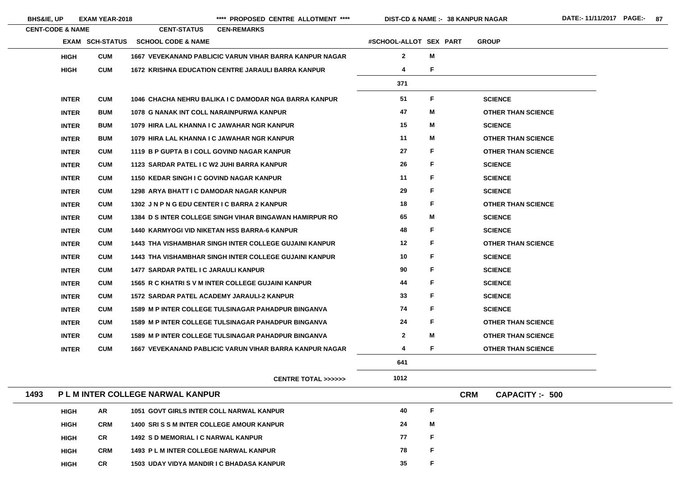**38 KANPUR NAGAR**

|      | <b>CENT-CODE &amp; NAME</b> |                        | <b>CENT-STATUS</b><br><b>CEN-REMARKS</b>                       |                        |   |            |                           |
|------|-----------------------------|------------------------|----------------------------------------------------------------|------------------------|---|------------|---------------------------|
|      |                             | <b>EXAM SCH-STATUS</b> | <b>SCHOOL CODE &amp; NAME</b>                                  | #SCHOOL-ALLOT SEX PART |   |            | <b>GROUP</b>              |
|      | <b>HIGH</b>                 | <b>CUM</b>             | <b>1667 VEVEKANAND PABLICIC VARUN VIHAR BARRA KANPUR NAGAR</b> | $\mathbf{2}$           | M |            |                           |
|      | <b>HIGH</b>                 | <b>CUM</b>             | 1672 KRISHNA EDUCATION CENTRE JARAULI BARRA KANPUR             | 4                      | F |            |                           |
|      |                             |                        |                                                                | 371                    |   |            |                           |
|      | <b>INTER</b>                | <b>CUM</b>             | 1046 CHACHA NEHRU BALIKA I C DAMODAR NGA BARRA KANPUR          | 51                     | F |            | <b>SCIENCE</b>            |
|      | <b>INTER</b>                | <b>BUM</b>             | 1078 G NANAK INT COLL NARAINPURWA KANPUR                       | 47                     | M |            | <b>OTHER THAN SCIENCE</b> |
|      | <b>INTER</b>                | <b>BUM</b>             | 1079 HIRA LAL KHANNA I C JAWAHAR NGR KANPUR                    | 15                     | M |            | <b>SCIENCE</b>            |
|      | <b>INTER</b>                | <b>BUM</b>             | 1079 HIRA LAL KHANNA I C JAWAHAR NGR KANPUR                    | 11                     | M |            | <b>OTHER THAN SCIENCE</b> |
|      | <b>INTER</b>                | <b>CUM</b>             | 1119 B P GUPTA B I COLL GOVIND NAGAR KANPUR                    | 27                     | F |            | <b>OTHER THAN SCIENCE</b> |
|      | <b>INTER</b>                | <b>CUM</b>             | 1123 SARDAR PATEL I C W2 JUHI BARRA KANPUR                     | 26                     | F |            | <b>SCIENCE</b>            |
|      | <b>INTER</b>                | <b>CUM</b>             | <b>1150 KEDAR SINGH I C GOVIND NAGAR KANPUR</b>                | 11                     | F |            | <b>SCIENCE</b>            |
|      | <b>INTER</b>                | <b>CUM</b>             | <b>1298 ARYA BHATT I C DAMODAR NAGAR KANPUR</b>                | 29                     | F |            | <b>SCIENCE</b>            |
|      | <b>INTER</b>                | <b>CUM</b>             | 1302 JN P N G EDU CENTER I C BARRA 2 KANPUR                    | 18                     | F |            | <b>OTHER THAN SCIENCE</b> |
|      | <b>INTER</b>                | <b>CUM</b>             | <b>1384 D S INTER COLLEGE SINGH VIHAR BINGAWAN HAMIRPUR RO</b> | 65                     | M |            | <b>SCIENCE</b>            |
|      | <b>INTER</b>                | <b>CUM</b>             | <b>1440 KARMYOGI VID NIKETAN HSS BARRA-6 KANPUR</b>            | 48                     | F |            | <b>SCIENCE</b>            |
|      | <b>INTER</b>                | <b>CUM</b>             | <b>1443 THA VISHAMBHAR SINGH INTER COLLEGE GUJAINI KANPUR</b>  | 12                     | F |            | <b>OTHER THAN SCIENCE</b> |
|      | <b>INTER</b>                | <b>CUM</b>             | <b>1443 THA VISHAMBHAR SINGH INTER COLLEGE GUJAINI KANPUR</b>  | 10                     | F |            | <b>SCIENCE</b>            |
|      | <b>INTER</b>                | <b>CUM</b>             | 1477 SARDAR PATEL I C JARAULI KANPUR                           | 90                     | F |            | <b>SCIENCE</b>            |
|      | <b>INTER</b>                | <b>CUM</b>             | 1565 R C KHATRI S V M INTER COLLEGE GUJAINI KANPUR             | 44                     |   |            | <b>SCIENCE</b>            |
|      | <b>INTER</b>                | <b>CUM</b>             | 1572 SARDAR PATEL ACADEMY JARAULI-2 KANPUR                     | 33                     | F |            | <b>SCIENCE</b>            |
|      | <b>INTER</b>                | <b>CUM</b>             | <b>1589 M P INTER COLLEGE TULSINAGAR PAHADPUR BINGANVA</b>     | 74                     | F |            | <b>SCIENCE</b>            |
|      | <b>INTER</b>                | <b>CUM</b>             | <b>1589 M P INTER COLLEGE TULSINAGAR PAHADPUR BINGANVA</b>     | 24                     | F |            | <b>OTHER THAN SCIENCE</b> |
|      | <b>INTER</b>                | <b>CUM</b>             | <b>1589 M P INTER COLLEGE TULSINAGAR PAHADPUR BINGANVA</b>     | $\mathbf{2}$           | Μ |            | <b>OTHER THAN SCIENCE</b> |
|      | <b>INTER</b>                | <b>CUM</b>             | <b>1667 VEVEKANAND PABLICIC VARUN VIHAR BARRA KANPUR NAGAR</b> | 4                      | F |            | <b>OTHER THAN SCIENCE</b> |
|      |                             |                        |                                                                | 641                    |   |            |                           |
|      |                             |                        | CENTRE TOTAL >>>>>>                                            | 1012                   |   |            |                           |
| 1493 |                             |                        | <b>PLM INTER COLLEGE NARWAL KANPUR</b>                         |                        |   | <b>CRM</b> | <b>CAPACITY: - 500</b>    |
|      | <b>HIGH</b>                 | AR                     | <b>1051 GOVT GIRLS INTER COLL NARWAL KANPUR</b>                | 40                     | F |            |                           |
|      | <b>HIGH</b>                 | <b>CRM</b>             | <b>1400 SRI S S M INTER COLLEGE AMOUR KANPUR</b>               | 24                     | M |            |                           |
|      | <b>HIGH</b>                 | <b>CR</b>              | 1492 S D MEMORIAL I C NARWAL KANPUR                            | 77                     | F |            |                           |
|      | <b>HIGH</b>                 | <b>CRM</b>             | 1493 PL M INTER COLLEGE NARWAL KANPUR                          | 78                     | F |            |                           |
|      |                             |                        |                                                                |                        |   |            |                           |

| BHS&IE, UP | <b>EXAM YEAR-2018</b> |
|------------|-----------------------|
|            |                       |

**HIGH**

\*\*\*\* PROPOSED CENTRE ALLOTMENT \*\*\*\* DIST-CD & NAME :- 38 KANPUR NAGAR DATE:- 11/11/2017 PAGE:- 87

**CR 1503 UDAY VIDYA MANDIR I C BHADASA KANPUR 35**

**F**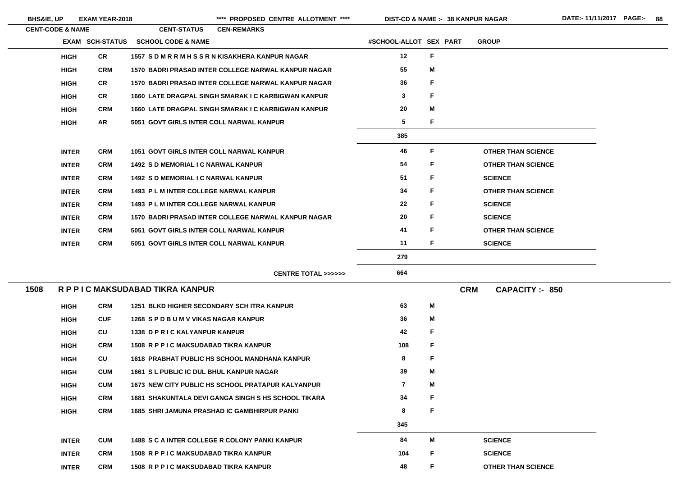| <b>BHS&amp;IE, UP</b> |                             | <b>EXAM YEAR-2018</b>  |                                                 | **** PROPOSED CENTRE ALLOTMENT ****                        |                        | <b>DIST-CD &amp; NAME :- 38 KANPUR NAGAR</b> |                                      |
|-----------------------|-----------------------------|------------------------|-------------------------------------------------|------------------------------------------------------------|------------------------|----------------------------------------------|--------------------------------------|
|                       | <b>CENT-CODE &amp; NAME</b> |                        | <b>CENT-STATUS</b>                              | <b>CEN-REMARKS</b>                                         |                        |                                              |                                      |
|                       |                             | <b>EXAM SCH-STATUS</b> | <b>SCHOOL CODE &amp; NAME</b>                   |                                                            | #SCHOOL-ALLOT SEX PART |                                              | <b>GROUP</b>                         |
|                       | <b>HIGH</b>                 | <b>CR</b>              |                                                 | 1557 SDMRRMHSSRNKISAKHERA KANPUR NAGAR                     | 12                     | F                                            |                                      |
|                       | <b>HIGH</b>                 | <b>CRM</b>             |                                                 | 1570 BADRI PRASAD INTER COLLEGE NARWAL KANPUR NAGAR        | 55                     | M                                            |                                      |
|                       | <b>HIGH</b>                 | <b>CR</b>              |                                                 | <b>1570 BADRI PRASAD INTER COLLEGE NARWAL KANPUR NAGAR</b> | 36                     | F                                            |                                      |
|                       | <b>HIGH</b>                 | <b>CR</b>              |                                                 | 1660 LATE DRAGPAL SINGH SMARAK I C KARBIGWAN KANPUR        | $\mathbf{3}$           | F                                            |                                      |
|                       | <b>HIGH</b>                 | <b>CRM</b>             |                                                 | 1660 LATE DRAGPAL SINGH SMARAK I C KARBIGWAN KANPUR        | 20                     | M                                            |                                      |
|                       | <b>HIGH</b>                 | <b>AR</b>              | 5051 GOVT GIRLS INTER COLL NARWAL KANPUR        |                                                            | 5                      | F                                            |                                      |
|                       |                             |                        |                                                 |                                                            | 385                    |                                              |                                      |
|                       | <b>INTER</b>                | <b>CRM</b>             | <b>1051 GOVT GIRLS INTER COLL NARWAL KANPUR</b> |                                                            | 46                     | F                                            | <b>OTHER THAN SCIENCE</b>            |
|                       | <b>INTER</b>                | <b>CRM</b>             | <b>1492 S D MEMORIAL I C NARWAL KANPUR</b>      |                                                            | 54                     | F                                            | <b>OTHER THAN SCIENCE</b>            |
|                       | <b>INTER</b>                | <b>CRM</b>             | <b>1492 S D MEMORIAL I C NARWAL KANPUR</b>      |                                                            | 51                     | F                                            | <b>SCIENCE</b>                       |
|                       | <b>INTER</b>                | <b>CRM</b>             | <b>1493 PL M INTER COLLEGE NARWAL KANPUR</b>    |                                                            | 34                     | F                                            | <b>OTHER THAN SCIENCE</b>            |
|                       | <b>INTER</b>                | <b>CRM</b>             | <b>1493 PL M INTER COLLEGE NARWAL KANPUR</b>    |                                                            | 22                     | F                                            | <b>SCIENCE</b>                       |
|                       | <b>INTER</b>                | <b>CRM</b>             |                                                 | 1570 BADRI PRASAD INTER COLLEGE NARWAL KANPUR NAGAR        | 20                     | F                                            | <b>SCIENCE</b>                       |
|                       | <b>INTER</b>                | <b>CRM</b>             | 5051 GOVT GIRLS INTER COLL NARWAL KANPUR        |                                                            | 41                     | F                                            | <b>OTHER THAN SCIENCE</b>            |
|                       | <b>INTER</b>                | <b>CRM</b>             | <b>5051 GOVT GIRLS INTER COLL NARWAL KANPUR</b> |                                                            | 11                     | F                                            | <b>SCIENCE</b>                       |
|                       |                             |                        |                                                 |                                                            | 279                    |                                              |                                      |
|                       |                             |                        |                                                 | <b>CENTRE TOTAL &gt;&gt;&gt;&gt;&gt;&gt;</b>               | 664                    |                                              |                                      |
| 1508                  |                             |                        | R P P I C MAKSUDABAD TIKRA KANPUR               |                                                            |                        |                                              | <b>CRM</b><br><b>CAPACITY: - 850</b> |
|                       | <b>HIGH</b>                 | <b>CRM</b>             | 1251 BLKD HIGHER SECONDARY SCH ITRA KANPUR      |                                                            | 63                     | Μ                                            |                                      |
|                       | <b>HIGH</b>                 | <b>CUF</b>             | 1268 SPD BUM V VIKAS NAGAR KANPUR               |                                                            | 36                     | Μ                                            |                                      |
|                       |                             |                        |                                                 |                                                            |                        |                                              |                                      |

| <b>HIGH</b>  | CU         | 1338 D P R I C KALYANPUR KANPUR                     | 42             | F |                 |
|--------------|------------|-----------------------------------------------------|----------------|---|-----------------|
| <b>HIGH</b>  | <b>CRM</b> | 1508 R P P I C MAKSUDABAD TIKRA KANPUR              | 108            | F |                 |
| <b>HIGH</b>  | <b>CU</b>  | 1618 PRABHAT PUBLIC HS SCHOOL MANDHANA KANPUR       | 8              | F |                 |
| <b>HIGH</b>  | <b>CUM</b> | <b>1661 S L PUBLIC IC DUL BHUL KANPUR NAGAR</b>     | 39             | M |                 |
| <b>HIGH</b>  | <b>CUM</b> | 1673 NEW CITY PUBLIC HS SCHOOL PRATAPUR KALYANPUR   | $\overline{7}$ | M |                 |
| <b>HIGH</b>  | <b>CRM</b> | 1681 SHAKUNTALA DEVI GANGA SINGH S HS SCHOOL TIKARA | 34             | F |                 |
| <b>HIGH</b>  | <b>CRM</b> | <b>1685 SHRI JAMUNA PRASHAD IC GAMBHIRPUR PANKI</b> | 8              | F |                 |
|              |            |                                                     | 345            |   |                 |
| <b>INTER</b> | <b>CUM</b> | 1488 S C A INTER COLLEGE R COLONY PANKI KANPUR      | 84             | M | <b>SCIENCE</b>  |
| <b>INTER</b> | <b>CRM</b> | 1508 R P P I C MAKSUDABAD TIKRA KANPUR              | 104            | F | <b>SCIENCE</b>  |
| <b>INTER</b> | <b>CRM</b> | 1508 R P P I C MAKSUDABAD TIKRA KANPUR              | 48             | F | <b>OTHER TH</b> |

**THAN SCIENCE** 

the control of the control of the control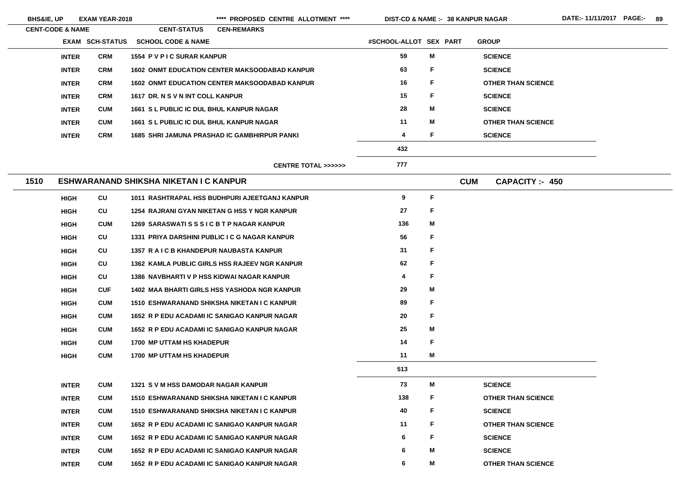| <b>BHS&amp;IE, UP</b> |                             | <b>EXAM YEAR-2018</b>  |                                                 | ****<br>PROPOSED CENTRE ALLOTMENT ****               | <b>DIST-CD &amp; NAME :- 38 KANPUR NAGAR</b> |             |            |                           | DATE:-11/11/2017 PAGE:- 89 |  |
|-----------------------|-----------------------------|------------------------|-------------------------------------------------|------------------------------------------------------|----------------------------------------------|-------------|------------|---------------------------|----------------------------|--|
|                       | <b>CENT-CODE &amp; NAME</b> |                        | <b>CENT-STATUS</b>                              | <b>CEN-REMARKS</b>                                   |                                              |             |            |                           |                            |  |
|                       |                             | <b>EXAM SCH-STATUS</b> | <b>SCHOOL CODE &amp; NAME</b>                   |                                                      | #SCHOOL-ALLOT SEX PART                       |             |            | <b>GROUP</b>              |                            |  |
|                       | <b>INTER</b>                | <b>CRM</b>             | 1554 P V P I C SURAR KANPUR                     |                                                      | 59                                           | M           |            | <b>SCIENCE</b>            |                            |  |
|                       | <b>INTER</b>                | <b>CRM</b>             |                                                 | <b>1602 ONMT EDUCATION CENTER MAKSOODABAD KANPUR</b> | 63                                           | F.          |            | <b>SCIENCE</b>            |                            |  |
|                       | <b>INTER</b>                | <b>CRM</b>             |                                                 | <b>1602 ONMT EDUCATION CENTER MAKSOODABAD KANPUR</b> | 16                                           | F.          |            | <b>OTHER THAN SCIENCE</b> |                            |  |
|                       | <b>INTER</b>                | <b>CRM</b>             | 1617 DR. N S V N INT COLL KANPUR                |                                                      | 15                                           | F           |            | <b>SCIENCE</b>            |                            |  |
|                       | <b>INTER</b>                | <b>CUM</b>             | <b>1661 S L PUBLIC IC DUL BHUL KANPUR NAGAR</b> |                                                      | 28                                           | M           |            | <b>SCIENCE</b>            |                            |  |
|                       | <b>INTER</b>                | <b>CUM</b>             | <b>1661 S L PUBLIC IC DUL BHUL KANPUR NAGAR</b> |                                                      | 11                                           | M           |            | <b>OTHER THAN SCIENCE</b> |                            |  |
|                       | <b>INTER</b>                | <b>CRM</b>             |                                                 | <b>1685 SHRI JAMUNA PRASHAD IC GAMBHIRPUR PANKI</b>  | 4                                            | F           |            | <b>SCIENCE</b>            |                            |  |
|                       |                             |                        |                                                 |                                                      | 432                                          |             |            |                           |                            |  |
|                       |                             |                        |                                                 | <b>CENTRE TOTAL &gt;&gt;&gt;&gt;&gt;&gt;</b>         | 777                                          |             |            |                           |                            |  |
| 1510                  |                             |                        | ESHWARANAND SHIKSHA NIKETAN I C KANPUR          |                                                      |                                              |             | <b>CUM</b> | <b>CAPACITY: 450</b>      |                            |  |
|                       | <b>HIGH</b>                 | CU                     |                                                 | 1011 RASHTRAPAL HSS BUDHPURI AJEETGANJ KANPUR        | 9                                            | F           |            |                           |                            |  |
|                       | <b>HIGH</b>                 | CU                     |                                                 | 1254 RAJRANI GYAN NIKETAN G HSS Y NGR KANPUR         | 27                                           | F           |            |                           |                            |  |
|                       | <b>HIGH</b>                 | <b>CUM</b>             | 1269 SARASWATISSSICBTPNAGAR KANPUR              |                                                      | 136                                          | M           |            |                           |                            |  |
|                       | <b>HIGH</b>                 | CU                     |                                                 | 1331 PRIYA DARSHINI PUBLIC I C G NAGAR KANPUR        | 56                                           | F           |            |                           |                            |  |
|                       | <b>HIGH</b>                 | CU                     | 1357 R A I C B KHANDEPUR NAUBASTA KANPUR        |                                                      | 31                                           | $\mathsf F$ |            |                           |                            |  |
|                       | <b>HIGH</b>                 | CU                     |                                                 | 1362 KAMLA PUBLIC GIRLS HSS RAJEEV NGR KANPUR        | 62                                           | F           |            |                           |                            |  |
|                       | <b>HIGH</b>                 | CU                     | 1386 NAVBHARTI V P HSS KIDWAI NAGAR KANPUR      |                                                      | 4                                            | F           |            |                           |                            |  |
|                       | <b>HIGH</b>                 | <b>CUF</b>             |                                                 | <b>1402 MAA BHARTI GIRLS HSS YASHODA NGR KANPUR</b>  | 29                                           | M           |            |                           |                            |  |
|                       | <b>HIGH</b>                 | <b>CUM</b>             |                                                 | 1510 ESHWARANAND SHIKSHA NIKETAN I C KANPUR          | 89                                           | F           |            |                           |                            |  |
|                       | <b>HIGH</b>                 | <b>CUM</b>             |                                                 | 1652 R P EDU ACADAMI IC SANIGAO KANPUR NAGAR         | 20                                           | F           |            |                           |                            |  |
|                       | <b>HIGH</b>                 | <b>CUM</b>             |                                                 | 1652 R P EDU ACADAMI IC SANIGAO KANPUR NAGAR         | 25                                           | M           |            |                           |                            |  |
|                       | <b>HIGH</b>                 | <b>CUM</b>             | <b>1700 MP UTTAM HS KHADEPUR</b>                |                                                      | 14                                           | F           |            |                           |                            |  |
|                       | <b>HIGH</b>                 | <b>CUM</b>             | <b>1700 MP UTTAM HS KHADEPUR</b>                |                                                      | 11                                           | M           |            |                           |                            |  |
|                       |                             |                        |                                                 |                                                      | 513                                          |             |            |                           |                            |  |
|                       | <b>INTER</b>                | <b>CUM</b>             | 1321 S V M HSS DAMODAR NAGAR KANPUR             |                                                      | 73                                           | M           |            | <b>SCIENCE</b>            |                            |  |
|                       | <b>INTER</b>                | <b>CUM</b>             |                                                 | 1510 ESHWARANAND SHIKSHA NIKETAN I C KANPUR          | 138                                          | F.          |            | <b>OTHER THAN SCIENCE</b> |                            |  |
|                       | <b>INTER</b>                | <b>CUM</b>             |                                                 | 1510 ESHWARANAND SHIKSHA NIKETAN I C KANPUR          | 40                                           | F.          |            | <b>SCIENCE</b>            |                            |  |
|                       | <b>INTER</b>                | <b>CUM</b>             |                                                 | 1652 R P EDU ACADAMI IC SANIGAO KANPUR NAGAR         | 11                                           | F           |            | <b>OTHER THAN SCIENCE</b> |                            |  |
|                       | <b>INTER</b>                | <b>CUM</b>             |                                                 | 1652 R P EDU ACADAMI IC SANIGAO KANPUR NAGAR         | 6                                            | F.          |            | <b>SCIENCE</b>            |                            |  |
|                       | <b>INTER</b>                | <b>CUM</b>             |                                                 | 1652 R P EDU ACADAMI IC SANIGAO KANPUR NAGAR         | 6                                            | M           |            | <b>SCIENCE</b>            |                            |  |

**INTER**

**CUM 1652 R P EDU ACADAMI IC SANIGAO KANPUR NAGAR 6**

**M**

**OTHER THAN SCIENCE**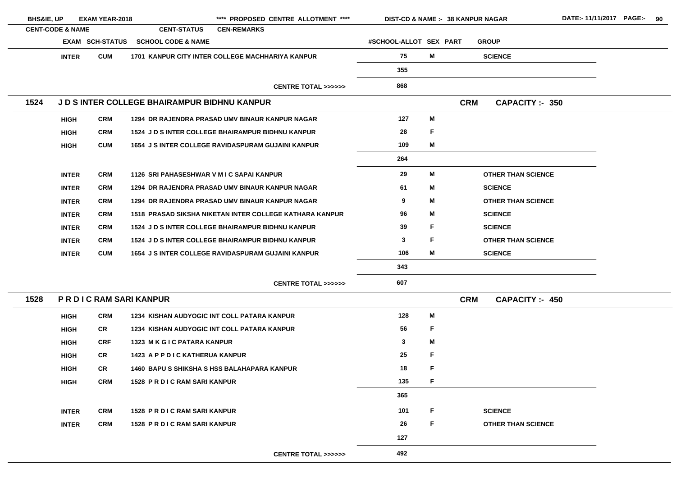| <b>BHS&amp;IE, UP</b> |                             | <b>EXAM YEAR-2018</b>      |                                                     | **** PROPOSED CENTRE ALLOTMENT ****                       | DIST-CD & NAME :- 38 KANPUR NAGAR |   |            |                           |
|-----------------------|-----------------------------|----------------------------|-----------------------------------------------------|-----------------------------------------------------------|-----------------------------------|---|------------|---------------------------|
|                       | <b>CENT-CODE &amp; NAME</b> |                            | <b>CENT-STATUS</b>                                  | <b>CEN-REMARKS</b>                                        |                                   |   |            |                           |
|                       |                             | <b>EXAM SCH-STATUS</b>     | <b>SCHOOL CODE &amp; NAME</b>                       |                                                           | #SCHOOL-ALLOT SEX PART            |   |            | <b>GROUP</b>              |
|                       | <b>INTER</b>                | <b>CUM</b>                 |                                                     | 1701 KANPUR CITY INTER COLLEGE MACHHARIYA KANPUR          | 75                                | M |            | <b>SCIENCE</b>            |
|                       |                             |                            |                                                     |                                                           | 355                               |   |            |                           |
|                       |                             |                            |                                                     | <b>CENTRE TOTAL &gt;&gt;&gt;&gt;&gt;&gt;</b>              | 868                               |   |            |                           |
| 1524                  |                             |                            | <b>J D S INTER COLLEGE BHAIRAMPUR BIDHNU KANPUR</b> |                                                           |                                   |   | <b>CRM</b> | <b>CAPACITY: 350</b>      |
|                       | <b>HIGH</b>                 | <b>CRM</b>                 |                                                     | 1294 DR RAJENDRA PRASAD UMV BINAUR KANPUR NAGAR           | 127                               | M |            |                           |
|                       | <b>HIGH</b>                 | <b>CRM</b>                 |                                                     | <b>1524 J D S INTER COLLEGE BHAIRAMPUR BIDHNU KANPUR</b>  | 28                                | F |            |                           |
|                       | <b>HIGH</b>                 | <b>CUM</b>                 |                                                     | <b>1654 J S INTER COLLEGE RAVIDASPURAM GUJAINI KANPUR</b> | 109                               | M |            |                           |
|                       |                             |                            |                                                     |                                                           | 264                               |   |            |                           |
|                       | <b>INTER</b>                | <b>CRM</b>                 | 1126 SRI PAHASESHWAR V M I C SAPAI KANPUR           |                                                           | 29                                | M |            | <b>OTHER THAN SCIENCE</b> |
|                       | <b>INTER</b>                | <b>CRM</b>                 |                                                     | 1294 DR RAJENDRA PRASAD UMV BINAUR KANPUR NAGAR           | 61                                | M |            | <b>SCIENCE</b>            |
|                       | <b>INTER</b>                | <b>CRM</b>                 |                                                     | 1294 DR RAJENDRA PRASAD UMV BINAUR KANPUR NAGAR           | 9                                 | M |            | <b>OTHER THAN SCIENCE</b> |
|                       | <b>INTER</b>                | <b>CRM</b>                 |                                                     | 1518 PRASAD SIKSHA NIKETAN INTER COLLEGE KATHARA KANPUR   | 96                                | M |            | <b>SCIENCE</b>            |
|                       | <b>INTER</b>                | <b>CRM</b>                 |                                                     | <b>1524 J D S INTER COLLEGE BHAIRAMPUR BIDHNU KANPUR</b>  | 39                                | F |            | <b>SCIENCE</b>            |
|                       | <b>INTER</b>                | <b>CRM</b>                 |                                                     | <b>1524 J D S INTER COLLEGE BHAIRAMPUR BIDHNU KANPUR</b>  | 3                                 | F |            | <b>OTHER THAN SCIENCE</b> |
|                       | <b>INTER</b>                | <b>CUM</b>                 |                                                     | <b>1654 J S INTER COLLEGE RAVIDASPURAM GUJAINI KANPUR</b> | 106                               | M |            | <b>SCIENCE</b>            |
|                       |                             |                            |                                                     |                                                           | 343                               |   |            |                           |
|                       |                             |                            |                                                     | <b>CENTRE TOTAL &gt;&gt;&gt;&gt;&gt;&gt;</b>              | 607                               |   |            |                           |
| 1528                  |                             | <b>PRDICRAM SARIKANPUR</b> |                                                     |                                                           |                                   |   | <b>CRM</b> | <b>CAPACITY: 450</b>      |
|                       | <b>HIGH</b>                 | <b>CRM</b>                 |                                                     | 1234 KISHAN AUDYOGIC INT COLL PATARA KANPUR               | 128                               | M |            |                           |
|                       | <b>HIGH</b>                 | <b>CR</b>                  |                                                     | <b>1234 KISHAN AUDYOGIC INT COLL PATARA KANPUR</b>        | 56                                | F |            |                           |
|                       | <b>HIGH</b>                 | <b>CRF</b>                 | 1323 M K G I C PATARA KANPUR                        |                                                           | 3                                 | M |            |                           |
|                       | <b>HIGH</b>                 | <b>CR</b>                  | 1423 A P P D I C KATHERUA KANPUR                    |                                                           | 25                                | F |            |                           |
|                       | <b>HIGH</b>                 | <b>CR</b>                  |                                                     | <b>1460 BAPU S SHIKSHA S HSS BALAHAPARA KANPUR</b>        | 18                                | F |            |                           |
|                       | <b>HIGH</b>                 | <b>CRM</b>                 | 1528 PR DIC RAM SARI KANPUR                         |                                                           | 135                               | F |            |                           |
|                       |                             |                            |                                                     |                                                           | 365                               |   |            |                           |
|                       | <b>INTER</b>                | <b>CRM</b>                 | <b>1528 PR DIC RAM SARI KANPUR</b>                  |                                                           | 101                               | F |            | <b>SCIENCE</b>            |
|                       | <b>INTER</b>                | <b>CRM</b>                 | <b>1528 PR DIC RAM SARI KANPUR</b>                  |                                                           | 26                                | F |            | <b>OTHER THAN SCIENCE</b> |
|                       |                             |                            |                                                     |                                                           | 127                               |   |            |                           |
|                       |                             |                            |                                                     |                                                           |                                   |   |            |                           |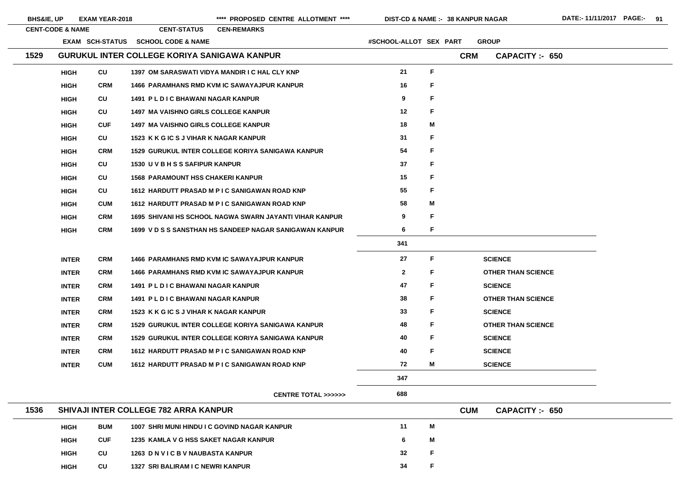| <b>BHS&amp;IE, UP</b> |                             | <b>EXAM YEAR-2018</b>  |                                                     | **** PROPOSED CENTRE ALLOTMENT ****                      | <b>DIST-CD &amp; NAME :- 38 KANPUR NAGAR</b> |             |            |                           |
|-----------------------|-----------------------------|------------------------|-----------------------------------------------------|----------------------------------------------------------|----------------------------------------------|-------------|------------|---------------------------|
|                       | <b>CENT-CODE &amp; NAME</b> |                        | <b>CENT-STATUS</b>                                  | <b>CEN-REMARKS</b>                                       |                                              |             |            |                           |
|                       |                             | <b>EXAM SCH-STATUS</b> | <b>SCHOOL CODE &amp; NAME</b>                       |                                                          | #SCHOOL-ALLOT SEX PART                       |             |            | <b>GROUP</b>              |
| 1529                  |                             |                        | <b>GURUKUL INTER COLLEGE KORIYA SANIGAWA KANPUR</b> |                                                          |                                              |             | <b>CRM</b> | <b>CAPACITY: 650</b>      |
|                       | <b>HIGH</b>                 | CU                     |                                                     | 1397 OM SARASWATI VIDYA MANDIR I C HAL CLY KNP           | 21                                           | $\mathsf F$ |            |                           |
|                       | <b>HIGH</b>                 | <b>CRM</b>             |                                                     | <b>1466 PARAMHANS RMD KVM IC SAWAYAJPUR KANPUR</b>       | 16                                           | F           |            |                           |
|                       | <b>HIGH</b>                 | CU                     | <b>1491 PLDIC BHAWANI NAGAR KANPUR</b>              |                                                          | 9                                            | F           |            |                           |
|                       | <b>HIGH</b>                 | CU                     | <b>1497 MA VAISHNO GIRLS COLLEGE KANPUR</b>         |                                                          | 12                                           | F           |            |                           |
|                       | <b>HIGH</b>                 | <b>CUF</b>             | <b>1497 MA VAISHNO GIRLS COLLEGE KANPUR</b>         |                                                          | 18                                           | M           |            |                           |
|                       | <b>HIGH</b>                 | CU                     | 1523 K K G IC S J VIHAR K NAGAR KANPUR              |                                                          | 31                                           | F           |            |                           |
|                       | <b>HIGH</b>                 | <b>CRM</b>             |                                                     | <b>1529 GURUKUL INTER COLLEGE KORIYA SANIGAWA KANPUR</b> | 54                                           | F           |            |                           |
|                       | <b>HIGH</b>                 | CU                     | 1530 U V B H S S SAFIPUR KANPUR                     |                                                          | 37                                           |             |            |                           |
|                       | <b>HIGH</b>                 | <b>CU</b>              | <b>1568 PARAMOUNT HSS CHAKERI KANPUR</b>            |                                                          | 15                                           |             |            |                           |
|                       | <b>HIGH</b>                 | CU                     |                                                     | 1612 HARDUTT PRASAD M P I C SANIGAWAN ROAD KNP           | 55                                           | F           |            |                           |
|                       | <b>HIGH</b>                 | <b>CUM</b>             |                                                     | 1612 HARDUTT PRASAD M P I C SANIGAWAN ROAD KNP           | 58                                           | M           |            |                           |
|                       | <b>HIGH</b>                 | <b>CRM</b>             |                                                     | 1695 SHIVANI HS SCHOOL NAGWA SWARN JAYANTI VIHAR KANPUR  | 9                                            | F           |            |                           |
|                       | <b>HIGH</b>                 | <b>CRM</b>             |                                                     | 1699 V D S S SANSTHAN HS SANDEEP NAGAR SANIGAWAN KANPUR  | 6                                            | F           |            |                           |
|                       |                             |                        |                                                     |                                                          | 341                                          |             |            |                           |
|                       | <b>INTER</b>                | <b>CRM</b>             |                                                     | <b>1466 PARAMHANS RMD KVM IC SAWAYAJPUR KANPUR</b>       | 27                                           | F           |            | <b>SCIENCE</b>            |
|                       | <b>INTER</b>                | <b>CRM</b>             |                                                     | <b>1466 PARAMHANS RMD KVM IC SAWAYAJPUR KANPUR</b>       | $\overline{2}$                               | F           |            | <b>OTHER THAN SCIENCE</b> |
|                       | <b>INTER</b>                | <b>CRM</b>             | <b>1491 PLDIC BHAWANI NAGAR KANPUR</b>              |                                                          | 47                                           | F           |            | <b>SCIENCE</b>            |
|                       | <b>INTER</b>                | <b>CRM</b>             | 1491 PL D I C BHAWANI NAGAR KANPUR                  |                                                          | 38                                           | F           |            | <b>OTHER THAN SCIENCE</b> |
|                       | <b>INTER</b>                | <b>CRM</b>             | 1523 K K G IC S J VIHAR K NAGAR KANPUR              |                                                          | 33                                           | F           |            | <b>SCIENCE</b>            |
|                       | <b>INTER</b>                | <b>CRM</b>             |                                                     | <b>1529 GURUKUL INTER COLLEGE KORIYA SANIGAWA KANPUR</b> | 48                                           | F           |            | <b>OTHER THAN SCIENCE</b> |
|                       | <b>INTER</b>                | <b>CRM</b>             |                                                     | <b>1529 GURUKUL INTER COLLEGE KORIYA SANIGAWA KANPUR</b> | 40                                           | F           |            | <b>SCIENCE</b>            |
|                       | <b>INTER</b>                | <b>CRM</b>             |                                                     | 1612 HARDUTT PRASAD M P I C SANIGAWAN ROAD KNP           | 40                                           | F           |            | <b>SCIENCE</b>            |
|                       | <b>INTER</b>                | <b>CUM</b>             |                                                     | 1612 HARDUTT PRASAD M P I C SANIGAWAN ROAD KNP           | 72                                           | M           |            | <b>SCIENCE</b>            |
|                       |                             |                        |                                                     |                                                          | 347                                          |             |            |                           |
|                       |                             |                        |                                                     | <b>CENTRE TOTAL &gt;&gt;&gt;&gt;&gt;&gt;</b>             | 688                                          |             |            |                           |
| 1536                  |                             |                        | <b>SHIVAJI INTER COLLEGE 782 ARRA KANPUR</b>        |                                                          |                                              |             | <b>CUM</b> | <b>CAPACITY: 650</b>      |
|                       | <b>HIGH</b>                 | <b>BUM</b>             |                                                     | 1007 SHRI MUNI HINDU I C GOVIND NAGAR KANPUR             | 11                                           | M           |            |                           |
|                       | <b>HIGH</b>                 | <b>CUF</b>             | 1235 KAMLA V G HSS SAKET NAGAR KANPUR               |                                                          | 6                                            | M           |            |                           |
|                       | <b>HIGH</b>                 | CU                     | 1263 DN VIC B V NAUBASTA KANPUR                     |                                                          | 32                                           | F           |            |                           |

**HIGH**

**CU 1327 SRI BALIRAM I C NEWRI KANPUR 34**

**F**

**BATE:- 11/11/2017 PAGE:- 91**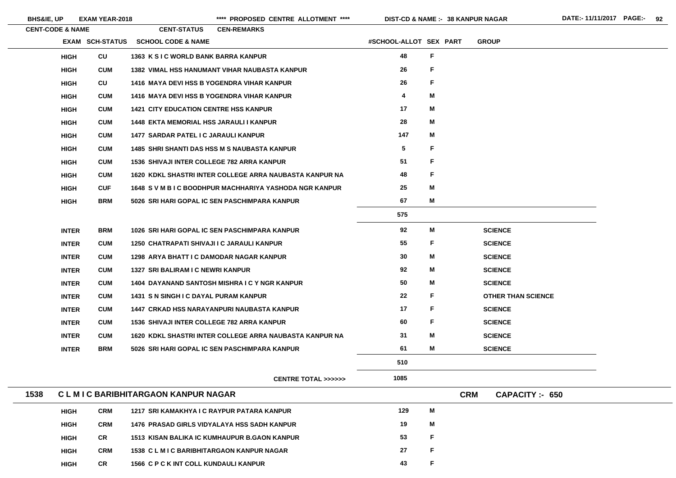|      | <b>CENT-CODE &amp; NAME</b> |                 | <b>CENT-STATUS</b>                                | <b>CEN-REMARKS</b>                                      |                         |             |                                    |
|------|-----------------------------|-----------------|---------------------------------------------------|---------------------------------------------------------|-------------------------|-------------|------------------------------------|
|      |                             | EXAM SCH-STATUS | <b>SCHOOL CODE &amp; NAME</b>                     |                                                         | #SCHOOL-ALLOT SEX PART  |             | <b>GROUP</b>                       |
|      | <b>HIGH</b>                 | <b>CU</b>       | 1363 K S I C WORLD BANK BARRA KANPUR              |                                                         | 48                      | $\mathsf F$ |                                    |
|      | <b>HIGH</b>                 | <b>CUM</b>      |                                                   | <b>1382 VIMAL HSS HANUMANT VIHAR NAUBASTA KANPUR</b>    | 26                      | F           |                                    |
|      | <b>HIGH</b>                 | CU              |                                                   | <b>1416 MAYA DEVI HSS B YOGENDRA VIHAR KANPUR</b>       | 26                      | F           |                                    |
|      | <b>HIGH</b>                 | <b>CUM</b>      |                                                   | <b>1416 MAYA DEVI HSS B YOGENDRA VIHAR KANPUR</b>       | $\overline{\mathbf{4}}$ | M           |                                    |
|      | <b>HIGH</b>                 | <b>CUM</b>      | <b>1421 CITY EDUCATION CENTRE HSS KANPUR</b>      |                                                         | 17                      | M           |                                    |
|      | <b>HIGH</b>                 | <b>CUM</b>      | <b>1448 EKTA MEMORIAL HSS JARAULI I KANPUR</b>    |                                                         | 28                      | M           |                                    |
|      | <b>HIGH</b>                 | <b>CUM</b>      | 1477 SARDAR PATEL I C JARAULI KANPUR              |                                                         | 147                     | M           |                                    |
|      | <b>HIGH</b>                 | <b>CUM</b>      |                                                   | <b>1485 SHRI SHANTI DAS HSS M S NAUBASTA KANPUR</b>     | $5\phantom{.0}$         | F           |                                    |
|      | <b>HIGH</b>                 | <b>CUM</b>      | <b>1536 SHIVAJI INTER COLLEGE 782 ARRA KANPUR</b> |                                                         | 51                      | F           |                                    |
|      | <b>HIGH</b>                 | <b>CUM</b>      |                                                   | 1620 KDKL SHASTRI INTER COLLEGE ARRA NAUBASTA KANPUR NA | 48                      | F           |                                    |
|      | <b>HIGH</b>                 | <b>CUF</b>      |                                                   | 1648 S V M B I C BOODHPUR MACHHARIYA YASHODA NGR KANPUR | 25                      | M           |                                    |
|      | <b>HIGH</b>                 | <b>BRM</b>      |                                                   | 5026 SRI HARI GOPAL IC SEN PASCHIMPARA KANPUR           | 67                      | M           |                                    |
|      |                             |                 |                                                   |                                                         | 575                     |             |                                    |
|      | <b>INTER</b>                | <b>BRM</b>      |                                                   | 1026 SRI HARI GOPAL IC SEN PASCHIMPARA KANPUR           | 92                      | M           | <b>SCIENCE</b>                     |
|      | <b>INTER</b>                | <b>CUM</b>      | 1250 CHATRAPATI SHIVAJI I C JARAULI KANPUR        |                                                         | 55                      | F           | <b>SCIENCE</b>                     |
|      | <b>INTER</b>                | <b>CUM</b>      | <b>1298 ARYA BHATT I C DAMODAR NAGAR KANPUR</b>   |                                                         | 30                      | M           | <b>SCIENCE</b>                     |
|      | <b>INTER</b>                | <b>CUM</b>      | 1327 SRI BALIRAM I C NEWRI KANPUR                 |                                                         | 92                      | M           | <b>SCIENCE</b>                     |
|      | <b>INTER</b>                | <b>CUM</b>      |                                                   | 1404 DAYANAND SANTOSH MISHRA I C Y NGR KANPUR           | 50                      | M           | <b>SCIENCE</b>                     |
|      | <b>INTER</b>                | <b>CUM</b>      | 1431 S N SINGH I C DAYAL PURAM KANPUR             |                                                         | 22                      | F           | <b>OTHER THAN SCIENCE</b>          |
|      | <b>INTER</b>                | <b>CUM</b>      |                                                   | 1447 CRKAD HSS NARAYANPURI NAUBASTA KANPUR              | 17                      | F           | <b>SCIENCE</b>                     |
|      | <b>INTER</b>                | <b>CUM</b>      | <b>1536 SHIVAJI INTER COLLEGE 782 ARRA KANPUR</b> |                                                         | 60                      | F           | <b>SCIENCE</b>                     |
|      | <b>INTER</b>                | <b>CUM</b>      |                                                   | 1620 KDKL SHASTRI INTER COLLEGE ARRA NAUBASTA KANPUR NA | 31                      | M           | <b>SCIENCE</b>                     |
|      | <b>INTER</b>                | <b>BRM</b>      |                                                   | 5026 SRI HARI GOPAL IC SEN PASCHIMPARA KANPUR           | 61                      | M           | <b>SCIENCE</b>                     |
|      |                             |                 |                                                   |                                                         | 510                     |             |                                    |
|      |                             |                 |                                                   | <b>CENTRE TOTAL &gt;&gt;&gt;&gt;&gt;&gt;</b>            | 1085                    |             |                                    |
| 1538 |                             |                 | <b>CLMIC BARIBHITARGAON KANPUR NAGAR</b>          |                                                         |                         |             | <b>CRM</b><br><b>CAPACITY: 650</b> |
|      | <b>HIGH</b>                 | <b>CRM</b>      | 1217 SRI KAMAKHYA I C RAYPUR PATARA KANPUR        |                                                         | 129                     | M           |                                    |
|      | <b>HIGH</b>                 | <b>CRM</b>      |                                                   | <b>1476 PRASAD GIRLS VIDYALAYA HSS SADH KANPUR</b>      | 19                      | M           |                                    |
|      | <b>HIGH</b>                 | CR              |                                                   | 1513 KISAN BALIKA IC KUMHAUPUR B.GAON KANPUR            | 53                      | F           |                                    |
|      | <b>HIGH</b>                 | <b>CRM</b>      | <b>1538 CLMIC BARIBHITARGAON KANPUR NAGAR</b>     |                                                         | 27                      | $\mathsf F$ |                                    |

**HIGH**

BHS&IE, UP **EXAM YEAR-2018 EXAM YEAR-2018 1998 Exam PROPOSED CENTRE ALLOTMENT** \*\*\*\* **DIST-CD & NAME :- 38 KANPUR NAGAR** DATE:- 11/11/2017 PAGE:- 92

**CR 1566 C P C K INT COLL KUNDAULI KANPUR 43**

E. E. E. E. E.

**F**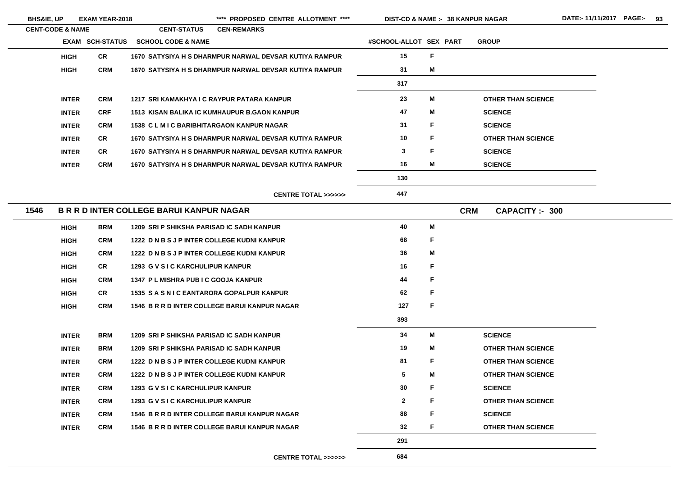| <b>BHS&amp;IE, UP</b>       |              | <b>EXAM YEAR-2018</b>  |                                                        |                    | **** PROPOSED CENTRE ALLOTMENT ****          | <b>DIST-CD &amp; NAME :- 38 KANPUR NAGAR</b> |    |            |                           |
|-----------------------------|--------------|------------------------|--------------------------------------------------------|--------------------|----------------------------------------------|----------------------------------------------|----|------------|---------------------------|
| <b>CENT-CODE &amp; NAME</b> |              |                        | <b>CENT-STATUS</b>                                     | <b>CEN-REMARKS</b> |                                              |                                              |    |            |                           |
|                             |              | <b>EXAM SCH-STATUS</b> | <b>SCHOOL CODE &amp; NAME</b>                          |                    |                                              | #SCHOOL-ALLOT SEX PART                       |    |            | <b>GROUP</b>              |
|                             | <b>HIGH</b>  | <b>CR</b>              | 1670 SATYSIYA H S DHARMPUR NARWAL DEVSAR KUTIYA RAMPUR |                    |                                              | 15                                           | F  |            |                           |
|                             | <b>HIGH</b>  | <b>CRM</b>             | 1670 SATYSIYA H S DHARMPUR NARWAL DEVSAR KUTIYA RAMPUR |                    |                                              | 31                                           | M  |            |                           |
|                             |              |                        |                                                        |                    |                                              | 317                                          |    |            |                           |
|                             | <b>INTER</b> | <b>CRM</b>             | 1217 SRI KAMAKHYA I C RAYPUR PATARA KANPUR             |                    |                                              | 23                                           | М  |            | <b>OTHER THAN SCIENCE</b> |
|                             | <b>INTER</b> | <b>CRF</b>             | <b>1513 KISAN BALIKA IC KUMHAUPUR B.GAON KANPUR</b>    |                    |                                              | 47                                           | М  |            | <b>SCIENCE</b>            |
|                             | <b>INTER</b> | <b>CRM</b>             | <b>1538 CLMIC BARIBHITARGAON KANPUR NAGAR</b>          |                    |                                              | 31                                           | F  |            | <b>SCIENCE</b>            |
|                             | <b>INTER</b> | <b>CR</b>              | 1670 SATYSIYA H S DHARMPUR NARWAL DEVSAR KUTIYA RAMPUR |                    |                                              | 10                                           | F  |            | <b>OTHER THAN SCIENCE</b> |
|                             | <b>INTER</b> | <b>CR</b>              | 1670 SATYSIYA H S DHARMPUR NARWAL DEVSAR KUTIYA RAMPUR |                    |                                              | 3                                            | F  |            | <b>SCIENCE</b>            |
|                             | <b>INTER</b> | <b>CRM</b>             | 1670 SATYSIYA H S DHARMPUR NARWAL DEVSAR KUTIYA RAMPUR |                    |                                              | 16                                           | M  |            | <b>SCIENCE</b>            |
|                             |              |                        |                                                        |                    |                                              | 130                                          |    |            |                           |
|                             |              |                        |                                                        |                    | <b>CENTRE TOTAL &gt;&gt;&gt;&gt;&gt;&gt;</b> | 447                                          |    |            |                           |
| 1546                        |              |                        | <b>B R R D INTER COLLEGE BARUI KANPUR NAGAR</b>        |                    |                                              |                                              |    | <b>CRM</b> | <b>CAPACITY:- 300</b>     |
|                             | <b>HIGH</b>  | <b>BRM</b>             | 1209 SRI P SHIKSHA PARISAD IC SADH KANPUR              |                    |                                              | 40                                           | Μ  |            |                           |
|                             | <b>HIGH</b>  | <b>CRM</b>             | 1222 D N B S J P INTER COLLEGE KUDNI KANPUR            |                    |                                              | 68                                           | F  |            |                           |
|                             | <b>HIGH</b>  | <b>CRM</b>             | 1222 D N B S J P INTER COLLEGE KUDNI KANPUR            |                    |                                              | 36                                           | Μ  |            |                           |
|                             | <b>HIGH</b>  | <b>CR</b>              | 1293 G V S I C KARCHULIPUR KANPUR                      |                    |                                              | 16                                           | F. |            |                           |
|                             | <b>HIGH</b>  | <b>CRM</b>             | 1347 PL MISHRA PUB I C GOOJA KANPUR                    |                    |                                              | 44                                           | F  |            |                           |
|                             | <b>HIGH</b>  | <b>CR</b>              | <b>1535 SASNIC EANTARORA GOPALPUR KANPUR</b>           |                    |                                              | 62                                           | F  |            |                           |
|                             | <b>HIGH</b>  | <b>CRM</b>             | 1546 B R R D INTER COLLEGE BARUI KANPUR NAGAR          |                    |                                              | 127                                          | F  |            |                           |
|                             |              |                        |                                                        |                    |                                              | 393                                          |    |            |                           |
|                             | <b>INTER</b> | <b>BRM</b>             | 1209 SRI P SHIKSHA PARISAD IC SADH KANPUR              |                    |                                              | 34                                           | M  |            | <b>SCIENCE</b>            |
|                             | <b>INTER</b> | <b>BRM</b>             | 1209 SRI P SHIKSHA PARISAD IC SADH KANPUR              |                    |                                              | 19                                           | M  |            | <b>OTHER THAN SCIENCE</b> |
|                             | <b>INTER</b> | <b>CRM</b>             | 1222 D N B S J P INTER COLLEGE KUDNI KANPUR            |                    |                                              | 81                                           | F  |            | <b>OTHER THAN SCIENCE</b> |
|                             | <b>INTER</b> | <b>CRM</b>             | 1222 D N B S J P INTER COLLEGE KUDNI KANPUR            |                    |                                              | $5\phantom{.0}$                              | M  |            | <b>OTHER THAN SCIENCE</b> |
|                             | <b>INTER</b> | <b>CRM</b>             | 1293 G V S I C KARCHULIPUR KANPUR                      |                    |                                              | 30                                           | F  |            | <b>SCIENCE</b>            |
|                             | <b>INTER</b> | <b>CRM</b>             | 1293 G V S I C KARCHULIPUR KANPUR                      |                    |                                              | $\mathbf{2}$                                 | F  |            | <b>OTHER THAN SCIENCE</b> |
|                             | <b>INTER</b> | <b>CRM</b>             | 1546 B R R D INTER COLLEGE BARUI KANPUR NAGAR          |                    |                                              | 88                                           | F  |            | <b>SCIENCE</b>            |
|                             | <b>INTER</b> | <b>CRM</b>             | 1546 B R R D INTER COLLEGE BARUI KANPUR NAGAR          |                    |                                              | 32                                           | F  |            | <b>OTHER THAN SCIENCE</b> |
|                             |              |                        |                                                        |                    |                                              | 291                                          |    |            |                           |
|                             |              |                        |                                                        |                    | <b>CENTRE TOTAL &gt;&gt;&gt;&gt;&gt;&gt;</b> | 684                                          |    |            |                           |
|                             |              |                        |                                                        |                    |                                              |                                              |    |            |                           |

E<br>C  $SE$ CE D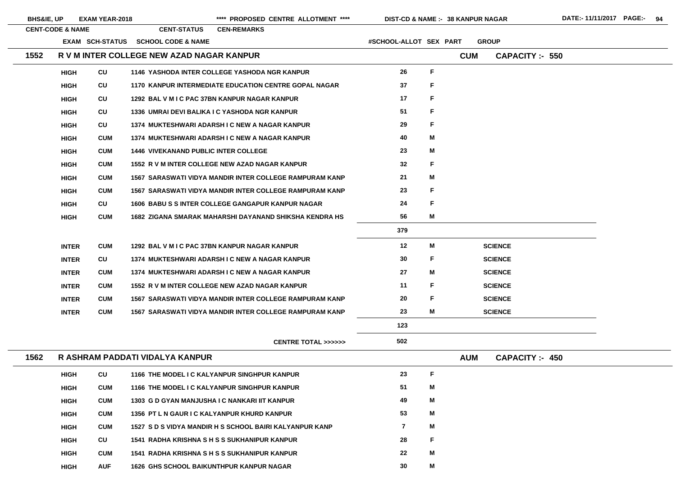| <b>BHS&amp;IE, UP</b> |                             | EXAM YEAR-2018  |                                             | **** PROPOSED CENTRE ALLOTMENT ****                            | DIST-CD & NAME :- 38 KANPUR NAGAR |    |            |                        |  |
|-----------------------|-----------------------------|-----------------|---------------------------------------------|----------------------------------------------------------------|-----------------------------------|----|------------|------------------------|--|
|                       | <b>CENT-CODE &amp; NAME</b> |                 | <b>CENT-STATUS</b>                          | <b>CEN-REMARKS</b>                                             |                                   |    |            |                        |  |
|                       |                             | EXAM SCH-STATUS | <b>SCHOOL CODE &amp; NAME</b>               |                                                                | #SCHOOL-ALLOT SEX PART            |    |            | <b>GROUP</b>           |  |
| 1552                  |                             |                 | R V M INTER COLLEGE NEW AZAD NAGAR KANPUR   |                                                                |                                   |    | <b>CUM</b> | <b>CAPACITY :- 550</b> |  |
|                       | <b>HIGH</b>                 | CU              |                                             | 1146 YASHODA INTER COLLEGE YASHODA NGR KANPUR                  | 26                                | F  |            |                        |  |
|                       | <b>HIGH</b>                 | CU              |                                             | <b>1170 KANPUR INTERMEDIATE EDUCATION CENTRE GOPAL NAGAR</b>   | 37                                | F  |            |                        |  |
|                       | <b>HIGH</b>                 | CU              |                                             | 1292 BAL V M I C PAC 37BN KANPUR NAGAR KANPUR                  | 17                                | F  |            |                        |  |
|                       | <b>HIGH</b>                 | CU              |                                             | 1336 UMRAI DEVI BALIKA I C YASHODA NGR KANPUR                  | 51                                | F  |            |                        |  |
|                       | <b>HIGH</b>                 | CU              |                                             | 1374 MUKTESHWARI ADARSH I C NEW A NAGAR KANPUR                 | 29                                | F  |            |                        |  |
|                       | <b>HIGH</b>                 | <b>CUM</b>      |                                             | 1374 MUKTESHWARI ADARSH I C NEW A NAGAR KANPUR                 | 40                                | Μ  |            |                        |  |
|                       | <b>HIGH</b>                 | <b>CUM</b>      | <b>1446 VIVEKANAND PUBLIC INTER COLLEGE</b> |                                                                | 23                                | M  |            |                        |  |
|                       | <b>HIGH</b>                 | <b>CUM</b>      |                                             | 1552 R V M INTER COLLEGE NEW AZAD NAGAR KANPUR                 | 32                                | F. |            |                        |  |
|                       | <b>HIGH</b>                 | <b>CUM</b>      |                                             | <b>1567 SARASWATI VIDYA MANDIR INTER COLLEGE RAMPURAM KANP</b> | 21                                | M  |            |                        |  |
|                       | <b>HIGH</b>                 | <b>CUM</b>      |                                             | <b>1567 SARASWATI VIDYA MANDIR INTER COLLEGE RAMPURAM KANP</b> | 23                                | F  |            |                        |  |
|                       | <b>HIGH</b>                 | CU              |                                             | <b>1606 BABU S S INTER COLLEGE GANGAPUR KANPUR NAGAR</b>       | 24                                | F  |            |                        |  |
|                       | <b>HIGH</b>                 | <b>CUM</b>      |                                             | 1682 ZIGANA SMARAK MAHARSHI DAYANAND SHIKSHA KENDRA HS         | 56                                | M  |            |                        |  |
|                       |                             |                 |                                             |                                                                | 379                               |    |            |                        |  |
|                       | <b>INTER</b>                | <b>CUM</b>      |                                             | 1292 BAL V M I C PAC 37BN KANPUR NAGAR KANPUR                  | 12                                | M  |            | <b>SCIENCE</b>         |  |
|                       | <b>INTER</b>                | CU              |                                             | 1374 MUKTESHWARI ADARSH I C NEW A NAGAR KANPUR                 | 30                                | F  |            | <b>SCIENCE</b>         |  |
|                       | <b>INTER</b>                | <b>CUM</b>      |                                             | 1374 MUKTESHWARI ADARSH I C NEW A NAGAR KANPUR                 | 27                                | M  |            | <b>SCIENCE</b>         |  |
|                       | <b>INTER</b>                | <b>CUM</b>      |                                             | 1552 R V M INTER COLLEGE NEW AZAD NAGAR KANPUR                 | 11                                | F  |            | <b>SCIENCE</b>         |  |
|                       | <b>INTER</b>                | <b>CUM</b>      |                                             | <b>1567 SARASWATI VIDYA MANDIR INTER COLLEGE RAMPURAM KANP</b> | 20                                | F  |            | <b>SCIENCE</b>         |  |
|                       | <b>INTER</b>                | <b>CUM</b>      |                                             | <b>1567 SARASWATI VIDYA MANDIR INTER COLLEGE RAMPURAM KANP</b> | 23                                | Μ  |            | <b>SCIENCE</b>         |  |
|                       |                             |                 |                                             |                                                                | 123                               |    |            |                        |  |
|                       |                             |                 |                                             | CENTRE TOTAL >>>>>>                                            | 502                               |    |            |                        |  |
| 1562                  |                             |                 | R ASHRAM PADDATI VIDALYA KANPUR             |                                                                |                                   |    | <b>AUM</b> | <b>CAPACITY: 450</b>   |  |
|                       | <b>HIGH</b>                 | CU              |                                             | 1166 THE MODEL I C KALYANPUR SINGHPUR KANPUR                   | 23                                | F  |            |                        |  |
|                       | <b>HIGH</b>                 | <b>CUM</b>      |                                             | 1166 THE MODEL I C KALYANPUR SINGHPUR KANPUR                   | 51                                | Μ  |            |                        |  |
|                       | <b>HIGH</b>                 | <b>CUM</b>      |                                             | 1303 G D GYAN MANJUSHA I C NANKARI IIT KANPUR                  | 49                                | Μ  |            |                        |  |
|                       | <b>HIGH</b>                 | <b>CUM</b>      | 1356 PT L N GAUR I C KALYANPUR KHURD KANPUR |                                                                | 53                                | Μ  |            |                        |  |
|                       | <b>HIGH</b>                 | <b>CUM</b>      |                                             | 1527 S D S VIDYA MANDIR H S SCHOOL BAIRI KALYANPUR KANP        | $\overline{7}$                    | Μ  |            |                        |  |
|                       | <b>HIGH</b>                 | CU              |                                             | 1541 RADHA KRISHNA S H S S SUKHANIPUR KANPUR                   | 28                                | F. |            |                        |  |
|                       |                             |                 |                                             |                                                                |                                   |    |            |                        |  |



**HIGH**

 $\sim$ 

**CUM 1541 RADHA KRISHNA S H S S SUKHANIPUR KANPUR 22**

**M**

**HIGH**

**AUF 1626 GHS SCHOOL BAIKUNTHPUR KANPUR NAGAR 30**

**M**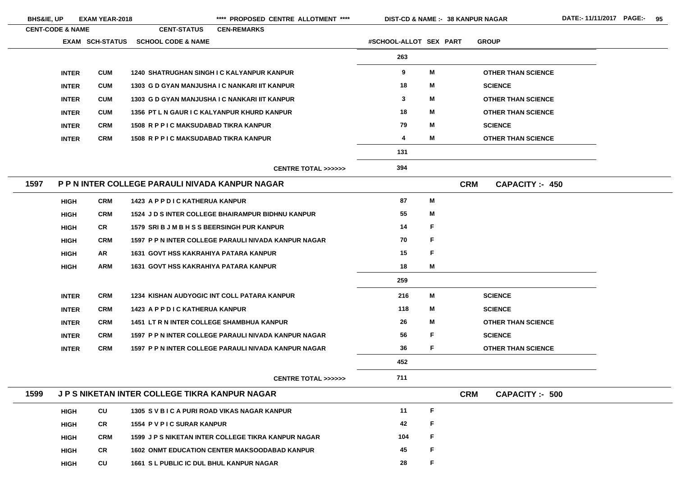| <b>BHS&amp;IE, UP</b>       |              | <b>EXAM YEAR-2018</b>  |                                                     | **** PROPOSED CENTRE ALLOTMENT ****                         | <b>DIST-CD &amp; NAME :- 38 KANPUR NAGAR</b> |   |            |                           |  |
|-----------------------------|--------------|------------------------|-----------------------------------------------------|-------------------------------------------------------------|----------------------------------------------|---|------------|---------------------------|--|
| <b>CENT-CODE &amp; NAME</b> |              |                        | <b>CENT-STATUS</b>                                  | <b>CEN-REMARKS</b>                                          |                                              |   |            |                           |  |
|                             |              | <b>EXAM SCH-STATUS</b> | <b>SCHOOL CODE &amp; NAME</b>                       |                                                             | #SCHOOL-ALLOT SEX PART                       |   |            | <b>GROUP</b>              |  |
|                             |              |                        |                                                     |                                                             | 263                                          |   |            |                           |  |
|                             | <b>INTER</b> | <b>CUM</b>             |                                                     | <b>1240 SHATRUGHAN SINGH I C KALYANPUR KANPUR</b>           | 9                                            | M |            | <b>OTHER THAN SCIENCE</b> |  |
|                             | <b>INTER</b> | <b>CUM</b>             |                                                     | 1303 G D GYAN MANJUSHA I C NANKARI IIT KANPUR               | 18                                           | M |            | <b>SCIENCE</b>            |  |
|                             | <b>INTER</b> | <b>CUM</b>             |                                                     | 1303 G D GYAN MANJUSHA I C NANKARI IIT KANPUR               | $\mathbf{3}$                                 | M |            | <b>OTHER THAN SCIENCE</b> |  |
|                             | <b>INTER</b> | <b>CUM</b>             | 1356 PT L N GAUR I C KALYANPUR KHURD KANPUR         |                                                             | 18                                           | M |            | <b>OTHER THAN SCIENCE</b> |  |
|                             | <b>INTER</b> | <b>CRM</b>             | <b>1508 R P P I C MAKSUDABAD TIKRA KANPUR</b>       |                                                             | 79                                           | M |            | <b>SCIENCE</b>            |  |
|                             | <b>INTER</b> | <b>CRM</b>             | <b>1508 R P P I C MAKSUDABAD TIKRA KANPUR</b>       |                                                             | 4                                            | M |            | <b>OTHER THAN SCIENCE</b> |  |
|                             |              |                        |                                                     |                                                             | 131                                          |   |            |                           |  |
|                             |              |                        |                                                     | <b>CENTRE TOTAL &gt;&gt;&gt;&gt;&gt;&gt;</b>                | 394                                          |   |            |                           |  |
| 1597                        |              |                        | P P N INTER COLLEGE PARAULI NIVADA KANPUR NAGAR     |                                                             |                                              |   | <b>CRM</b> | <b>CAPACITY: 450</b>      |  |
|                             | <b>HIGH</b>  | <b>CRM</b>             | 1423 A P P D I C KATHERUA KANPUR                    |                                                             | 87                                           | M |            |                           |  |
|                             | <b>HIGH</b>  | <b>CRM</b>             |                                                     | <b>1524 J D S INTER COLLEGE BHAIRAMPUR BIDHNU KANPUR</b>    | 55                                           | M |            |                           |  |
|                             | <b>HIGH</b>  | <b>CR</b>              | 1579 SRI B J M B H S S BEERSINGH PUR KANPUR         |                                                             | 14                                           | F |            |                           |  |
|                             | <b>HIGH</b>  | <b>CRM</b>             |                                                     | <b>1597 P P N INTER COLLEGE PARAULI NIVADA KANPUR NAGAR</b> | 70                                           | F |            |                           |  |
|                             | <b>HIGH</b>  | <b>AR</b>              | <b>1631 GOVT HSS KAKRAHIYA PATARA KANPUR</b>        |                                                             | 15                                           | F |            |                           |  |
|                             | <b>HIGH</b>  | <b>ARM</b>             | <b>1631 GOVT HSS KAKRAHIYA PATARA KANPUR</b>        |                                                             | 18                                           | Μ |            |                           |  |
|                             |              |                        |                                                     |                                                             | 259                                          |   |            |                           |  |
|                             | <b>INTER</b> | <b>CRM</b>             |                                                     | <b>1234 KISHAN AUDYOGIC INT COLL PATARA KANPUR</b>          | 216                                          | M |            | <b>SCIENCE</b>            |  |
|                             | <b>INTER</b> | <b>CRM</b>             | 1423 A P P D I C KATHERUA KANPUR                    |                                                             | 118                                          | M |            | <b>SCIENCE</b>            |  |
|                             | <b>INTER</b> | <b>CRM</b>             | <b>1451 LT R N INTER COLLEGE SHAMBHUA KANPUR</b>    |                                                             | 26                                           | M |            | <b>OTHER THAN SCIENCE</b> |  |
|                             | <b>INTER</b> | <b>CRM</b>             |                                                     | 1597 P P N INTER COLLEGE PARAULI NIVADA KANPUR NAGAR        | 56                                           | F |            | <b>SCIENCE</b>            |  |
|                             | <b>INTER</b> | <b>CRM</b>             |                                                     | 1597 P P N INTER COLLEGE PARAULI NIVADA KANPUR NAGAR        | 36                                           | F |            | <b>OTHER THAN SCIENCE</b> |  |
|                             |              |                        |                                                     |                                                             | 452                                          |   |            |                           |  |
|                             |              |                        |                                                     | <b>CENTRE TOTAL &gt;&gt;&gt;&gt;&gt;&gt;</b>                | 711                                          |   |            |                           |  |
| 1599                        |              |                        | <b>JPS NIKETAN INTER COLLEGE TIKRA KANPUR NAGAR</b> |                                                             |                                              |   | <b>CRM</b> | <b>CAPACITY: - 500</b>    |  |
|                             | <b>HIGH</b>  | <b>CU</b>              | 1305 SVBICA PURI ROAD VIKAS NAGAR KANPUR            |                                                             | 11                                           | F |            |                           |  |
|                             | <b>HIGH</b>  | <b>CR</b>              | 1554 P V P I C SURAR KANPUR                         |                                                             | 42                                           | F |            |                           |  |
|                             | <b>HIGH</b>  | <b>CRM</b>             |                                                     | 1599 J P S NIKETAN INTER COLLEGE TIKRA KANPUR NAGAR         | 104                                          | F |            |                           |  |
|                             | <b>HIGH</b>  | <b>CR</b>              |                                                     | <b>1602 ONMT EDUCATION CENTER MAKSOODABAD KANPUR</b>        | 45                                           | F |            |                           |  |
|                             | <b>HIGH</b>  | <b>CU</b>              | <b>1661 S L PUBLIC IC DUL BHUL KANPUR NAGAR</b>     |                                                             | 28                                           | F |            |                           |  |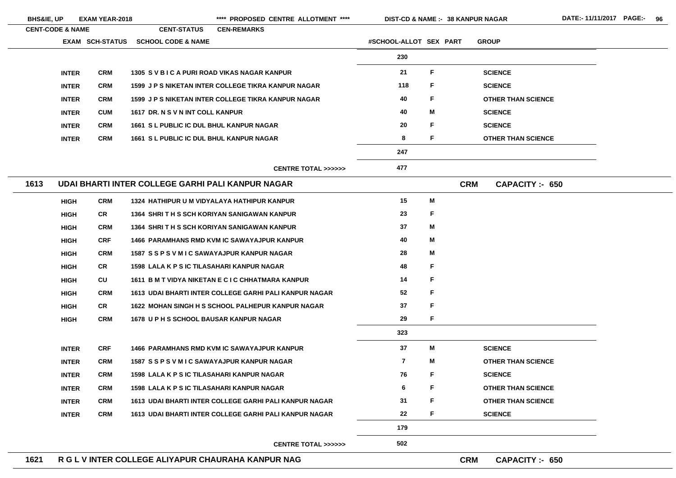| <b>BHS&amp;IE, UP</b>       | <b>EXAM YEAR-2018</b>  |                                                   | **** PROPOSED CENTRE ALLOTMENT ****                        |                        | DIST-CD & NAME :- 38 KANPUR NAGAR |                           |
|-----------------------------|------------------------|---------------------------------------------------|------------------------------------------------------------|------------------------|-----------------------------------|---------------------------|
| <b>CENT-CODE &amp; NAME</b> |                        | <b>CENT-STATUS</b>                                | <b>CEN-REMARKS</b>                                         |                        |                                   |                           |
|                             | <b>EXAM SCH-STATUS</b> | <b>SCHOOL CODE &amp; NAME</b>                     |                                                            | #SCHOOL-ALLOT SEX PART |                                   | <b>GROUP</b>              |
|                             |                        |                                                   |                                                            | 230                    |                                   |                           |
| <b>INTER</b>                | <b>CRM</b>             | 1305 SVBICA PURI ROAD VIKAS NAGAR KANPUR          |                                                            | 21                     | F                                 | <b>SCIENCE</b>            |
| <b>INTER</b>                | <b>CRM</b>             |                                                   | <b>1599 J P S NIKETAN INTER COLLEGE TIKRA KANPUR NAGAR</b> | 118                    | F                                 | <b>SCIENCE</b>            |
| <b>INTER</b>                | <b>CRM</b>             |                                                   | <b>1599 J P S NIKETAN INTER COLLEGE TIKRA KANPUR NAGAR</b> | 40                     | F                                 | <b>OTHER THAN SCIENCE</b> |
| <b>INTER</b>                | <b>CUM</b>             | 1617 DR. N S V N INT COLL KANPUR                  |                                                            | 40                     | M                                 | <b>SCIENCE</b>            |
| <b>INTER</b>                | <b>CRM</b>             | <b>1661 S L PUBLIC IC DUL BHUL KANPUR NAGAR</b>   |                                                            | 20                     | F                                 | <b>SCIENCE</b>            |
| <b>INTER</b>                | <b>CRM</b>             | <b>1661 S L PUBLIC IC DUL BHUL KANPUR NAGAR</b>   |                                                            | 8                      | F                                 | <b>OTHER THAN SCIENCE</b> |
|                             |                        |                                                   |                                                            | 247                    |                                   |                           |
|                             |                        |                                                   | <b>CENTRE TOTAL &gt;&gt;&gt;&gt;&gt;&gt;</b>               | 477                    |                                   |                           |
| 1613                        |                        | UDAI BHARTI INTER COLLEGE GARHI PALI KANPUR NAGAR |                                                            |                        | <b>CRM</b>                        | CAPACITY: 650             |
| <b>HIGH</b>                 | <b>CRM</b>             | 1324 HATHIPUR U M VIDYALAYA HATHIPUR KANPUR       |                                                            | 15                     | M                                 |                           |
| <b>HIGH</b>                 | <b>CR</b>              |                                                   | 1364 SHRITH S SCH KORIYAN SANIGAWAN KANPUR                 | 23                     | F                                 |                           |
| <b>HIGH</b>                 | <b>CRM</b>             |                                                   | 1364 SHRITH S SCH KORIYAN SANIGAWAN KANPUR                 | 37                     | M                                 |                           |
| <b>HIGH</b>                 | <b>CRF</b>             |                                                   | <b>1466 PARAMHANS RMD KVM IC SAWAYAJPUR KANPUR</b>         | 40                     | M                                 |                           |
| <b>HIGH</b>                 | <b>CRM</b>             | 1587 SSPSVMIC SAWAYAJPUR KANPUR NAGAR             |                                                            | 28                     | M                                 |                           |
| <b>HIGH</b>                 | <b>CR</b>              | 1598 LALA K P S IC TILASAHARI KANPUR NAGAR        |                                                            | 48                     | F                                 |                           |
| <b>HIGH</b>                 | CU                     |                                                   | 1611 B M T VIDYA NIKETAN E C I C CHHATMARA KANPUR          | 14                     | F                                 |                           |
| <b>HIGH</b>                 | <b>CRM</b>             |                                                   | 1613 UDAI BHARTI INTER COLLEGE GARHI PALI KANPUR NAGAR     | 52                     | F                                 |                           |
| <b>HIGH</b>                 | <b>CR</b>              |                                                   | <b>1622 MOHAN SINGH H S SCHOOL PALHEPUR KANPUR NAGAR</b>   | 37                     | $\mathsf F$                       |                           |
| <b>HIGH</b>                 | <b>CRM</b>             | <b>1678 UPH S SCHOOL BAUSAR KANPUR NAGAR</b>      |                                                            | 29                     | F                                 |                           |
|                             |                        |                                                   |                                                            | 323                    |                                   |                           |
| <b>INTER</b>                | <b>CRF</b>             |                                                   | <b>1466 PARAMHANS RMD KVM IC SAWAYAJPUR KANPUR</b>         | 37                     | M                                 | <b>SCIENCE</b>            |
| <b>INTER</b>                | <b>CRM</b>             | 1587 SSPSVMIC SAWAYAJPUR KANPUR NAGAR             |                                                            | $\overline{7}$         | M                                 | <b>OTHER THAN SCIENCE</b> |
| <b>INTER</b>                | <b>CRM</b>             | <b>1598 LALA K P S IC TILASAHARI KANPUR NAGAR</b> |                                                            | 76                     | F                                 | <b>SCIENCE</b>            |
| <b>INTER</b>                | <b>CRM</b>             | <b>1598 LALA K P S IC TILASAHARI KANPUR NAGAR</b> |                                                            | 6                      | F                                 | <b>OTHER THAN SCIENCE</b> |
| <b>INTER</b>                | <b>CRM</b>             |                                                   | 1613 UDAI BHARTI INTER COLLEGE GARHI PALI KANPUR NAGAR     | 31                     | F                                 | <b>OTHER THAN SCIENCE</b> |
| <b>INTER</b>                | <b>CRM</b>             |                                                   | 1613 UDAI BHARTI INTER COLLEGE GARHI PALI KANPUR NAGAR     | $22 \,$                | F                                 | <b>SCIENCE</b>            |
|                             |                        |                                                   |                                                            | 179                    |                                   |                           |
|                             |                        |                                                   | <b>CENTRE TOTAL &gt;&gt;&gt;&gt;&gt;&gt;</b>               | 502                    |                                   |                           |

E.  $\mathbf{E}$  and  $\mathbf{E}$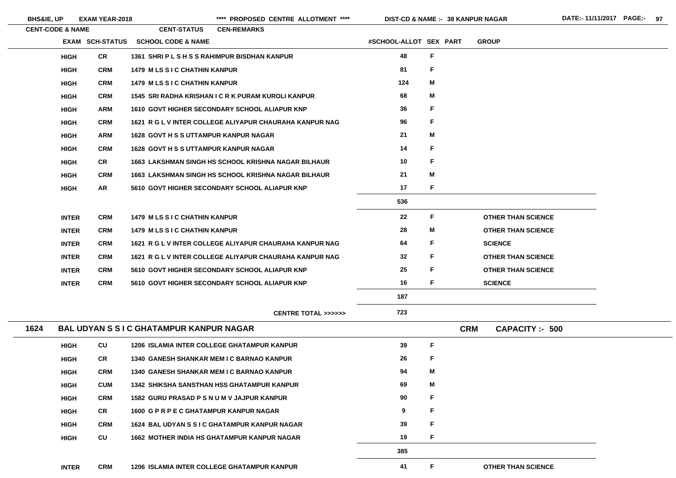|      | <b>CENT-CODE &amp; NAME</b> |                        | <b>CENT-STATUS</b>                                         | <b>CEN-REMARKS</b> |                                                         |                        |             |            |                           |
|------|-----------------------------|------------------------|------------------------------------------------------------|--------------------|---------------------------------------------------------|------------------------|-------------|------------|---------------------------|
|      |                             | <b>EXAM SCH-STATUS</b> | <b>SCHOOL CODE &amp; NAME</b>                              |                    |                                                         | #SCHOOL-ALLOT SEX PART |             |            | <b>GROUP</b>              |
|      | <b>HIGH</b>                 | <b>CR</b>              | 1361 SHRIPLSHSSRAHIMPUR BISDHAN KANPUR                     |                    |                                                         | 48                     | $\mathsf F$ |            |                           |
|      | <b>HIGH</b>                 | <b>CRM</b>             | <b>1479 M LS S I C CHATHIN KANPUR</b>                      |                    |                                                         | 81                     | F           |            |                           |
|      | <b>HIGH</b>                 | <b>CRM</b>             | <b>1479 M LS S I C CHATHIN KANPUR</b>                      |                    |                                                         | 124                    | M           |            |                           |
|      | <b>HIGH</b>                 | <b>CRM</b>             | 1545 SRI RADHA KRISHAN I C R K PURAM KUROLI KANPUR         |                    |                                                         | 68                     | M           |            |                           |
|      | <b>HIGH</b>                 | <b>ARM</b>             | 1610 GOVT HIGHER SECONDARY SCHOOL ALIAPUR KNP              |                    |                                                         | 36                     | F           |            |                           |
|      | <b>HIGH</b>                 | <b>CRM</b>             |                                                            |                    | 1621 R G L V INTER COLLEGE ALIYAPUR CHAURAHA KANPUR NAG | 96                     | F           |            |                           |
|      | <b>HIGH</b>                 | <b>ARM</b>             | <b>1628 GOVT H S S UTTAMPUR KANPUR NAGAR</b>               |                    |                                                         | 21                     | M           |            |                           |
|      | <b>HIGH</b>                 | <b>CRM</b>             | <b>1628 GOVT H S S UTTAMPUR KANPUR NAGAR</b>               |                    |                                                         | 14                     | F           |            |                           |
|      | <b>HIGH</b>                 | <b>CR</b>              | <b>1663 LAKSHMAN SINGH HS SCHOOL KRISHNA NAGAR BILHAUR</b> |                    |                                                         | 10                     | F           |            |                           |
|      | <b>HIGH</b>                 | <b>CRM</b>             | <b>1663 LAKSHMAN SINGH HS SCHOOL KRISHNA NAGAR BILHAUR</b> |                    |                                                         | 21                     | M           |            |                           |
|      | <b>HIGH</b>                 | <b>AR</b>              | 5610 GOVT HIGHER SECONDARY SCHOOL ALIAPUR KNP              |                    |                                                         | 17                     | F           |            |                           |
|      |                             |                        |                                                            |                    |                                                         | 536                    |             |            |                           |
|      | <b>INTER</b>                | <b>CRM</b>             | <b>1479 M LS S I C CHATHIN KANPUR</b>                      |                    |                                                         | 22                     | F           |            | <b>OTHER THAN SCIENCE</b> |
|      | <b>INTER</b>                | <b>CRM</b>             | <b>1479 M LS S I C CHATHIN KANPUR</b>                      |                    |                                                         | 28                     | M           |            | <b>OTHER THAN SCIENCE</b> |
|      | <b>INTER</b>                | <b>CRM</b>             |                                                            |                    | 1621 R G L V INTER COLLEGE ALIYAPUR CHAURAHA KANPUR NAG | 64                     | F           |            | <b>SCIENCE</b>            |
|      | <b>INTER</b>                | <b>CRM</b>             |                                                            |                    | 1621 R G L V INTER COLLEGE ALIYAPUR CHAURAHA KANPUR NAG | 32                     | F           |            | <b>OTHER THAN SCIENCE</b> |
|      | <b>INTER</b>                | <b>CRM</b>             | 5610 GOVT HIGHER SECONDARY SCHOOL ALIAPUR KNP              |                    |                                                         | 25                     | F           |            | <b>OTHER THAN SCIENCE</b> |
|      | <b>INTER</b>                | <b>CRM</b>             | 5610 GOVT HIGHER SECONDARY SCHOOL ALIAPUR KNP              |                    |                                                         | 16                     | F           |            | <b>SCIENCE</b>            |
|      |                             |                        |                                                            |                    |                                                         | 187                    |             |            |                           |
|      |                             |                        |                                                            |                    | <b>CENTRE TOTAL &gt;&gt;&gt;&gt;&gt;&gt;</b>            | 723                    |             |            |                           |
| 1624 |                             |                        | <b>BAL UDYAN S S I C GHATAMPUR KANPUR NAGAR</b>            |                    |                                                         |                        |             | <b>CRM</b> | <b>CAPACITY: - 500</b>    |
|      | <b>HIGH</b>                 | CU                     | <b>1206 ISLAMIA INTER COLLEGE GHATAMPUR KANPUR</b>         |                    |                                                         | 39                     | F           |            |                           |
|      | <b>HIGH</b>                 | <b>CR</b>              | <b>1340 GANESH SHANKAR MEM I C BARNAO KANPUR</b>           |                    |                                                         | 26                     | F           |            |                           |
|      | <b>HIGH</b>                 | <b>CRM</b>             | <b>1340 GANESH SHANKAR MEM I C BARNAO KANPUR</b>           |                    |                                                         | 94                     | M           |            |                           |
|      | <b>HIGH</b>                 | <b>CUM</b>             | <b>1342 SHIKSHA SANSTHAN HSS GHATAMPUR KANPUR</b>          |                    |                                                         | 69                     | M           |            |                           |
|      | <b>HIGH</b>                 | <b>CRM</b>             | 1582 GURU PRASAD P S N U M V JAJPUR KANPUR                 |                    |                                                         | 90                     | F           |            |                           |
|      | <b>HIGH</b>                 | <b>CR</b>              | 1600 G P R P E C GHATAMPUR KANPUR NAGAR                    |                    |                                                         | 9                      | F           |            |                           |
|      | <b>HIGH</b>                 | <b>CRM</b>             | <b>1624 BAL UDYAN S S I C GHATAMPUR KANPUR NAGAR</b>       |                    |                                                         | 39                     | F           |            |                           |
|      | <b>HIGH</b>                 | <b>CU</b>              | <b>1662 MOTHER INDIA HS GHATAMPUR KANPUR NAGAR</b>         |                    |                                                         | 19                     | F           |            |                           |
|      |                             |                        |                                                            |                    |                                                         | 385                    |             |            |                           |
|      | <b>INTER</b>                | <b>CRM</b>             | <b>1206 ISLAMIA INTER COLLEGE GHATAMPUR KANPUR</b>         |                    |                                                         | 41                     | F           |            | <b>OTHER THAN SCIENCE</b> |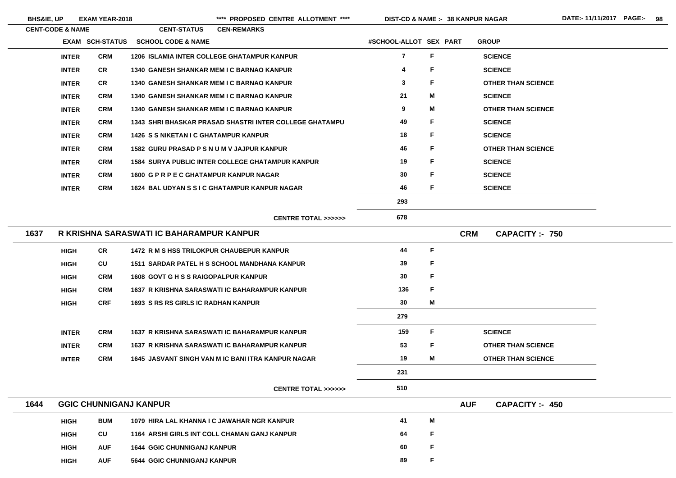- 
- 

- 
- 

- 
- 
- 
- <u> 1989 Johann Barn, mars ann an t-Aonaich an t-Aonaich ann an t-Aonaich ann an t-Aonaich ann an t-Aonaich an </u>

<u> 1989 - Johann Stoff, deutscher Stoffen und der Stoffen und der Stoffen und der Stoffen und der Stoffen und der</u>

**38 KANPUR NAGAR**

|      | <b>CENT-CODE &amp; NAME</b> |                        | <b>CENT-STATUS</b>                                      | <b>CEN-REMARKS</b> |                                              |                         |   |            |                           |
|------|-----------------------------|------------------------|---------------------------------------------------------|--------------------|----------------------------------------------|-------------------------|---|------------|---------------------------|
|      |                             | <b>EXAM SCH-STATUS</b> | <b>SCHOOL CODE &amp; NAME</b>                           |                    |                                              | #SCHOOL-ALLOT SEX PART  |   |            | <b>GROUP</b>              |
|      | <b>INTER</b>                | <b>CRM</b>             | <b>1206 ISLAMIA INTER COLLEGE GHATAMPUR KANPUR</b>      |                    |                                              | $\overline{\mathbf{7}}$ | F |            | <b>SCIENCE</b>            |
|      | <b>INTER</b>                | <b>CR</b>              | <b>1340 GANESH SHANKAR MEM I C BARNAO KANPUR</b>        |                    |                                              | 4                       | F |            | <b>SCIENCE</b>            |
|      | <b>INTER</b>                | <b>CR</b>              | <b>1340 GANESH SHANKAR MEM I C BARNAO KANPUR</b>        |                    |                                              | $\mathbf{3}$            | F |            | <b>OTHER THAN SCIENCE</b> |
|      | <b>INTER</b>                | <b>CRM</b>             | <b>1340 GANESH SHANKAR MEM I C BARNAO KANPUR</b>        |                    |                                              | 21                      | M |            | <b>SCIENCE</b>            |
|      | <b>INTER</b>                | <b>CRM</b>             | <b>1340 GANESH SHANKAR MEM I C BARNAO KANPUR</b>        |                    |                                              | 9                       | M |            | <b>OTHER THAN SCIENCE</b> |
|      | <b>INTER</b>                | <b>CRM</b>             | 1343 SHRI BHASKAR PRASAD SHASTRI INTER COLLEGE GHATAMPU |                    |                                              | 49                      | F |            | <b>SCIENCE</b>            |
|      | <b>INTER</b>                | <b>CRM</b>             | <b>1426 S S NIKETAN I C GHATAMPUR KANPUR</b>            |                    |                                              | 18                      | F |            | <b>SCIENCE</b>            |
|      | <b>INTER</b>                | <b>CRM</b>             | 1582 GURU PRASAD P S N U M V JAJPUR KANPUR              |                    |                                              | 46                      | F |            | <b>OTHER THAN SCIENCE</b> |
|      | <b>INTER</b>                | <b>CRM</b>             | <b>1584 SURYA PUBLIC INTER COLLEGE GHATAMPUR KANPUR</b> |                    |                                              | 19                      | F |            | <b>SCIENCE</b>            |
|      | <b>INTER</b>                | <b>CRM</b>             | 1600 G P R P E C GHATAMPUR KANPUR NAGAR                 |                    |                                              | 30                      | F |            | <b>SCIENCE</b>            |
|      | <b>INTER</b>                | <b>CRM</b>             | 1624 BAL UDYAN S S I C GHATAMPUR KANPUR NAGAR           |                    |                                              | 46                      | F |            | <b>SCIENCE</b>            |
|      |                             |                        |                                                         |                    |                                              | 293                     |   |            |                           |
|      |                             |                        |                                                         |                    | <b>CENTRE TOTAL &gt;&gt;&gt;&gt;&gt;&gt;</b> | 678                     |   |            |                           |
| 1637 |                             |                        | R KRISHNA SARASWATI IC BAHARAMPUR KANPUR                |                    |                                              |                         |   | <b>CRM</b> | <b>CAPACITY :- 750</b>    |
|      | <b>HIGH</b>                 | <b>CR</b>              | <b>1472 R M S HSS TRILOKPUR CHAUBEPUR KANPUR</b>        |                    |                                              | 44                      | F |            |                           |
|      | <b>HIGH</b>                 | CU                     | 1511 SARDAR PATEL H S SCHOOL MANDHANA KANPUR            |                    |                                              | 39                      | F |            |                           |
|      | <b>HIGH</b>                 | <b>CRM</b>             | <b>1608 GOVT G H S S RAIGOPALPUR KANPUR</b>             |                    |                                              | 30                      | F |            |                           |
|      | <b>HIGH</b>                 | <b>CRM</b>             | 1637 R KRISHNA SARASWATI IC BAHARAMPUR KANPUR           |                    |                                              | 136                     | F |            |                           |
|      | <b>HIGH</b>                 | <b>CRF</b>             | <b>1693 S RS RS GIRLS IC RADHAN KANPUR</b>              |                    |                                              | 30                      | M |            |                           |
|      |                             |                        |                                                         |                    |                                              | 279                     |   |            |                           |
|      | <b>INTER</b>                | <b>CRM</b>             | 1637 R KRISHNA SARASWATI IC BAHARAMPUR KANPUR           |                    |                                              | 159                     | F |            | <b>SCIENCE</b>            |
|      | <b>INTER</b>                | <b>CRM</b>             | 1637 R KRISHNA SARASWATI IC BAHARAMPUR KANPUR           |                    |                                              | 53                      | F |            | <b>OTHER THAN SCIENCE</b> |
|      | <b>INTER</b>                | <b>CRM</b>             | 1645 JASVANT SINGH VAN M IC BANI ITRA KANPUR NAGAR      |                    |                                              | 19                      | M |            | <b>OTHER THAN SCIENCE</b> |
|      |                             |                        |                                                         |                    |                                              | 231                     |   |            |                           |
|      |                             |                        |                                                         |                    | <b>CENTRE TOTAL &gt;&gt;&gt;&gt;&gt;&gt;</b> | 510                     |   |            |                           |
| 1644 |                             |                        | <b>GGIC CHUNNIGANJ KANPUR</b>                           |                    |                                              |                         |   | <b>AUF</b> | CAPACITY: 450             |
|      | <b>HIGH</b>                 | <b>BUM</b>             | 1079 HIRA LAL KHANNA I C JAWAHAR NGR KANPUR             |                    |                                              | 41                      | M |            |                           |
|      | <b>HIGH</b>                 | CU                     | 1164 ARSHI GIRLS INT COLL CHAMAN GANJ KANPUR            |                    |                                              | 64                      | F |            |                           |
|      | <b>HIGH</b>                 | <b>AUF</b>             | <b>1644 GGIC CHUNNIGANJ KANPUR</b>                      |                    |                                              | 60                      | F |            |                           |
|      | <b>HIGH</b>                 | <b>AUF</b>             | 5644 GGIC CHUNNIGANJ KANPUR                             |                    |                                              | 89                      | F |            |                           |
|      |                             |                        |                                                         |                    |                                              |                         |   |            |                           |